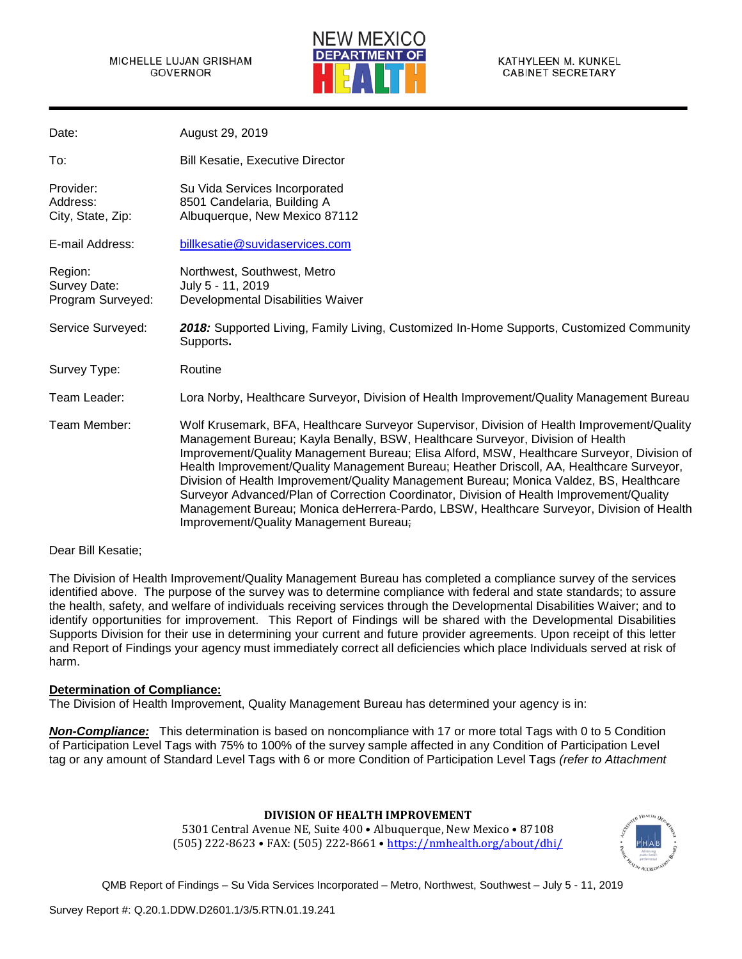#### MICHELLE LUJAN GRISHAM **GOVERNOR**



| Date:                                        | August 29, 2019                                                                                                                                                                                                                                                                                                                                                                                                                                                                                                                                                                                                                                                                                      |
|----------------------------------------------|------------------------------------------------------------------------------------------------------------------------------------------------------------------------------------------------------------------------------------------------------------------------------------------------------------------------------------------------------------------------------------------------------------------------------------------------------------------------------------------------------------------------------------------------------------------------------------------------------------------------------------------------------------------------------------------------------|
| To:                                          | <b>Bill Kesatie, Executive Director</b>                                                                                                                                                                                                                                                                                                                                                                                                                                                                                                                                                                                                                                                              |
| Provider:<br>Address:<br>City, State, Zip:   | Su Vida Services Incorporated<br>8501 Candelaria, Building A<br>Albuquerque, New Mexico 87112                                                                                                                                                                                                                                                                                                                                                                                                                                                                                                                                                                                                        |
| E-mail Address:                              | billkesatie@suvidaservices.com                                                                                                                                                                                                                                                                                                                                                                                                                                                                                                                                                                                                                                                                       |
| Region:<br>Survey Date:<br>Program Surveyed: | Northwest, Southwest, Metro<br>July 5 - 11, 2019<br>Developmental Disabilities Waiver                                                                                                                                                                                                                                                                                                                                                                                                                                                                                                                                                                                                                |
| Service Surveyed:                            | 2018: Supported Living, Family Living, Customized In-Home Supports, Customized Community<br>Supports.                                                                                                                                                                                                                                                                                                                                                                                                                                                                                                                                                                                                |
| Survey Type:                                 | Routine                                                                                                                                                                                                                                                                                                                                                                                                                                                                                                                                                                                                                                                                                              |
| Team Leader:                                 | Lora Norby, Healthcare Surveyor, Division of Health Improvement/Quality Management Bureau                                                                                                                                                                                                                                                                                                                                                                                                                                                                                                                                                                                                            |
| Team Member:                                 | Wolf Krusemark, BFA, Healthcare Surveyor Supervisor, Division of Health Improvement/Quality<br>Management Bureau; Kayla Benally, BSW, Healthcare Surveyor, Division of Health<br>Improvement/Quality Management Bureau; Elisa Alford, MSW, Healthcare Surveyor, Division of<br>Health Improvement/Quality Management Bureau; Heather Driscoll, AA, Healthcare Surveyor,<br>Division of Health Improvement/Quality Management Bureau; Monica Valdez, BS, Healthcare<br>Surveyor Advanced/Plan of Correction Coordinator, Division of Health Improvement/Quality<br>Management Bureau; Monica deHerrera-Pardo, LBSW, Healthcare Surveyor, Division of Health<br>Improvement/Quality Management Bureau; |

#### Dear Bill Kesatie;

The Division of Health Improvement/Quality Management Bureau has completed a compliance survey of the services identified above. The purpose of the survey was to determine compliance with federal and state standards; to assure the health, safety, and welfare of individuals receiving services through the Developmental Disabilities Waiver; and to identify opportunities for improvement. This Report of Findings will be shared with the Developmental Disabilities Supports Division for their use in determining your current and future provider agreements. Upon receipt of this letter and Report of Findings your agency must immediately correct all deficiencies which place Individuals served at risk of harm.

#### **Determination of Compliance:**

The Division of Health Improvement, Quality Management Bureau has determined your agency is in:

*Non-Compliance:* This determination is based on noncompliance with 17 or more total Tags with 0 to 5 Condition of Participation Level Tags with 75% to 100% of the survey sample affected in any Condition of Participation Level tag or any amount of Standard Level Tags with 6 or more Condition of Participation Level Tags *(refer to Attachment* 

#### **DIVISION OF HEALTH IMPROVEMENT**

5301 Central Avenue NE, Suite 400 • Albuquerque, New Mexico • 87108 (505) 222-8623 • FAX: (505) 222-8661 [• https://nmhealth.org/about/dhi/](https://nmhealth.org/about/dhi/)

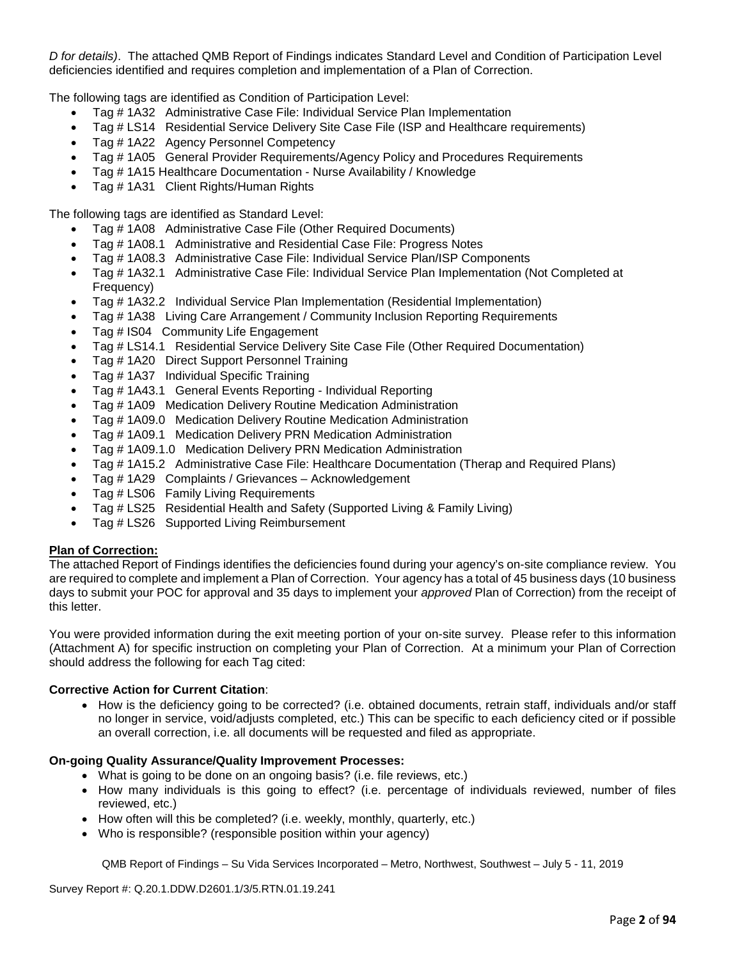*D for details)*. The attached QMB Report of Findings indicates Standard Level and Condition of Participation Level deficiencies identified and requires completion and implementation of a Plan of Correction.

The following tags are identified as Condition of Participation Level:

- Tag # 1A32 Administrative Case File: Individual Service Plan Implementation
- Tag # LS14 Residential Service Delivery Site Case File (ISP and Healthcare requirements)
- Tag # 1A22 Agency Personnel Competency
- Tag # 1A05 General Provider Requirements/Agency Policy and Procedures Requirements
- Tag # 1A15 Healthcare Documentation Nurse Availability / Knowledge
- Tag # 1A31 Client Rights/Human Rights

The following tags are identified as Standard Level:

- Tag # 1A08 Administrative Case File (Other Required Documents)
- Tag # 1A08.1 Administrative and Residential Case File: Progress Notes
- Tag # 1A08.3 Administrative Case File: Individual Service Plan/ISP Components
- Tag # 1A32.1 Administrative Case File: Individual Service Plan Implementation (Not Completed at Frequency)
- Tag # 1A32.2 Individual Service Plan Implementation (Residential Implementation)
- Tag # 1A38 Living Care Arrangement / Community Inclusion Reporting Requirements
- Tag # IS04 Community Life Engagement
- Tag # LS14.1 Residential Service Delivery Site Case File (Other Required Documentation)
- Tag # 1A20 Direct Support Personnel Training
- Tag # 1A37 Individual Specific Training
- Tag # 1A43.1 General Events Reporting Individual Reporting
- Tag # 1A09 Medication Delivery Routine Medication Administration
- Tag # 1A09.0 Medication Delivery Routine Medication Administration
- Tag # 1A09.1 Medication Delivery PRN Medication Administration
- Tag # 1A09.1.0 Medication Delivery PRN Medication Administration
- Tag # 1A15.2 Administrative Case File: Healthcare Documentation (Therap and Required Plans)
- Tag # 1A29 Complaints / Grievances Acknowledgement
- Tag # LS06 Family Living Requirements
- Tag # LS25 Residential Health and Safety (Supported Living & Family Living)
- Tag # LS26 Supported Living Reimbursement

## **Plan of Correction:**

The attached Report of Findings identifies the deficiencies found during your agency's on-site compliance review. You are required to complete and implement a Plan of Correction. Your agency has a total of 45 business days (10 business days to submit your POC for approval and 35 days to implement your *approved* Plan of Correction) from the receipt of this letter.

You were provided information during the exit meeting portion of your on-site survey. Please refer to this information (Attachment A) for specific instruction on completing your Plan of Correction. At a minimum your Plan of Correction should address the following for each Tag cited:

#### **Corrective Action for Current Citation**:

• How is the deficiency going to be corrected? (i.e. obtained documents, retrain staff, individuals and/or staff no longer in service, void/adjusts completed, etc.) This can be specific to each deficiency cited or if possible an overall correction, i.e. all documents will be requested and filed as appropriate.

#### **On-going Quality Assurance/Quality Improvement Processes:**

- What is going to be done on an ongoing basis? (i.e. file reviews, etc.)
- How many individuals is this going to effect? (i.e. percentage of individuals reviewed, number of files reviewed, etc.)
- How often will this be completed? (i.e. weekly, monthly, quarterly, etc.)
- Who is responsible? (responsible position within your agency)

QMB Report of Findings – Su Vida Services Incorporated – Metro, Northwest, Southwest – July 5 - 11, 2019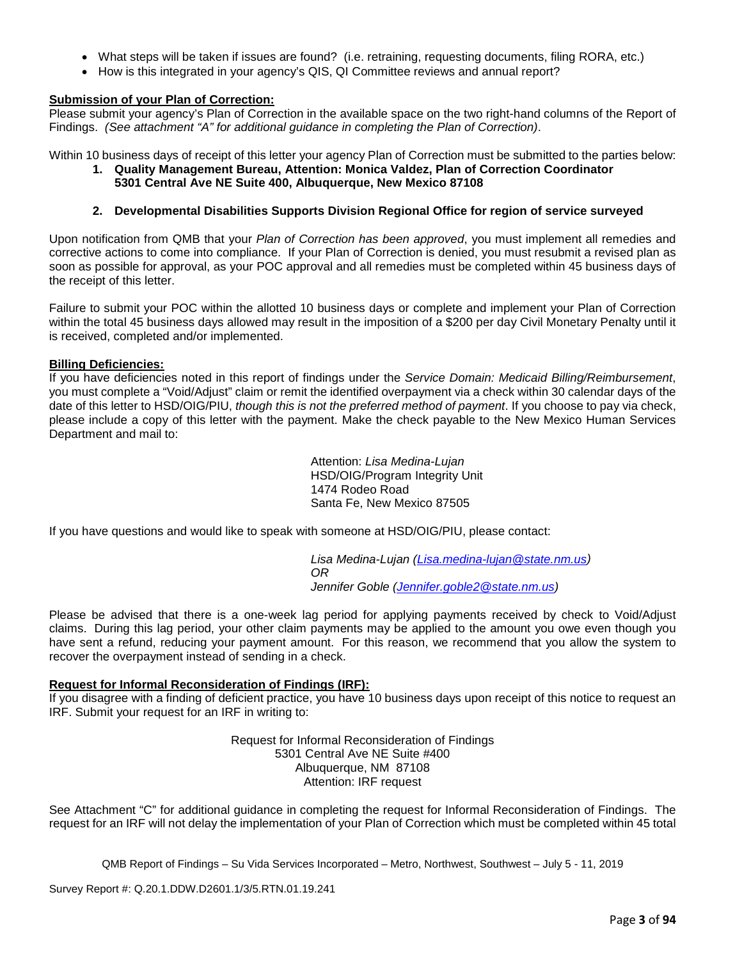- What steps will be taken if issues are found? (i.e. retraining, requesting documents, filing RORA, etc.)
- How is this integrated in your agency's QIS, QI Committee reviews and annual report?

## **Submission of your Plan of Correction:**

Please submit your agency's Plan of Correction in the available space on the two right-hand columns of the Report of Findings. *(See attachment "A" for additional guidance in completing the Plan of Correction)*.

Within 10 business days of receipt of this letter your agency Plan of Correction must be submitted to the parties below:

**1. Quality Management Bureau, Attention: Monica Valdez, Plan of Correction Coordinator 5301 Central Ave NE Suite 400, Albuquerque, New Mexico 87108**

**2. Developmental Disabilities Supports Division Regional Office for region of service surveyed**

Upon notification from QMB that your *Plan of Correction has been approved*, you must implement all remedies and corrective actions to come into compliance. If your Plan of Correction is denied, you must resubmit a revised plan as soon as possible for approval, as your POC approval and all remedies must be completed within 45 business days of the receipt of this letter.

Failure to submit your POC within the allotted 10 business days or complete and implement your Plan of Correction within the total 45 business days allowed may result in the imposition of a \$200 per day Civil Monetary Penalty until it is received, completed and/or implemented.

## **Billing Deficiencies:**

If you have deficiencies noted in this report of findings under the *Service Domain: Medicaid Billing/Reimbursement*, you must complete a "Void/Adjust" claim or remit the identified overpayment via a check within 30 calendar days of the date of this letter to HSD/OIG/PIU, *though this is not the preferred method of payment*. If you choose to pay via check, please include a copy of this letter with the payment. Make the check payable to the New Mexico Human Services Department and mail to:

> Attention: *Lisa Medina-Lujan* HSD/OIG/Program Integrity Unit 1474 Rodeo Road Santa Fe, New Mexico 87505

If you have questions and would like to speak with someone at HSD/OIG/PIU, please contact:

*Lisa Medina-Lujan [\(Lisa.medina-lujan@state.nm.us\)](mailto:Lisa.medina-lujan@state.nm.us) OR Jennifer Goble [\(Jennifer.goble2@state.nm.us\)](mailto:Jennifer.goble2@state.nm.us)*

Please be advised that there is a one-week lag period for applying payments received by check to Void/Adjust claims. During this lag period, your other claim payments may be applied to the amount you owe even though you have sent a refund, reducing your payment amount. For this reason, we recommend that you allow the system to recover the overpayment instead of sending in a check.

#### **Request for Informal Reconsideration of Findings (IRF):**

If you disagree with a finding of deficient practice, you have 10 business days upon receipt of this notice to request an IRF. Submit your request for an IRF in writing to:

> Request for Informal Reconsideration of Findings 5301 Central Ave NE Suite #400 Albuquerque, NM 87108 Attention: IRF request

See Attachment "C" for additional guidance in completing the request for Informal Reconsideration of Findings. The request for an IRF will not delay the implementation of your Plan of Correction which must be completed within 45 total

QMB Report of Findings – Su Vida Services Incorporated – Metro, Northwest, Southwest – July 5 - 11, 2019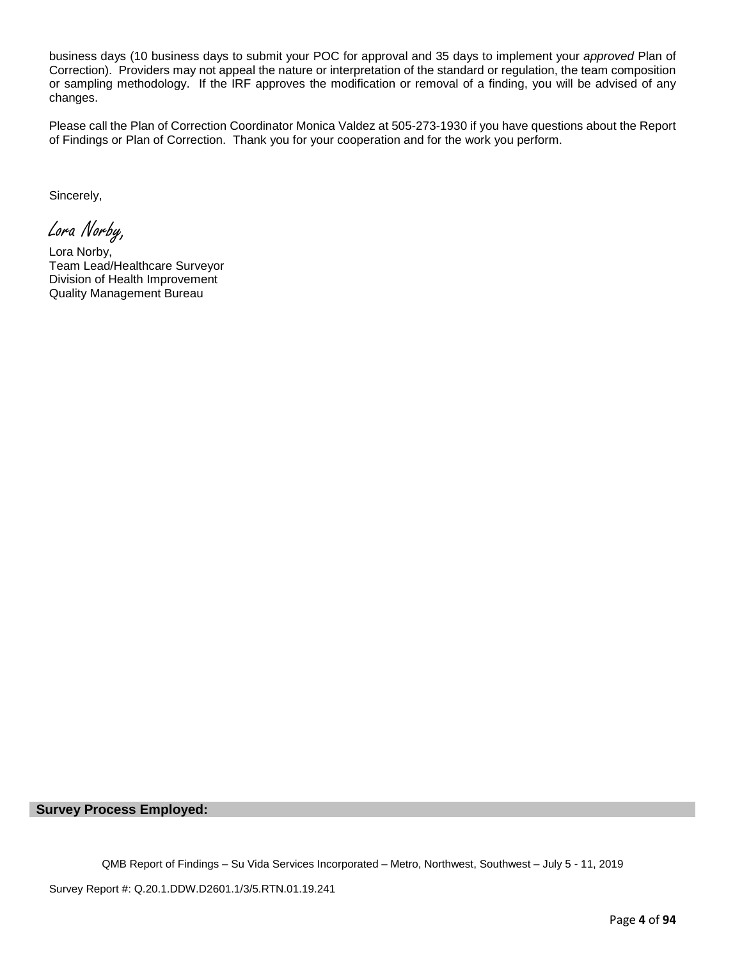business days (10 business days to submit your POC for approval and 35 days to implement your *approved* Plan of Correction). Providers may not appeal the nature or interpretation of the standard or regulation, the team composition or sampling methodology. If the IRF approves the modification or removal of a finding, you will be advised of any changes.

Please call the Plan of Correction Coordinator Monica Valdez at 505-273-1930 if you have questions about the Report of Findings or Plan of Correction. Thank you for your cooperation and for the work you perform.

Sincerely,

Lora Norby,

Lora Norby, Team Lead/Healthcare Surveyor Division of Health Improvement Quality Management Bureau

#### **Survey Process Employed:**

QMB Report of Findings – Su Vida Services Incorporated – Metro, Northwest, Southwest – July 5 - 11, 2019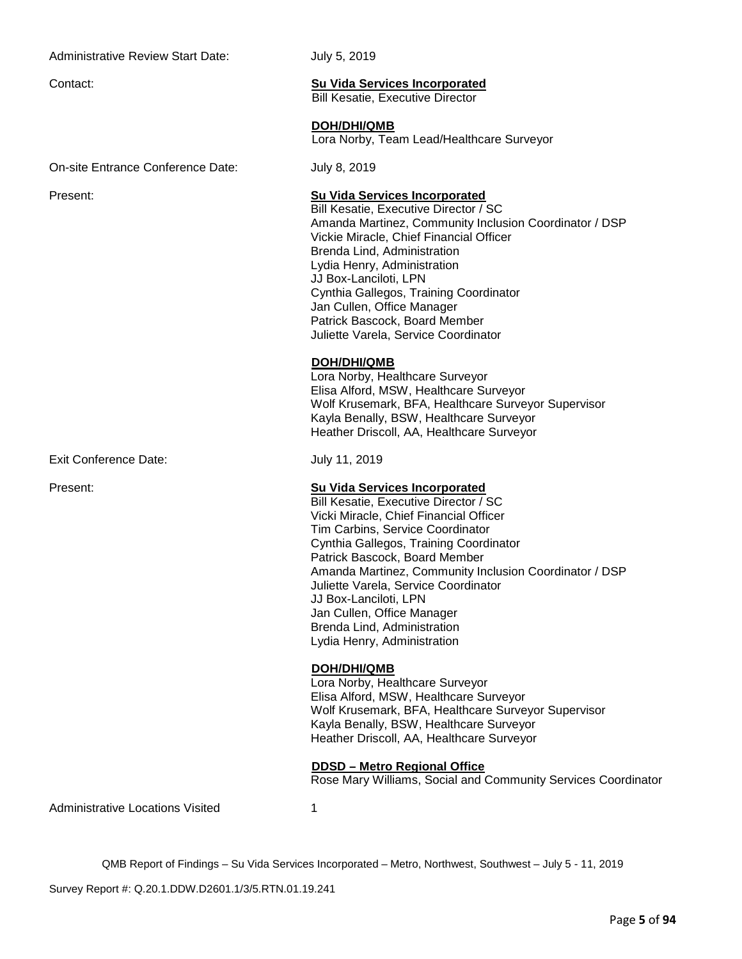#### Administrative Review Start Date: July 5, 2019

On-site Entrance Conference Date: July 8, 2019

Exit Conference Date: July 11, 2019

# Contact: **Su Vida Services Incorporated**

Bill Kesatie, Executive Director

## **DOH/DHI/QMB**

Lora Norby, Team Lead/Healthcare Surveyor

## Present: **Su Vida Services Incorporated**

Bill Kesatie, Executive Director / SC Amanda Martinez, Community Inclusion Coordinator / DSP Vickie Miracle, Chief Financial Officer Brenda Lind, Administration Lydia Henry, Administration JJ Box-Lanciloti, LPN Cynthia Gallegos, Training Coordinator Jan Cullen, Office Manager Patrick Bascock, Board Member Juliette Varela, Service Coordinator

## **DOH/DHI/QMB**

Lora Norby, Healthcare Surveyor Elisa Alford, MSW, Healthcare Surveyor Wolf Krusemark, BFA, Healthcare Surveyor Supervisor Kayla Benally, BSW, Healthcare Surveyor Heather Driscoll, AA, Healthcare Surveyor

#### Present: **Su Vida Services Incorporated**

Bill Kesatie, Executive Director / SC Vicki Miracle, Chief Financial Officer Tim Carbins, Service Coordinator Cynthia Gallegos, Training Coordinator Patrick Bascock, Board Member Amanda Martinez, Community Inclusion Coordinator / DSP Juliette Varela, Service Coordinator JJ Box-Lanciloti, LPN Jan Cullen, Office Manager Brenda Lind, Administration Lydia Henry, Administration

## **DOH/DHI/QMB**

Lora Norby, Healthcare Surveyor Elisa Alford, MSW, Healthcare Surveyor Wolf Krusemark, BFA, Healthcare Surveyor Supervisor Kayla Benally, BSW, Healthcare Surveyor Heather Driscoll, AA, Healthcare Surveyor

## **DDSD – Metro Regional Office**

Rose Mary Williams, Social and Community Services Coordinator

Administrative Locations Visited 1

QMB Report of Findings – Su Vida Services Incorporated – Metro, Northwest, Southwest – July 5 - 11, 2019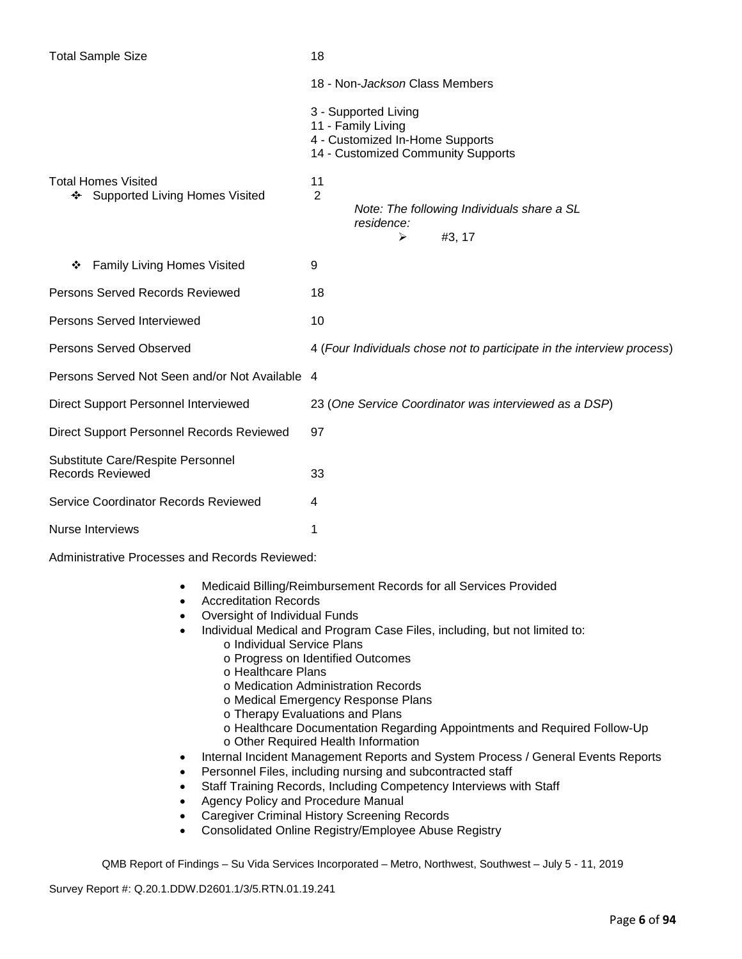| <b>Total Sample Size</b>                                       | 18                                                                                                                  |
|----------------------------------------------------------------|---------------------------------------------------------------------------------------------------------------------|
|                                                                | 18 - Non- <i>Jackson</i> Class Members                                                                              |
|                                                                | 3 - Supported Living<br>11 - Family Living<br>4 - Customized In-Home Supports<br>14 - Customized Community Supports |
| <b>Total Homes Visited</b><br>❖ Supported Living Homes Visited | 11<br>$\overline{2}$<br>Note: The following Individuals share a SL<br>residence:<br>#3, 17<br>⋗                     |
| Family Living Homes Visited<br>❖                               | 9                                                                                                                   |
| <b>Persons Served Records Reviewed</b>                         | 18                                                                                                                  |
| Persons Served Interviewed                                     | 10                                                                                                                  |
| <b>Persons Served Observed</b>                                 | 4 (Four Individuals chose not to participate in the interview process)                                              |
| Persons Served Not Seen and/or Not Available 4                 |                                                                                                                     |
| Direct Support Personnel Interviewed                           | 23 (One Service Coordinator was interviewed as a DSP)                                                               |
| Direct Support Personnel Records Reviewed                      | 97                                                                                                                  |
| Substitute Care/Respite Personnel<br><b>Records Reviewed</b>   | 33                                                                                                                  |
| Service Coordinator Records Reviewed                           | 4                                                                                                                   |
| <b>Nurse Interviews</b>                                        | 1                                                                                                                   |

Administrative Processes and Records Reviewed:

- Medicaid Billing/Reimbursement Records for all Services Provided
- Accreditation Records
- Oversight of Individual Funds
- Individual Medical and Program Case Files, including, but not limited to:
	- o Individual Service Plans
		- o Progress on Identified Outcomes
		- o Healthcare Plans
		- o Medication Administration Records
		- o Medical Emergency Response Plans
		- o Therapy Evaluations and Plans
		- o Healthcare Documentation Regarding Appointments and Required Follow-Up
	- o Other Required Health Information
	- Internal Incident Management Reports and System Process / General Events Reports
- Personnel Files, including nursing and subcontracted staff
- Staff Training Records, Including Competency Interviews with Staff
- Agency Policy and Procedure Manual
- Caregiver Criminal History Screening Records
- Consolidated Online Registry/Employee Abuse Registry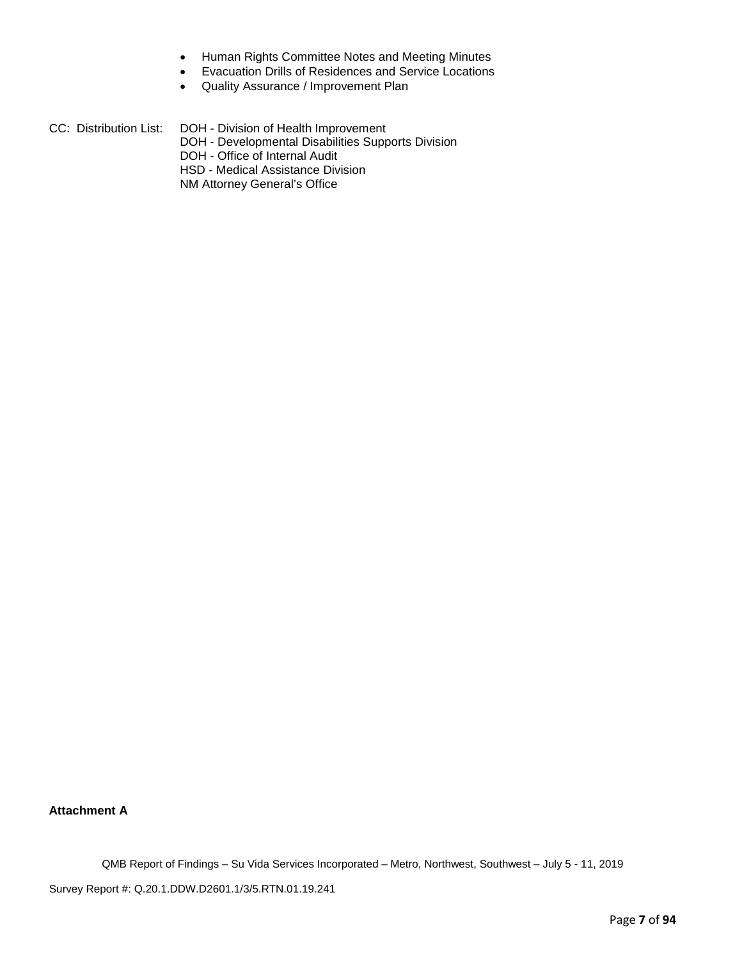- Human Rights Committee Notes and Meeting Minutes
- Evacuation Drills of Residences and Service Locations
- Quality Assurance / Improvement Plan

| CC: Distribution List: | DOH - Division of Health Improvement               |
|------------------------|----------------------------------------------------|
|                        | DOH - Developmental Disabilities Supports Division |
|                        | DOH - Office of Internal Audit                     |
|                        | HSD - Medical Assistance Division                  |
|                        | NM Attorney General's Office                       |

**Attachment A**

QMB Report of Findings – Su Vida Services Incorporated – Metro, Northwest, Southwest – July 5 - 11, 2019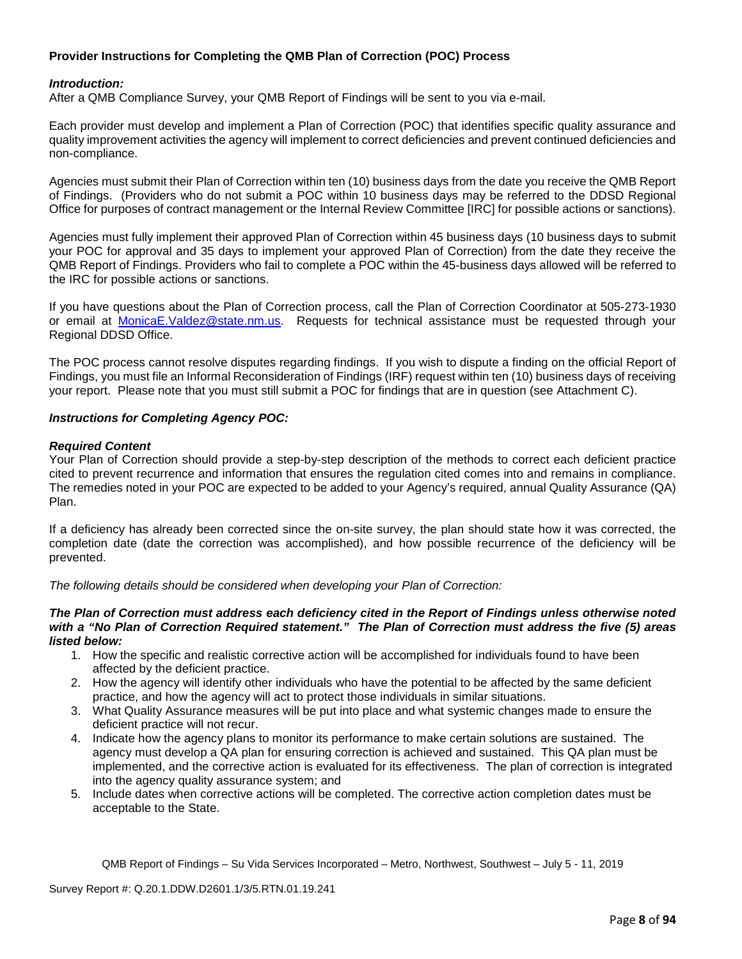## **Provider Instructions for Completing the QMB Plan of Correction (POC) Process**

### *Introduction:*

After a QMB Compliance Survey, your QMB Report of Findings will be sent to you via e-mail.

Each provider must develop and implement a Plan of Correction (POC) that identifies specific quality assurance and quality improvement activities the agency will implement to correct deficiencies and prevent continued deficiencies and non-compliance.

Agencies must submit their Plan of Correction within ten (10) business days from the date you receive the QMB Report of Findings. (Providers who do not submit a POC within 10 business days may be referred to the DDSD Regional Office for purposes of contract management or the Internal Review Committee [IRC] for possible actions or sanctions).

Agencies must fully implement their approved Plan of Correction within 45 business days (10 business days to submit your POC for approval and 35 days to implement your approved Plan of Correction) from the date they receive the QMB Report of Findings. Providers who fail to complete a POC within the 45-business days allowed will be referred to the IRC for possible actions or sanctions.

If you have questions about the Plan of Correction process, call the Plan of Correction Coordinator at 505-273-1930 or email at [MonicaE.Valdez@state.nm.us.](mailto:MonicaE.Valdez@state.nm.us) Requests for technical assistance must be requested through your Regional DDSD Office.

The POC process cannot resolve disputes regarding findings. If you wish to dispute a finding on the official Report of Findings, you must file an Informal Reconsideration of Findings (IRF) request within ten (10) business days of receiving your report. Please note that you must still submit a POC for findings that are in question (see Attachment C).

#### *Instructions for Completing Agency POC:*

#### *Required Content*

Your Plan of Correction should provide a step-by-step description of the methods to correct each deficient practice cited to prevent recurrence and information that ensures the regulation cited comes into and remains in compliance. The remedies noted in your POC are expected to be added to your Agency's required, annual Quality Assurance (QA) Plan.

If a deficiency has already been corrected since the on-site survey, the plan should state how it was corrected, the completion date (date the correction was accomplished), and how possible recurrence of the deficiency will be prevented.

*The following details should be considered when developing your Plan of Correction:*

#### *The Plan of Correction must address each deficiency cited in the Report of Findings unless otherwise noted with a "No Plan of Correction Required statement." The Plan of Correction must address the five (5) areas listed below:*

- 1. How the specific and realistic corrective action will be accomplished for individuals found to have been affected by the deficient practice.
- 2. How the agency will identify other individuals who have the potential to be affected by the same deficient practice, and how the agency will act to protect those individuals in similar situations.
- 3. What Quality Assurance measures will be put into place and what systemic changes made to ensure the deficient practice will not recur.
- 4. Indicate how the agency plans to monitor its performance to make certain solutions are sustained. The agency must develop a QA plan for ensuring correction is achieved and sustained. This QA plan must be implemented, and the corrective action is evaluated for its effectiveness. The plan of correction is integrated into the agency quality assurance system; and
- 5. Include dates when corrective actions will be completed. The corrective action completion dates must be acceptable to the State.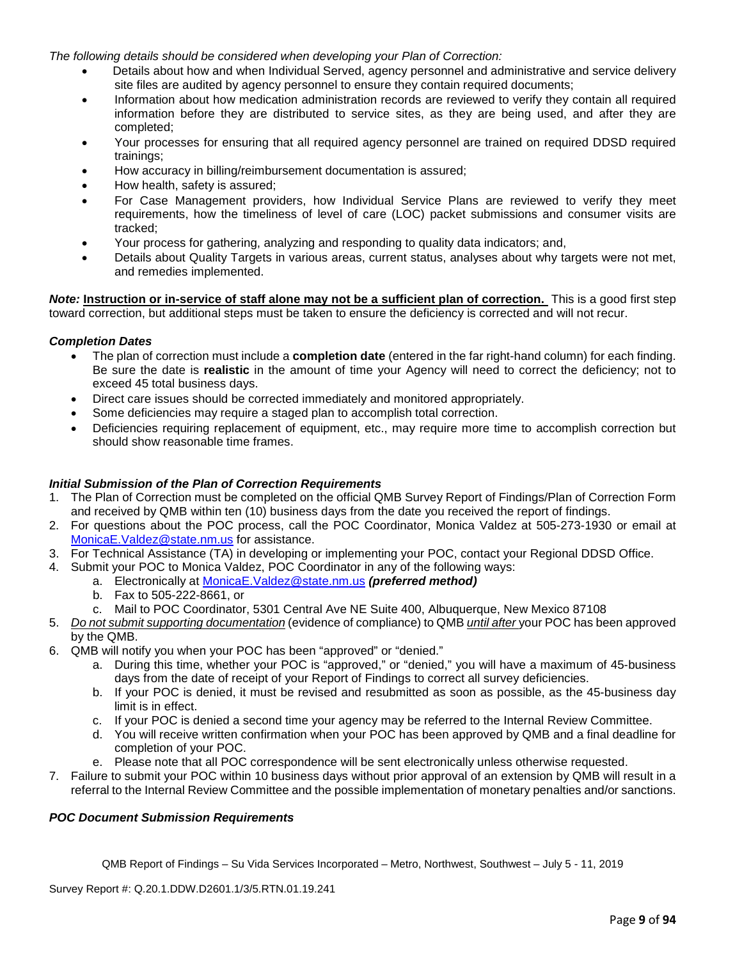*The following details should be considered when developing your Plan of Correction:*

- Details about how and when Individual Served, agency personnel and administrative and service delivery site files are audited by agency personnel to ensure they contain required documents;
- Information about how medication administration records are reviewed to verify they contain all required information before they are distributed to service sites, as they are being used, and after they are completed;
- Your processes for ensuring that all required agency personnel are trained on required DDSD required trainings;
- How accuracy in billing/reimbursement documentation is assured;
- How health, safety is assured;
- For Case Management providers, how Individual Service Plans are reviewed to verify they meet requirements, how the timeliness of level of care (LOC) packet submissions and consumer visits are tracked;
- Your process for gathering, analyzing and responding to quality data indicators; and,
- Details about Quality Targets in various areas, current status, analyses about why targets were not met, and remedies implemented.

*Note:* **Instruction or in-service of staff alone may not be a sufficient plan of correction.** This is a good first step toward correction, but additional steps must be taken to ensure the deficiency is corrected and will not recur.

#### *Completion Dates*

- The plan of correction must include a **completion date** (entered in the far right-hand column) for each finding. Be sure the date is **realistic** in the amount of time your Agency will need to correct the deficiency; not to exceed 45 total business days.
- Direct care issues should be corrected immediately and monitored appropriately.
- Some deficiencies may require a staged plan to accomplish total correction.
- Deficiencies requiring replacement of equipment, etc., may require more time to accomplish correction but should show reasonable time frames.

### *Initial Submission of the Plan of Correction Requirements*

- 1. The Plan of Correction must be completed on the official QMB Survey Report of Findings/Plan of Correction Form and received by QMB within ten (10) business days from the date you received the report of findings.
- 2. For questions about the POC process, call the POC Coordinator, Monica Valdez at 505-273-1930 or email at [MonicaE.Valdez@state.nm.us](mailto:MonicaE.Valdez@state.nm.us) for assistance.
- 3. For Technical Assistance (TA) in developing or implementing your POC, contact your Regional DDSD Office.
- 4. Submit your POC to Monica Valdez, POC Coordinator in any of the following ways:
	- a. Electronically at [MonicaE.Valdez@state.nm.us](mailto:MonicaE.Valdez@state.nm.us) *(preferred method)*
	- b. Fax to 505-222-8661, or
	- c. Mail to POC Coordinator, 5301 Central Ave NE Suite 400, Albuquerque, New Mexico 87108
- 5. *Do not submit supporting documentation* (evidence of compliance) to QMB *until after* your POC has been approved by the QMB.
- 6. QMB will notify you when your POC has been "approved" or "denied."
	- a. During this time, whether your POC is "approved," or "denied," you will have a maximum of 45-business days from the date of receipt of your Report of Findings to correct all survey deficiencies.
	- b. If your POC is denied, it must be revised and resubmitted as soon as possible, as the 45-business day limit is in effect.
	- c. If your POC is denied a second time your agency may be referred to the Internal Review Committee.
	- d. You will receive written confirmation when your POC has been approved by QMB and a final deadline for completion of your POC.
	- e. Please note that all POC correspondence will be sent electronically unless otherwise requested.
- 7. Failure to submit your POC within 10 business days without prior approval of an extension by QMB will result in a referral to the Internal Review Committee and the possible implementation of monetary penalties and/or sanctions.

#### *POC Document Submission Requirements*

QMB Report of Findings – Su Vida Services Incorporated – Metro, Northwest, Southwest – July 5 - 11, 2019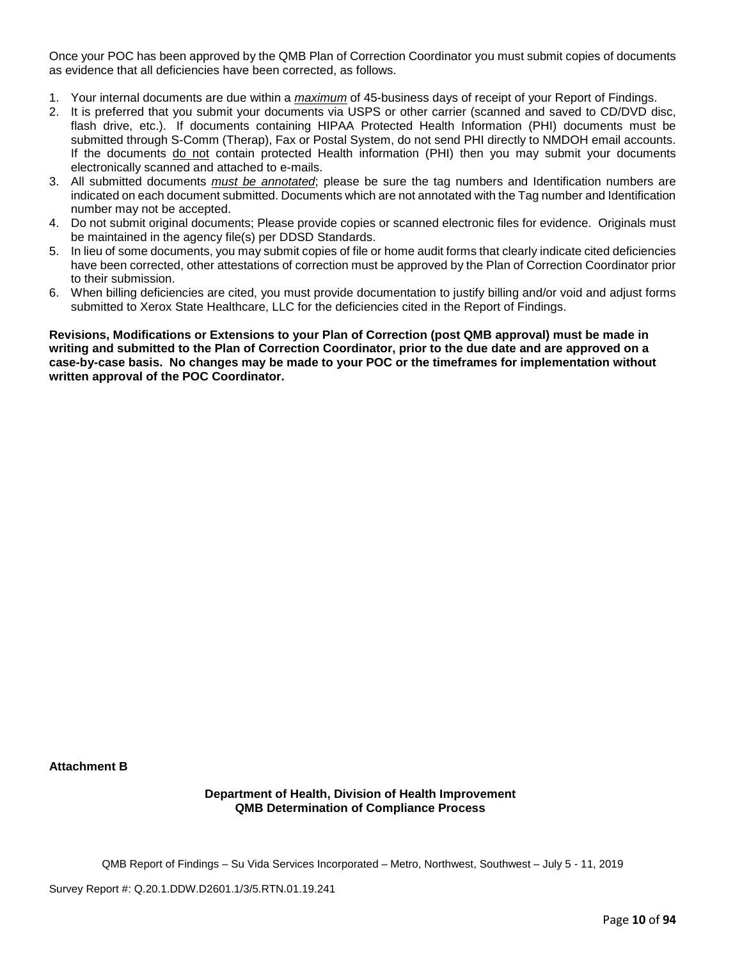Once your POC has been approved by the QMB Plan of Correction Coordinator you must submit copies of documents as evidence that all deficiencies have been corrected, as follows.

- 1. Your internal documents are due within a *maximum* of 45-business days of receipt of your Report of Findings.
- 2. It is preferred that you submit your documents via USPS or other carrier (scanned and saved to CD/DVD disc, flash drive, etc.). If documents containing HIPAA Protected Health Information (PHI) documents must be submitted through S-Comm (Therap), Fax or Postal System, do not send PHI directly to NMDOH email accounts. If the documents do not contain protected Health information (PHI) then you may submit your documents electronically scanned and attached to e-mails.
- 3. All submitted documents *must be annotated*; please be sure the tag numbers and Identification numbers are indicated on each document submitted. Documents which are not annotated with the Tag number and Identification number may not be accepted.
- 4. Do not submit original documents; Please provide copies or scanned electronic files for evidence. Originals must be maintained in the agency file(s) per DDSD Standards.
- 5. In lieu of some documents, you may submit copies of file or home audit forms that clearly indicate cited deficiencies have been corrected, other attestations of correction must be approved by the Plan of Correction Coordinator prior to their submission.
- 6. When billing deficiencies are cited, you must provide documentation to justify billing and/or void and adjust forms submitted to Xerox State Healthcare, LLC for the deficiencies cited in the Report of Findings.

**Revisions, Modifications or Extensions to your Plan of Correction (post QMB approval) must be made in writing and submitted to the Plan of Correction Coordinator, prior to the due date and are approved on a case-by-case basis. No changes may be made to your POC or the timeframes for implementation without written approval of the POC Coordinator.**

**Attachment B**

**Department of Health, Division of Health Improvement QMB Determination of Compliance Process**

QMB Report of Findings – Su Vida Services Incorporated – Metro, Northwest, Southwest – July 5 - 11, 2019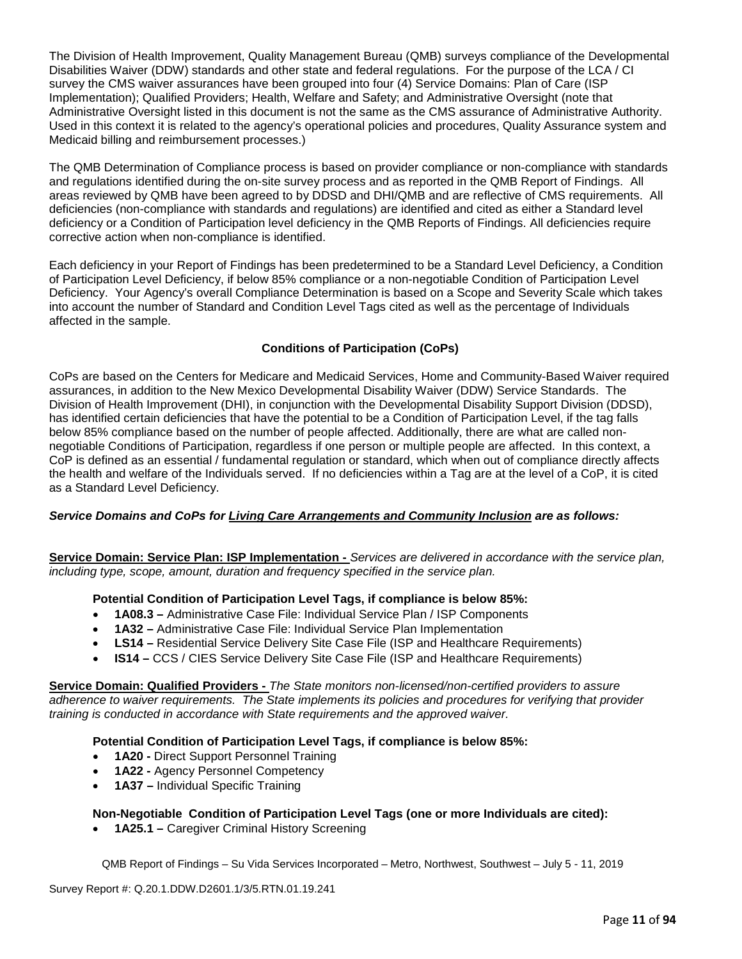The Division of Health Improvement, Quality Management Bureau (QMB) surveys compliance of the Developmental Disabilities Waiver (DDW) standards and other state and federal regulations. For the purpose of the LCA / CI survey the CMS waiver assurances have been grouped into four (4) Service Domains: Plan of Care (ISP Implementation); Qualified Providers; Health, Welfare and Safety; and Administrative Oversight (note that Administrative Oversight listed in this document is not the same as the CMS assurance of Administrative Authority. Used in this context it is related to the agency's operational policies and procedures, Quality Assurance system and Medicaid billing and reimbursement processes.)

The QMB Determination of Compliance process is based on provider compliance or non-compliance with standards and regulations identified during the on-site survey process and as reported in the QMB Report of Findings. All areas reviewed by QMB have been agreed to by DDSD and DHI/QMB and are reflective of CMS requirements. All deficiencies (non-compliance with standards and regulations) are identified and cited as either a Standard level deficiency or a Condition of Participation level deficiency in the QMB Reports of Findings. All deficiencies require corrective action when non-compliance is identified.

Each deficiency in your Report of Findings has been predetermined to be a Standard Level Deficiency, a Condition of Participation Level Deficiency, if below 85% compliance or a non-negotiable Condition of Participation Level Deficiency. Your Agency's overall Compliance Determination is based on a Scope and Severity Scale which takes into account the number of Standard and Condition Level Tags cited as well as the percentage of Individuals affected in the sample.

## **Conditions of Participation (CoPs)**

CoPs are based on the Centers for Medicare and Medicaid Services, Home and Community-Based Waiver required assurances, in addition to the New Mexico Developmental Disability Waiver (DDW) Service Standards. The Division of Health Improvement (DHI), in conjunction with the Developmental Disability Support Division (DDSD), has identified certain deficiencies that have the potential to be a Condition of Participation Level, if the tag falls below 85% compliance based on the number of people affected. Additionally, there are what are called nonnegotiable Conditions of Participation, regardless if one person or multiple people are affected. In this context, a CoP is defined as an essential / fundamental regulation or standard, which when out of compliance directly affects the health and welfare of the Individuals served. If no deficiencies within a Tag are at the level of a CoP, it is cited as a Standard Level Deficiency.

## *Service Domains and CoPs for Living Care Arrangements and Community Inclusion are as follows:*

**Service Domain: Service Plan: ISP Implementation -** *Services are delivered in accordance with the service plan, including type, scope, amount, duration and frequency specified in the service plan.*

#### **Potential Condition of Participation Level Tags, if compliance is below 85%:**

- **1A08.3 –** Administrative Case File: Individual Service Plan / ISP Components
- **1A32 –** Administrative Case File: Individual Service Plan Implementation
- **LS14 –** Residential Service Delivery Site Case File (ISP and Healthcare Requirements)
- **IS14 –** CCS / CIES Service Delivery Site Case File (ISP and Healthcare Requirements)

**Service Domain: Qualified Providers -** *The State monitors non-licensed/non-certified providers to assure adherence to waiver requirements. The State implements its policies and procedures for verifying that provider training is conducted in accordance with State requirements and the approved waiver.*

#### **Potential Condition of Participation Level Tags, if compliance is below 85%:**

- **1A20 -** Direct Support Personnel Training
- **1A22 -** Agency Personnel Competency
- **1A37 –** Individual Specific Training

#### **Non-Negotiable Condition of Participation Level Tags (one or more Individuals are cited):**

• **1A25.1 –** Caregiver Criminal History Screening

QMB Report of Findings – Su Vida Services Incorporated – Metro, Northwest, Southwest – July 5 - 11, 2019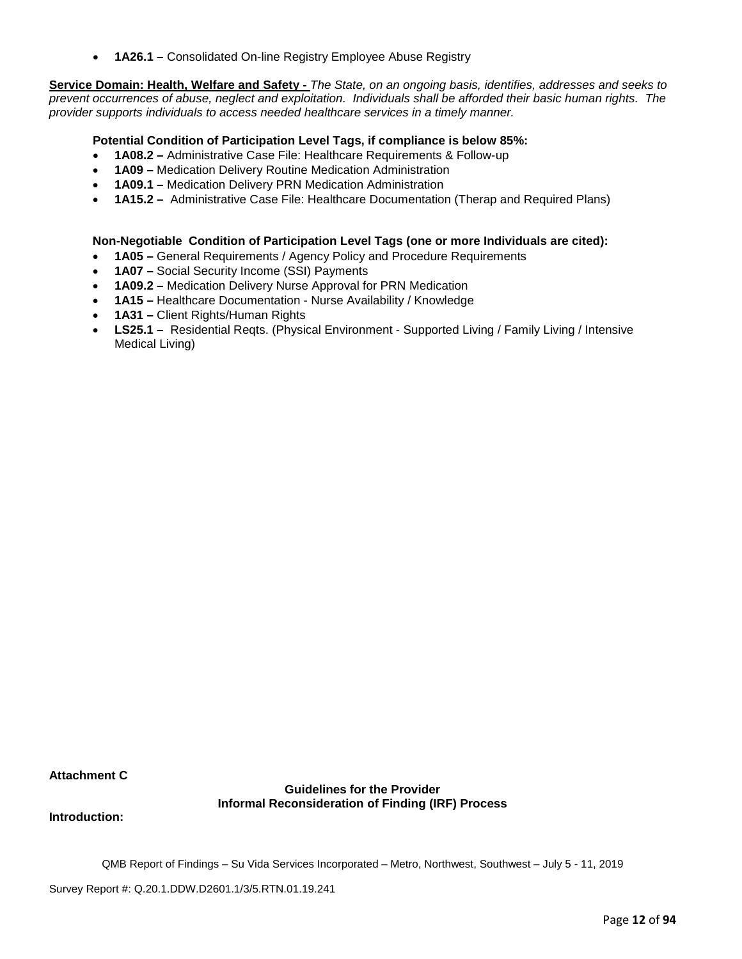• **1A26.1 –** Consolidated On-line Registry Employee Abuse Registry

**Service Domain: Health, Welfare and Safety -** *The State, on an ongoing basis, identifies, addresses and seeks to prevent occurrences of abuse, neglect and exploitation. Individuals shall be afforded their basic human rights. The provider supports individuals to access needed healthcare services in a timely manner.*

## **Potential Condition of Participation Level Tags, if compliance is below 85%:**

- **1A08.2 –** Administrative Case File: Healthcare Requirements & Follow-up
- **1A09 –** Medication Delivery Routine Medication Administration
- **1A09.1 –** Medication Delivery PRN Medication Administration
- **1A15.2 –** Administrative Case File: Healthcare Documentation (Therap and Required Plans)

### **Non-Negotiable Condition of Participation Level Tags (one or more Individuals are cited):**

- **1A05 –** General Requirements / Agency Policy and Procedure Requirements
- **1A07 –** Social Security Income (SSI) Payments
- **1A09.2 –** Medication Delivery Nurse Approval for PRN Medication
- **1A15 –** Healthcare Documentation Nurse Availability / Knowledge
- **1A31 –** Client Rights/Human Rights
- **LS25.1 –** Residential Reqts. (Physical Environment Supported Living / Family Living / Intensive Medical Living)

**Attachment C**

**Guidelines for the Provider Informal Reconsideration of Finding (IRF) Process**

**Introduction:**

QMB Report of Findings – Su Vida Services Incorporated – Metro, Northwest, Southwest – July 5 - 11, 2019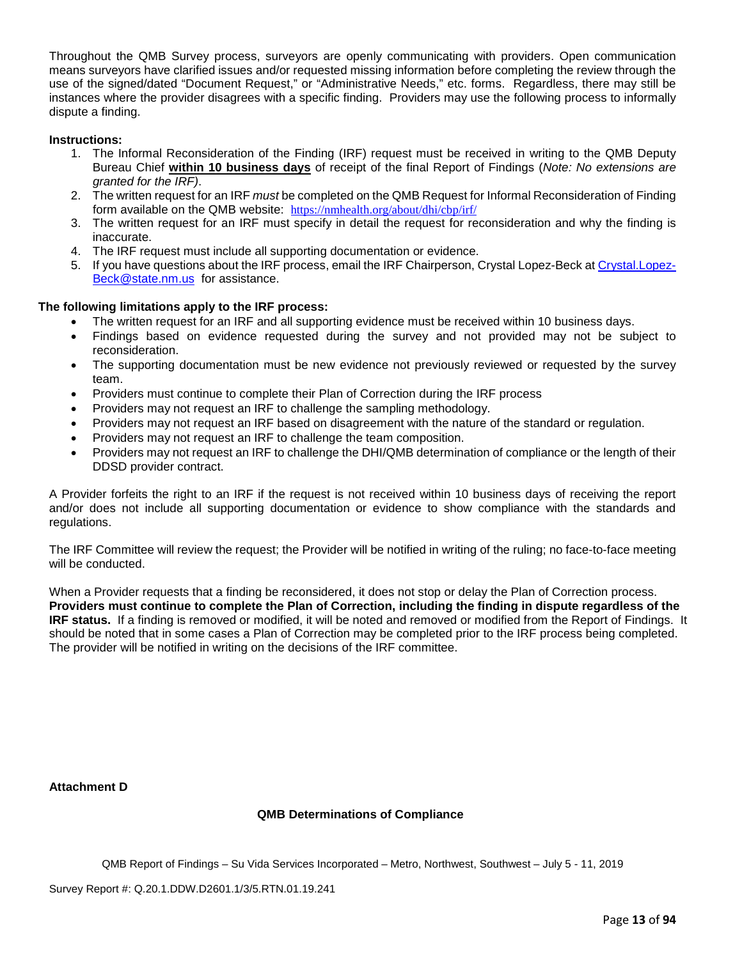Throughout the QMB Survey process, surveyors are openly communicating with providers. Open communication means surveyors have clarified issues and/or requested missing information before completing the review through the use of the signed/dated "Document Request," or "Administrative Needs," etc. forms. Regardless, there may still be instances where the provider disagrees with a specific finding. Providers may use the following process to informally dispute a finding.

## **Instructions:**

- 1. The Informal Reconsideration of the Finding (IRF) request must be received in writing to the QMB Deputy Bureau Chief **within 10 business days** of receipt of the final Report of Findings (*Note: No extensions are granted for the IRF)*.
- 2. The written request for an IRF *must* be completed on the QMB Request for Informal Reconsideration of Finding form available on the QMB website: <https://nmhealth.org/about/dhi/cbp/irf/>
- 3. The written request for an IRF must specify in detail the request for reconsideration and why the finding is inaccurate.
- 4. The IRF request must include all supporting documentation or evidence.
- 5. If you have questions about the IRF process, email the IRF Chairperson, Crystal Lopez-Beck a[t Crystal.Lopez-](mailto:Crystal.Lopez-Beck@state.nm.us)[Beck@state.nm.us](mailto:Crystal.Lopez-Beck@state.nm.us) for assistance.

## **The following limitations apply to the IRF process:**

- The written request for an IRF and all supporting evidence must be received within 10 business days.
- Findings based on evidence requested during the survey and not provided may not be subject to reconsideration.
- The supporting documentation must be new evidence not previously reviewed or requested by the survey team.
- Providers must continue to complete their Plan of Correction during the IRF process
- Providers may not request an IRF to challenge the sampling methodology.
- Providers may not request an IRF based on disagreement with the nature of the standard or regulation.
- Providers may not request an IRF to challenge the team composition.
- Providers may not request an IRF to challenge the DHI/QMB determination of compliance or the length of their DDSD provider contract.

A Provider forfeits the right to an IRF if the request is not received within 10 business days of receiving the report and/or does not include all supporting documentation or evidence to show compliance with the standards and regulations.

The IRF Committee will review the request; the Provider will be notified in writing of the ruling; no face-to-face meeting will be conducted.

When a Provider requests that a finding be reconsidered, it does not stop or delay the Plan of Correction process. **Providers must continue to complete the Plan of Correction, including the finding in dispute regardless of the IRF status.** If a finding is removed or modified, it will be noted and removed or modified from the Report of Findings. It should be noted that in some cases a Plan of Correction may be completed prior to the IRF process being completed. The provider will be notified in writing on the decisions of the IRF committee.

#### **Attachment D**

#### **QMB Determinations of Compliance**

QMB Report of Findings – Su Vida Services Incorporated – Metro, Northwest, Southwest – July 5 - 11, 2019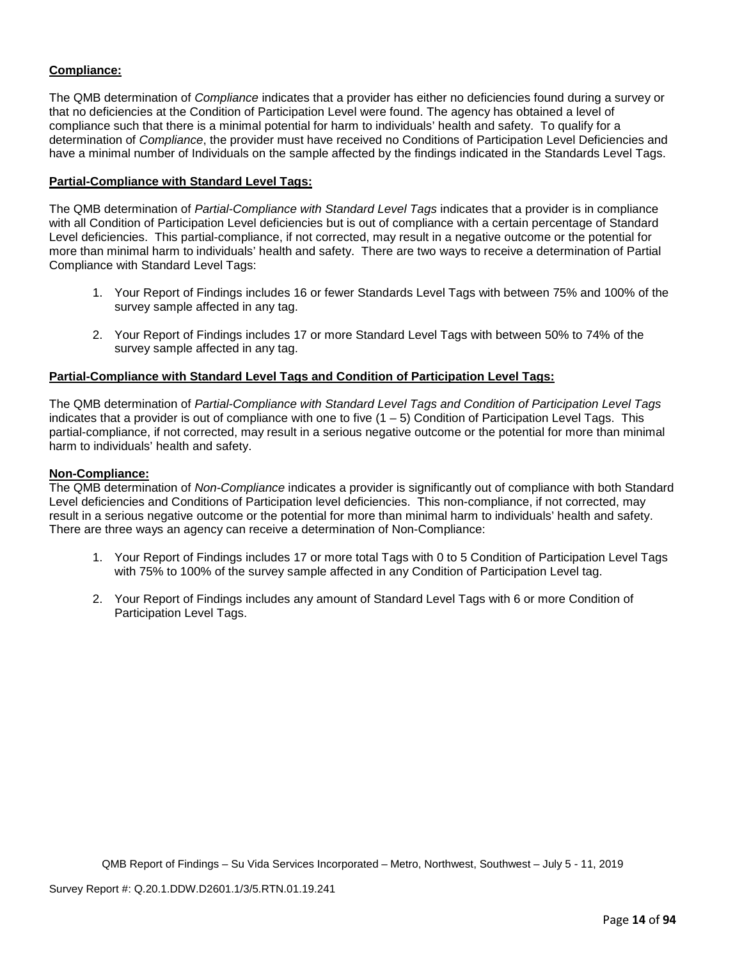## **Compliance:**

The QMB determination of *Compliance* indicates that a provider has either no deficiencies found during a survey or that no deficiencies at the Condition of Participation Level were found. The agency has obtained a level of compliance such that there is a minimal potential for harm to individuals' health and safety. To qualify for a determination of *Compliance*, the provider must have received no Conditions of Participation Level Deficiencies and have a minimal number of Individuals on the sample affected by the findings indicated in the Standards Level Tags.

## **Partial-Compliance with Standard Level Tags:**

The QMB determination of *Partial-Compliance with Standard Level Tags* indicates that a provider is in compliance with all Condition of Participation Level deficiencies but is out of compliance with a certain percentage of Standard Level deficiencies. This partial-compliance, if not corrected, may result in a negative outcome or the potential for more than minimal harm to individuals' health and safety. There are two ways to receive a determination of Partial Compliance with Standard Level Tags:

- 1. Your Report of Findings includes 16 or fewer Standards Level Tags with between 75% and 100% of the survey sample affected in any tag.
- 2. Your Report of Findings includes 17 or more Standard Level Tags with between 50% to 74% of the survey sample affected in any tag.

## **Partial-Compliance with Standard Level Tags and Condition of Participation Level Tags:**

The QMB determination of *Partial-Compliance with Standard Level Tags and Condition of Participation Level Tags*  indicates that a provider is out of compliance with one to five  $(1 - 5)$  Condition of Participation Level Tags. This partial-compliance, if not corrected, may result in a serious negative outcome or the potential for more than minimal harm to individuals' health and safety.

### **Non-Compliance:**

The QMB determination of *Non-Compliance* indicates a provider is significantly out of compliance with both Standard Level deficiencies and Conditions of Participation level deficiencies. This non-compliance, if not corrected, may result in a serious negative outcome or the potential for more than minimal harm to individuals' health and safety. There are three ways an agency can receive a determination of Non-Compliance:

- 1. Your Report of Findings includes 17 or more total Tags with 0 to 5 Condition of Participation Level Tags with 75% to 100% of the survey sample affected in any Condition of Participation Level tag.
- 2. Your Report of Findings includes any amount of Standard Level Tags with 6 or more Condition of Participation Level Tags.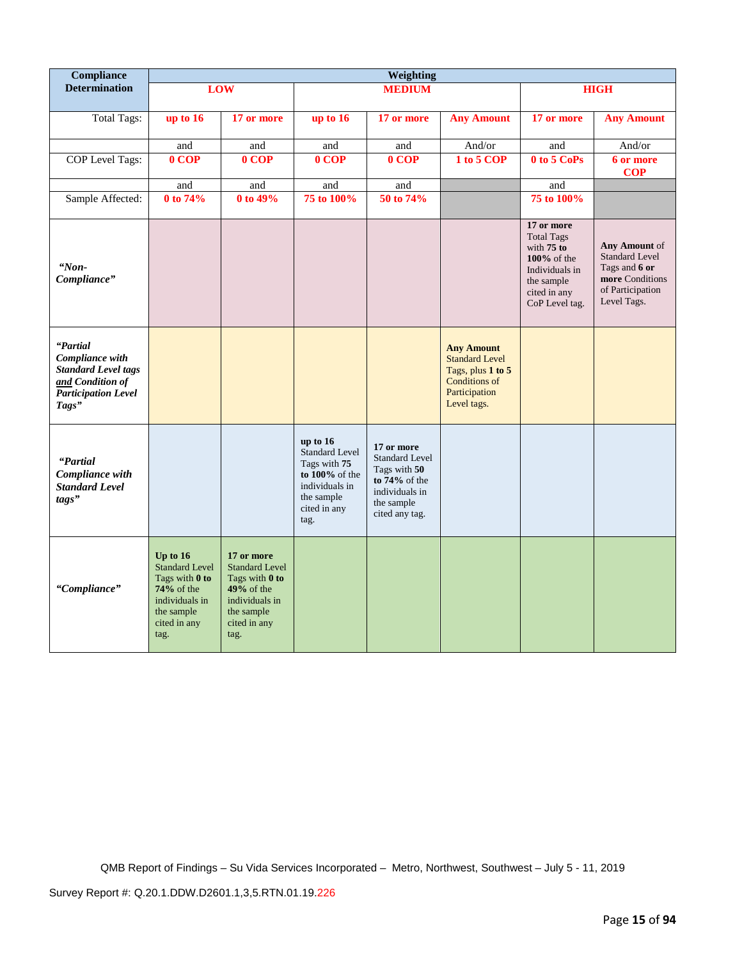| <b>Compliance</b>                                                                                                    |                                                                                                                               |                                                                                                                               |                                                                                                                                | Weighting                                                                                                                 |                                                                                                                         |                                                                                                                                     |                                                                                                               |
|----------------------------------------------------------------------------------------------------------------------|-------------------------------------------------------------------------------------------------------------------------------|-------------------------------------------------------------------------------------------------------------------------------|--------------------------------------------------------------------------------------------------------------------------------|---------------------------------------------------------------------------------------------------------------------------|-------------------------------------------------------------------------------------------------------------------------|-------------------------------------------------------------------------------------------------------------------------------------|---------------------------------------------------------------------------------------------------------------|
| <b>Determination</b>                                                                                                 |                                                                                                                               | <b>LOW</b>                                                                                                                    |                                                                                                                                | <b>MEDIUM</b>                                                                                                             |                                                                                                                         |                                                                                                                                     | <b>HIGH</b>                                                                                                   |
| <b>Total Tags:</b>                                                                                                   | up to 16                                                                                                                      | 17 or more                                                                                                                    | up to $16$                                                                                                                     | 17 or more                                                                                                                | <b>Any Amount</b>                                                                                                       | 17 or more                                                                                                                          | <b>Any Amount</b>                                                                                             |
|                                                                                                                      | and                                                                                                                           | and                                                                                                                           | and                                                                                                                            | and                                                                                                                       | And/or                                                                                                                  | and                                                                                                                                 | And/or                                                                                                        |
| COP Level Tags:                                                                                                      | 0 COP                                                                                                                         | 0 COP                                                                                                                         | $0$ COP                                                                                                                        | 0 COP                                                                                                                     | 1 to 5 COP                                                                                                              | 0 to 5 CoPs                                                                                                                         | 6 or more<br><b>COP</b>                                                                                       |
|                                                                                                                      | and                                                                                                                           | and                                                                                                                           | and                                                                                                                            | and                                                                                                                       |                                                                                                                         | and                                                                                                                                 |                                                                                                               |
| Sample Affected:                                                                                                     | 0 to 74%                                                                                                                      | 0 to 49%                                                                                                                      | 75 to 100%                                                                                                                     | 50 to 74%                                                                                                                 |                                                                                                                         | 75 to 100%                                                                                                                          |                                                                                                               |
| "Non-<br>Compliance"                                                                                                 |                                                                                                                               |                                                                                                                               |                                                                                                                                |                                                                                                                           |                                                                                                                         | 17 or more<br><b>Total Tags</b><br>with $75$ to<br>$100\%$ of the<br>Individuals in<br>the sample<br>cited in any<br>CoP Level tag. | Any Amount of<br><b>Standard Level</b><br>Tags and 6 or<br>more Conditions<br>of Participation<br>Level Tags. |
| "Partial<br>Compliance with<br><b>Standard Level tags</b><br>and Condition of<br><b>Participation Level</b><br>Tags" |                                                                                                                               |                                                                                                                               |                                                                                                                                |                                                                                                                           | <b>Any Amount</b><br><b>Standard Level</b><br>Tags, plus 1 to 5<br><b>Conditions of</b><br>Participation<br>Level tags. |                                                                                                                                     |                                                                                                               |
| "Partial<br>Compliance with<br><b>Standard Level</b><br>tags"                                                        |                                                                                                                               |                                                                                                                               | up to 16<br><b>Standard Level</b><br>Tags with 75<br>to $100\%$ of the<br>individuals in<br>the sample<br>cited in any<br>tag. | 17 or more<br><b>Standard Level</b><br>Tags with 50<br>to $74\%$ of the<br>individuals in<br>the sample<br>cited any tag. |                                                                                                                         |                                                                                                                                     |                                                                                                               |
| "Compliance"                                                                                                         | Up to $16$<br><b>Standard Level</b><br>Tags with 0 to<br>$74%$ of the<br>individuals in<br>the sample<br>cited in any<br>tag. | 17 or more<br><b>Standard Level</b><br>Tags with 0 to<br>$49%$ of the<br>individuals in<br>the sample<br>cited in any<br>tag. |                                                                                                                                |                                                                                                                           |                                                                                                                         |                                                                                                                                     |                                                                                                               |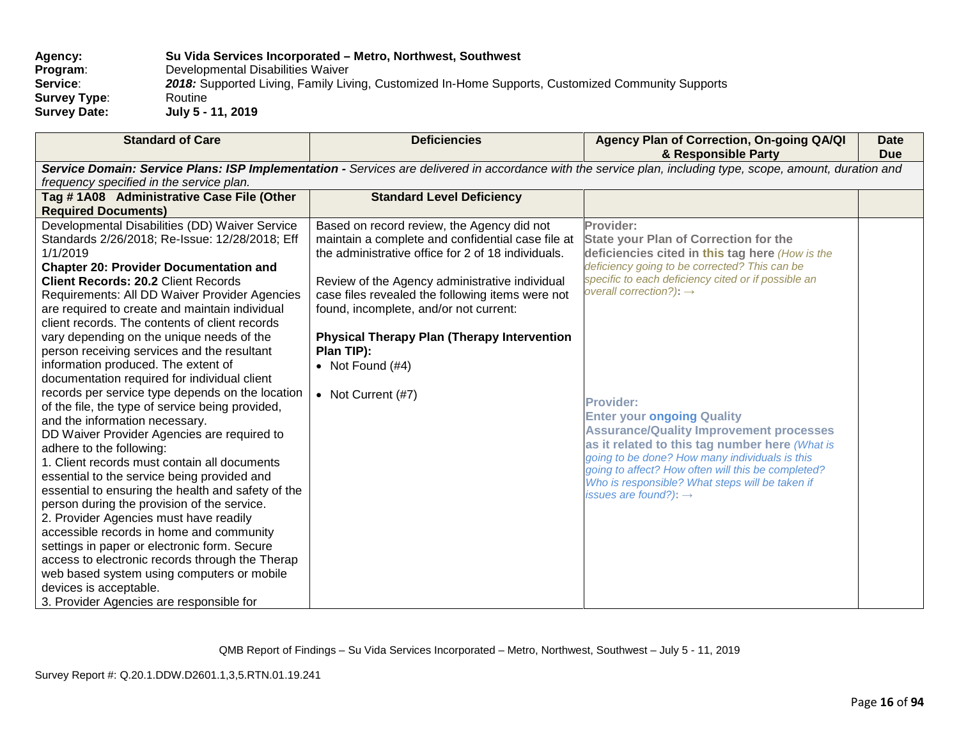| Agency:             | Su Vida Services Incorporated – Metro, Northwest, Southwest                                       |
|---------------------|---------------------------------------------------------------------------------------------------|
| Program:            | Developmental Disabilities Waiver                                                                 |
| Service:            | 2018: Supported Living, Family Living, Customized In-Home Supports, Customized Community Supports |
| <b>Survey Type:</b> | Routine                                                                                           |
| <b>Survey Date:</b> | July 5 - 11, 2019                                                                                 |

| <b>Standard of Care</b>                                                                                                                                                                                                                                                                                                                                                                                                                                                                                                                                                                                                                                                                                                                                                                                                   | <b>Deficiencies</b>                                                                                                                                                                                                                                                                                                                                                       | Agency Plan of Correction, On-going QA/QI<br>& Responsible Party                                                                                                                                                                                                                                                                                          | <b>Date</b><br><b>Due</b> |
|---------------------------------------------------------------------------------------------------------------------------------------------------------------------------------------------------------------------------------------------------------------------------------------------------------------------------------------------------------------------------------------------------------------------------------------------------------------------------------------------------------------------------------------------------------------------------------------------------------------------------------------------------------------------------------------------------------------------------------------------------------------------------------------------------------------------------|---------------------------------------------------------------------------------------------------------------------------------------------------------------------------------------------------------------------------------------------------------------------------------------------------------------------------------------------------------------------------|-----------------------------------------------------------------------------------------------------------------------------------------------------------------------------------------------------------------------------------------------------------------------------------------------------------------------------------------------------------|---------------------------|
|                                                                                                                                                                                                                                                                                                                                                                                                                                                                                                                                                                                                                                                                                                                                                                                                                           |                                                                                                                                                                                                                                                                                                                                                                           | Service Domain: Service Plans: ISP Implementation - Services are delivered in accordance with the service plan, including type, scope, amount, duration and                                                                                                                                                                                               |                           |
| frequency specified in the service plan.                                                                                                                                                                                                                                                                                                                                                                                                                                                                                                                                                                                                                                                                                                                                                                                  |                                                                                                                                                                                                                                                                                                                                                                           |                                                                                                                                                                                                                                                                                                                                                           |                           |
| Tag #1A08 Administrative Case File (Other                                                                                                                                                                                                                                                                                                                                                                                                                                                                                                                                                                                                                                                                                                                                                                                 | <b>Standard Level Deficiency</b>                                                                                                                                                                                                                                                                                                                                          |                                                                                                                                                                                                                                                                                                                                                           |                           |
| <b>Required Documents)</b>                                                                                                                                                                                                                                                                                                                                                                                                                                                                                                                                                                                                                                                                                                                                                                                                |                                                                                                                                                                                                                                                                                                                                                                           |                                                                                                                                                                                                                                                                                                                                                           |                           |
| Developmental Disabilities (DD) Waiver Service<br>Standards 2/26/2018; Re-Issue: 12/28/2018; Eff<br>1/1/2019<br><b>Chapter 20: Provider Documentation and</b><br><b>Client Records: 20.2 Client Records</b><br>Requirements: All DD Waiver Provider Agencies<br>are required to create and maintain individual<br>client records. The contents of client records<br>vary depending on the unique needs of the<br>person receiving services and the resultant                                                                                                                                                                                                                                                                                                                                                              | Based on record review, the Agency did not<br>maintain a complete and confidential case file at<br>the administrative office for 2 of 18 individuals.<br>Review of the Agency administrative individual<br>case files revealed the following items were not<br>found, incomplete, and/or not current:<br><b>Physical Therapy Plan (Therapy Intervention</b><br>Plan TIP): | Provider:<br><b>State your Plan of Correction for the</b><br>deficiencies cited in this tag here (How is the<br>deficiency going to be corrected? This can be<br>specific to each deficiency cited or if possible an<br>overall correction?): $\rightarrow$                                                                                               |                           |
| information produced. The extent of<br>documentation required for individual client<br>records per service type depends on the location<br>of the file, the type of service being provided,<br>and the information necessary.<br>DD Waiver Provider Agencies are required to<br>adhere to the following:<br>1. Client records must contain all documents<br>essential to the service being provided and<br>essential to ensuring the health and safety of the<br>person during the provision of the service.<br>2. Provider Agencies must have readily<br>accessible records in home and community<br>settings in paper or electronic form. Secure<br>access to electronic records through the Therap<br>web based system using computers or mobile<br>devices is acceptable.<br>3. Provider Agencies are responsible for | • Not Found $(#4)$<br>• Not Current (#7)                                                                                                                                                                                                                                                                                                                                  | <b>Provider:</b><br><b>Enter your ongoing Quality</b><br><b>Assurance/Quality Improvement processes</b><br>as it related to this tag number here (What is<br>going to be done? How many individuals is this<br>going to affect? How often will this be completed?<br>Who is responsible? What steps will be taken if<br>issues are found?): $\rightarrow$ |                           |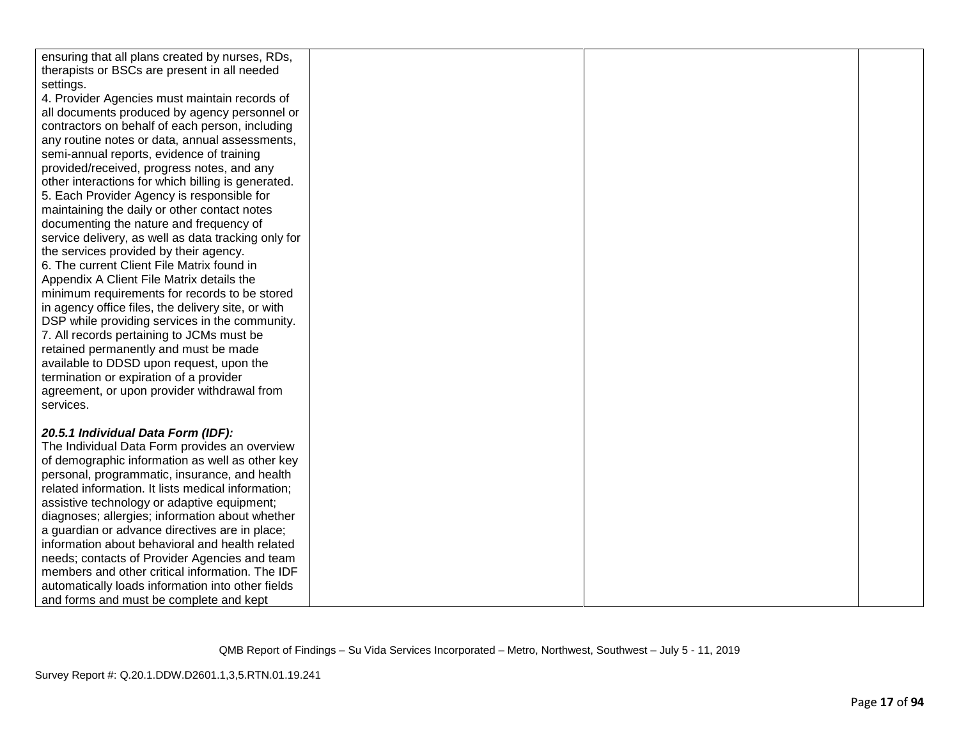| ensuring that all plans created by nurses, RDs,                                      |  |  |
|--------------------------------------------------------------------------------------|--|--|
| therapists or BSCs are present in all needed                                         |  |  |
| settings.                                                                            |  |  |
| 4. Provider Agencies must maintain records of                                        |  |  |
| all documents produced by agency personnel or                                        |  |  |
| contractors on behalf of each person, including                                      |  |  |
| any routine notes or data, annual assessments,                                       |  |  |
| semi-annual reports, evidence of training                                            |  |  |
| provided/received, progress notes, and any                                           |  |  |
| other interactions for which billing is generated.                                   |  |  |
| 5. Each Provider Agency is responsible for                                           |  |  |
| maintaining the daily or other contact notes                                         |  |  |
| documenting the nature and frequency of                                              |  |  |
|                                                                                      |  |  |
| service delivery, as well as data tracking only for                                  |  |  |
| the services provided by their agency.<br>6. The current Client File Matrix found in |  |  |
|                                                                                      |  |  |
| Appendix A Client File Matrix details the                                            |  |  |
| minimum requirements for records to be stored                                        |  |  |
| in agency office files, the delivery site, or with                                   |  |  |
| DSP while providing services in the community.                                       |  |  |
| 7. All records pertaining to JCMs must be                                            |  |  |
| retained permanently and must be made                                                |  |  |
| available to DDSD upon request, upon the                                             |  |  |
| termination or expiration of a provider                                              |  |  |
| agreement, or upon provider withdrawal from                                          |  |  |
| services.                                                                            |  |  |
|                                                                                      |  |  |
| 20.5.1 Individual Data Form (IDF):                                                   |  |  |
| The Individual Data Form provides an overview                                        |  |  |
| of demographic information as well as other key                                      |  |  |
| personal, programmatic, insurance, and health                                        |  |  |
| related information. It lists medical information;                                   |  |  |
| assistive technology or adaptive equipment;                                          |  |  |
| diagnoses; allergies; information about whether                                      |  |  |
| a guardian or advance directives are in place;                                       |  |  |
| information about behavioral and health related                                      |  |  |
| needs; contacts of Provider Agencies and team                                        |  |  |
| members and other critical information. The IDF                                      |  |  |
| automatically loads information into other fields                                    |  |  |
| and forms and must be complete and kept                                              |  |  |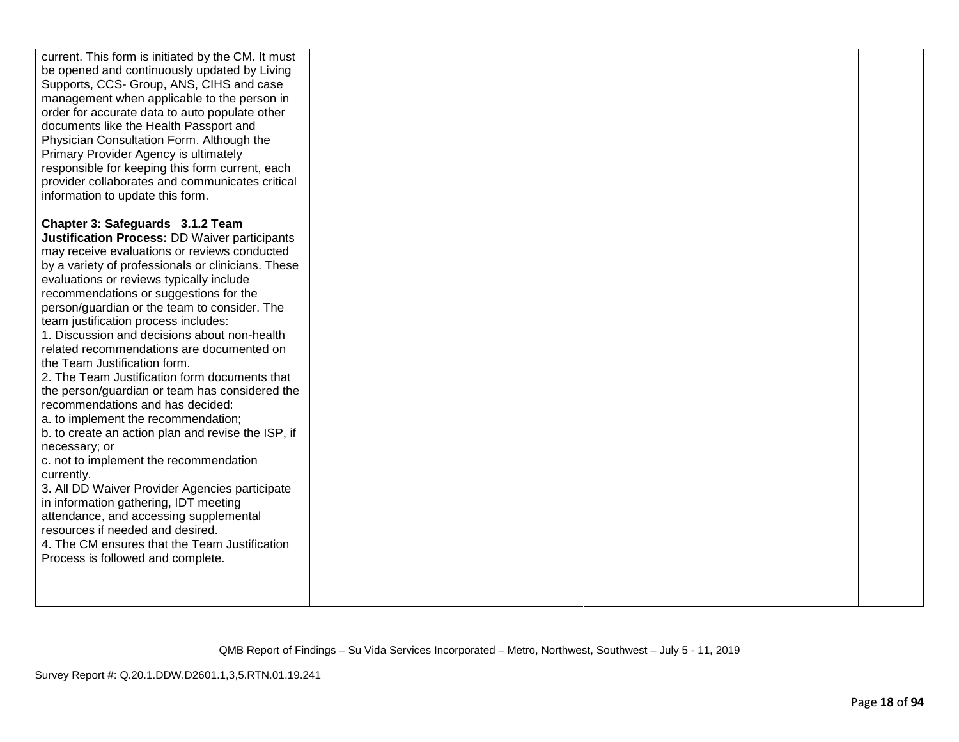| current. This form is initiated by the CM. It must<br>be opened and continuously updated by Living<br>Supports, CCS- Group, ANS, CIHS and case<br>management when applicable to the person in<br>order for accurate data to auto populate other<br>documents like the Health Passport and<br>Physician Consultation Form. Although the<br>Primary Provider Agency is ultimately<br>responsible for keeping this form current, each<br>provider collaborates and communicates critical<br>information to update this form.                                                                                                                                                                                                                                                                                                                                                                                                                                                                                                                                                      |  |  |
|--------------------------------------------------------------------------------------------------------------------------------------------------------------------------------------------------------------------------------------------------------------------------------------------------------------------------------------------------------------------------------------------------------------------------------------------------------------------------------------------------------------------------------------------------------------------------------------------------------------------------------------------------------------------------------------------------------------------------------------------------------------------------------------------------------------------------------------------------------------------------------------------------------------------------------------------------------------------------------------------------------------------------------------------------------------------------------|--|--|
| Chapter 3: Safeguards 3.1.2 Team<br>Justification Process: DD Waiver participants<br>may receive evaluations or reviews conducted<br>by a variety of professionals or clinicians. These<br>evaluations or reviews typically include<br>recommendations or suggestions for the<br>person/guardian or the team to consider. The<br>team justification process includes:<br>1. Discussion and decisions about non-health<br>related recommendations are documented on<br>the Team Justification form.<br>2. The Team Justification form documents that<br>the person/guardian or team has considered the<br>recommendations and has decided:<br>a. to implement the recommendation;<br>b. to create an action plan and revise the ISP, if<br>necessary; or<br>c. not to implement the recommendation<br>currently.<br>3. All DD Waiver Provider Agencies participate<br>in information gathering, IDT meeting<br>attendance, and accessing supplemental<br>resources if needed and desired.<br>4. The CM ensures that the Team Justification<br>Process is followed and complete. |  |  |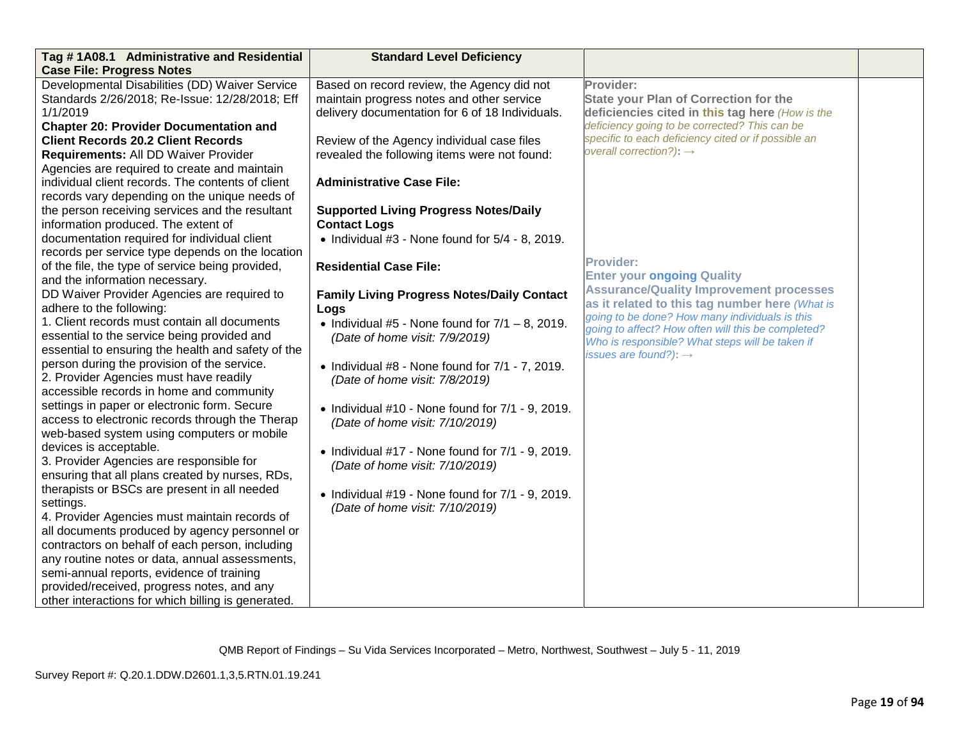| Tag #1A08.1 Administrative and Residential         | <b>Standard Level Deficiency</b>                           |                                                                                                      |  |
|----------------------------------------------------|------------------------------------------------------------|------------------------------------------------------------------------------------------------------|--|
| <b>Case File: Progress Notes</b>                   |                                                            |                                                                                                      |  |
| Developmental Disabilities (DD) Waiver Service     | Based on record review, the Agency did not                 | <b>Provider:</b>                                                                                     |  |
| Standards 2/26/2018; Re-Issue: 12/28/2018; Eff     | maintain progress notes and other service                  | <b>State your Plan of Correction for the</b>                                                         |  |
| 1/1/2019                                           | delivery documentation for 6 of 18 Individuals.            | deficiencies cited in this tag here (How is the                                                      |  |
| <b>Chapter 20: Provider Documentation and</b>      |                                                            | deficiency going to be corrected? This can be                                                        |  |
| <b>Client Records 20.2 Client Records</b>          | Review of the Agency individual case files                 | specific to each deficiency cited or if possible an                                                  |  |
| Requirements: All DD Waiver Provider               | revealed the following items were not found:               | overall correction?): $\rightarrow$                                                                  |  |
| Agencies are required to create and maintain       |                                                            |                                                                                                      |  |
| individual client records. The contents of client  | <b>Administrative Case File:</b>                           |                                                                                                      |  |
| records vary depending on the unique needs of      |                                                            |                                                                                                      |  |
| the person receiving services and the resultant    | <b>Supported Living Progress Notes/Daily</b>               |                                                                                                      |  |
| information produced. The extent of                | <b>Contact Logs</b>                                        |                                                                                                      |  |
| documentation required for individual client       | $\bullet$ Individual #3 - None found for $5/4$ - 8, 2019.  |                                                                                                      |  |
| records per service type depends on the location   |                                                            |                                                                                                      |  |
| of the file, the type of service being provided,   | <b>Residential Case File:</b>                              | <b>Provider:</b>                                                                                     |  |
| and the information necessary.                     |                                                            | <b>Enter your ongoing Quality</b>                                                                    |  |
| DD Waiver Provider Agencies are required to        | <b>Family Living Progress Notes/Daily Contact</b>          | <b>Assurance/Quality Improvement processes</b>                                                       |  |
| adhere to the following:                           | Logs                                                       | as it related to this tag number here (What is                                                       |  |
| 1. Client records must contain all documents       | • Individual #5 - None found for $7/1 - 8$ , 2019.         | going to be done? How many individuals is this<br>going to affect? How often will this be completed? |  |
| essential to the service being provided and        | (Date of home visit: 7/9/2019)                             | Who is responsible? What steps will be taken if                                                      |  |
| essential to ensuring the health and safety of the |                                                            | issues are found?): $\rightarrow$                                                                    |  |
| person during the provision of the service.        | • Individual $#8$ - None found for $7/1$ - 7, 2019.        |                                                                                                      |  |
| 2. Provider Agencies must have readily             | (Date of home visit: 7/8/2019)                             |                                                                                                      |  |
| accessible records in home and community           |                                                            |                                                                                                      |  |
| settings in paper or electronic form. Secure       | $\bullet$ Individual #10 - None found for $7/1$ - 9, 2019. |                                                                                                      |  |
| access to electronic records through the Therap    | (Date of home visit: 7/10/2019)                            |                                                                                                      |  |
| web-based system using computers or mobile         |                                                            |                                                                                                      |  |
| devices is acceptable.                             | $\bullet$ Individual #17 - None found for $7/1$ - 9, 2019. |                                                                                                      |  |
| 3. Provider Agencies are responsible for           | (Date of home visit: 7/10/2019)                            |                                                                                                      |  |
| ensuring that all plans created by nurses, RDs,    |                                                            |                                                                                                      |  |
| therapists or BSCs are present in all needed       | $\bullet$ Individual #19 - None found for $7/1$ - 9, 2019. |                                                                                                      |  |
| settings.                                          | (Date of home visit: 7/10/2019)                            |                                                                                                      |  |
| 4. Provider Agencies must maintain records of      |                                                            |                                                                                                      |  |
| all documents produced by agency personnel or      |                                                            |                                                                                                      |  |
| contractors on behalf of each person, including    |                                                            |                                                                                                      |  |
| any routine notes or data, annual assessments,     |                                                            |                                                                                                      |  |
| semi-annual reports, evidence of training          |                                                            |                                                                                                      |  |
| provided/received, progress notes, and any         |                                                            |                                                                                                      |  |
| other interactions for which billing is generated. |                                                            |                                                                                                      |  |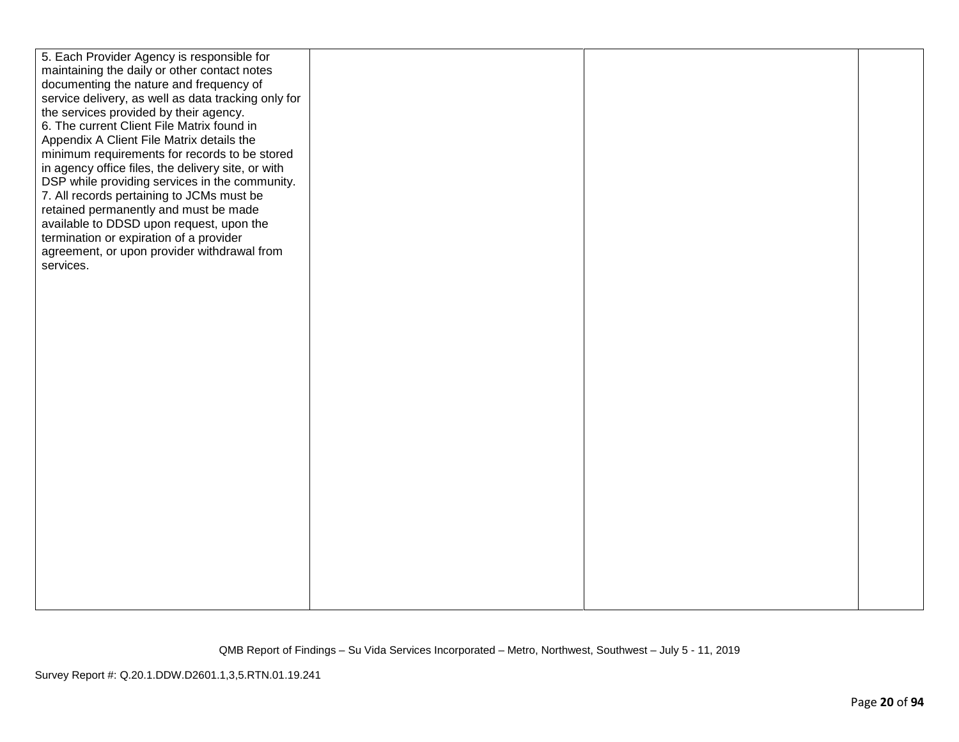| 5. Each Provider Agency is responsible for          |  |  |
|-----------------------------------------------------|--|--|
| maintaining the daily or other contact notes        |  |  |
| documenting the nature and frequency of             |  |  |
| service delivery, as well as data tracking only for |  |  |
| the services provided by their agency.              |  |  |
| 6. The current Client File Matrix found in          |  |  |
| Appendix A Client File Matrix details the           |  |  |
| minimum requirements for records to be stored       |  |  |
| in agency office files, the delivery site, or with  |  |  |
| DSP while providing services in the community.      |  |  |
| 7. All records pertaining to JCMs must be           |  |  |
| retained permanently and must be made               |  |  |
| available to DDSD upon request, upon the            |  |  |
| termination or expiration of a provider             |  |  |
| agreement, or upon provider withdrawal from         |  |  |
| services.                                           |  |  |
|                                                     |  |  |
|                                                     |  |  |
|                                                     |  |  |
|                                                     |  |  |
|                                                     |  |  |
|                                                     |  |  |
|                                                     |  |  |
|                                                     |  |  |
|                                                     |  |  |
|                                                     |  |  |
|                                                     |  |  |
|                                                     |  |  |
|                                                     |  |  |
|                                                     |  |  |
|                                                     |  |  |
|                                                     |  |  |
|                                                     |  |  |
|                                                     |  |  |
|                                                     |  |  |
|                                                     |  |  |
|                                                     |  |  |
|                                                     |  |  |
|                                                     |  |  |
|                                                     |  |  |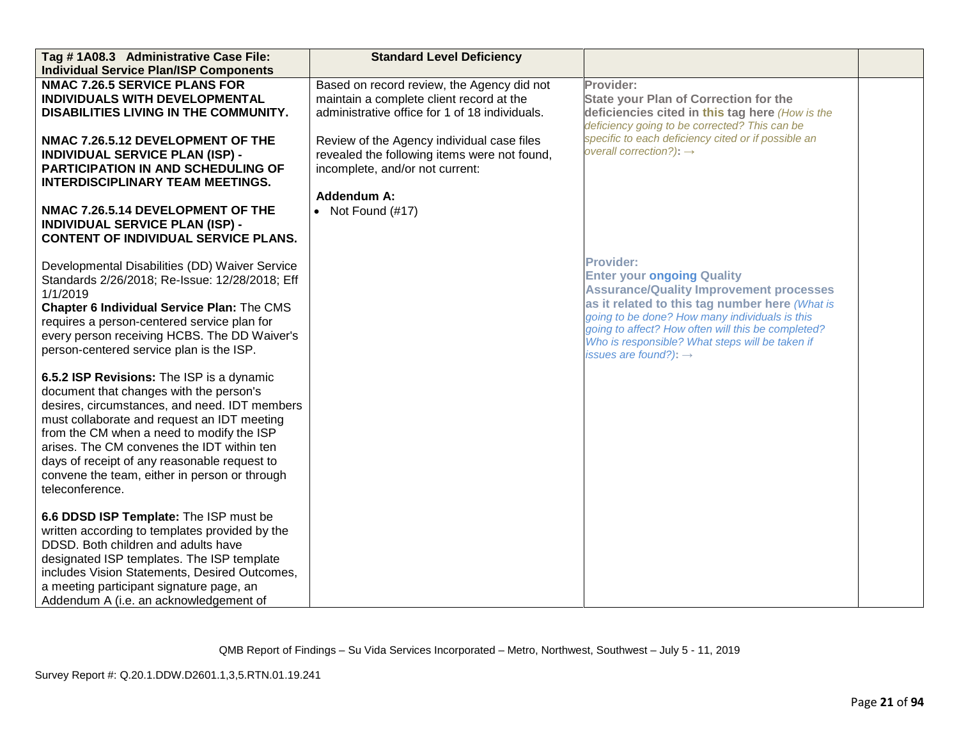| Tag #1A08.3 Administrative Case File:<br><b>Individual Service Plan/ISP Components</b>                                                                                                                                                                                                                                                                                                              | <b>Standard Level Deficiency</b>                                                                                                                                     |                                                                                                                                                                                                                                                                                                                                                           |  |
|-----------------------------------------------------------------------------------------------------------------------------------------------------------------------------------------------------------------------------------------------------------------------------------------------------------------------------------------------------------------------------------------------------|----------------------------------------------------------------------------------------------------------------------------------------------------------------------|-----------------------------------------------------------------------------------------------------------------------------------------------------------------------------------------------------------------------------------------------------------------------------------------------------------------------------------------------------------|--|
| <b>NMAC 7.26.5 SERVICE PLANS FOR</b><br>INDIVIDUALS WITH DEVELOPMENTAL<br>DISABILITIES LIVING IN THE COMMUNITY.                                                                                                                                                                                                                                                                                     | Based on record review, the Agency did not<br>maintain a complete client record at the<br>administrative office for 1 of 18 individuals.                             | Provider:<br><b>State your Plan of Correction for the</b><br>deficiencies cited in this tag here (How is the<br>deficiency going to be corrected? This can be                                                                                                                                                                                             |  |
| NMAC 7.26.5.12 DEVELOPMENT OF THE<br><b>INDIVIDUAL SERVICE PLAN (ISP) -</b><br><b>PARTICIPATION IN AND SCHEDULING OF</b><br><b>INTERDISCIPLINARY TEAM MEETINGS.</b><br>NMAC 7.26.5.14 DEVELOPMENT OF THE<br><b>INDIVIDUAL SERVICE PLAN (ISP) -</b><br><b>CONTENT OF INDIVIDUAL SERVICE PLANS.</b>                                                                                                   | Review of the Agency individual case files<br>revealed the following items were not found,<br>incomplete, and/or not current:<br>Addendum A:<br>• Not Found $(\#17)$ | specific to each deficiency cited or if possible an<br>overall correction?): $\rightarrow$                                                                                                                                                                                                                                                                |  |
| Developmental Disabilities (DD) Waiver Service<br>Standards 2/26/2018; Re-Issue: 12/28/2018; Eff<br>1/1/2019<br><b>Chapter 6 Individual Service Plan: The CMS</b><br>requires a person-centered service plan for<br>every person receiving HCBS. The DD Waiver's<br>person-centered service plan is the ISP.                                                                                        |                                                                                                                                                                      | <b>Provider:</b><br><b>Enter your ongoing Quality</b><br><b>Assurance/Quality Improvement processes</b><br>as it related to this tag number here (What is<br>going to be done? How many individuals is this<br>going to affect? How often will this be completed?<br>Who is responsible? What steps will be taken if<br>issues are found?): $\rightarrow$ |  |
| 6.5.2 ISP Revisions: The ISP is a dynamic<br>document that changes with the person's<br>desires, circumstances, and need. IDT members<br>must collaborate and request an IDT meeting<br>from the CM when a need to modify the ISP<br>arises. The CM convenes the IDT within ten<br>days of receipt of any reasonable request to<br>convene the team, either in person or through<br>teleconference. |                                                                                                                                                                      |                                                                                                                                                                                                                                                                                                                                                           |  |
| 6.6 DDSD ISP Template: The ISP must be<br>written according to templates provided by the<br>DDSD. Both children and adults have<br>designated ISP templates. The ISP template<br>includes Vision Statements, Desired Outcomes,<br>a meeting participant signature page, an<br>Addendum A (i.e. an acknowledgement of                                                                                |                                                                                                                                                                      |                                                                                                                                                                                                                                                                                                                                                           |  |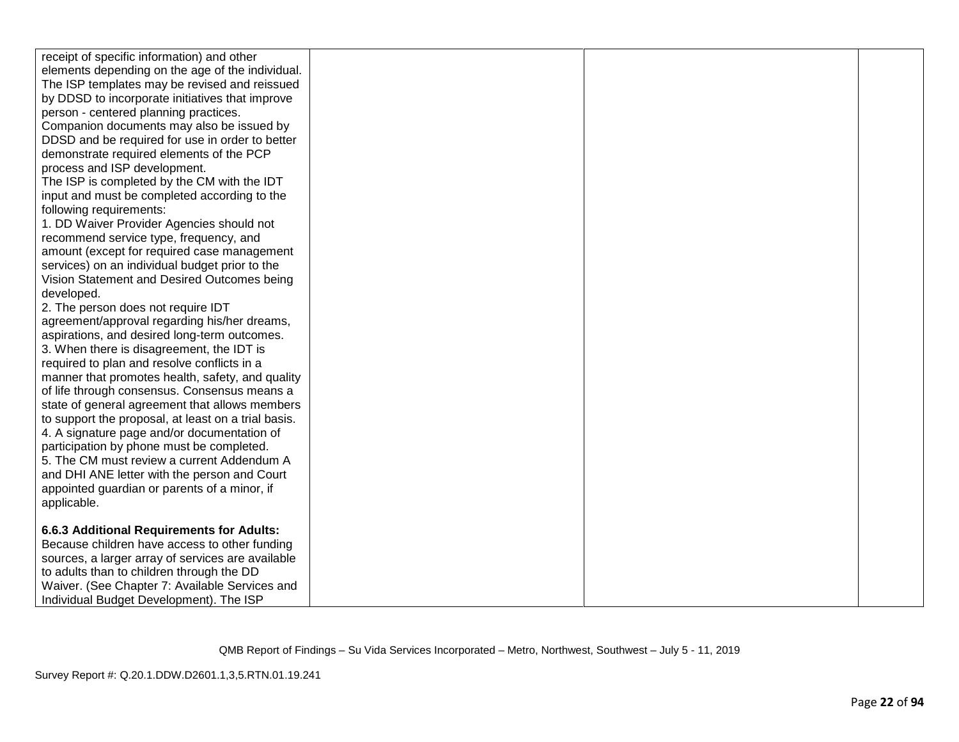| receipt of specific information) and other          |  |  |
|-----------------------------------------------------|--|--|
| elements depending on the age of the individual.    |  |  |
| The ISP templates may be revised and reissued       |  |  |
| by DDSD to incorporate initiatives that improve     |  |  |
| person - centered planning practices.               |  |  |
| Companion documents may also be issued by           |  |  |
| DDSD and be required for use in order to better     |  |  |
| demonstrate required elements of the PCP            |  |  |
| process and ISP development.                        |  |  |
| The ISP is completed by the CM with the IDT         |  |  |
| input and must be completed according to the        |  |  |
| following requirements:                             |  |  |
| 1. DD Waiver Provider Agencies should not           |  |  |
| recommend service type, frequency, and              |  |  |
| amount (except for required case management         |  |  |
| services) on an individual budget prior to the      |  |  |
| Vision Statement and Desired Outcomes being         |  |  |
| developed.                                          |  |  |
| 2. The person does not require IDT                  |  |  |
| agreement/approval regarding his/her dreams,        |  |  |
| aspirations, and desired long-term outcomes.        |  |  |
| 3. When there is disagreement, the IDT is           |  |  |
| required to plan and resolve conflicts in a         |  |  |
| manner that promotes health, safety, and quality    |  |  |
| of life through consensus. Consensus means a        |  |  |
| state of general agreement that allows members      |  |  |
| to support the proposal, at least on a trial basis. |  |  |
| 4. A signature page and/or documentation of         |  |  |
| participation by phone must be completed.           |  |  |
| 5. The CM must review a current Addendum A          |  |  |
| and DHI ANE letter with the person and Court        |  |  |
| appointed guardian or parents of a minor, if        |  |  |
| applicable.                                         |  |  |
|                                                     |  |  |
| 6.6.3 Additional Requirements for Adults:           |  |  |
| Because children have access to other funding       |  |  |
| sources, a larger array of services are available   |  |  |
| to adults than to children through the DD           |  |  |
| Waiver. (See Chapter 7: Available Services and      |  |  |
| Individual Budget Development). The ISP             |  |  |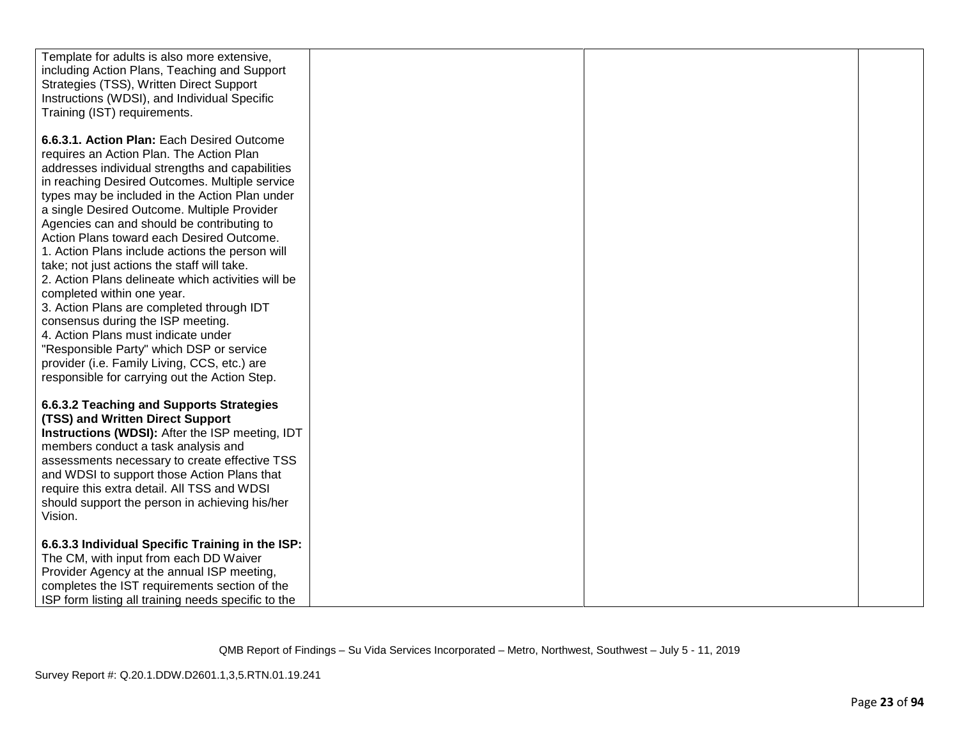| Template for adults is also more extensive,<br>including Action Plans, Teaching and Support<br>Strategies (TSS), Written Direct Support<br>Instructions (WDSI), and Individual Specific<br>Training (IST) requirements.                                                                                                                                                                                                                                                                                                                                                                                                                                                                                                                                                                                                                             |  |  |
|-----------------------------------------------------------------------------------------------------------------------------------------------------------------------------------------------------------------------------------------------------------------------------------------------------------------------------------------------------------------------------------------------------------------------------------------------------------------------------------------------------------------------------------------------------------------------------------------------------------------------------------------------------------------------------------------------------------------------------------------------------------------------------------------------------------------------------------------------------|--|--|
| 6.6.3.1. Action Plan: Each Desired Outcome<br>requires an Action Plan. The Action Plan<br>addresses individual strengths and capabilities<br>in reaching Desired Outcomes. Multiple service<br>types may be included in the Action Plan under<br>a single Desired Outcome. Multiple Provider<br>Agencies can and should be contributing to<br>Action Plans toward each Desired Outcome.<br>1. Action Plans include actions the person will<br>take; not just actions the staff will take.<br>2. Action Plans delineate which activities will be<br>completed within one year.<br>3. Action Plans are completed through IDT<br>consensus during the ISP meeting.<br>4. Action Plans must indicate under<br>"Responsible Party" which DSP or service<br>provider (i.e. Family Living, CCS, etc.) are<br>responsible for carrying out the Action Step. |  |  |
| 6.6.3.2 Teaching and Supports Strategies<br>(TSS) and Written Direct Support<br>Instructions (WDSI): After the ISP meeting, IDT<br>members conduct a task analysis and<br>assessments necessary to create effective TSS<br>and WDSI to support those Action Plans that<br>require this extra detail. All TSS and WDSI<br>should support the person in achieving his/her<br>Vision.                                                                                                                                                                                                                                                                                                                                                                                                                                                                  |  |  |
| 6.6.3.3 Individual Specific Training in the ISP:<br>The CM, with input from each DD Waiver<br>Provider Agency at the annual ISP meeting,<br>completes the IST requirements section of the<br>ISP form listing all training needs specific to the                                                                                                                                                                                                                                                                                                                                                                                                                                                                                                                                                                                                    |  |  |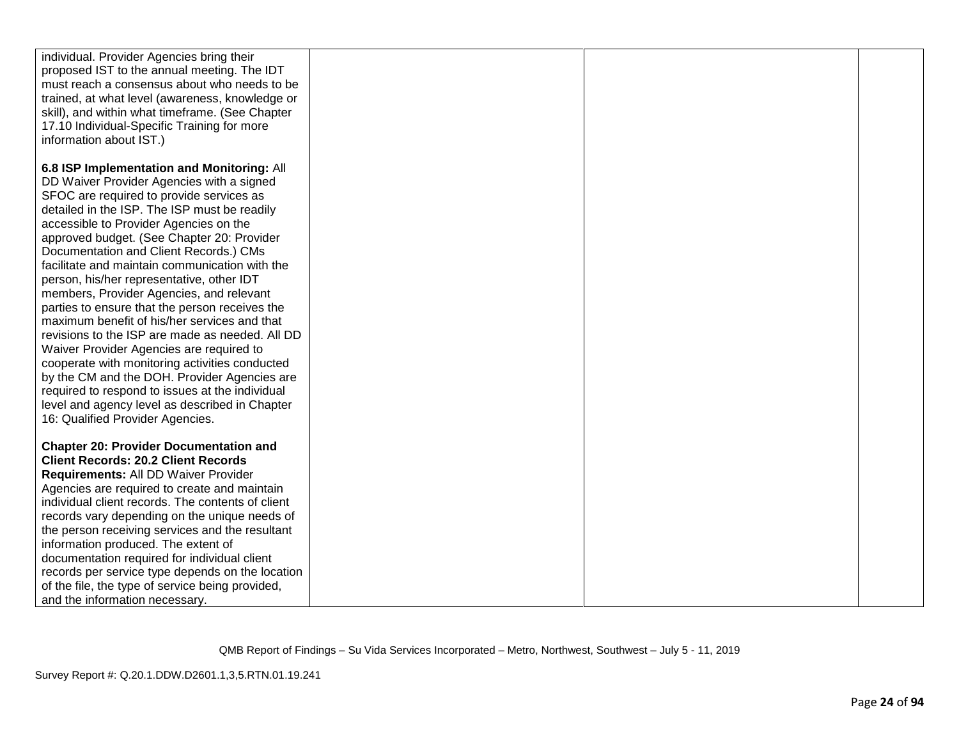| individual. Provider Agencies bring their         |  |  |
|---------------------------------------------------|--|--|
| proposed IST to the annual meeting. The IDT       |  |  |
| must reach a consensus about who needs to be      |  |  |
| trained, at what level (awareness, knowledge or   |  |  |
| skill), and within what timeframe. (See Chapter   |  |  |
| 17.10 Individual-Specific Training for more       |  |  |
| information about IST.)                           |  |  |
|                                                   |  |  |
| 6.8 ISP Implementation and Monitoring: All        |  |  |
| DD Waiver Provider Agencies with a signed         |  |  |
| SFOC are required to provide services as          |  |  |
| detailed in the ISP. The ISP must be readily      |  |  |
|                                                   |  |  |
| accessible to Provider Agencies on the            |  |  |
| approved budget. (See Chapter 20: Provider        |  |  |
| Documentation and Client Records.) CMs            |  |  |
| facilitate and maintain communication with the    |  |  |
| person, his/her representative, other IDT         |  |  |
| members, Provider Agencies, and relevant          |  |  |
| parties to ensure that the person receives the    |  |  |
| maximum benefit of his/her services and that      |  |  |
| revisions to the ISP are made as needed. All DD   |  |  |
| Waiver Provider Agencies are required to          |  |  |
| cooperate with monitoring activities conducted    |  |  |
| by the CM and the DOH. Provider Agencies are      |  |  |
| required to respond to issues at the individual   |  |  |
| level and agency level as described in Chapter    |  |  |
| 16: Qualified Provider Agencies.                  |  |  |
|                                                   |  |  |
| <b>Chapter 20: Provider Documentation and</b>     |  |  |
| <b>Client Records: 20.2 Client Records</b>        |  |  |
| Requirements: All DD Waiver Provider              |  |  |
| Agencies are required to create and maintain      |  |  |
| individual client records. The contents of client |  |  |
| records vary depending on the unique needs of     |  |  |
| the person receiving services and the resultant   |  |  |
| information produced. The extent of               |  |  |
| documentation required for individual client      |  |  |
| records per service type depends on the location  |  |  |
| of the file, the type of service being provided,  |  |  |
| and the information necessary.                    |  |  |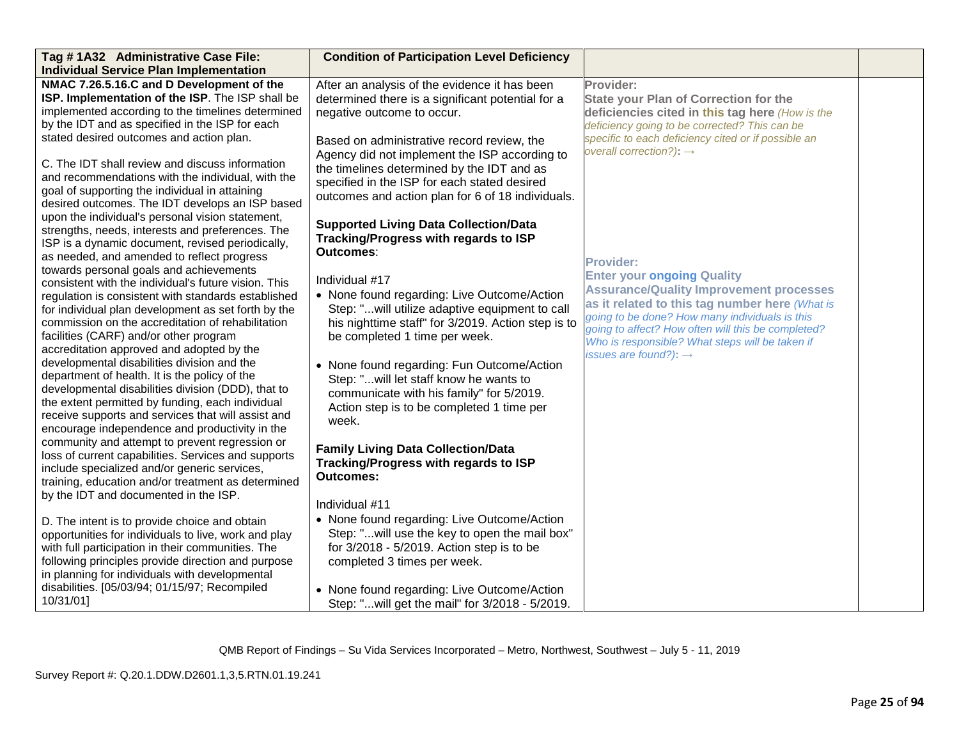| Tag #1A32 Administrative Case File:                  | <b>Condition of Participation Level Deficiency</b> |                                                     |  |
|------------------------------------------------------|----------------------------------------------------|-----------------------------------------------------|--|
| <b>Individual Service Plan Implementation</b>        |                                                    |                                                     |  |
| NMAC 7.26.5.16.C and D Development of the            | After an analysis of the evidence it has been      | Provider:                                           |  |
| ISP. Implementation of the ISP. The ISP shall be     | determined there is a significant potential for a  | <b>State your Plan of Correction for the</b>        |  |
| implemented according to the timelines determined    | negative outcome to occur.                         | deficiencies cited in this tag here (How is the     |  |
| by the IDT and as specified in the ISP for each      |                                                    | deficiency going to be corrected? This can be       |  |
| stated desired outcomes and action plan.             | Based on administrative record review, the         | specific to each deficiency cited or if possible an |  |
|                                                      | Agency did not implement the ISP according to      | overall correction?): $\rightarrow$                 |  |
| C. The IDT shall review and discuss information      | the timelines determined by the IDT and as         |                                                     |  |
| and recommendations with the individual, with the    | specified in the ISP for each stated desired       |                                                     |  |
| goal of supporting the individual in attaining       | outcomes and action plan for 6 of 18 individuals.  |                                                     |  |
| desired outcomes. The IDT develops an ISP based      |                                                    |                                                     |  |
| upon the individual's personal vision statement,     | <b>Supported Living Data Collection/Data</b>       |                                                     |  |
| strengths, needs, interests and preferences. The     |                                                    |                                                     |  |
| ISP is a dynamic document, revised periodically,     | Tracking/Progress with regards to ISP              |                                                     |  |
| as needed, and amended to reflect progress           | Outcomes:                                          | <b>Provider:</b>                                    |  |
| towards personal goals and achievements              |                                                    | <b>Enter your ongoing Quality</b>                   |  |
| consistent with the individual's future vision. This | Individual #17                                     | <b>Assurance/Quality Improvement processes</b>      |  |
| regulation is consistent with standards established  | • None found regarding: Live Outcome/Action        | as it related to this tag number here (What is      |  |
| for individual plan development as set forth by the  | Step: "will utilize adaptive equipment to call     | going to be done? How many individuals is this      |  |
| commission on the accreditation of rehabilitation    | his nighttime staff" for 3/2019. Action step is to | going to affect? How often will this be completed?  |  |
| facilities (CARF) and/or other program               | be completed 1 time per week.                      | Who is responsible? What steps will be taken if     |  |
| accreditation approved and adopted by the            |                                                    | issues are found?): $\rightarrow$                   |  |
| developmental disabilities division and the          | • None found regarding: Fun Outcome/Action         |                                                     |  |
| department of health. It is the policy of the        | Step: "will let staff know he wants to             |                                                     |  |
| developmental disabilities division (DDD), that to   | communicate with his family" for 5/2019.           |                                                     |  |
| the extent permitted by funding, each individual     | Action step is to be completed 1 time per          |                                                     |  |
| receive supports and services that will assist and   | week.                                              |                                                     |  |
| encourage independence and productivity in the       |                                                    |                                                     |  |
| community and attempt to prevent regression or       |                                                    |                                                     |  |
| loss of current capabilities. Services and supports  | <b>Family Living Data Collection/Data</b>          |                                                     |  |
| include specialized and/or generic services,         | Tracking/Progress with regards to ISP              |                                                     |  |
| training, education and/or treatment as determined   | <b>Outcomes:</b>                                   |                                                     |  |
| by the IDT and documented in the ISP.                |                                                    |                                                     |  |
|                                                      | Individual #11                                     |                                                     |  |
| D. The intent is to provide choice and obtain        | • None found regarding: Live Outcome/Action        |                                                     |  |
| opportunities for individuals to live, work and play | Step: "will use the key to open the mail box"      |                                                     |  |
| with full participation in their communities. The    | for 3/2018 - 5/2019. Action step is to be          |                                                     |  |
| following principles provide direction and purpose   | completed 3 times per week.                        |                                                     |  |
| in planning for individuals with developmental       |                                                    |                                                     |  |
| disabilities. [05/03/94; 01/15/97; Recompiled        | • None found regarding: Live Outcome/Action        |                                                     |  |
| 10/31/01]                                            | Step: "will get the mail" for 3/2018 - 5/2019.     |                                                     |  |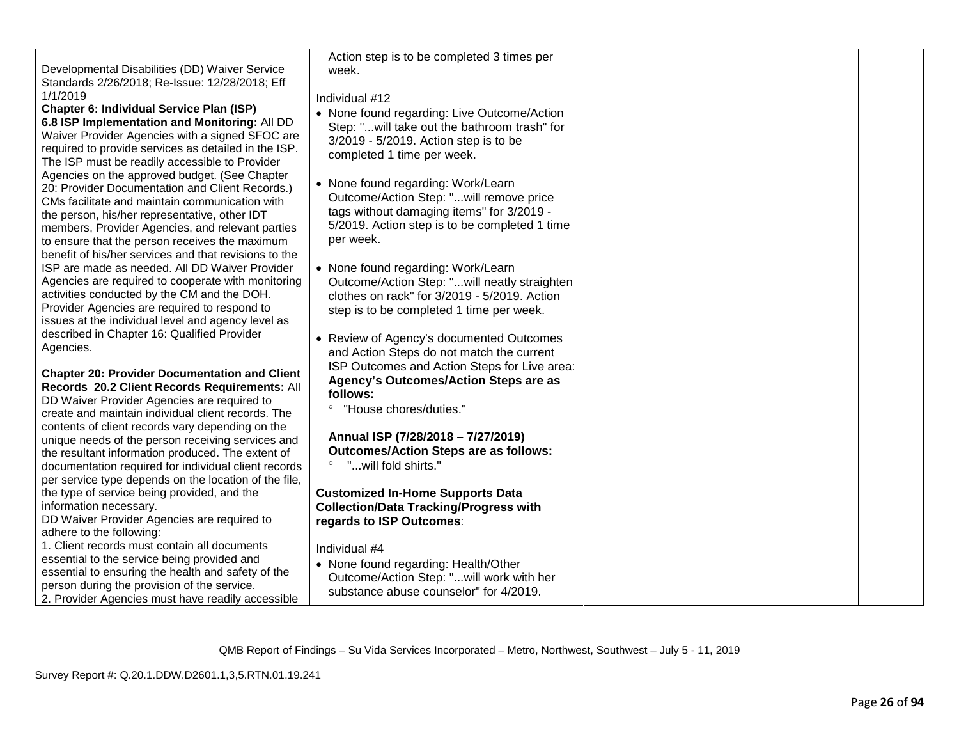| Developmental Disabilities (DD) Waiver Service |
|------------------------------------------------|
| Standards 2/26/2018; Re-Issue: 12/28/2018; Eff |
| 1/1/2019                                       |

**Chapter 6: Individual Service Plan (ISP) 6.8 ISP Implementation and Monitoring:** All DD Waiver Provider Agencies with a signed SFOC are required to provide services as detailed in the ISP. The ISP must be readily accessible to Provider Agencies on the approved budget. (See Chapter 20: Provider Documentation and Client Records.) CMs facilitate and maintain communication with the person, his/her representative, other IDT members, Provider Agencies, and relevant parties to ensure that the person receives the maximum benefit of his/her services and that revisions to the ISP are made as needed. All DD Waiver Provider Agencies are required to cooperate with monitoring activities conducted by the CM and the DOH. Provider Agencies are required to respond to issues at the individual level and agency level as described in Chapter 16: Qualified Provider Agencies.

## **Chapter 20: Provider Documentation and Client Records 20.2 Client Records Requirements:** All

DD Waiver Provider Agencies are required to create and maintain individual client records. The contents of client records vary depending on the unique needs of the person receiving services and the resultant information produced. The extent of documentation required for individual client records per service type depends on the location of the file, the type of service being provided, and the information necessary.

DD Waiver Provider Agencies are required to adhere to the following:

1. Client records must contain all documents essential to the service being provided and essential to ensuring the health and safety of the person during the provision of the service. 2. Provider Agencies must have readily accessible Action step is to be completed 3 times per week.

Individual #12

- None found regarding: Live Outcome/Action Step: "...will take out the bathroom trash" for 3/2019 - 5/2019. Action step is to be completed 1 time per week.
- None found regarding: Work/Learn Outcome/Action Step: "...will remove price tags without damaging items" for 3/2019 - 5/2019. Action step is to be completed 1 time per week.
- None found regarding: Work/Learn Outcome/Action Step: "...will neatly straighten clothes on rack" for 3/2019 - 5/2019. Action step is to be completed 1 time per week.
- Review of Agency's documented Outcomes and Action Steps do not match the current ISP Outcomes and Action Steps for Live area: **Agency's Outcomes/Action Steps are as follows:**
	- ° "House chores/duties."

**Annual ISP (7/28/2018 – 7/27/2019) Outcomes/Action Steps are as follows:** ° "...will fold shirts."

**Customized In-Home Supports Data Collection/Data Tracking/Progress with regards to ISP Outcomes**:

Individual #4

• None found regarding: Health/Other Outcome/Action Step: "...will work with her substance abuse counselor" for 4/2019.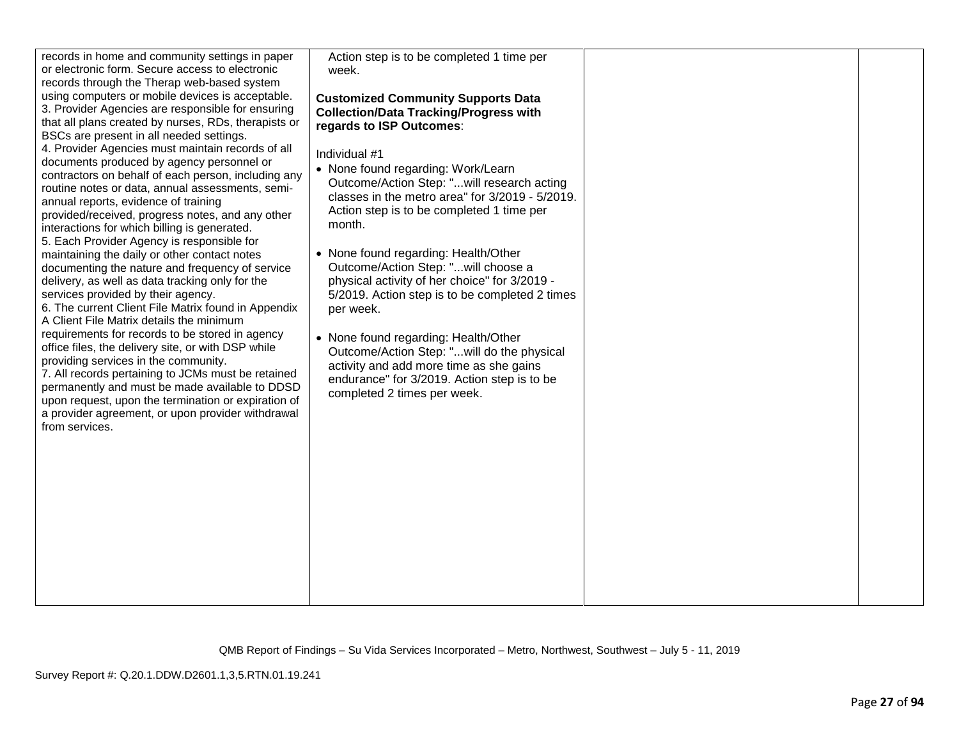| records in home and community settings in paper<br>or electronic form. Secure access to electronic<br>records through the Therap web-based system<br>using computers or mobile devices is acceptable.<br>3. Provider Agencies are responsible for ensuring<br>that all plans created by nurses, RDs, therapists or<br>BSCs are present in all needed settings.<br>4. Provider Agencies must maintain records of all<br>documents produced by agency personnel or<br>contractors on behalf of each person, including any<br>routine notes or data, annual assessments, semi-<br>annual reports, evidence of training<br>provided/received, progress notes, and any other<br>interactions for which billing is generated.<br>5. Each Provider Agency is responsible for<br>maintaining the daily or other contact notes<br>documenting the nature and frequency of service<br>delivery, as well as data tracking only for the<br>services provided by their agency.<br>6. The current Client File Matrix found in Appendix<br>A Client File Matrix details the minimum<br>requirements for records to be stored in agency<br>office files, the delivery site, or with DSP while<br>providing services in the community.<br>7. All records pertaining to JCMs must be retained<br>permanently and must be made available to DDSD<br>upon request, upon the termination or expiration of<br>a provider agreement, or upon provider withdrawal<br>from services. | Action step is to be completed 1 time per<br>week.<br><b>Customized Community Supports Data</b><br><b>Collection/Data Tracking/Progress with</b><br>regards to ISP Outcomes:<br>Individual #1<br>• None found regarding: Work/Learn<br>Outcome/Action Step: "will research acting<br>classes in the metro area" for 3/2019 - 5/2019.<br>Action step is to be completed 1 time per<br>month.<br>• None found regarding: Health/Other<br>Outcome/Action Step: "will choose a<br>physical activity of her choice" for 3/2019 -<br>5/2019. Action step is to be completed 2 times<br>per week.<br>• None found regarding: Health/Other<br>Outcome/Action Step: "will do the physical<br>activity and add more time as she gains<br>endurance" for 3/2019. Action step is to be<br>completed 2 times per week. |  |  |
|-------------------------------------------------------------------------------------------------------------------------------------------------------------------------------------------------------------------------------------------------------------------------------------------------------------------------------------------------------------------------------------------------------------------------------------------------------------------------------------------------------------------------------------------------------------------------------------------------------------------------------------------------------------------------------------------------------------------------------------------------------------------------------------------------------------------------------------------------------------------------------------------------------------------------------------------------------------------------------------------------------------------------------------------------------------------------------------------------------------------------------------------------------------------------------------------------------------------------------------------------------------------------------------------------------------------------------------------------------------------------------------------------------------------------------------------------------------|-----------------------------------------------------------------------------------------------------------------------------------------------------------------------------------------------------------------------------------------------------------------------------------------------------------------------------------------------------------------------------------------------------------------------------------------------------------------------------------------------------------------------------------------------------------------------------------------------------------------------------------------------------------------------------------------------------------------------------------------------------------------------------------------------------------|--|--|
|-------------------------------------------------------------------------------------------------------------------------------------------------------------------------------------------------------------------------------------------------------------------------------------------------------------------------------------------------------------------------------------------------------------------------------------------------------------------------------------------------------------------------------------------------------------------------------------------------------------------------------------------------------------------------------------------------------------------------------------------------------------------------------------------------------------------------------------------------------------------------------------------------------------------------------------------------------------------------------------------------------------------------------------------------------------------------------------------------------------------------------------------------------------------------------------------------------------------------------------------------------------------------------------------------------------------------------------------------------------------------------------------------------------------------------------------------------------|-----------------------------------------------------------------------------------------------------------------------------------------------------------------------------------------------------------------------------------------------------------------------------------------------------------------------------------------------------------------------------------------------------------------------------------------------------------------------------------------------------------------------------------------------------------------------------------------------------------------------------------------------------------------------------------------------------------------------------------------------------------------------------------------------------------|--|--|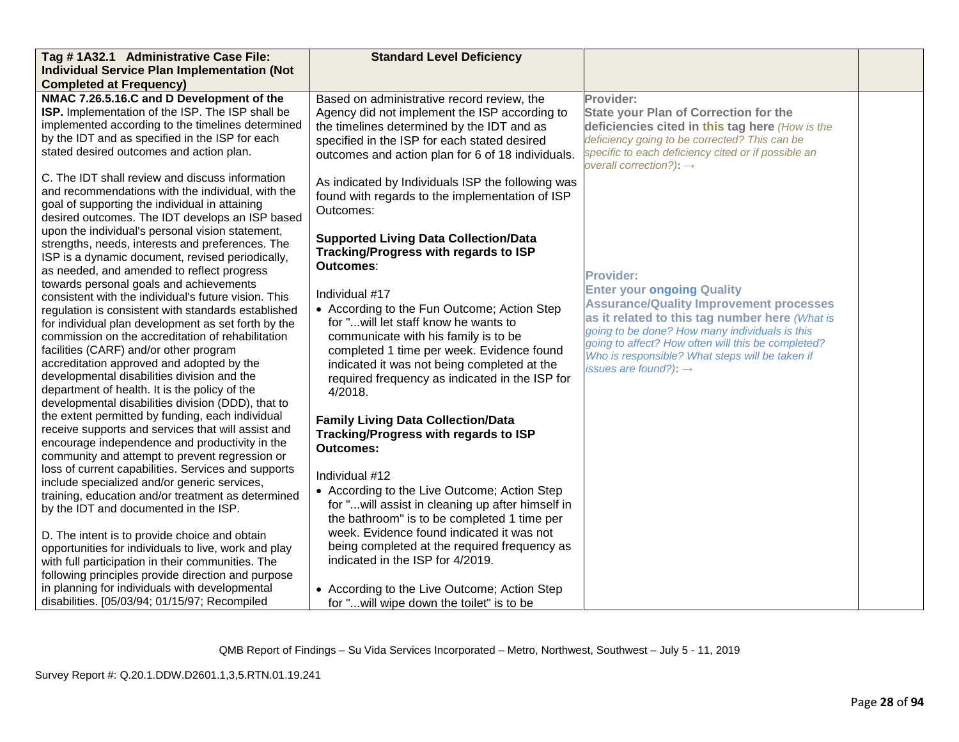| Tag #1A32.1 Administrative Case File:                                                           | <b>Standard Level Deficiency</b>                  |                                                                                            |  |
|-------------------------------------------------------------------------------------------------|---------------------------------------------------|--------------------------------------------------------------------------------------------|--|
| <b>Individual Service Plan Implementation (Not</b>                                              |                                                   |                                                                                            |  |
| <b>Completed at Frequency)</b>                                                                  |                                                   |                                                                                            |  |
| NMAC 7.26.5.16.C and D Development of the                                                       | Based on administrative record review, the        | Provider:                                                                                  |  |
| ISP. Implementation of the ISP. The ISP shall be                                                | Agency did not implement the ISP according to     | <b>State your Plan of Correction for the</b>                                               |  |
| implemented according to the timelines determined                                               | the timelines determined by the IDT and as        | deficiencies cited in this tag here (How is the                                            |  |
| by the IDT and as specified in the ISP for each                                                 | specified in the ISP for each stated desired      | deficiency going to be corrected? This can be                                              |  |
| stated desired outcomes and action plan.                                                        | outcomes and action plan for 6 of 18 individuals. | specific to each deficiency cited or if possible an<br>overall correction?): $\rightarrow$ |  |
| C. The IDT shall review and discuss information                                                 | As indicated by Individuals ISP the following was |                                                                                            |  |
| and recommendations with the individual, with the                                               | found with regards to the implementation of ISP   |                                                                                            |  |
| goal of supporting the individual in attaining                                                  | Outcomes:                                         |                                                                                            |  |
| desired outcomes. The IDT develops an ISP based                                                 |                                                   |                                                                                            |  |
| upon the individual's personal vision statement,                                                | <b>Supported Living Data Collection/Data</b>      |                                                                                            |  |
| strengths, needs, interests and preferences. The                                                | Tracking/Progress with regards to ISP             |                                                                                            |  |
| ISP is a dynamic document, revised periodically,                                                | <b>Outcomes:</b>                                  |                                                                                            |  |
| as needed, and amended to reflect progress                                                      |                                                   | <b>Provider:</b>                                                                           |  |
| towards personal goals and achievements<br>consistent with the individual's future vision. This | Individual #17                                    | <b>Enter your ongoing Quality</b>                                                          |  |
| regulation is consistent with standards established                                             | • According to the Fun Outcome; Action Step       | <b>Assurance/Quality Improvement processes</b>                                             |  |
| for individual plan development as set forth by the                                             | for " will let staff know he wants to             | as it related to this tag number here (What is                                             |  |
| commission on the accreditation of rehabilitation                                               | communicate with his family is to be              | going to be done? How many individuals is this                                             |  |
| facilities (CARF) and/or other program                                                          | completed 1 time per week. Evidence found         | going to affect? How often will this be completed?                                         |  |
| accreditation approved and adopted by the                                                       | indicated it was not being completed at the       | Who is responsible? What steps will be taken if                                            |  |
| developmental disabilities division and the                                                     | required frequency as indicated in the ISP for    | issues are found?): $\rightarrow$                                                          |  |
| department of health. It is the policy of the                                                   | 4/2018.                                           |                                                                                            |  |
| developmental disabilities division (DDD), that to                                              |                                                   |                                                                                            |  |
| the extent permitted by funding, each individual                                                |                                                   |                                                                                            |  |
| receive supports and services that will assist and                                              | <b>Family Living Data Collection/Data</b>         |                                                                                            |  |
| encourage independence and productivity in the                                                  | Tracking/Progress with regards to ISP             |                                                                                            |  |
| community and attempt to prevent regression or                                                  | <b>Outcomes:</b>                                  |                                                                                            |  |
| loss of current capabilities. Services and supports                                             |                                                   |                                                                                            |  |
| include specialized and/or generic services,                                                    | Individual #12                                    |                                                                                            |  |
| training, education and/or treatment as determined                                              | • According to the Live Outcome; Action Step      |                                                                                            |  |
| by the IDT and documented in the ISP.                                                           | for "will assist in cleaning up after himself in  |                                                                                            |  |
|                                                                                                 | the bathroom" is to be completed 1 time per       |                                                                                            |  |
| D. The intent is to provide choice and obtain                                                   | week. Evidence found indicated it was not         |                                                                                            |  |
| opportunities for individuals to live, work and play                                            | being completed at the required frequency as      |                                                                                            |  |
| with full participation in their communities. The                                               | indicated in the ISP for 4/2019.                  |                                                                                            |  |
| following principles provide direction and purpose                                              |                                                   |                                                                                            |  |
| in planning for individuals with developmental                                                  | • According to the Live Outcome; Action Step      |                                                                                            |  |
| disabilities. [05/03/94; 01/15/97; Recompiled                                                   | for " will wipe down the toilet" is to be         |                                                                                            |  |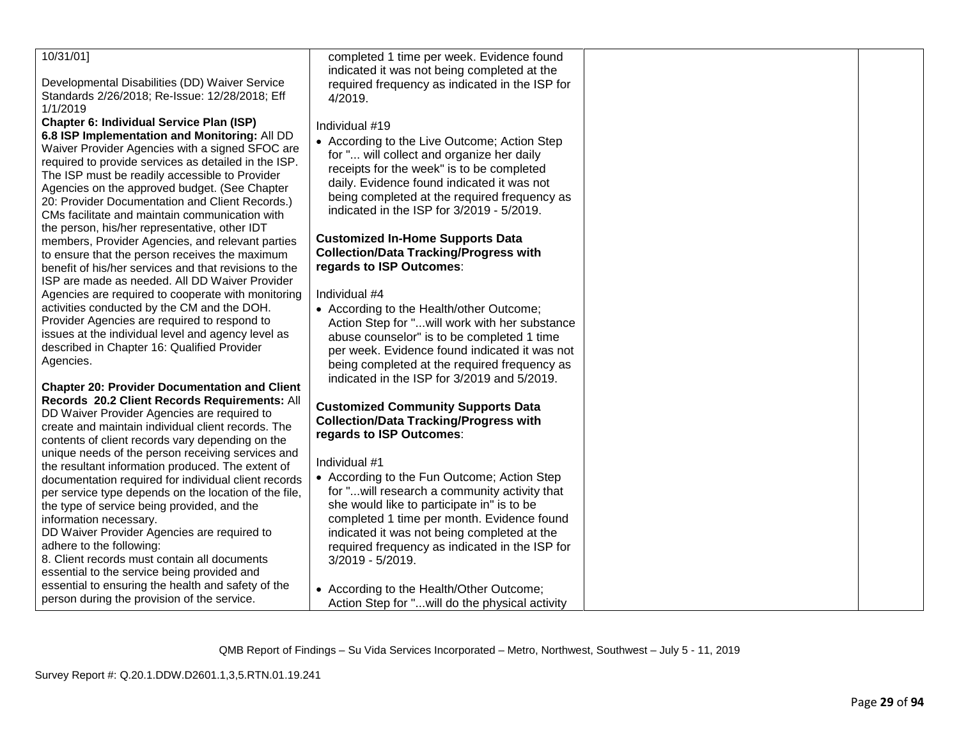| 10/31/01]                                                                                             | completed 1 time per week. Evidence found      |  |
|-------------------------------------------------------------------------------------------------------|------------------------------------------------|--|
|                                                                                                       | indicated it was not being completed at the    |  |
| Developmental Disabilities (DD) Waiver Service                                                        | required frequency as indicated in the ISP for |  |
| Standards 2/26/2018; Re-Issue: 12/28/2018; Eff                                                        | 4/2019.                                        |  |
| 1/1/2019                                                                                              |                                                |  |
| <b>Chapter 6: Individual Service Plan (ISP)</b>                                                       | Individual #19                                 |  |
| 6.8 ISP Implementation and Monitoring: All DD<br>Waiver Provider Agencies with a signed SFOC are      | • According to the Live Outcome; Action Step   |  |
| required to provide services as detailed in the ISP.                                                  | for " will collect and organize her daily      |  |
| The ISP must be readily accessible to Provider                                                        | receipts for the week" is to be completed      |  |
| Agencies on the approved budget. (See Chapter                                                         | daily. Evidence found indicated it was not     |  |
| 20: Provider Documentation and Client Records.)                                                       | being completed at the required frequency as   |  |
| CMs facilitate and maintain communication with                                                        | indicated in the ISP for 3/2019 - 5/2019.      |  |
| the person, his/her representative, other IDT                                                         |                                                |  |
| members, Provider Agencies, and relevant parties                                                      | <b>Customized In-Home Supports Data</b>        |  |
| to ensure that the person receives the maximum                                                        | <b>Collection/Data Tracking/Progress with</b>  |  |
| benefit of his/her services and that revisions to the                                                 | regards to ISP Outcomes:                       |  |
| ISP are made as needed. All DD Waiver Provider                                                        |                                                |  |
| Agencies are required to cooperate with monitoring                                                    | Individual #4                                  |  |
| activities conducted by the CM and the DOH.                                                           | • According to the Health/other Outcome;       |  |
| Provider Agencies are required to respond to                                                          | Action Step for "will work with her substance  |  |
| issues at the individual level and agency level as                                                    | abuse counselor" is to be completed 1 time     |  |
| described in Chapter 16: Qualified Provider                                                           | per week. Evidence found indicated it was not  |  |
| Agencies.                                                                                             | being completed at the required frequency as   |  |
|                                                                                                       | indicated in the ISP for 3/2019 and 5/2019.    |  |
| <b>Chapter 20: Provider Documentation and Client</b><br>Records 20.2 Client Records Requirements: All |                                                |  |
| DD Waiver Provider Agencies are required to                                                           | <b>Customized Community Supports Data</b>      |  |
| create and maintain individual client records. The                                                    | <b>Collection/Data Tracking/Progress with</b>  |  |
| contents of client records vary depending on the                                                      | regards to ISP Outcomes:                       |  |
| unique needs of the person receiving services and                                                     |                                                |  |
| the resultant information produced. The extent of                                                     | Individual #1                                  |  |
| documentation required for individual client records                                                  | • According to the Fun Outcome; Action Step    |  |
| per service type depends on the location of the file,                                                 | for " will research a community activity that  |  |
| the type of service being provided, and the                                                           | she would like to participate in" is to be     |  |
| information necessary.                                                                                | completed 1 time per month. Evidence found     |  |
| DD Waiver Provider Agencies are required to                                                           | indicated it was not being completed at the    |  |
| adhere to the following:                                                                              | required frequency as indicated in the ISP for |  |
| 8. Client records must contain all documents                                                          | 3/2019 - 5/2019.                               |  |
| essential to the service being provided and<br>essential to ensuring the health and safety of the     |                                                |  |
| person during the provision of the service.                                                           | • According to the Health/Other Outcome;       |  |
|                                                                                                       | Action Step for "will do the physical activity |  |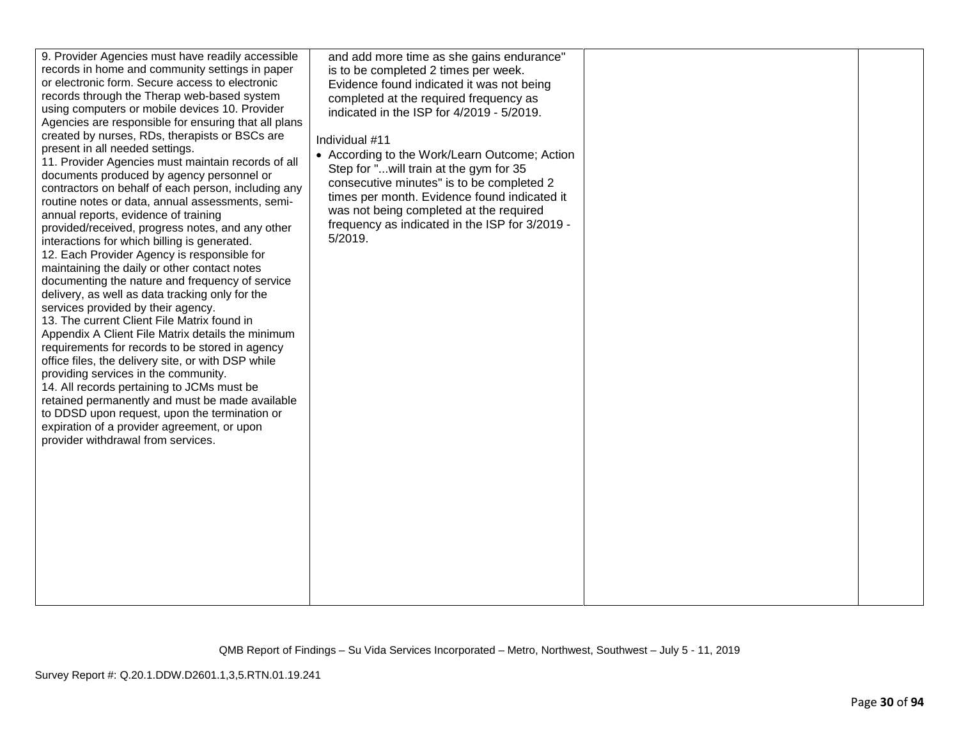| 9. Provider Agencies must have readily accessible<br>records in home and community settings in paper<br>or electronic form. Secure access to electronic<br>records through the Therap web-based system<br>using computers or mobile devices 10. Provider<br>Agencies are responsible for ensuring that all plans<br>created by nurses, RDs, therapists or BSCs are<br>present in all needed settings.<br>11. Provider Agencies must maintain records of all<br>documents produced by agency personnel or<br>contractors on behalf of each person, including any<br>routine notes or data, annual assessments, semi-<br>annual reports, evidence of training<br>provided/received, progress notes, and any other<br>interactions for which billing is generated.<br>12. Each Provider Agency is responsible for<br>maintaining the daily or other contact notes<br>documenting the nature and frequency of service<br>delivery, as well as data tracking only for the<br>services provided by their agency.<br>13. The current Client File Matrix found in<br>Appendix A Client File Matrix details the minimum<br>requirements for records to be stored in agency<br>office files, the delivery site, or with DSP while<br>providing services in the community.<br>14. All records pertaining to JCMs must be<br>retained permanently and must be made available<br>to DDSD upon request, upon the termination or<br>expiration of a provider agreement, or upon<br>provider withdrawal from services. | and add more time as she gains endurance"<br>is to be completed 2 times per week.<br>Evidence found indicated it was not being<br>completed at the required frequency as<br>indicated in the ISP for 4/2019 - 5/2019.<br>Individual #11<br>• According to the Work/Learn Outcome; Action<br>Step for " will train at the gym for 35<br>consecutive minutes" is to be completed 2<br>times per month. Evidence found indicated it<br>was not being completed at the required<br>frequency as indicated in the ISP for 3/2019 -<br>5/2019. |  |  |
|--------------------------------------------------------------------------------------------------------------------------------------------------------------------------------------------------------------------------------------------------------------------------------------------------------------------------------------------------------------------------------------------------------------------------------------------------------------------------------------------------------------------------------------------------------------------------------------------------------------------------------------------------------------------------------------------------------------------------------------------------------------------------------------------------------------------------------------------------------------------------------------------------------------------------------------------------------------------------------------------------------------------------------------------------------------------------------------------------------------------------------------------------------------------------------------------------------------------------------------------------------------------------------------------------------------------------------------------------------------------------------------------------------------------------------------------------------------------------------------------------------|------------------------------------------------------------------------------------------------------------------------------------------------------------------------------------------------------------------------------------------------------------------------------------------------------------------------------------------------------------------------------------------------------------------------------------------------------------------------------------------------------------------------------------------|--|--|
|--------------------------------------------------------------------------------------------------------------------------------------------------------------------------------------------------------------------------------------------------------------------------------------------------------------------------------------------------------------------------------------------------------------------------------------------------------------------------------------------------------------------------------------------------------------------------------------------------------------------------------------------------------------------------------------------------------------------------------------------------------------------------------------------------------------------------------------------------------------------------------------------------------------------------------------------------------------------------------------------------------------------------------------------------------------------------------------------------------------------------------------------------------------------------------------------------------------------------------------------------------------------------------------------------------------------------------------------------------------------------------------------------------------------------------------------------------------------------------------------------------|------------------------------------------------------------------------------------------------------------------------------------------------------------------------------------------------------------------------------------------------------------------------------------------------------------------------------------------------------------------------------------------------------------------------------------------------------------------------------------------------------------------------------------------|--|--|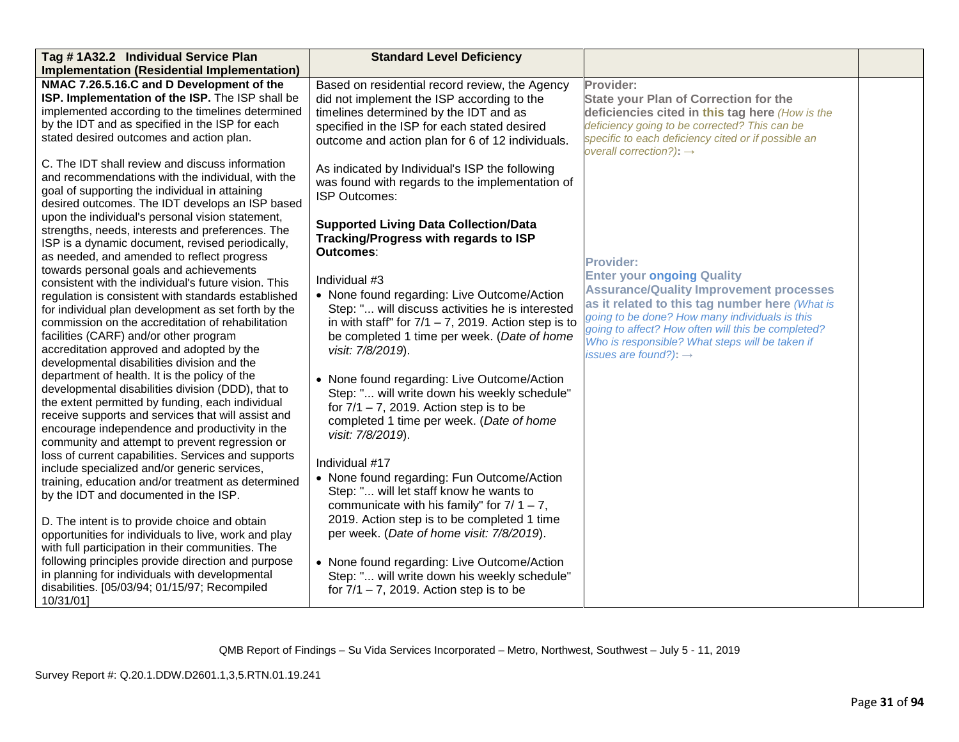| Tag #1A32.2 Individual Service Plan                                                                     | <b>Standard Level Deficiency</b>                       |                                                                                            |  |
|---------------------------------------------------------------------------------------------------------|--------------------------------------------------------|--------------------------------------------------------------------------------------------|--|
| <b>Implementation (Residential Implementation)</b>                                                      |                                                        |                                                                                            |  |
| NMAC 7.26.5.16.C and D Development of the                                                               | Based on residential record review, the Agency         | Provider:                                                                                  |  |
| ISP. Implementation of the ISP. The ISP shall be                                                        | did not implement the ISP according to the             | <b>State your Plan of Correction for the</b>                                               |  |
| implemented according to the timelines determined                                                       | timelines determined by the IDT and as                 | deficiencies cited in this tag here (How is the                                            |  |
| by the IDT and as specified in the ISP for each                                                         | specified in the ISP for each stated desired           | deficiency going to be corrected? This can be                                              |  |
| stated desired outcomes and action plan.                                                                | outcome and action plan for 6 of 12 individuals.       | specific to each deficiency cited or if possible an<br>overall correction?): $\rightarrow$ |  |
| C. The IDT shall review and discuss information                                                         | As indicated by Individual's ISP the following         |                                                                                            |  |
| and recommendations with the individual, with the                                                       | was found with regards to the implementation of        |                                                                                            |  |
| goal of supporting the individual in attaining                                                          | ISP Outcomes:                                          |                                                                                            |  |
| desired outcomes. The IDT develops an ISP based                                                         |                                                        |                                                                                            |  |
| upon the individual's personal vision statement,                                                        | <b>Supported Living Data Collection/Data</b>           |                                                                                            |  |
| strengths, needs, interests and preferences. The                                                        | Tracking/Progress with regards to ISP                  |                                                                                            |  |
| ISP is a dynamic document, revised periodically,                                                        | Outcomes:                                              |                                                                                            |  |
| as needed, and amended to reflect progress<br>towards personal goals and achievements                   |                                                        | Provider:                                                                                  |  |
| consistent with the individual's future vision. This                                                    | Individual #3                                          | <b>Enter your ongoing Quality</b>                                                          |  |
| regulation is consistent with standards established                                                     | • None found regarding: Live Outcome/Action            | <b>Assurance/Quality Improvement processes</b>                                             |  |
| for individual plan development as set forth by the                                                     | Step: " will discuss activities he is interested       | as it related to this tag number here (What is                                             |  |
| commission on the accreditation of rehabilitation                                                       | in with staff" for $7/1 - 7$ , 2019. Action step is to | going to be done? How many individuals is this                                             |  |
| facilities (CARF) and/or other program                                                                  | be completed 1 time per week. (Date of home            | going to affect? How often will this be completed?                                         |  |
| accreditation approved and adopted by the                                                               | visit: 7/8/2019).                                      | Who is responsible? What steps will be taken if                                            |  |
| developmental disabilities division and the                                                             |                                                        | issues are found?): $\rightarrow$                                                          |  |
| department of health. It is the policy of the                                                           | • None found regarding: Live Outcome/Action            |                                                                                            |  |
| developmental disabilities division (DDD), that to                                                      | Step: " will write down his weekly schedule"           |                                                                                            |  |
| the extent permitted by funding, each individual                                                        | for $7/1 - 7$ , 2019. Action step is to be             |                                                                                            |  |
| receive supports and services that will assist and                                                      | completed 1 time per week. (Date of home               |                                                                                            |  |
| encourage independence and productivity in the                                                          | visit: 7/8/2019).                                      |                                                                                            |  |
| community and attempt to prevent regression or                                                          |                                                        |                                                                                            |  |
| loss of current capabilities. Services and supports                                                     | Individual #17                                         |                                                                                            |  |
| include specialized and/or generic services,                                                            | • None found regarding: Fun Outcome/Action             |                                                                                            |  |
| training, education and/or treatment as determined                                                      | Step: " will let staff know he wants to                |                                                                                            |  |
| by the IDT and documented in the ISP.                                                                   | communicate with his family" for $7/1 - 7$ ,           |                                                                                            |  |
|                                                                                                         | 2019. Action step is to be completed 1 time            |                                                                                            |  |
| D. The intent is to provide choice and obtain                                                           | per week. (Date of home visit: 7/8/2019).              |                                                                                            |  |
| opportunities for individuals to live, work and play                                                    |                                                        |                                                                                            |  |
| with full participation in their communities. The<br>following principles provide direction and purpose |                                                        |                                                                                            |  |
| in planning for individuals with developmental                                                          | • None found regarding: Live Outcome/Action            |                                                                                            |  |
| disabilities. [05/03/94; 01/15/97; Recompiled                                                           | Step: " will write down his weekly schedule"           |                                                                                            |  |
| 10/31/01]                                                                                               | for $7/1 - 7$ , 2019. Action step is to be             |                                                                                            |  |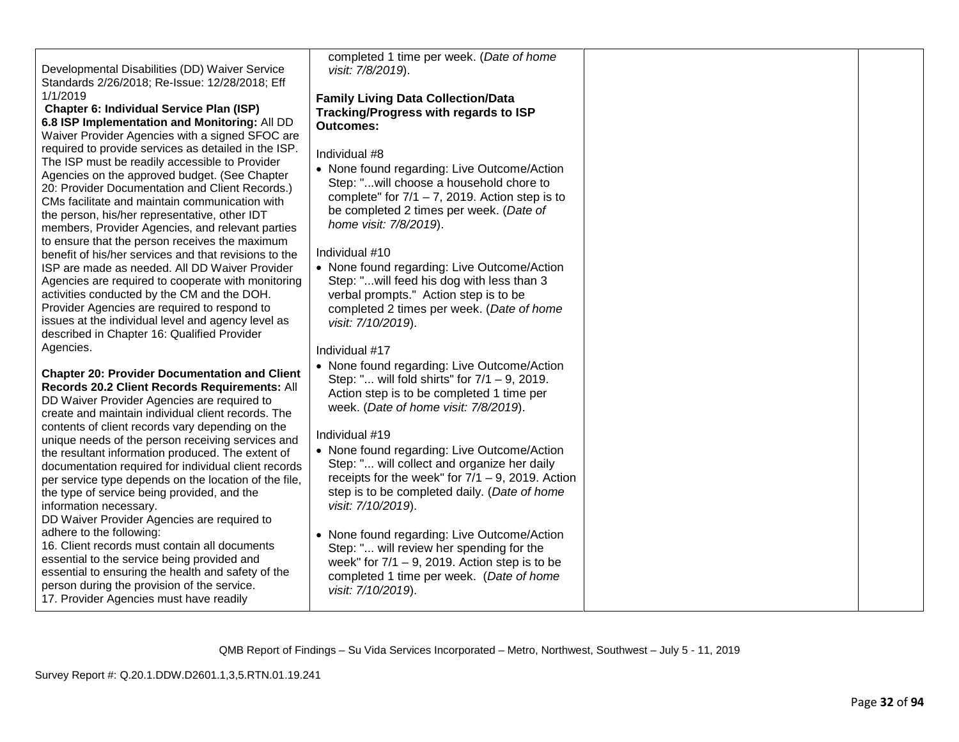| Developmental Disabilities (DD) Waiver Service<br>Standards 2/26/2018; Re-Issue: 12/28/2018; Eff<br>1/1/2019<br><b>Chapter 6: Individual Service Plan (ISP)</b>                                                                                                                                                                                                   | completed 1 time per week. (Date of home<br>visit: 7/8/2019).<br><b>Family Living Data Collection/Data</b><br>Tracking/Progress with regards to ISP                                                                               |  |
|-------------------------------------------------------------------------------------------------------------------------------------------------------------------------------------------------------------------------------------------------------------------------------------------------------------------------------------------------------------------|-----------------------------------------------------------------------------------------------------------------------------------------------------------------------------------------------------------------------------------|--|
| 6.8 ISP Implementation and Monitoring: All DD<br>Waiver Provider Agencies with a signed SFOC are                                                                                                                                                                                                                                                                  | <b>Outcomes:</b>                                                                                                                                                                                                                  |  |
| required to provide services as detailed in the ISP.<br>The ISP must be readily accessible to Provider<br>Agencies on the approved budget. (See Chapter<br>20: Provider Documentation and Client Records.)<br>CMs facilitate and maintain communication with<br>the person, his/her representative, other IDT<br>members, Provider Agencies, and relevant parties | Individual #8<br>• None found regarding: Live Outcome/Action<br>Step: "will choose a household chore to<br>complete" for $7/1 - 7$ , 2019. Action step is to<br>be completed 2 times per week. (Date of<br>home visit: 7/8/2019). |  |
| to ensure that the person receives the maximum<br>benefit of his/her services and that revisions to the                                                                                                                                                                                                                                                           | Individual #10                                                                                                                                                                                                                    |  |
| ISP are made as needed. All DD Waiver Provider<br>Agencies are required to cooperate with monitoring<br>activities conducted by the CM and the DOH.<br>Provider Agencies are required to respond to<br>issues at the individual level and agency level as<br>described in Chapter 16: Qualified Provider                                                          | • None found regarding: Live Outcome/Action<br>Step: "will feed his dog with less than 3<br>verbal prompts." Action step is to be<br>completed 2 times per week. (Date of home<br>visit: 7/10/2019).                              |  |
| Agencies.                                                                                                                                                                                                                                                                                                                                                         | Individual #17                                                                                                                                                                                                                    |  |
| <b>Chapter 20: Provider Documentation and Client</b><br>Records 20.2 Client Records Requirements: All<br>DD Waiver Provider Agencies are required to<br>create and maintain individual client records. The                                                                                                                                                        | • None found regarding: Live Outcome/Action<br>Step: " will fold shirts" for $7/1 - 9$ , 2019.<br>Action step is to be completed 1 time per<br>week. (Date of home visit: 7/8/2019).                                              |  |
| contents of client records vary depending on the<br>unique needs of the person receiving services and<br>the resultant information produced. The extent of<br>documentation required for individual client records                                                                                                                                                | Individual #19<br>• None found regarding: Live Outcome/Action<br>Step: " will collect and organize her daily                                                                                                                      |  |
| per service type depends on the location of the file,<br>the type of service being provided, and the<br>information necessary.                                                                                                                                                                                                                                    | receipts for the week" for $7/1 - 9$ , 2019. Action<br>step is to be completed daily. (Date of home<br>visit: 7/10/2019).                                                                                                         |  |
| DD Waiver Provider Agencies are required to<br>adhere to the following:<br>16. Client records must contain all documents<br>essential to the service being provided and<br>essential to ensuring the health and safety of the<br>person during the provision of the service.<br>17. Provider Agencies must have readily                                           | • None found regarding: Live Outcome/Action<br>Step: " will review her spending for the<br>week" for $7/1 - 9$ , 2019. Action step is to be<br>completed 1 time per week. (Date of home<br>visit: 7/10/2019).                     |  |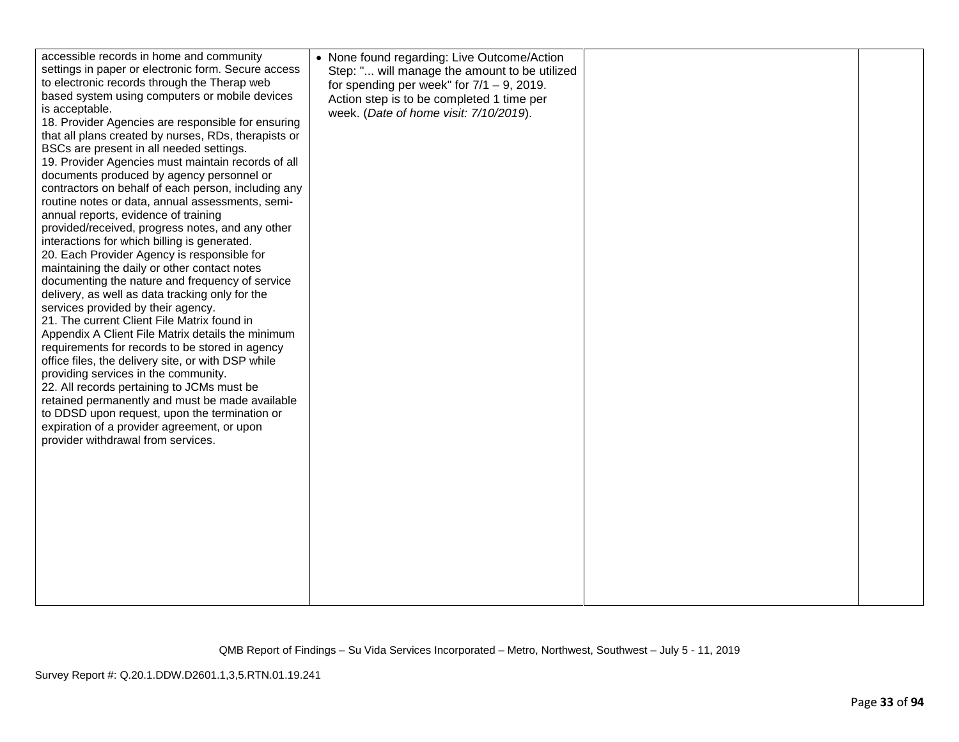| accessible records in home and community<br>settings in paper or electronic form. Secure access<br>to electronic records through the Therap web<br>based system using computers or mobile devices<br>is acceptable.<br>18. Provider Agencies are responsible for ensuring<br>that all plans created by nurses, RDs, therapists or<br>BSCs are present in all needed settings.<br>19. Provider Agencies must maintain records of all<br>documents produced by agency personnel or<br>contractors on behalf of each person, including any<br>routine notes or data, annual assessments, semi-<br>annual reports, evidence of training<br>provided/received, progress notes, and any other<br>interactions for which billing is generated.<br>20. Each Provider Agency is responsible for<br>maintaining the daily or other contact notes<br>documenting the nature and frequency of service<br>delivery, as well as data tracking only for the<br>services provided by their agency.<br>21. The current Client File Matrix found in<br>Appendix A Client File Matrix details the minimum<br>requirements for records to be stored in agency<br>office files, the delivery site, or with DSP while<br>providing services in the community.<br>22. All records pertaining to JCMs must be<br>retained permanently and must be made available<br>to DDSD upon request, upon the termination or<br>expiration of a provider agreement, or upon<br>provider withdrawal from services. | • None found regarding: Live Outcome/Action<br>Step: " will manage the amount to be utilized<br>for spending per week" for $7/1 - 9$ , 2019.<br>Action step is to be completed 1 time per<br>week. (Date of home visit: 7/10/2019). |  |
|--------------------------------------------------------------------------------------------------------------------------------------------------------------------------------------------------------------------------------------------------------------------------------------------------------------------------------------------------------------------------------------------------------------------------------------------------------------------------------------------------------------------------------------------------------------------------------------------------------------------------------------------------------------------------------------------------------------------------------------------------------------------------------------------------------------------------------------------------------------------------------------------------------------------------------------------------------------------------------------------------------------------------------------------------------------------------------------------------------------------------------------------------------------------------------------------------------------------------------------------------------------------------------------------------------------------------------------------------------------------------------------------------------------------------------------------------------------------------------|-------------------------------------------------------------------------------------------------------------------------------------------------------------------------------------------------------------------------------------|--|
|                                                                                                                                                                                                                                                                                                                                                                                                                                                                                                                                                                                                                                                                                                                                                                                                                                                                                                                                                                                                                                                                                                                                                                                                                                                                                                                                                                                                                                                                                |                                                                                                                                                                                                                                     |  |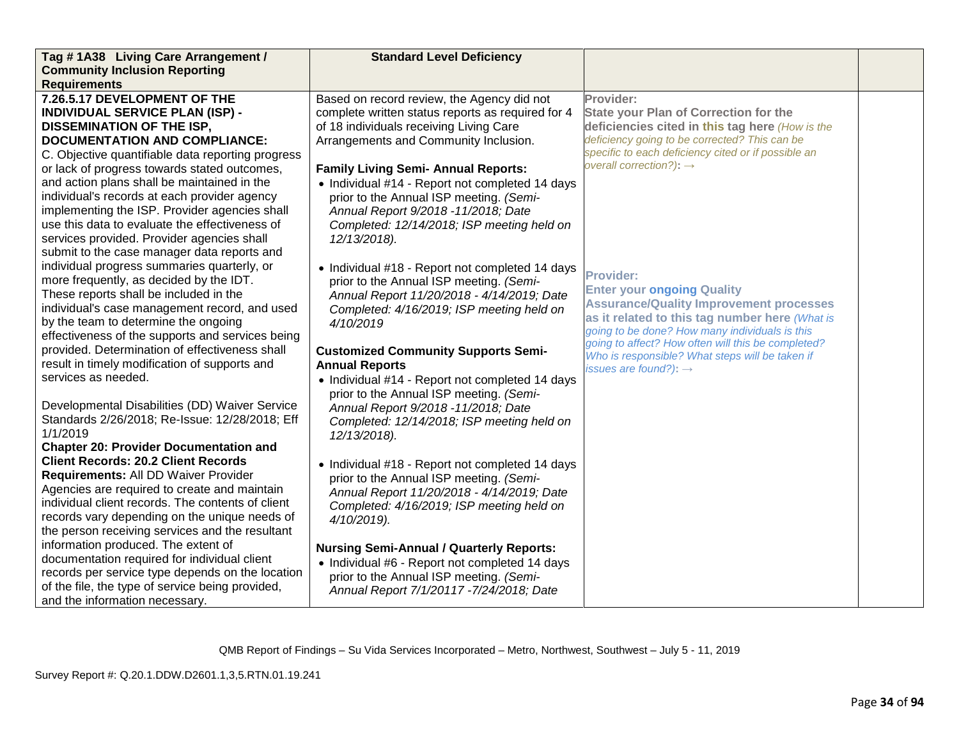| Tag #1A38 Living Care Arrangement /               | <b>Standard Level Deficiency</b>                  |                                                                                     |  |
|---------------------------------------------------|---------------------------------------------------|-------------------------------------------------------------------------------------|--|
| <b>Community Inclusion Reporting</b>              |                                                   |                                                                                     |  |
| <b>Requirements</b>                               |                                                   |                                                                                     |  |
| 7.26.5.17 DEVELOPMENT OF THE                      | Based on record review, the Agency did not        | Provider:                                                                           |  |
| <b>INDIVIDUAL SERVICE PLAN (ISP) -</b>            | complete written status reports as required for 4 | <b>State your Plan of Correction for the</b>                                        |  |
| <b>DISSEMINATION OF THE ISP,</b>                  | of 18 individuals receiving Living Care           | deficiencies cited in this tag here (How is the                                     |  |
| <b>DOCUMENTATION AND COMPLIANCE:</b>              | Arrangements and Community Inclusion.             | deficiency going to be corrected? This can be                                       |  |
| C. Objective quantifiable data reporting progress |                                                   | specific to each deficiency cited or if possible an                                 |  |
| or lack of progress towards stated outcomes,      | <b>Family Living Semi- Annual Reports:</b>        | overall correction?): $\rightarrow$                                                 |  |
| and action plans shall be maintained in the       | • Individual #14 - Report not completed 14 days   |                                                                                     |  |
| individual's records at each provider agency      | prior to the Annual ISP meeting. (Semi-           |                                                                                     |  |
| implementing the ISP. Provider agencies shall     | Annual Report 9/2018 -11/2018; Date               |                                                                                     |  |
| use this data to evaluate the effectiveness of    | Completed: 12/14/2018; ISP meeting held on        |                                                                                     |  |
| services provided. Provider agencies shall        | 12/13/2018).                                      |                                                                                     |  |
| submit to the case manager data reports and       |                                                   |                                                                                     |  |
| individual progress summaries quarterly, or       | • Individual #18 - Report not completed 14 days   | <b>Provider:</b>                                                                    |  |
| more frequently, as decided by the IDT.           | prior to the Annual ISP meeting. (Semi-           |                                                                                     |  |
| These reports shall be included in the            | Annual Report 11/20/2018 - 4/14/2019; Date        | <b>Enter your ongoing Quality</b><br><b>Assurance/Quality Improvement processes</b> |  |
| individual's case management record, and used     | Completed: 4/16/2019; ISP meeting held on         | as it related to this tag number here (What is                                      |  |
| by the team to determine the ongoing              | 4/10/2019                                         | going to be done? How many individuals is this                                      |  |
| effectiveness of the supports and services being  |                                                   | going to affect? How often will this be completed?                                  |  |
| provided. Determination of effectiveness shall    | <b>Customized Community Supports Semi-</b>        | Who is responsible? What steps will be taken if                                     |  |
| result in timely modification of supports and     | <b>Annual Reports</b>                             | issues are found?): $\rightarrow$                                                   |  |
| services as needed.                               | • Individual #14 - Report not completed 14 days   |                                                                                     |  |
|                                                   | prior to the Annual ISP meeting. (Semi-           |                                                                                     |  |
| Developmental Disabilities (DD) Waiver Service    | Annual Report 9/2018 - 11/2018; Date              |                                                                                     |  |
| Standards 2/26/2018; Re-Issue: 12/28/2018; Eff    | Completed: 12/14/2018; ISP meeting held on        |                                                                                     |  |
| 1/1/2019                                          | 12/13/2018).                                      |                                                                                     |  |
| <b>Chapter 20: Provider Documentation and</b>     |                                                   |                                                                                     |  |
| <b>Client Records: 20.2 Client Records</b>        | • Individual #18 - Report not completed 14 days   |                                                                                     |  |
| Requirements: All DD Waiver Provider              | prior to the Annual ISP meeting. (Semi-           |                                                                                     |  |
| Agencies are required to create and maintain      | Annual Report 11/20/2018 - 4/14/2019; Date        |                                                                                     |  |
| individual client records. The contents of client | Completed: 4/16/2019; ISP meeting held on         |                                                                                     |  |
| records vary depending on the unique needs of     | 4/10/2019).                                       |                                                                                     |  |
| the person receiving services and the resultant   |                                                   |                                                                                     |  |
| information produced. The extent of               | <b>Nursing Semi-Annual / Quarterly Reports:</b>   |                                                                                     |  |
| documentation required for individual client      | • Individual #6 - Report not completed 14 days    |                                                                                     |  |
| records per service type depends on the location  | prior to the Annual ISP meeting. (Semi-           |                                                                                     |  |
| of the file, the type of service being provided,  | Annual Report 7/1/20117 - 7/24/2018; Date         |                                                                                     |  |
| and the information necessary.                    |                                                   |                                                                                     |  |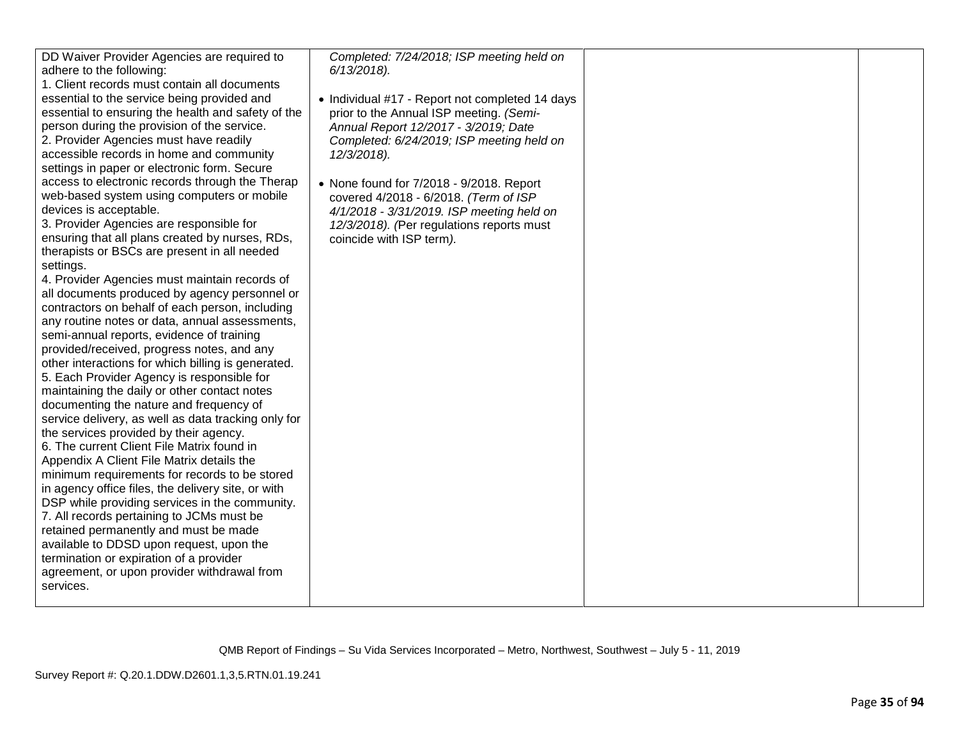| DD Waiver Provider Agencies are required to<br>adhere to the following:<br>1. Client records must contain all documents<br>essential to the service being provided and<br>essential to ensuring the health and safety of the<br>person during the provision of the service.<br>2. Provider Agencies must have readily<br>accessible records in home and community<br>settings in paper or electronic form. Secure<br>access to electronic records through the Therap<br>web-based system using computers or mobile<br>devices is acceptable.<br>3. Provider Agencies are responsible for<br>ensuring that all plans created by nurses, RDs,<br>therapists or BSCs are present in all needed<br>settings.<br>4. Provider Agencies must maintain records of<br>all documents produced by agency personnel or<br>contractors on behalf of each person, including<br>any routine notes or data, annual assessments,<br>semi-annual reports, evidence of training<br>provided/received, progress notes, and any<br>other interactions for which billing is generated.<br>5. Each Provider Agency is responsible for<br>maintaining the daily or other contact notes<br>documenting the nature and frequency of<br>service delivery, as well as data tracking only for<br>the services provided by their agency.<br>6. The current Client File Matrix found in<br>Appendix A Client File Matrix details the<br>minimum requirements for records to be stored<br>in agency office files, the delivery site, or with<br>DSP while providing services in the community.<br>7. All records pertaining to JCMs must be<br>retained permanently and must be made<br>available to DDSD upon request, upon the<br>termination or expiration of a provider<br>agreement, or upon provider withdrawal from<br>services. | Completed: 7/24/2018; ISP meeting held on<br>$6/13/2018$ ).<br>• Individual #17 - Report not completed 14 days<br>prior to the Annual ISP meeting. (Semi-<br>Annual Report 12/2017 - 3/2019; Date<br>Completed: 6/24/2019; ISP meeting held on<br>12/3/2018).<br>• None found for 7/2018 - 9/2018. Report<br>covered 4/2018 - 6/2018. (Term of ISP<br>4/1/2018 - 3/31/2019. ISP meeting held on<br>12/3/2018). (Per regulations reports must<br>coincide with ISP term). |  |  |
|---------------------------------------------------------------------------------------------------------------------------------------------------------------------------------------------------------------------------------------------------------------------------------------------------------------------------------------------------------------------------------------------------------------------------------------------------------------------------------------------------------------------------------------------------------------------------------------------------------------------------------------------------------------------------------------------------------------------------------------------------------------------------------------------------------------------------------------------------------------------------------------------------------------------------------------------------------------------------------------------------------------------------------------------------------------------------------------------------------------------------------------------------------------------------------------------------------------------------------------------------------------------------------------------------------------------------------------------------------------------------------------------------------------------------------------------------------------------------------------------------------------------------------------------------------------------------------------------------------------------------------------------------------------------------------------------------------------------------------------------------------------------------------------------------------|--------------------------------------------------------------------------------------------------------------------------------------------------------------------------------------------------------------------------------------------------------------------------------------------------------------------------------------------------------------------------------------------------------------------------------------------------------------------------|--|--|
|---------------------------------------------------------------------------------------------------------------------------------------------------------------------------------------------------------------------------------------------------------------------------------------------------------------------------------------------------------------------------------------------------------------------------------------------------------------------------------------------------------------------------------------------------------------------------------------------------------------------------------------------------------------------------------------------------------------------------------------------------------------------------------------------------------------------------------------------------------------------------------------------------------------------------------------------------------------------------------------------------------------------------------------------------------------------------------------------------------------------------------------------------------------------------------------------------------------------------------------------------------------------------------------------------------------------------------------------------------------------------------------------------------------------------------------------------------------------------------------------------------------------------------------------------------------------------------------------------------------------------------------------------------------------------------------------------------------------------------------------------------------------------------------------------------|--------------------------------------------------------------------------------------------------------------------------------------------------------------------------------------------------------------------------------------------------------------------------------------------------------------------------------------------------------------------------------------------------------------------------------------------------------------------------|--|--|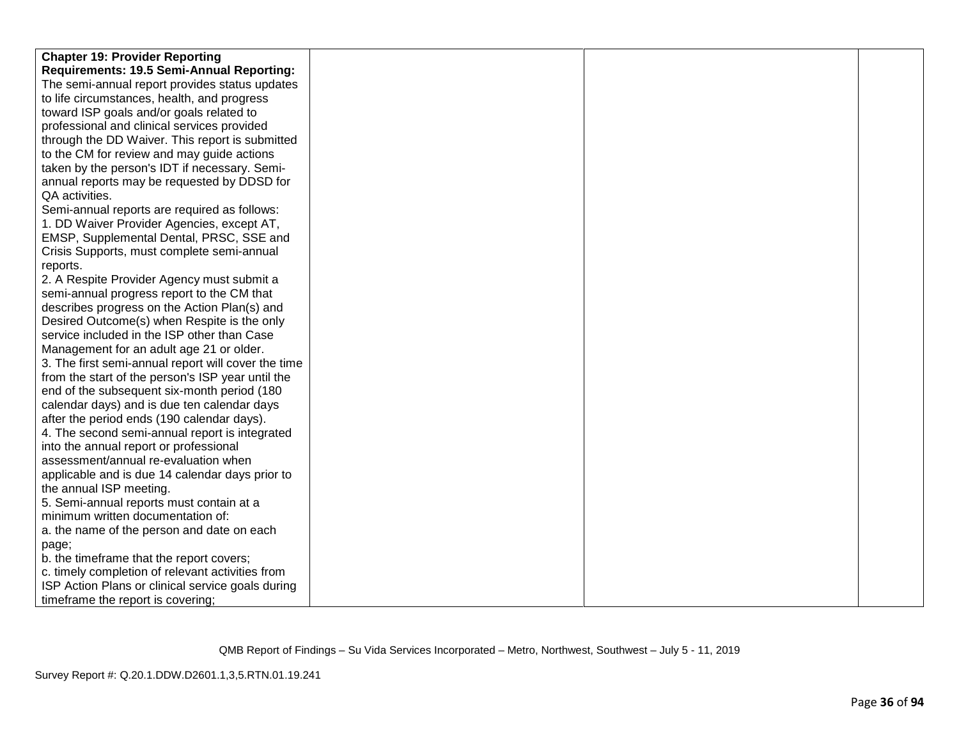| <b>Chapter 19: Provider Reporting</b>               |  |  |
|-----------------------------------------------------|--|--|
| Requirements: 19.5 Semi-Annual Reporting:           |  |  |
| The semi-annual report provides status updates      |  |  |
| to life circumstances, health, and progress         |  |  |
| toward ISP goals and/or goals related to            |  |  |
| professional and clinical services provided         |  |  |
| through the DD Waiver. This report is submitted     |  |  |
| to the CM for review and may guide actions          |  |  |
| taken by the person's IDT if necessary. Semi-       |  |  |
| annual reports may be requested by DDSD for         |  |  |
| QA activities.                                      |  |  |
| Semi-annual reports are required as follows:        |  |  |
| 1. DD Waiver Provider Agencies, except AT,          |  |  |
| EMSP, Supplemental Dental, PRSC, SSE and            |  |  |
| Crisis Supports, must complete semi-annual          |  |  |
| reports.                                            |  |  |
| 2. A Respite Provider Agency must submit a          |  |  |
| semi-annual progress report to the CM that          |  |  |
| describes progress on the Action Plan(s) and        |  |  |
| Desired Outcome(s) when Respite is the only         |  |  |
| service included in the ISP other than Case         |  |  |
| Management for an adult age 21 or older.            |  |  |
| 3. The first semi-annual report will cover the time |  |  |
| from the start of the person's ISP year until the   |  |  |
| end of the subsequent six-month period (180         |  |  |
| calendar days) and is due ten calendar days         |  |  |
| after the period ends (190 calendar days).          |  |  |
| 4. The second semi-annual report is integrated      |  |  |
| into the annual report or professional              |  |  |
| assessment/annual re-evaluation when                |  |  |
| applicable and is due 14 calendar days prior to     |  |  |
| the annual ISP meeting.                             |  |  |
| 5. Semi-annual reports must contain at a            |  |  |
| minimum written documentation of:                   |  |  |
| a. the name of the person and date on each          |  |  |
| page;                                               |  |  |
| b. the timeframe that the report covers;            |  |  |
| c. timely completion of relevant activities from    |  |  |
| ISP Action Plans or clinical service goals during   |  |  |
| timeframe the report is covering;                   |  |  |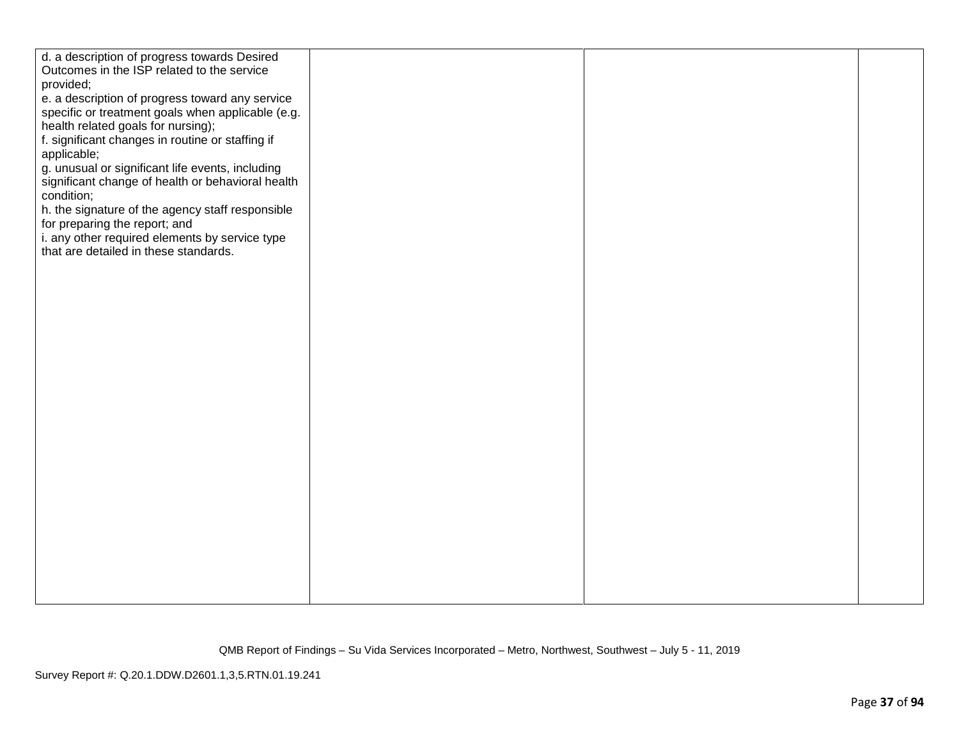| d. a description of progress towards Desired<br>Outcomes in the ISP related to the service<br>provided;<br>e. a description of progress toward any service<br>specific or treatment goals when applicable (e.g.<br>health related goals for nursing);<br>f. significant changes in routine or staffing if<br>applicable;<br>g. unusual or significant life events, including<br>significant change of health or behavioral health<br>condition; |  |  |
|-------------------------------------------------------------------------------------------------------------------------------------------------------------------------------------------------------------------------------------------------------------------------------------------------------------------------------------------------------------------------------------------------------------------------------------------------|--|--|
| h. the signature of the agency staff responsible<br>for preparing the report; and<br>i. any other required elements by service type<br>that are detailed in these standards.                                                                                                                                                                                                                                                                    |  |  |
|                                                                                                                                                                                                                                                                                                                                                                                                                                                 |  |  |
|                                                                                                                                                                                                                                                                                                                                                                                                                                                 |  |  |
|                                                                                                                                                                                                                                                                                                                                                                                                                                                 |  |  |
|                                                                                                                                                                                                                                                                                                                                                                                                                                                 |  |  |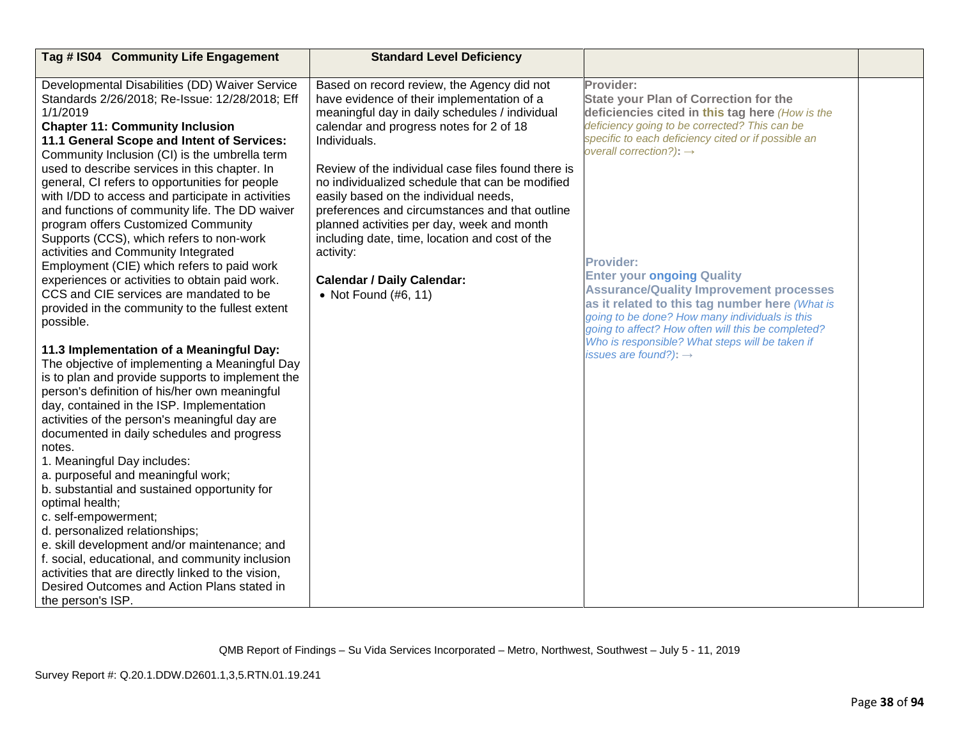| Tag # IS04 Community Life Engagement                                                                                                                                                                                                                                                                                                                                                                                                                                                                                                                                                                                                                                                                                                                                                                                                                                                                                                                                                                                                                                                                                                                                                                                                                                                                                                                                                                                                                                                                                                                                    | <b>Standard Level Deficiency</b>                                                                                                                                                                                                                                                                                                                                                                                                                                                                                                                                                    |                                                                                                                                                                                                                                                                                                                                                                                                                                                                                                                                                                                                                          |  |
|-------------------------------------------------------------------------------------------------------------------------------------------------------------------------------------------------------------------------------------------------------------------------------------------------------------------------------------------------------------------------------------------------------------------------------------------------------------------------------------------------------------------------------------------------------------------------------------------------------------------------------------------------------------------------------------------------------------------------------------------------------------------------------------------------------------------------------------------------------------------------------------------------------------------------------------------------------------------------------------------------------------------------------------------------------------------------------------------------------------------------------------------------------------------------------------------------------------------------------------------------------------------------------------------------------------------------------------------------------------------------------------------------------------------------------------------------------------------------------------------------------------------------------------------------------------------------|-------------------------------------------------------------------------------------------------------------------------------------------------------------------------------------------------------------------------------------------------------------------------------------------------------------------------------------------------------------------------------------------------------------------------------------------------------------------------------------------------------------------------------------------------------------------------------------|--------------------------------------------------------------------------------------------------------------------------------------------------------------------------------------------------------------------------------------------------------------------------------------------------------------------------------------------------------------------------------------------------------------------------------------------------------------------------------------------------------------------------------------------------------------------------------------------------------------------------|--|
| Developmental Disabilities (DD) Waiver Service<br>Standards 2/26/2018; Re-Issue: 12/28/2018; Eff<br>1/1/2019<br><b>Chapter 11: Community Inclusion</b><br>11.1 General Scope and Intent of Services:<br>Community Inclusion (CI) is the umbrella term<br>used to describe services in this chapter. In<br>general, CI refers to opportunities for people<br>with I/DD to access and participate in activities<br>and functions of community life. The DD waiver<br>program offers Customized Community<br>Supports (CCS), which refers to non-work<br>activities and Community Integrated<br>Employment (CIE) which refers to paid work<br>experiences or activities to obtain paid work.<br>CCS and CIE services are mandated to be<br>provided in the community to the fullest extent<br>possible.<br>11.3 Implementation of a Meaningful Day:<br>The objective of implementing a Meaningful Day<br>is to plan and provide supports to implement the<br>person's definition of his/her own meaningful<br>day, contained in the ISP. Implementation<br>activities of the person's meaningful day are<br>documented in daily schedules and progress<br>notes.<br>1. Meaningful Day includes:<br>a. purposeful and meaningful work;<br>b. substantial and sustained opportunity for<br>optimal health;<br>c. self-empowerment;<br>d. personalized relationships;<br>e. skill development and/or maintenance; and<br>f. social, educational, and community inclusion<br>activities that are directly linked to the vision,<br>Desired Outcomes and Action Plans stated in | Based on record review, the Agency did not<br>have evidence of their implementation of a<br>meaningful day in daily schedules / individual<br>calendar and progress notes for 2 of 18<br>Individuals.<br>Review of the individual case files found there is<br>no individualized schedule that can be modified<br>easily based on the individual needs,<br>preferences and circumstances and that outline<br>planned activities per day, week and month<br>including date, time, location and cost of the<br>activity:<br><b>Calendar / Daily Calendar:</b><br>• Not Found (#6, 11) | Provider:<br><b>State your Plan of Correction for the</b><br>deficiencies cited in this tag here (How is the<br>deficiency going to be corrected? This can be<br>specific to each deficiency cited or if possible an<br>overall correction?): $\rightarrow$<br><b>Provider:</b><br><b>Enter your ongoing Quality</b><br><b>Assurance/Quality Improvement processes</b><br>as it related to this tag number here (What is<br>going to be done? How many individuals is this<br>going to affect? How often will this be completed?<br>Who is responsible? What steps will be taken if<br>issues are found?): $\rightarrow$ |  |
| the person's ISP.                                                                                                                                                                                                                                                                                                                                                                                                                                                                                                                                                                                                                                                                                                                                                                                                                                                                                                                                                                                                                                                                                                                                                                                                                                                                                                                                                                                                                                                                                                                                                       |                                                                                                                                                                                                                                                                                                                                                                                                                                                                                                                                                                                     |                                                                                                                                                                                                                                                                                                                                                                                                                                                                                                                                                                                                                          |  |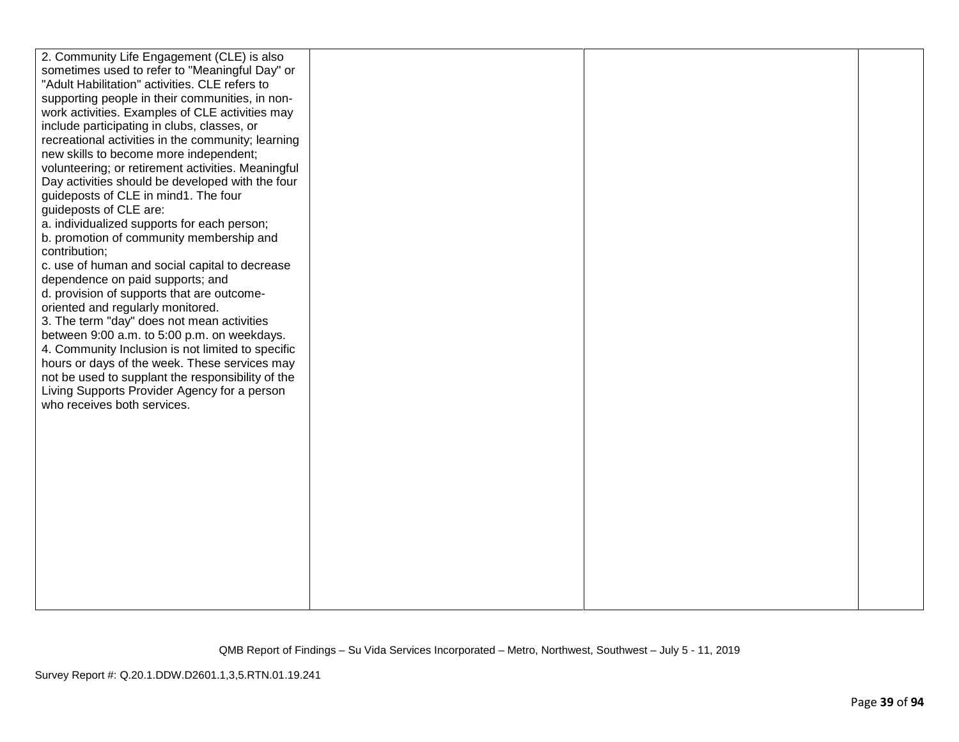| 2. Community Life Engagement (CLE) is also         |  |  |
|----------------------------------------------------|--|--|
| sometimes used to refer to "Meaningful Day" or     |  |  |
| "Adult Habilitation" activities. CLE refers to     |  |  |
| supporting people in their communities, in non-    |  |  |
| work activities. Examples of CLE activities may    |  |  |
| include participating in clubs, classes, or        |  |  |
| recreational activities in the community; learning |  |  |
| new skills to become more independent;             |  |  |
| volunteering; or retirement activities. Meaningful |  |  |
| Day activities should be developed with the four   |  |  |
| guideposts of CLE in mind1. The four               |  |  |
| guideposts of CLE are:                             |  |  |
| a. individualized supports for each person;        |  |  |
| b. promotion of community membership and           |  |  |
| contribution;                                      |  |  |
| c. use of human and social capital to decrease     |  |  |
| dependence on paid supports; and                   |  |  |
| d. provision of supports that are outcome-         |  |  |
| oriented and regularly monitored.                  |  |  |
| 3. The term "day" does not mean activities         |  |  |
| between 9:00 a.m. to 5:00 p.m. on weekdays.        |  |  |
| 4. Community Inclusion is not limited to specific  |  |  |
| hours or days of the week. These services may      |  |  |
| not be used to supplant the responsibility of the  |  |  |
| Living Supports Provider Agency for a person       |  |  |
| who receives both services.                        |  |  |
|                                                    |  |  |
|                                                    |  |  |
|                                                    |  |  |
|                                                    |  |  |
|                                                    |  |  |
|                                                    |  |  |
|                                                    |  |  |
|                                                    |  |  |
|                                                    |  |  |
|                                                    |  |  |
|                                                    |  |  |
|                                                    |  |  |
|                                                    |  |  |
|                                                    |  |  |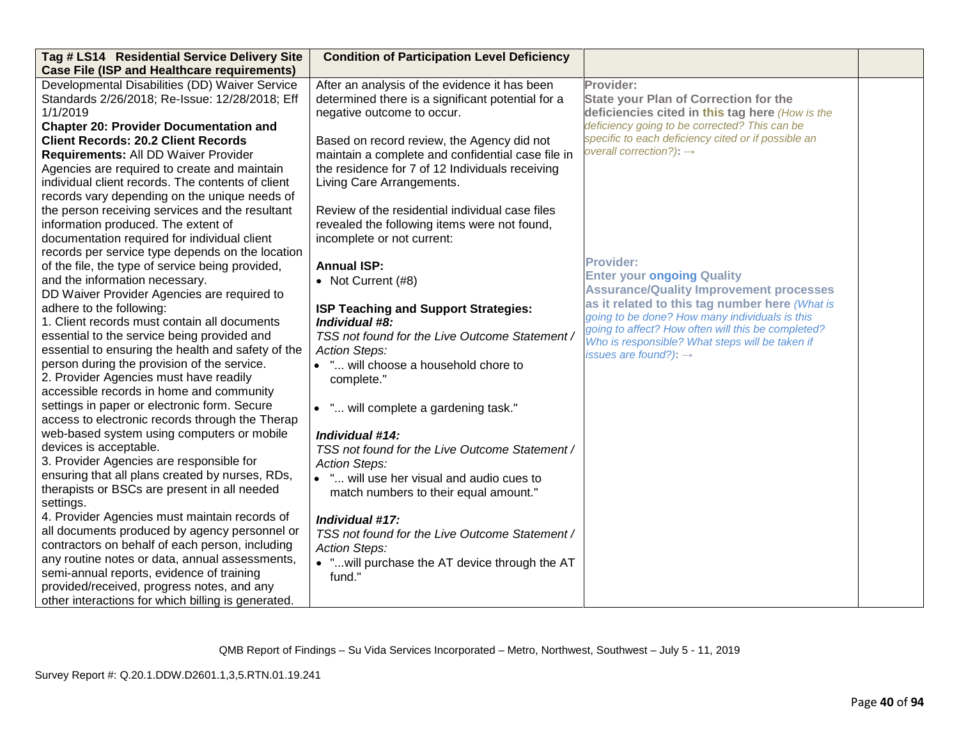| Tag # LS14 Residential Service Delivery Site<br><b>Case File (ISP and Healthcare requirements)</b> | <b>Condition of Participation Level Deficiency</b> |                                                                                                  |  |
|----------------------------------------------------------------------------------------------------|----------------------------------------------------|--------------------------------------------------------------------------------------------------|--|
| Developmental Disabilities (DD) Waiver Service                                                     | After an analysis of the evidence it has been      | Provider:                                                                                        |  |
| Standards 2/26/2018; Re-Issue: 12/28/2018; Eff                                                     | determined there is a significant potential for a  | <b>State your Plan of Correction for the</b>                                                     |  |
| 1/1/2019                                                                                           | negative outcome to occur.                         | deficiencies cited in this tag here (How is the                                                  |  |
| <b>Chapter 20: Provider Documentation and</b>                                                      |                                                    | deficiency going to be corrected? This can be                                                    |  |
| <b>Client Records: 20.2 Client Records</b>                                                         | Based on record review, the Agency did not         | specific to each deficiency cited or if possible an                                              |  |
| Requirements: All DD Waiver Provider                                                               | maintain a complete and confidential case file in  | overall correction?): $\rightarrow$                                                              |  |
| Agencies are required to create and maintain                                                       | the residence for 7 of 12 Individuals receiving    |                                                                                                  |  |
| individual client records. The contents of client                                                  | Living Care Arrangements.                          |                                                                                                  |  |
| records vary depending on the unique needs of                                                      |                                                    |                                                                                                  |  |
| the person receiving services and the resultant                                                    | Review of the residential individual case files    |                                                                                                  |  |
| information produced. The extent of                                                                | revealed the following items were not found,       |                                                                                                  |  |
| documentation required for individual client                                                       | incomplete or not current:                         |                                                                                                  |  |
| records per service type depends on the location                                                   |                                                    |                                                                                                  |  |
| of the file, the type of service being provided,                                                   | <b>Annual ISP:</b>                                 | <b>Provider:</b>                                                                                 |  |
| and the information necessary.                                                                     | • Not Current (#8)                                 | <b>Enter your ongoing Quality</b>                                                                |  |
| DD Waiver Provider Agencies are required to                                                        |                                                    | <b>Assurance/Quality Improvement processes</b>                                                   |  |
| adhere to the following:                                                                           | ISP Teaching and Support Strategies:               | as it related to this tag number here (What is<br>going to be done? How many individuals is this |  |
| 1. Client records must contain all documents                                                       | Individual #8:                                     | going to affect? How often will this be completed?                                               |  |
| essential to the service being provided and                                                        | TSS not found for the Live Outcome Statement /     | Who is responsible? What steps will be taken if                                                  |  |
| essential to ensuring the health and safety of the                                                 | <b>Action Steps:</b>                               | issues are found?): $\rightarrow$                                                                |  |
| person during the provision of the service.                                                        | • " will choose a household chore to               |                                                                                                  |  |
| 2. Provider Agencies must have readily                                                             | complete."                                         |                                                                                                  |  |
| accessible records in home and community                                                           |                                                    |                                                                                                  |  |
| settings in paper or electronic form. Secure                                                       | • " will complete a gardening task."               |                                                                                                  |  |
| access to electronic records through the Therap                                                    |                                                    |                                                                                                  |  |
| web-based system using computers or mobile                                                         | Individual #14:                                    |                                                                                                  |  |
| devices is acceptable.                                                                             | TSS not found for the Live Outcome Statement /     |                                                                                                  |  |
| 3. Provider Agencies are responsible for                                                           | <b>Action Steps:</b>                               |                                                                                                  |  |
| ensuring that all plans created by nurses, RDs,                                                    | . " will use her visual and audio cues to          |                                                                                                  |  |
| therapists or BSCs are present in all needed<br>settings.                                          | match numbers to their equal amount."              |                                                                                                  |  |
| 4. Provider Agencies must maintain records of                                                      |                                                    |                                                                                                  |  |
| all documents produced by agency personnel or                                                      | Individual #17:                                    |                                                                                                  |  |
| contractors on behalf of each person, including                                                    | TSS not found for the Live Outcome Statement /     |                                                                                                  |  |
| any routine notes or data, annual assessments,                                                     | <b>Action Steps:</b>                               |                                                                                                  |  |
| semi-annual reports, evidence of training                                                          | . "will purchase the AT device through the AT      |                                                                                                  |  |
| provided/received, progress notes, and any                                                         | fund."                                             |                                                                                                  |  |
| other interactions for which billing is generated.                                                 |                                                    |                                                                                                  |  |
|                                                                                                    |                                                    |                                                                                                  |  |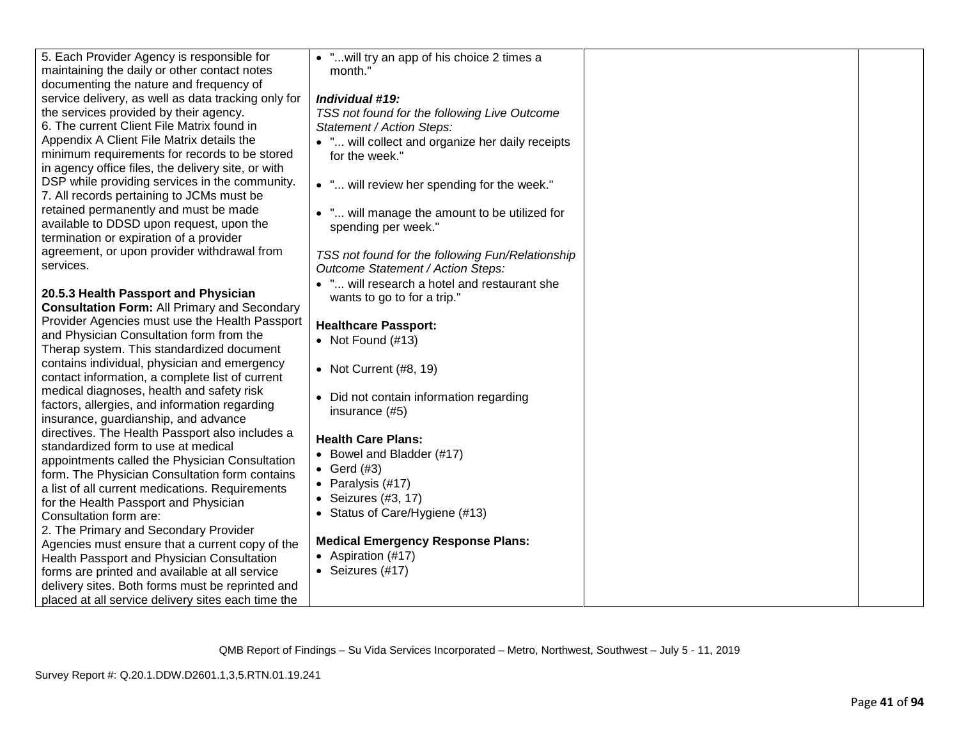| 5. Each Provider Agency is responsible for<br>maintaining the daily or other contact notes<br>documenting the nature and frequency of | • " will try an app of his choice 2 times a<br>month." |  |
|---------------------------------------------------------------------------------------------------------------------------------------|--------------------------------------------------------|--|
| service delivery, as well as data tracking only for                                                                                   | Individual #19:                                        |  |
| the services provided by their agency.                                                                                                | TSS not found for the following Live Outcome           |  |
| 6. The current Client File Matrix found in                                                                                            | Statement / Action Steps:                              |  |
| Appendix A Client File Matrix details the                                                                                             | . " will collect and organize her daily receipts       |  |
| minimum requirements for records to be stored                                                                                         | for the week."                                         |  |
| in agency office files, the delivery site, or with                                                                                    |                                                        |  |
| DSP while providing services in the community.                                                                                        |                                                        |  |
| 7. All records pertaining to JCMs must be                                                                                             | • " will review her spending for the week."            |  |
| retained permanently and must be made                                                                                                 |                                                        |  |
| available to DDSD upon request, upon the                                                                                              | . " will manage the amount to be utilized for          |  |
| termination or expiration of a provider                                                                                               | spending per week."                                    |  |
| agreement, or upon provider withdrawal from                                                                                           |                                                        |  |
| services.                                                                                                                             | TSS not found for the following Fun/Relationship       |  |
|                                                                                                                                       | Outcome Statement / Action Steps:                      |  |
| 20.5.3 Health Passport and Physician                                                                                                  | . " will research a hotel and restaurant she           |  |
| <b>Consultation Form: All Primary and Secondary</b>                                                                                   | wants to go to for a trip."                            |  |
| Provider Agencies must use the Health Passport                                                                                        |                                                        |  |
| and Physician Consultation form from the                                                                                              | <b>Healthcare Passport:</b>                            |  |
| Therap system. This standardized document                                                                                             | • Not Found $(H13)$                                    |  |
| contains individual, physician and emergency                                                                                          |                                                        |  |
| contact information, a complete list of current                                                                                       | • Not Current $(H8, 19)$                               |  |
| medical diagnoses, health and safety risk                                                                                             |                                                        |  |
| factors, allergies, and information regarding                                                                                         | • Did not contain information regarding                |  |
| insurance, guardianship, and advance                                                                                                  | insurance (#5)                                         |  |
| directives. The Health Passport also includes a                                                                                       |                                                        |  |
| standardized form to use at medical                                                                                                   | <b>Health Care Plans:</b>                              |  |
| appointments called the Physician Consultation                                                                                        | • Bowel and Bladder (#17)                              |  |
| form. The Physician Consultation form contains                                                                                        | • Gerd $(#3)$                                          |  |
| a list of all current medications. Requirements                                                                                       | • Paralysis $(\#17)$                                   |  |
| for the Health Passport and Physician                                                                                                 | • Seizures $(#3, 17)$                                  |  |
| Consultation form are:                                                                                                                | • Status of Care/Hygiene (#13)                         |  |
| 2. The Primary and Secondary Provider                                                                                                 |                                                        |  |
| Agencies must ensure that a current copy of the                                                                                       | <b>Medical Emergency Response Plans:</b>               |  |
| Health Passport and Physician Consultation                                                                                            | • Aspiration (#17)                                     |  |
| forms are printed and available at all service                                                                                        | • Seizures $(#17)$                                     |  |
| delivery sites. Both forms must be reprinted and                                                                                      |                                                        |  |
| placed at all service delivery sites each time the                                                                                    |                                                        |  |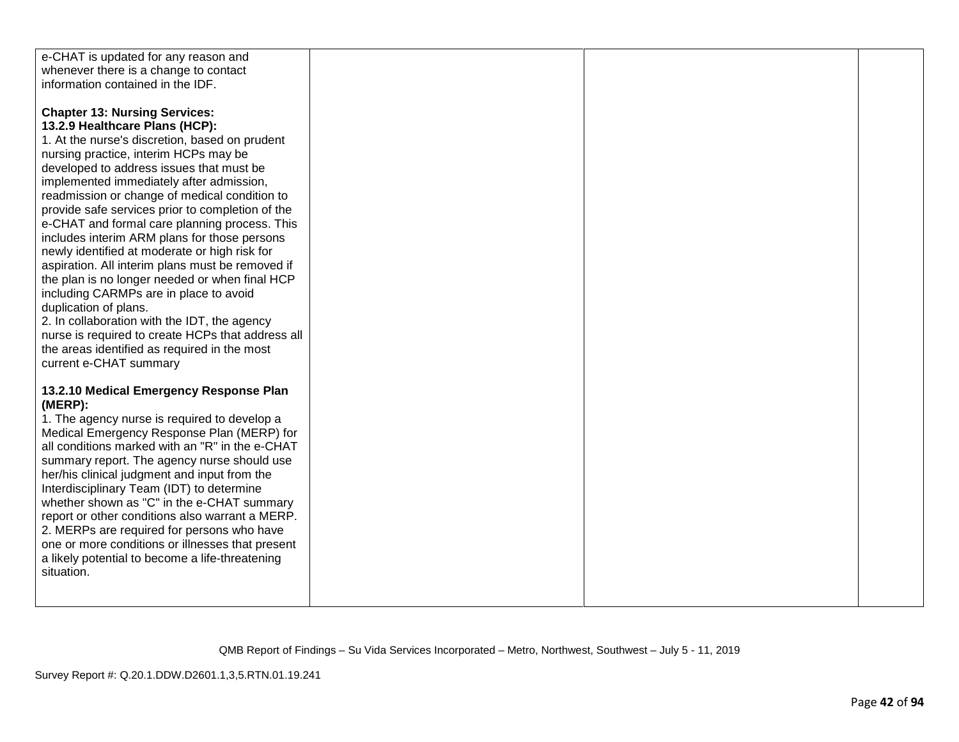| e-CHAT is updated for any reason and              |  |  |
|---------------------------------------------------|--|--|
| whenever there is a change to contact             |  |  |
| information contained in the IDF.                 |  |  |
|                                                   |  |  |
| <b>Chapter 13: Nursing Services:</b>              |  |  |
| 13.2.9 Healthcare Plans (HCP):                    |  |  |
| 1. At the nurse's discretion, based on prudent    |  |  |
| nursing practice, interim HCPs may be             |  |  |
| developed to address issues that must be          |  |  |
| implemented immediately after admission,          |  |  |
| readmission or change of medical condition to     |  |  |
| provide safe services prior to completion of the  |  |  |
| e-CHAT and formal care planning process. This     |  |  |
| includes interim ARM plans for those persons      |  |  |
| newly identified at moderate or high risk for     |  |  |
| aspiration. All interim plans must be removed if  |  |  |
| the plan is no longer needed or when final HCP    |  |  |
| including CARMPs are in place to avoid            |  |  |
| duplication of plans.                             |  |  |
| 2. In collaboration with the IDT, the agency      |  |  |
| nurse is required to create HCPs that address all |  |  |
| the areas identified as required in the most      |  |  |
| current e-CHAT summary                            |  |  |
|                                                   |  |  |
| 13.2.10 Medical Emergency Response Plan           |  |  |
| (MERP):                                           |  |  |
| 1. The agency nurse is required to develop a      |  |  |
| Medical Emergency Response Plan (MERP) for        |  |  |
| all conditions marked with an "R" in the e-CHAT   |  |  |
| summary report. The agency nurse should use       |  |  |
| her/his clinical judgment and input from the      |  |  |
| Interdisciplinary Team (IDT) to determine         |  |  |
| whether shown as "C" in the e-CHAT summary        |  |  |
| report or other conditions also warrant a MERP.   |  |  |
| 2. MERPs are required for persons who have        |  |  |
| one or more conditions or illnesses that present  |  |  |
| a likely potential to become a life-threatening   |  |  |
| situation.                                        |  |  |
|                                                   |  |  |
|                                                   |  |  |
|                                                   |  |  |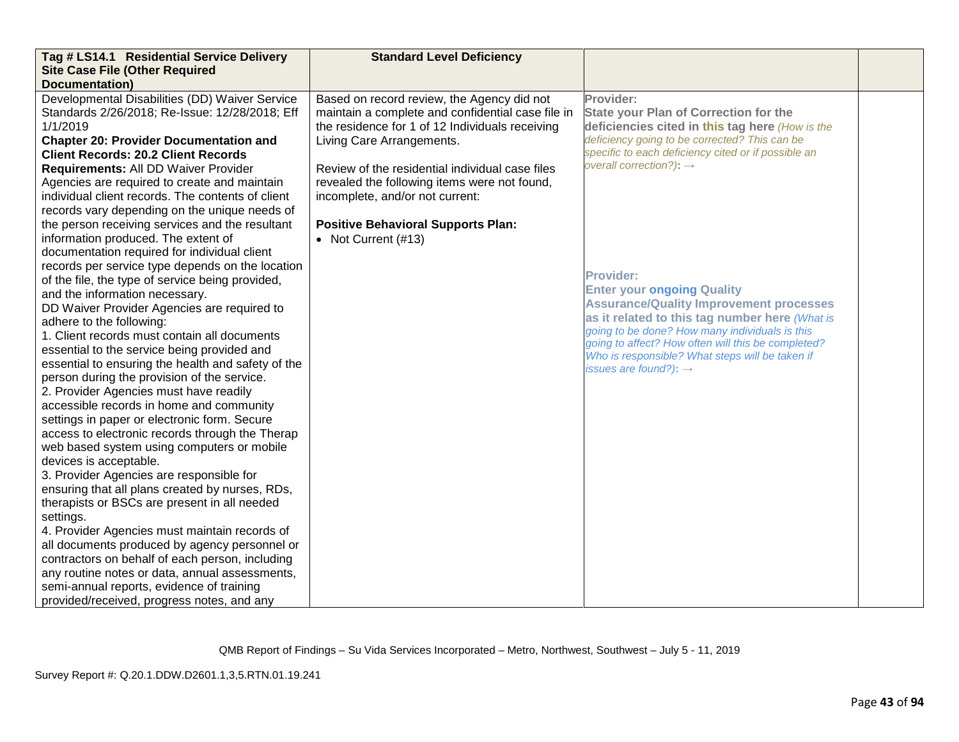| Tag # LS14.1 Residential Service Delivery                                                        | <b>Standard Level Deficiency</b>                  |                                                                                                  |  |
|--------------------------------------------------------------------------------------------------|---------------------------------------------------|--------------------------------------------------------------------------------------------------|--|
| <b>Site Case File (Other Required</b><br><b>Documentation)</b>                                   |                                                   |                                                                                                  |  |
| Developmental Disabilities (DD) Waiver Service                                                   | Based on record review, the Agency did not        | Provider:                                                                                        |  |
| Standards 2/26/2018; Re-Issue: 12/28/2018; Eff                                                   | maintain a complete and confidential case file in | <b>State your Plan of Correction for the</b>                                                     |  |
| 1/1/2019                                                                                         | the residence for 1 of 12 Individuals receiving   | deficiencies cited in this tag here (How is the                                                  |  |
| <b>Chapter 20: Provider Documentation and</b>                                                    | Living Care Arrangements.                         | deficiency going to be corrected? This can be                                                    |  |
| <b>Client Records: 20.2 Client Records</b>                                                       |                                                   | specific to each deficiency cited or if possible an                                              |  |
| Requirements: All DD Waiver Provider                                                             | Review of the residential individual case files   | overall correction?): $\rightarrow$                                                              |  |
| Agencies are required to create and maintain                                                     | revealed the following items were not found,      |                                                                                                  |  |
| individual client records. The contents of client                                                | incomplete, and/or not current:                   |                                                                                                  |  |
| records vary depending on the unique needs of                                                    |                                                   |                                                                                                  |  |
| the person receiving services and the resultant                                                  | <b>Positive Behavioral Supports Plan:</b>         |                                                                                                  |  |
| information produced. The extent of                                                              | • Not Current (#13)                               |                                                                                                  |  |
| documentation required for individual client                                                     |                                                   |                                                                                                  |  |
| records per service type depends on the location                                                 |                                                   |                                                                                                  |  |
| of the file, the type of service being provided,                                                 |                                                   | <b>Provider:</b>                                                                                 |  |
| and the information necessary.                                                                   |                                                   | <b>Enter your ongoing Quality</b>                                                                |  |
| DD Waiver Provider Agencies are required to                                                      |                                                   | <b>Assurance/Quality Improvement processes</b>                                                   |  |
| adhere to the following:                                                                         |                                                   | as it related to this tag number here (What is<br>going to be done? How many individuals is this |  |
| 1. Client records must contain all documents                                                     |                                                   | going to affect? How often will this be completed?                                               |  |
| essential to the service being provided and                                                      |                                                   | Who is responsible? What steps will be taken if                                                  |  |
| essential to ensuring the health and safety of the                                               |                                                   | issues are found?): $\rightarrow$                                                                |  |
| person during the provision of the service.                                                      |                                                   |                                                                                                  |  |
| 2. Provider Agencies must have readily                                                           |                                                   |                                                                                                  |  |
| accessible records in home and community                                                         |                                                   |                                                                                                  |  |
| settings in paper or electronic form. Secure                                                     |                                                   |                                                                                                  |  |
| access to electronic records through the Therap                                                  |                                                   |                                                                                                  |  |
| web based system using computers or mobile                                                       |                                                   |                                                                                                  |  |
| devices is acceptable.                                                                           |                                                   |                                                                                                  |  |
| 3. Provider Agencies are responsible for                                                         |                                                   |                                                                                                  |  |
| ensuring that all plans created by nurses, RDs,                                                  |                                                   |                                                                                                  |  |
| therapists or BSCs are present in all needed                                                     |                                                   |                                                                                                  |  |
| settings.                                                                                        |                                                   |                                                                                                  |  |
| 4. Provider Agencies must maintain records of                                                    |                                                   |                                                                                                  |  |
| all documents produced by agency personnel or<br>contractors on behalf of each person, including |                                                   |                                                                                                  |  |
| any routine notes or data, annual assessments,                                                   |                                                   |                                                                                                  |  |
| semi-annual reports, evidence of training                                                        |                                                   |                                                                                                  |  |
| provided/received, progress notes, and any                                                       |                                                   |                                                                                                  |  |
|                                                                                                  |                                                   |                                                                                                  |  |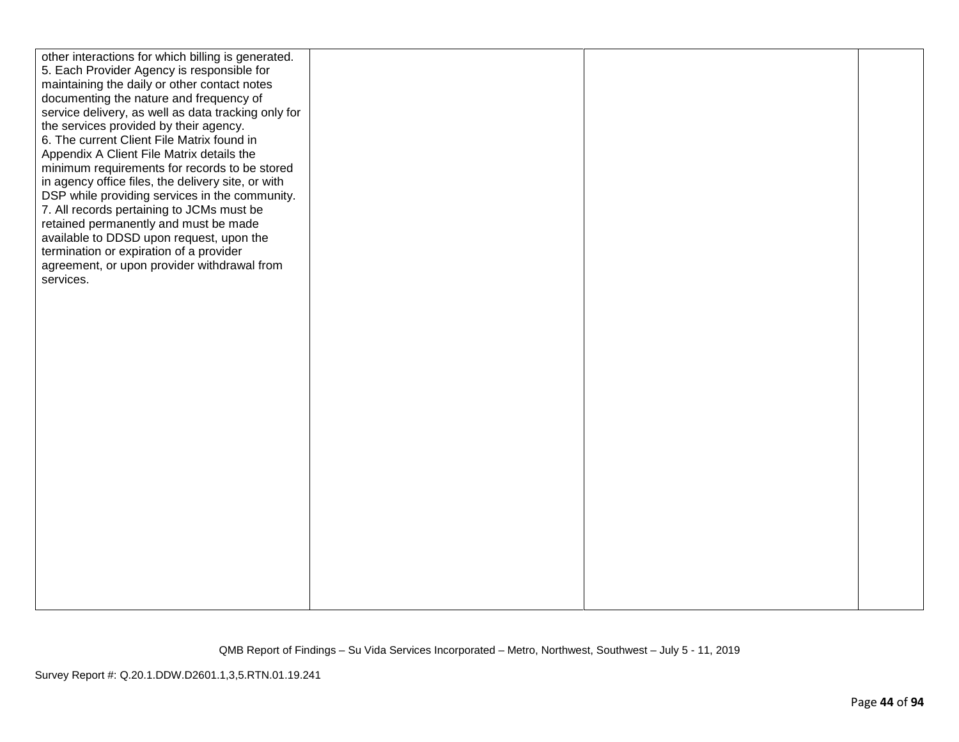| other interactions for which billing is generated.  |  |  |
|-----------------------------------------------------|--|--|
| 5. Each Provider Agency is responsible for          |  |  |
| maintaining the daily or other contact notes        |  |  |
| documenting the nature and frequency of             |  |  |
| service delivery, as well as data tracking only for |  |  |
| the services provided by their agency.              |  |  |
| 6. The current Client File Matrix found in          |  |  |
| Appendix A Client File Matrix details the           |  |  |
| minimum requirements for records to be stored       |  |  |
| in agency office files, the delivery site, or with  |  |  |
| DSP while providing services in the community.      |  |  |
| 7. All records pertaining to JCMs must be           |  |  |
| retained permanently and must be made               |  |  |
| available to DDSD upon request, upon the            |  |  |
| termination or expiration of a provider             |  |  |
| agreement, or upon provider withdrawal from         |  |  |
| services.                                           |  |  |
|                                                     |  |  |
|                                                     |  |  |
|                                                     |  |  |
|                                                     |  |  |
|                                                     |  |  |
|                                                     |  |  |
|                                                     |  |  |
|                                                     |  |  |
|                                                     |  |  |
|                                                     |  |  |
|                                                     |  |  |
|                                                     |  |  |
|                                                     |  |  |
|                                                     |  |  |
|                                                     |  |  |
|                                                     |  |  |
|                                                     |  |  |
|                                                     |  |  |
|                                                     |  |  |
|                                                     |  |  |
|                                                     |  |  |
|                                                     |  |  |
|                                                     |  |  |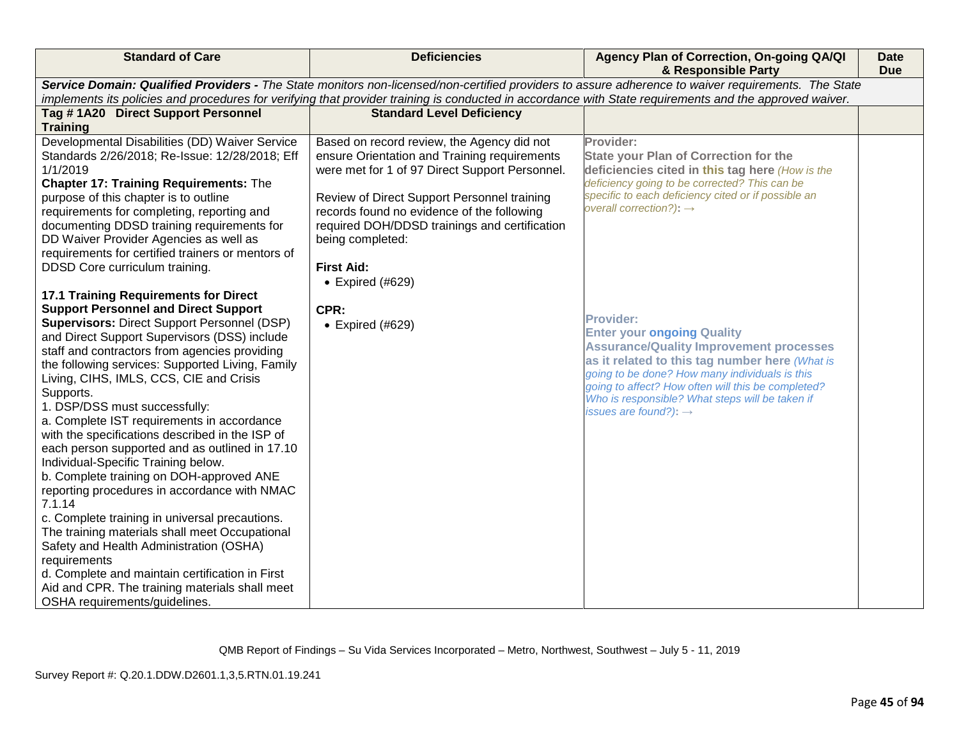| <b>Standard of Care</b>                                                                                                                                                                                                                                                                                                                                                                                                                                                                                                                                                                                                                                                                                                                                                                                                                | <b>Deficiencies</b>                                                                                                                                                                                                                                                                                                                                                                                 | Agency Plan of Correction, On-going QA/QI<br>& Responsible Party                                                                                                                                                                                                                                                                                                                                                                                                                                                                                                                                                         | <b>Date</b><br><b>Due</b> |
|----------------------------------------------------------------------------------------------------------------------------------------------------------------------------------------------------------------------------------------------------------------------------------------------------------------------------------------------------------------------------------------------------------------------------------------------------------------------------------------------------------------------------------------------------------------------------------------------------------------------------------------------------------------------------------------------------------------------------------------------------------------------------------------------------------------------------------------|-----------------------------------------------------------------------------------------------------------------------------------------------------------------------------------------------------------------------------------------------------------------------------------------------------------------------------------------------------------------------------------------------------|--------------------------------------------------------------------------------------------------------------------------------------------------------------------------------------------------------------------------------------------------------------------------------------------------------------------------------------------------------------------------------------------------------------------------------------------------------------------------------------------------------------------------------------------------------------------------------------------------------------------------|---------------------------|
| Service Domain: Qualified Providers - The State monitors non-licensed/non-certified providers to assure adherence to waiver requirements. The State<br>implements its policies and procedures for verifying that provider training is conducted in accordance with State requirements and the approved waiver.                                                                                                                                                                                                                                                                                                                                                                                                                                                                                                                         |                                                                                                                                                                                                                                                                                                                                                                                                     |                                                                                                                                                                                                                                                                                                                                                                                                                                                                                                                                                                                                                          |                           |
| Tag #1A20 Direct Support Personnel                                                                                                                                                                                                                                                                                                                                                                                                                                                                                                                                                                                                                                                                                                                                                                                                     | <b>Standard Level Deficiency</b>                                                                                                                                                                                                                                                                                                                                                                    |                                                                                                                                                                                                                                                                                                                                                                                                                                                                                                                                                                                                                          |                           |
| <b>Training</b>                                                                                                                                                                                                                                                                                                                                                                                                                                                                                                                                                                                                                                                                                                                                                                                                                        |                                                                                                                                                                                                                                                                                                                                                                                                     |                                                                                                                                                                                                                                                                                                                                                                                                                                                                                                                                                                                                                          |                           |
| Developmental Disabilities (DD) Waiver Service<br>Standards 2/26/2018; Re-Issue: 12/28/2018; Eff<br>1/1/2019<br><b>Chapter 17: Training Requirements: The</b><br>purpose of this chapter is to outline<br>requirements for completing, reporting and<br>documenting DDSD training requirements for<br>DD Waiver Provider Agencies as well as<br>requirements for certified trainers or mentors of<br>DDSD Core curriculum training.<br><b>17.1 Training Requirements for Direct</b><br><b>Support Personnel and Direct Support</b><br><b>Supervisors: Direct Support Personnel (DSP)</b><br>and Direct Support Supervisors (DSS) include<br>staff and contractors from agencies providing<br>the following services: Supported Living, Family<br>Living, CIHS, IMLS, CCS, CIE and Crisis<br>Supports.<br>1. DSP/DSS must successfully: | Based on record review, the Agency did not<br>ensure Orientation and Training requirements<br>were met for 1 of 97 Direct Support Personnel.<br>Review of Direct Support Personnel training<br>records found no evidence of the following<br>required DOH/DDSD trainings and certification<br>being completed:<br><b>First Aid:</b><br>$\bullet$ Expired (#629)<br>CPR:<br>$\bullet$ Expired (#629) | Provider:<br><b>State your Plan of Correction for the</b><br>deficiencies cited in this tag here (How is the<br>deficiency going to be corrected? This can be<br>specific to each deficiency cited or if possible an<br>overall correction?): $\rightarrow$<br><b>Provider:</b><br><b>Enter your ongoing Quality</b><br><b>Assurance/Quality Improvement processes</b><br>as it related to this tag number here (What is<br>going to be done? How many individuals is this<br>going to affect? How often will this be completed?<br>Who is responsible? What steps will be taken if<br>issues are found?): $\rightarrow$ |                           |
| a. Complete IST requirements in accordance<br>with the specifications described in the ISP of<br>each person supported and as outlined in 17.10<br>Individual-Specific Training below.<br>b. Complete training on DOH-approved ANE<br>reporting procedures in accordance with NMAC<br>7.1.14<br>c. Complete training in universal precautions.<br>The training materials shall meet Occupational<br>Safety and Health Administration (OSHA)<br>requirements<br>d. Complete and maintain certification in First<br>Aid and CPR. The training materials shall meet<br>OSHA requirements/guidelines.                                                                                                                                                                                                                                      |                                                                                                                                                                                                                                                                                                                                                                                                     |                                                                                                                                                                                                                                                                                                                                                                                                                                                                                                                                                                                                                          |                           |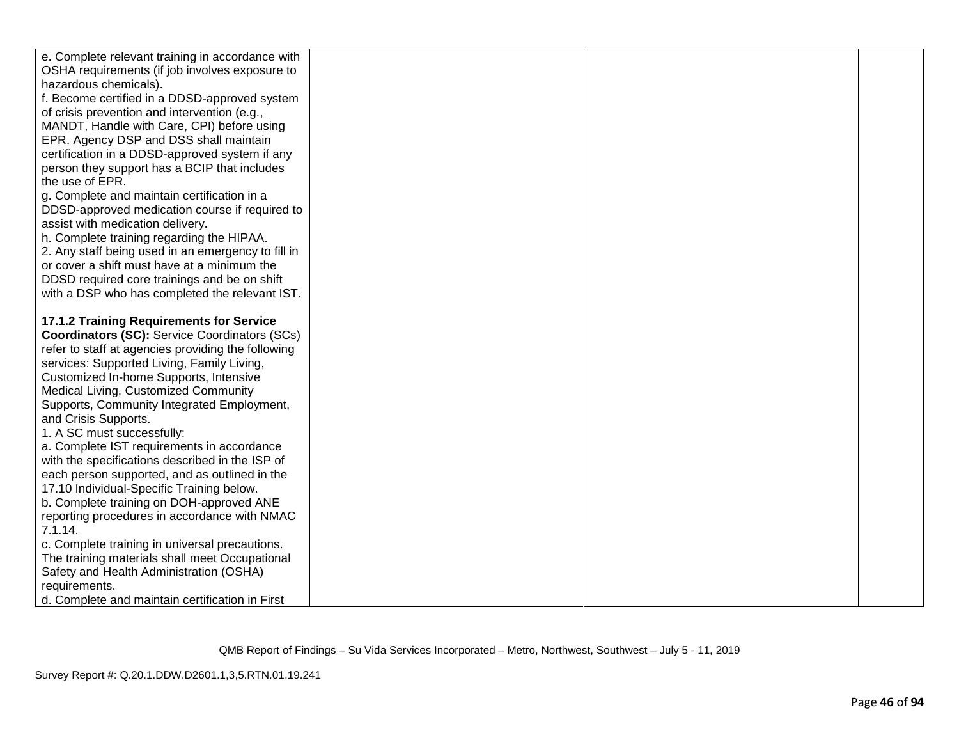| e. Complete relevant training in accordance with     |  |  |
|------------------------------------------------------|--|--|
| OSHA requirements (if job involves exposure to       |  |  |
| hazardous chemicals).                                |  |  |
| f. Become certified in a DDSD-approved system        |  |  |
| of crisis prevention and intervention (e.g.,         |  |  |
| MANDT, Handle with Care, CPI) before using           |  |  |
| EPR. Agency DSP and DSS shall maintain               |  |  |
| certification in a DDSD-approved system if any       |  |  |
| person they support has a BCIP that includes         |  |  |
| the use of EPR.                                      |  |  |
| g. Complete and maintain certification in a          |  |  |
| DDSD-approved medication course if required to       |  |  |
| assist with medication delivery.                     |  |  |
| h. Complete training regarding the HIPAA.            |  |  |
| 2. Any staff being used in an emergency to fill in   |  |  |
| or cover a shift must have at a minimum the          |  |  |
| DDSD required core trainings and be on shift         |  |  |
| with a DSP who has completed the relevant IST.       |  |  |
| 17.1.2 Training Requirements for Service             |  |  |
| <b>Coordinators (SC):</b> Service Coordinators (SCs) |  |  |
| refer to staff at agencies providing the following   |  |  |
| services: Supported Living, Family Living,           |  |  |
| Customized In-home Supports, Intensive               |  |  |
| Medical Living, Customized Community                 |  |  |
| Supports, Community Integrated Employment,           |  |  |
| and Crisis Supports.                                 |  |  |
| 1. A SC must successfully:                           |  |  |
| a. Complete IST requirements in accordance           |  |  |
| with the specifications described in the ISP of      |  |  |
| each person supported, and as outlined in the        |  |  |
| 17.10 Individual-Specific Training below.            |  |  |
| b. Complete training on DOH-approved ANE             |  |  |
| reporting procedures in accordance with NMAC         |  |  |
| 7.1.14.                                              |  |  |
| c. Complete training in universal precautions.       |  |  |
| The training materials shall meet Occupational       |  |  |
| Safety and Health Administration (OSHA)              |  |  |
| requirements.                                        |  |  |
| d. Complete and maintain certification in First      |  |  |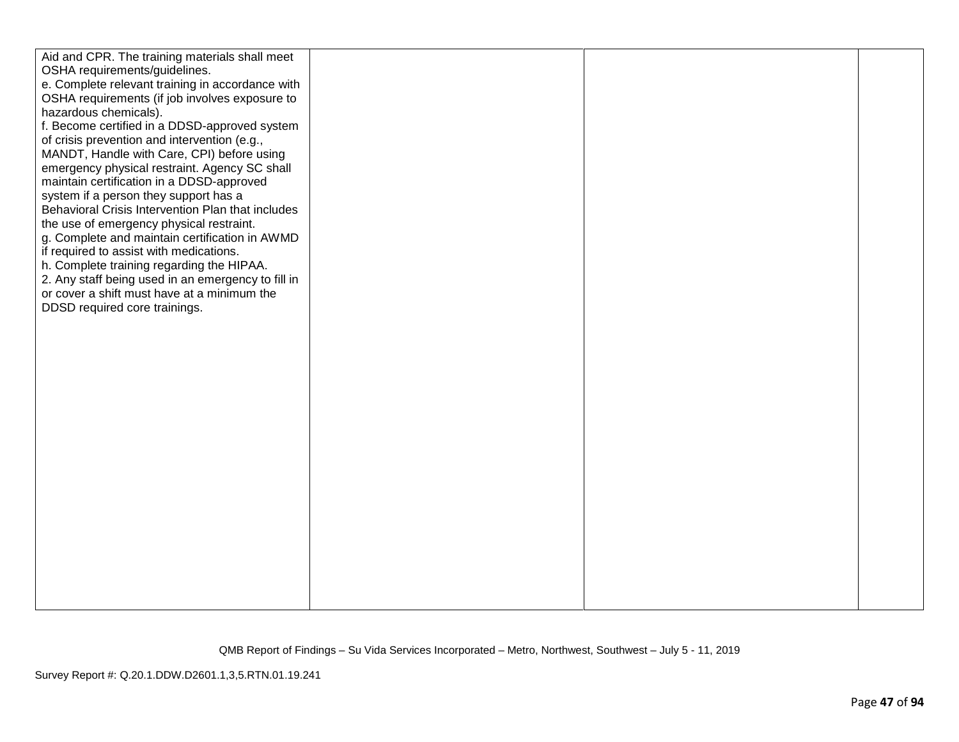| Aid and CPR. The training materials shall meet     |  |  |
|----------------------------------------------------|--|--|
| OSHA requirements/guidelines.                      |  |  |
| e. Complete relevant training in accordance with   |  |  |
| OSHA requirements (if job involves exposure to     |  |  |
| hazardous chemicals).                              |  |  |
| f. Become certified in a DDSD-approved system      |  |  |
| of crisis prevention and intervention (e.g.,       |  |  |
| MANDT, Handle with Care, CPI) before using         |  |  |
| emergency physical restraint. Agency SC shall      |  |  |
| maintain certification in a DDSD-approved          |  |  |
| system if a person they support has a              |  |  |
| Behavioral Crisis Intervention Plan that includes  |  |  |
| the use of emergency physical restraint.           |  |  |
| g. Complete and maintain certification in AWMD     |  |  |
| if required to assist with medications.            |  |  |
| h. Complete training regarding the HIPAA.          |  |  |
| 2. Any staff being used in an emergency to fill in |  |  |
| or cover a shift must have at a minimum the        |  |  |
| DDSD required core trainings.                      |  |  |
|                                                    |  |  |
|                                                    |  |  |
|                                                    |  |  |
|                                                    |  |  |
|                                                    |  |  |
|                                                    |  |  |
|                                                    |  |  |
|                                                    |  |  |
|                                                    |  |  |
|                                                    |  |  |
|                                                    |  |  |
|                                                    |  |  |
|                                                    |  |  |
|                                                    |  |  |
|                                                    |  |  |
|                                                    |  |  |
|                                                    |  |  |
|                                                    |  |  |
|                                                    |  |  |
|                                                    |  |  |
|                                                    |  |  |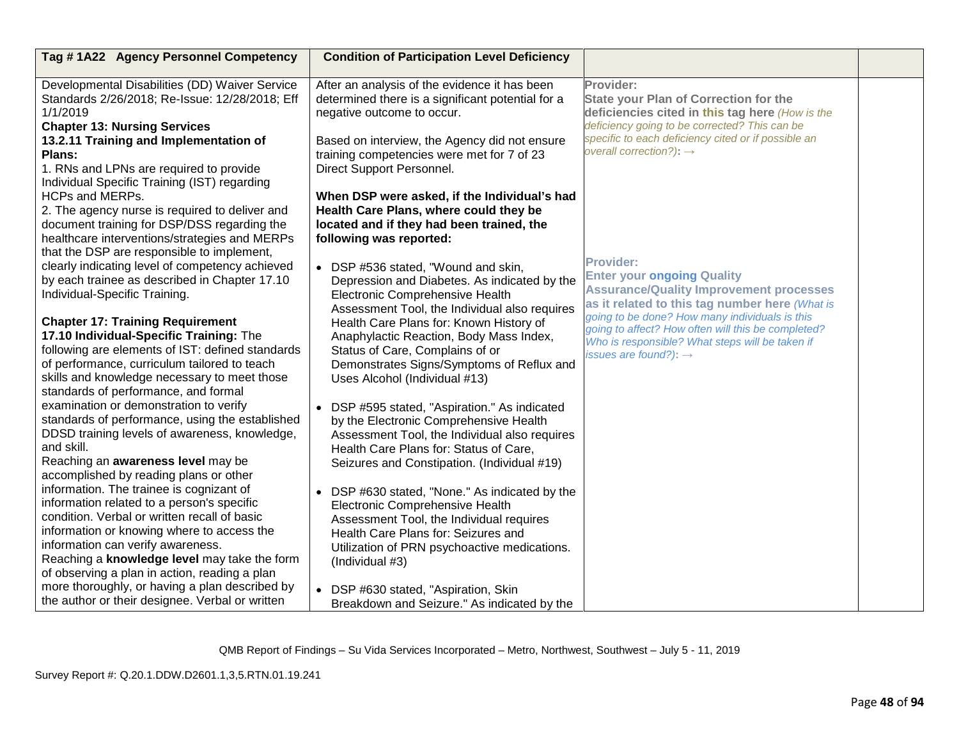| Tag #1A22 Agency Personnel Competency                                                                                                                                                                                                                                                                                                                                                                       | <b>Condition of Participation Level Deficiency</b>                                                                                                                                                                                                                                                  |                                                                                                                                                                                                                                                             |  |
|-------------------------------------------------------------------------------------------------------------------------------------------------------------------------------------------------------------------------------------------------------------------------------------------------------------------------------------------------------------------------------------------------------------|-----------------------------------------------------------------------------------------------------------------------------------------------------------------------------------------------------------------------------------------------------------------------------------------------------|-------------------------------------------------------------------------------------------------------------------------------------------------------------------------------------------------------------------------------------------------------------|--|
| Developmental Disabilities (DD) Waiver Service<br>Standards 2/26/2018; Re-Issue: 12/28/2018; Eff<br>1/1/2019<br><b>Chapter 13: Nursing Services</b><br>13.2.11 Training and Implementation of<br>Plans:<br>1. RNs and LPNs are required to provide                                                                                                                                                          | After an analysis of the evidence it has been<br>determined there is a significant potential for a<br>negative outcome to occur.<br>Based on interview, the Agency did not ensure<br>training competencies were met for 7 of 23<br>Direct Support Personnel.                                        | Provider:<br><b>State your Plan of Correction for the</b><br>deficiencies cited in this tag here (How is the<br>deficiency going to be corrected? This can be<br>specific to each deficiency cited or if possible an<br>overall correction?): $\rightarrow$ |  |
| Individual Specific Training (IST) regarding<br><b>HCPs and MERPs.</b><br>2. The agency nurse is required to deliver and<br>document training for DSP/DSS regarding the<br>healthcare interventions/strategies and MERPs<br>that the DSP are responsible to implement,<br>clearly indicating level of competency achieved<br>by each trainee as described in Chapter 17.10<br>Individual-Specific Training. | When DSP were asked, if the Individual's had<br>Health Care Plans, where could they be<br>located and if they had been trained, the<br>following was reported:<br>DSP #536 stated, "Wound and skin,<br>Depression and Diabetes. As indicated by the<br>Electronic Comprehensive Health              | <b>Provider:</b><br><b>Enter your ongoing Quality</b><br><b>Assurance/Quality Improvement processes</b><br>as it related to this tag number here (What is                                                                                                   |  |
| <b>Chapter 17: Training Requirement</b><br>17.10 Individual-Specific Training: The<br>following are elements of IST: defined standards<br>of performance, curriculum tailored to teach<br>skills and knowledge necessary to meet those<br>standards of performance, and formal<br>examination or demonstration to verify                                                                                    | Assessment Tool, the Individual also requires<br>Health Care Plans for: Known History of<br>Anaphylactic Reaction, Body Mass Index,<br>Status of Care, Complains of or<br>Demonstrates Signs/Symptoms of Reflux and<br>Uses Alcohol (Individual #13)<br>DSP #595 stated, "Aspiration." As indicated | going to be done? How many individuals is this<br>going to affect? How often will this be completed?<br>Who is responsible? What steps will be taken if<br>issues are found?): $\rightarrow$                                                                |  |
| standards of performance, using the established<br>DDSD training levels of awareness, knowledge,<br>and skill.<br>Reaching an awareness level may be<br>accomplished by reading plans or other<br>information. The trainee is cognizant of                                                                                                                                                                  | by the Electronic Comprehensive Health<br>Assessment Tool, the Individual also requires<br>Health Care Plans for: Status of Care,<br>Seizures and Constipation. (Individual #19)                                                                                                                    |                                                                                                                                                                                                                                                             |  |
| information related to a person's specific<br>condition. Verbal or written recall of basic<br>information or knowing where to access the<br>information can verify awareness.<br>Reaching a knowledge level may take the form<br>of observing a plan in action, reading a plan<br>more thoroughly, or having a plan described by                                                                            | DSP #630 stated, "None." As indicated by the<br>Electronic Comprehensive Health<br>Assessment Tool, the Individual requires<br>Health Care Plans for: Seizures and<br>Utilization of PRN psychoactive medications.<br>(Individual #3)                                                               |                                                                                                                                                                                                                                                             |  |
| the author or their designee. Verbal or written                                                                                                                                                                                                                                                                                                                                                             | DSP #630 stated, "Aspiration, Skin<br>Breakdown and Seizure." As indicated by the                                                                                                                                                                                                                   |                                                                                                                                                                                                                                                             |  |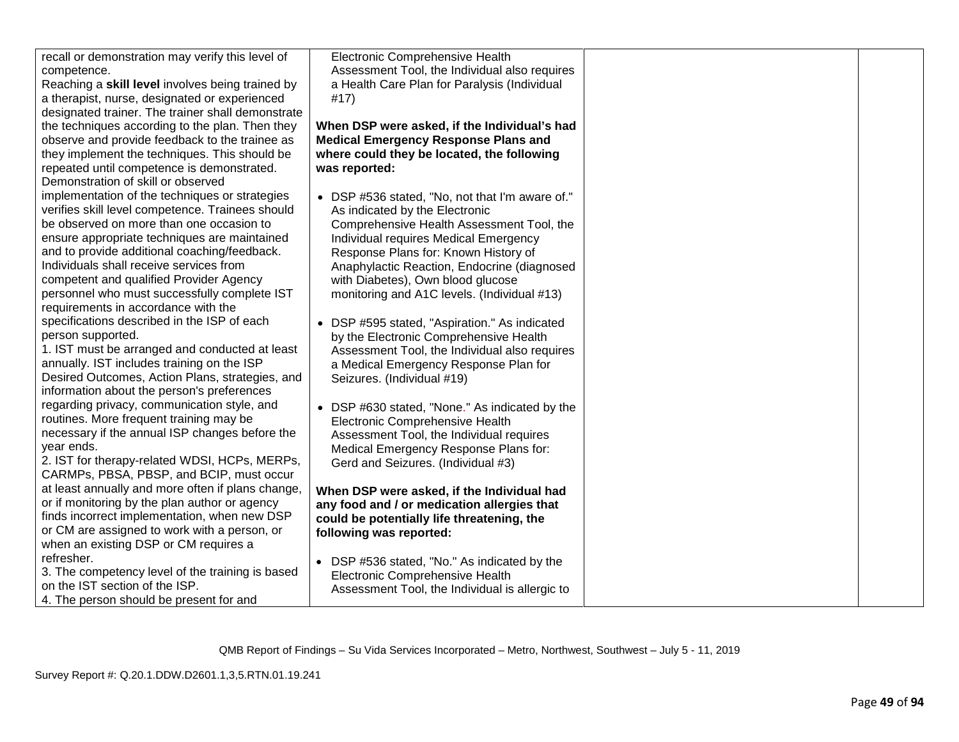| recall or demonstration may verify this level of<br>competence. | Electronic Comprehensive Health<br>Assessment Tool, the Individual also requires |  |
|-----------------------------------------------------------------|----------------------------------------------------------------------------------|--|
| Reaching a skill level involves being trained by                | a Health Care Plan for Paralysis (Individual                                     |  |
| a therapist, nurse, designated or experienced                   | #17)                                                                             |  |
| designated trainer. The trainer shall demonstrate               |                                                                                  |  |
| the techniques according to the plan. Then they                 | When DSP were asked, if the Individual's had                                     |  |
| observe and provide feedback to the trainee as                  | <b>Medical Emergency Response Plans and</b>                                      |  |
| they implement the techniques. This should be                   | where could they be located, the following                                       |  |
| repeated until competence is demonstrated.                      | was reported:                                                                    |  |
| Demonstration of skill or observed                              |                                                                                  |  |
| implementation of the techniques or strategies                  | • DSP #536 stated, "No, not that I'm aware of."                                  |  |
| verifies skill level competence. Trainees should                | As indicated by the Electronic                                                   |  |
| be observed on more than one occasion to                        | Comprehensive Health Assessment Tool, the                                        |  |
| ensure appropriate techniques are maintained                    | Individual requires Medical Emergency                                            |  |
| and to provide additional coaching/feedback.                    | Response Plans for: Known History of                                             |  |
| Individuals shall receive services from                         | Anaphylactic Reaction, Endocrine (diagnosed                                      |  |
| competent and qualified Provider Agency                         | with Diabetes), Own blood glucose                                                |  |
| personnel who must successfully complete IST                    | monitoring and A1C levels. (Individual #13)                                      |  |
| requirements in accordance with the                             |                                                                                  |  |
| specifications described in the ISP of each                     | • DSP #595 stated, "Aspiration." As indicated                                    |  |
| person supported.                                               | by the Electronic Comprehensive Health                                           |  |
| 1. IST must be arranged and conducted at least                  | Assessment Tool, the Individual also requires                                    |  |
| annually. IST includes training on the ISP                      | a Medical Emergency Response Plan for                                            |  |
| Desired Outcomes, Action Plans, strategies, and                 | Seizures. (Individual #19)                                                       |  |
| information about the person's preferences                      |                                                                                  |  |
| regarding privacy, communication style, and                     | • DSP #630 stated, "None." As indicated by the                                   |  |
| routines. More frequent training may be                         | Electronic Comprehensive Health                                                  |  |
| necessary if the annual ISP changes before the                  | Assessment Tool, the Individual requires                                         |  |
| year ends.                                                      | Medical Emergency Response Plans for:                                            |  |
| 2. IST for therapy-related WDSI, HCPs, MERPs,                   | Gerd and Seizures. (Individual #3)                                               |  |
| CARMPs, PBSA, PBSP, and BCIP, must occur                        |                                                                                  |  |
| at least annually and more often if plans change,               | When DSP were asked, if the Individual had                                       |  |
| or if monitoring by the plan author or agency                   | any food and / or medication allergies that                                      |  |
| finds incorrect implementation, when new DSP                    | could be potentially life threatening, the                                       |  |
| or CM are assigned to work with a person, or                    | following was reported:                                                          |  |
| when an existing DSP or CM requires a                           |                                                                                  |  |
| refresher.                                                      | • DSP #536 stated, "No." As indicated by the                                     |  |
| 3. The competency level of the training is based                | Electronic Comprehensive Health                                                  |  |
| on the IST section of the ISP.                                  | Assessment Tool, the Individual is allergic to                                   |  |
| 4. The person should be present for and                         |                                                                                  |  |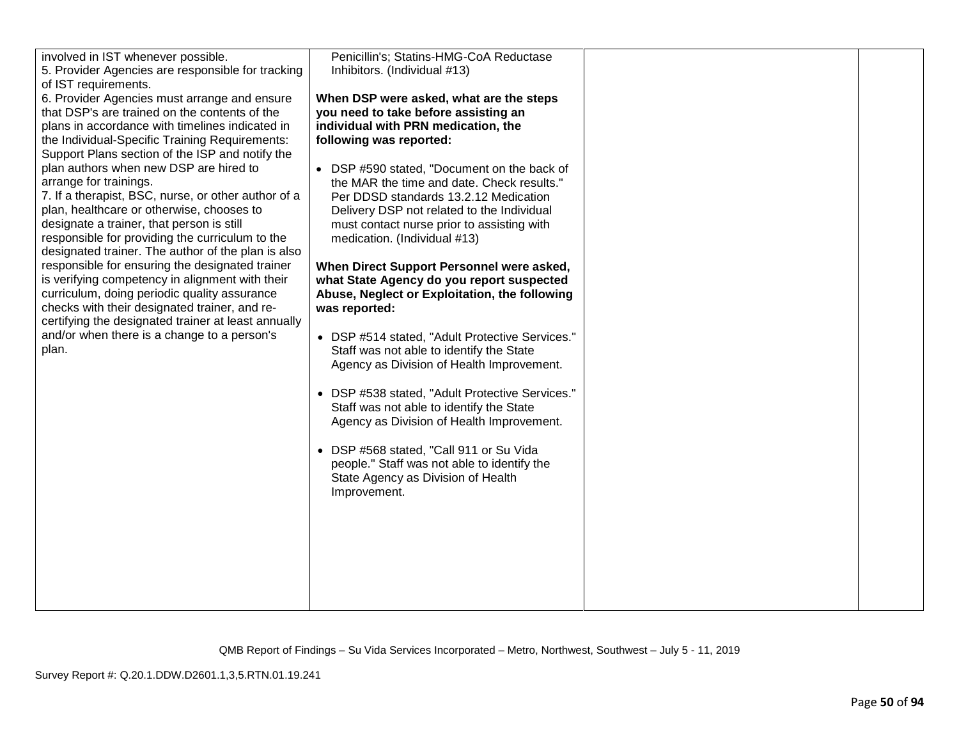| involved in IST whenever possible.<br>5. Provider Agencies are responsible for tracking<br>of IST requirements.<br>6. Provider Agencies must arrange and ensure<br>that DSP's are trained on the contents of the<br>plans in accordance with timelines indicated in<br>the Individual-Specific Training Requirements:<br>Support Plans section of the ISP and notify the<br>plan authors when new DSP are hired to<br>arrange for trainings.<br>7. If a therapist, BSC, nurse, or other author of a<br>plan, healthcare or otherwise, chooses to | Penicillin's; Statins-HMG-CoA Reductase<br>Inhibitors. (Individual #13)<br>When DSP were asked, what are the steps<br>you need to take before assisting an<br>individual with PRN medication, the<br>following was reported:<br>• DSP #590 stated, "Document on the back of<br>the MAR the time and date. Check results."<br>Per DDSD standards 13.2.12 Medication<br>Delivery DSP not related to the Individual                                                                  |  |
|--------------------------------------------------------------------------------------------------------------------------------------------------------------------------------------------------------------------------------------------------------------------------------------------------------------------------------------------------------------------------------------------------------------------------------------------------------------------------------------------------------------------------------------------------|-----------------------------------------------------------------------------------------------------------------------------------------------------------------------------------------------------------------------------------------------------------------------------------------------------------------------------------------------------------------------------------------------------------------------------------------------------------------------------------|--|
| designate a trainer, that person is still<br>responsible for providing the curriculum to the<br>designated trainer. The author of the plan is also<br>responsible for ensuring the designated trainer<br>is verifying competency in alignment with their<br>curriculum, doing periodic quality assurance<br>checks with their designated trainer, and re-<br>certifying the designated trainer at least annually<br>and/or when there is a change to a person's<br>plan.                                                                         | must contact nurse prior to assisting with<br>medication. (Individual #13)<br>When Direct Support Personnel were asked,<br>what State Agency do you report suspected<br>Abuse, Neglect or Exploitation, the following<br>was reported:<br>• DSP #514 stated, "Adult Protective Services."<br>Staff was not able to identify the State<br>Agency as Division of Health Improvement.<br>• DSP #538 stated, "Adult Protective Services."<br>Staff was not able to identify the State |  |
|                                                                                                                                                                                                                                                                                                                                                                                                                                                                                                                                                  | Agency as Division of Health Improvement.<br>• DSP #568 stated, "Call 911 or Su Vida<br>people." Staff was not able to identify the<br>State Agency as Division of Health<br>Improvement.                                                                                                                                                                                                                                                                                         |  |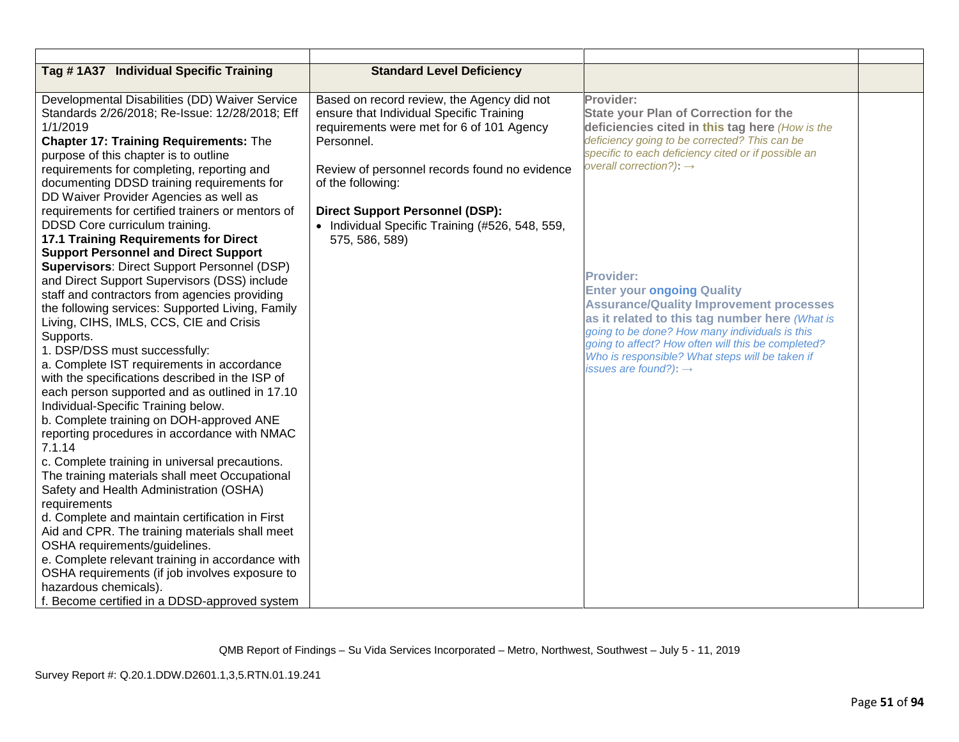| Tag #1A37 Individual Specific Training                                                                                                                                                                                                                                                                                                                                                                                                                                                                                                                                                                                                                                                                                                                                                                                                                                                                                                                                                                                                                                                                                                                                                                                                                                                                                                                                                                                                                                                                                                                                                                                      | <b>Standard Level Deficiency</b>                                                                                                                                                                                                                                                                                                       |                                                                                                                                                                                                                                                                                                                                                                                                                                                                                                                                                                                                                          |  |
|-----------------------------------------------------------------------------------------------------------------------------------------------------------------------------------------------------------------------------------------------------------------------------------------------------------------------------------------------------------------------------------------------------------------------------------------------------------------------------------------------------------------------------------------------------------------------------------------------------------------------------------------------------------------------------------------------------------------------------------------------------------------------------------------------------------------------------------------------------------------------------------------------------------------------------------------------------------------------------------------------------------------------------------------------------------------------------------------------------------------------------------------------------------------------------------------------------------------------------------------------------------------------------------------------------------------------------------------------------------------------------------------------------------------------------------------------------------------------------------------------------------------------------------------------------------------------------------------------------------------------------|----------------------------------------------------------------------------------------------------------------------------------------------------------------------------------------------------------------------------------------------------------------------------------------------------------------------------------------|--------------------------------------------------------------------------------------------------------------------------------------------------------------------------------------------------------------------------------------------------------------------------------------------------------------------------------------------------------------------------------------------------------------------------------------------------------------------------------------------------------------------------------------------------------------------------------------------------------------------------|--|
| Developmental Disabilities (DD) Waiver Service<br>Standards 2/26/2018; Re-Issue: 12/28/2018; Eff<br>1/1/2019<br><b>Chapter 17: Training Requirements: The</b><br>purpose of this chapter is to outline<br>requirements for completing, reporting and<br>documenting DDSD training requirements for<br>DD Waiver Provider Agencies as well as<br>requirements for certified trainers or mentors of<br>DDSD Core curriculum training.<br><b>17.1 Training Requirements for Direct</b><br><b>Support Personnel and Direct Support</b><br><b>Supervisors: Direct Support Personnel (DSP)</b><br>and Direct Support Supervisors (DSS) include<br>staff and contractors from agencies providing<br>the following services: Supported Living, Family<br>Living, CIHS, IMLS, CCS, CIE and Crisis<br>Supports.<br>1. DSP/DSS must successfully:<br>a. Complete IST requirements in accordance<br>with the specifications described in the ISP of<br>each person supported and as outlined in 17.10<br>Individual-Specific Training below.<br>b. Complete training on DOH-approved ANE<br>reporting procedures in accordance with NMAC<br>7.1.14<br>c. Complete training in universal precautions.<br>The training materials shall meet Occupational<br>Safety and Health Administration (OSHA)<br>requirements<br>d. Complete and maintain certification in First<br>Aid and CPR. The training materials shall meet<br>OSHA requirements/guidelines.<br>e. Complete relevant training in accordance with<br>OSHA requirements (if job involves exposure to<br>hazardous chemicals).<br>f. Become certified in a DDSD-approved system | Based on record review, the Agency did not<br>ensure that Individual Specific Training<br>requirements were met for 6 of 101 Agency<br>Personnel.<br>Review of personnel records found no evidence<br>of the following:<br><b>Direct Support Personnel (DSP):</b><br>• Individual Specific Training (#526, 548, 559,<br>575, 586, 589) | Provider:<br><b>State your Plan of Correction for the</b><br>deficiencies cited in this tag here (How is the<br>deficiency going to be corrected? This can be<br>specific to each deficiency cited or if possible an<br>overall correction?): $\rightarrow$<br><b>Provider:</b><br><b>Enter your ongoing Quality</b><br><b>Assurance/Quality Improvement processes</b><br>as it related to this tag number here (What is<br>going to be done? How many individuals is this<br>going to affect? How often will this be completed?<br>Who is responsible? What steps will be taken if<br>issues are found?): $\rightarrow$ |  |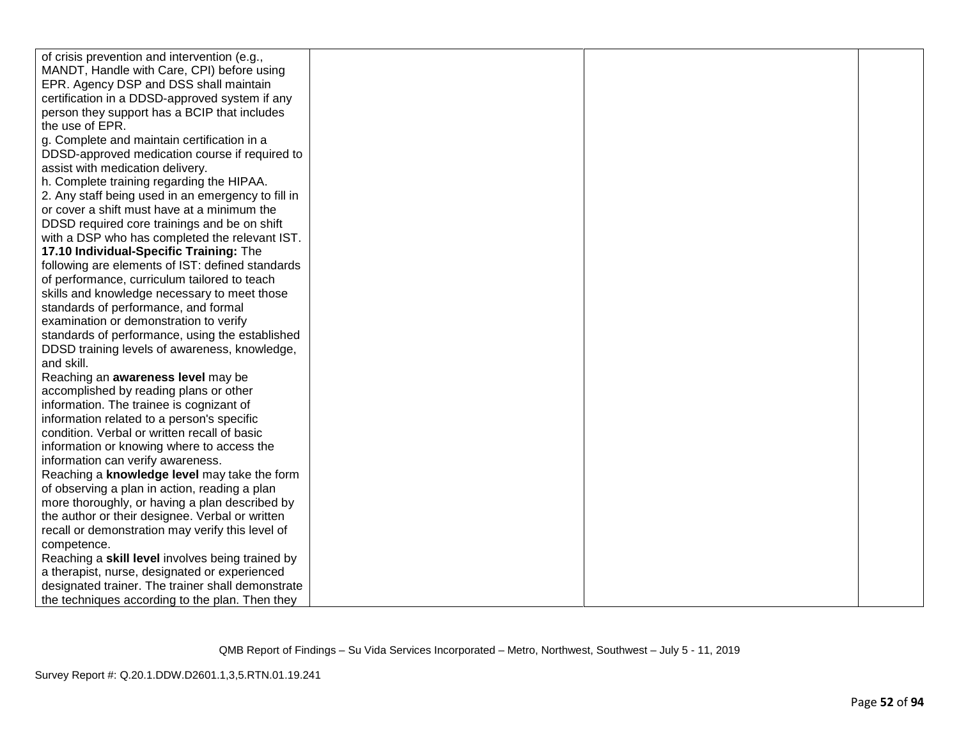| of crisis prevention and intervention (e.g.,       |  |  |
|----------------------------------------------------|--|--|
| MANDT, Handle with Care, CPI) before using         |  |  |
| EPR. Agency DSP and DSS shall maintain             |  |  |
| certification in a DDSD-approved system if any     |  |  |
| person they support has a BCIP that includes       |  |  |
| the use of EPR.                                    |  |  |
| g. Complete and maintain certification in a        |  |  |
| DDSD-approved medication course if required to     |  |  |
| assist with medication delivery.                   |  |  |
| h. Complete training regarding the HIPAA.          |  |  |
| 2. Any staff being used in an emergency to fill in |  |  |
| or cover a shift must have at a minimum the        |  |  |
| DDSD required core trainings and be on shift       |  |  |
| with a DSP who has completed the relevant IST.     |  |  |
| 17.10 Individual-Specific Training: The            |  |  |
| following are elements of IST: defined standards   |  |  |
| of performance, curriculum tailored to teach       |  |  |
| skills and knowledge necessary to meet those       |  |  |
| standards of performance, and formal               |  |  |
| examination or demonstration to verify             |  |  |
| standards of performance, using the established    |  |  |
| DDSD training levels of awareness, knowledge,      |  |  |
| and skill.                                         |  |  |
| Reaching an awareness level may be                 |  |  |
| accomplished by reading plans or other             |  |  |
| information. The trainee is cognizant of           |  |  |
| information related to a person's specific         |  |  |
| condition. Verbal or written recall of basic       |  |  |
| information or knowing where to access the         |  |  |
| information can verify awareness.                  |  |  |
| Reaching a knowledge level may take the form       |  |  |
| of observing a plan in action, reading a plan      |  |  |
| more thoroughly, or having a plan described by     |  |  |
| the author or their designee. Verbal or written    |  |  |
| recall or demonstration may verify this level of   |  |  |
| competence.                                        |  |  |
| Reaching a skill level involves being trained by   |  |  |
| a therapist, nurse, designated or experienced      |  |  |
| designated trainer. The trainer shall demonstrate  |  |  |
| the techniques according to the plan. Then they    |  |  |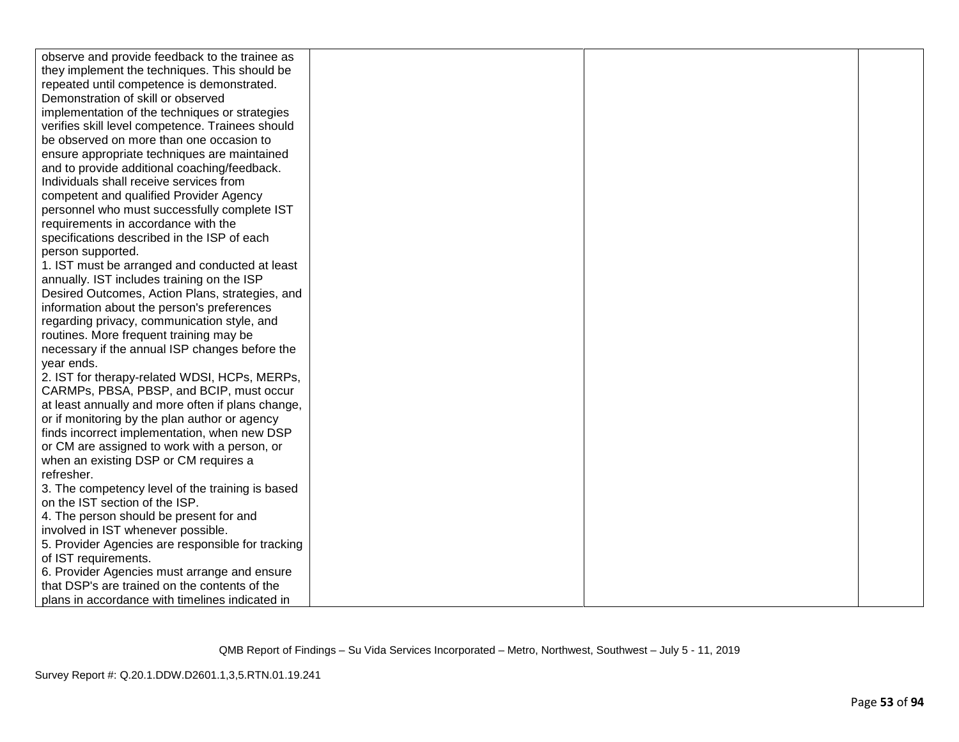| observe and provide feedback to the trainee as    |  |  |
|---------------------------------------------------|--|--|
| they implement the techniques. This should be     |  |  |
| repeated until competence is demonstrated.        |  |  |
| Demonstration of skill or observed                |  |  |
| implementation of the techniques or strategies    |  |  |
| verifies skill level competence. Trainees should  |  |  |
| be observed on more than one occasion to          |  |  |
| ensure appropriate techniques are maintained      |  |  |
| and to provide additional coaching/feedback.      |  |  |
| Individuals shall receive services from           |  |  |
| competent and qualified Provider Agency           |  |  |
| personnel who must successfully complete IST      |  |  |
| requirements in accordance with the               |  |  |
| specifications described in the ISP of each       |  |  |
| person supported.                                 |  |  |
| 1. IST must be arranged and conducted at least    |  |  |
| annually. IST includes training on the ISP        |  |  |
| Desired Outcomes, Action Plans, strategies, and   |  |  |
| information about the person's preferences        |  |  |
| regarding privacy, communication style, and       |  |  |
| routines. More frequent training may be           |  |  |
| necessary if the annual ISP changes before the    |  |  |
| vear ends.                                        |  |  |
| 2. IST for therapy-related WDSI, HCPs, MERPs,     |  |  |
| CARMPs, PBSA, PBSP, and BCIP, must occur          |  |  |
| at least annually and more often if plans change, |  |  |
| or if monitoring by the plan author or agency     |  |  |
| finds incorrect implementation, when new DSP      |  |  |
| or CM are assigned to work with a person, or      |  |  |
| when an existing DSP or CM requires a             |  |  |
| refresher.                                        |  |  |
| 3. The competency level of the training is based  |  |  |
| on the IST section of the ISP.                    |  |  |
| 4. The person should be present for and           |  |  |
| involved in IST whenever possible.                |  |  |
| 5. Provider Agencies are responsible for tracking |  |  |
| of IST requirements.                              |  |  |
| 6. Provider Agencies must arrange and ensure      |  |  |
| that DSP's are trained on the contents of the     |  |  |
| plans in accordance with timelines indicated in   |  |  |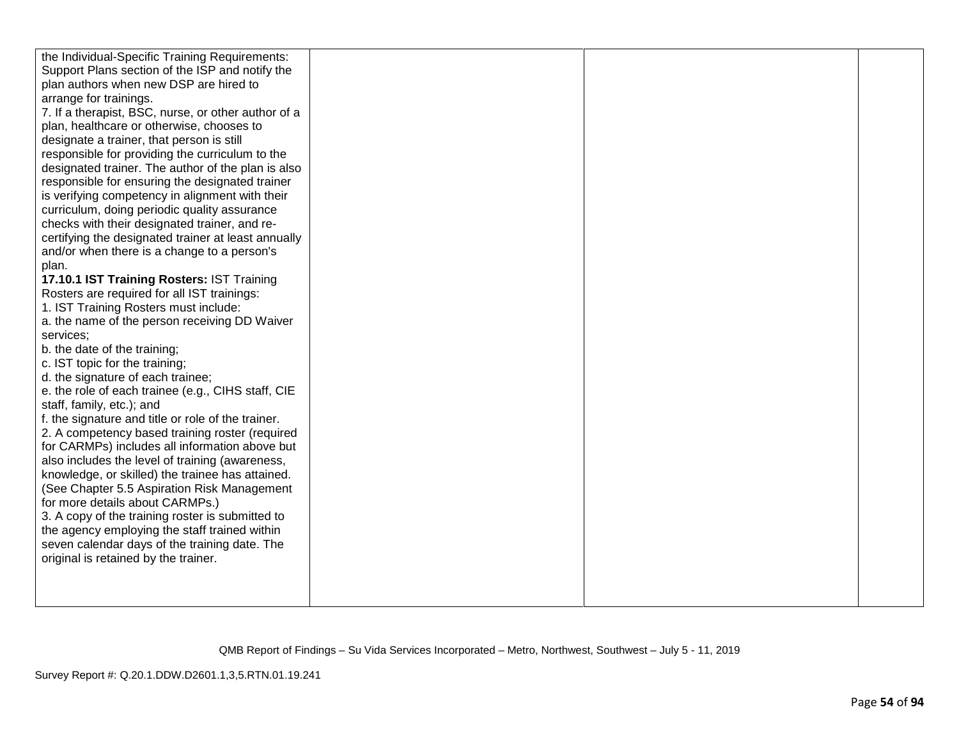| the Individual-Specific Training Requirements:      |  |  |
|-----------------------------------------------------|--|--|
| Support Plans section of the ISP and notify the     |  |  |
| plan authors when new DSP are hired to              |  |  |
| arrange for trainings.                              |  |  |
| 7. If a therapist, BSC, nurse, or other author of a |  |  |
| plan, healthcare or otherwise, chooses to           |  |  |
| designate a trainer, that person is still           |  |  |
| responsible for providing the curriculum to the     |  |  |
| designated trainer. The author of the plan is also  |  |  |
| responsible for ensuring the designated trainer     |  |  |
| is verifying competency in alignment with their     |  |  |
| curriculum, doing periodic quality assurance        |  |  |
| checks with their designated trainer, and re-       |  |  |
| certifying the designated trainer at least annually |  |  |
| and/or when there is a change to a person's         |  |  |
| plan.                                               |  |  |
| 17.10.1 IST Training Rosters: IST Training          |  |  |
| Rosters are required for all IST trainings:         |  |  |
| 1. IST Training Rosters must include:               |  |  |
| a. the name of the person receiving DD Waiver       |  |  |
| services;                                           |  |  |
| b. the date of the training;                        |  |  |
| c. IST topic for the training;                      |  |  |
| d. the signature of each trainee;                   |  |  |
| e. the role of each trainee (e.g., CIHS staff, CIE  |  |  |
| staff, family, etc.); and                           |  |  |
| f. the signature and title or role of the trainer.  |  |  |
| 2. A competency based training roster (required     |  |  |
| for CARMPs) includes all information above but      |  |  |
| also includes the level of training (awareness,     |  |  |
| knowledge, or skilled) the trainee has attained.    |  |  |
| (See Chapter 5.5 Aspiration Risk Management         |  |  |
| for more details about CARMPs.)                     |  |  |
| 3. A copy of the training roster is submitted to    |  |  |
| the agency employing the staff trained within       |  |  |
| seven calendar days of the training date. The       |  |  |
| original is retained by the trainer.                |  |  |
|                                                     |  |  |
|                                                     |  |  |
|                                                     |  |  |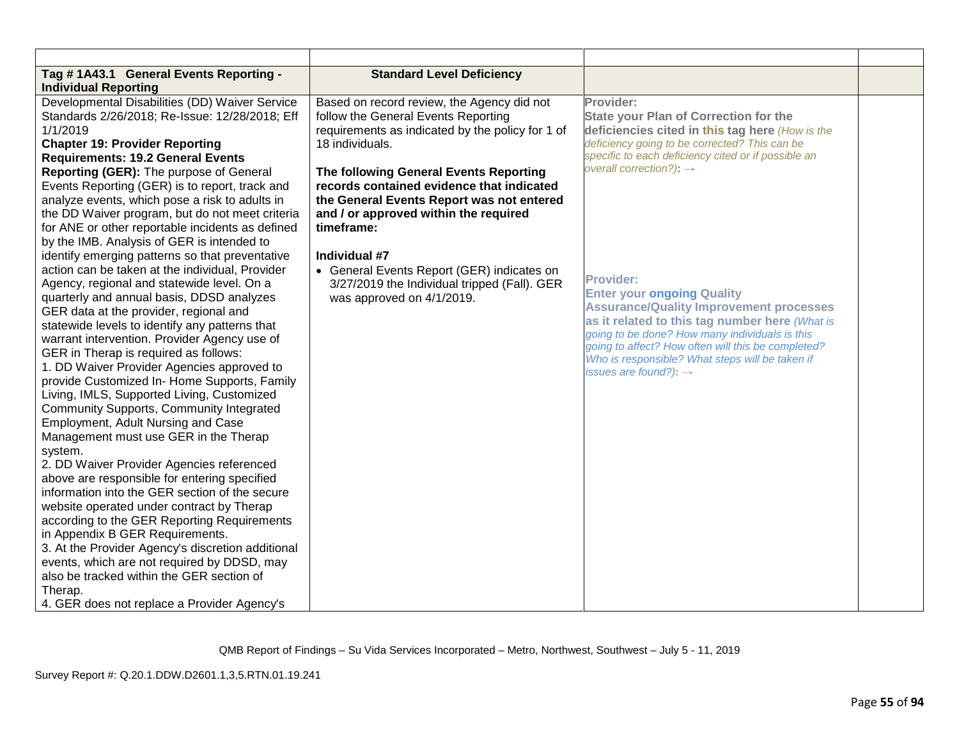| Tag #1A43.1 General Events Reporting -                                                                                                                                                                                                                                                                                                                                                                                                                                                                                                                                                                                                                                                                                                                                                                                                                                                                                                                                                                                                                                                                                                                                                                                                                                                                                                                                                                                                                                                                                                                                                                                  | <b>Standard Level Deficiency</b>                                                                                                                                                                                                                                                                                                                                                                                                                                                                |                                                                                                                                                                                                                                                                                                                                                                                                                                                                                                                                                                                                                          |  |
|-------------------------------------------------------------------------------------------------------------------------------------------------------------------------------------------------------------------------------------------------------------------------------------------------------------------------------------------------------------------------------------------------------------------------------------------------------------------------------------------------------------------------------------------------------------------------------------------------------------------------------------------------------------------------------------------------------------------------------------------------------------------------------------------------------------------------------------------------------------------------------------------------------------------------------------------------------------------------------------------------------------------------------------------------------------------------------------------------------------------------------------------------------------------------------------------------------------------------------------------------------------------------------------------------------------------------------------------------------------------------------------------------------------------------------------------------------------------------------------------------------------------------------------------------------------------------------------------------------------------------|-------------------------------------------------------------------------------------------------------------------------------------------------------------------------------------------------------------------------------------------------------------------------------------------------------------------------------------------------------------------------------------------------------------------------------------------------------------------------------------------------|--------------------------------------------------------------------------------------------------------------------------------------------------------------------------------------------------------------------------------------------------------------------------------------------------------------------------------------------------------------------------------------------------------------------------------------------------------------------------------------------------------------------------------------------------------------------------------------------------------------------------|--|
| <b>Individual Reporting</b>                                                                                                                                                                                                                                                                                                                                                                                                                                                                                                                                                                                                                                                                                                                                                                                                                                                                                                                                                                                                                                                                                                                                                                                                                                                                                                                                                                                                                                                                                                                                                                                             |                                                                                                                                                                                                                                                                                                                                                                                                                                                                                                 |                                                                                                                                                                                                                                                                                                                                                                                                                                                                                                                                                                                                                          |  |
| Developmental Disabilities (DD) Waiver Service<br>Standards 2/26/2018; Re-Issue: 12/28/2018; Eff<br>1/1/2019<br><b>Chapter 19: Provider Reporting</b><br><b>Requirements: 19.2 General Events</b><br>Reporting (GER): The purpose of General<br>Events Reporting (GER) is to report, track and<br>analyze events, which pose a risk to adults in<br>the DD Waiver program, but do not meet criteria<br>for ANE or other reportable incidents as defined<br>by the IMB. Analysis of GER is intended to<br>identify emerging patterns so that preventative<br>action can be taken at the individual, Provider<br>Agency, regional and statewide level. On a<br>quarterly and annual basis, DDSD analyzes<br>GER data at the provider, regional and<br>statewide levels to identify any patterns that<br>warrant intervention. Provider Agency use of<br>GER in Therap is required as follows:<br>1. DD Waiver Provider Agencies approved to<br>provide Customized In- Home Supports, Family<br>Living, IMLS, Supported Living, Customized<br>Community Supports, Community Integrated<br>Employment, Adult Nursing and Case<br>Management must use GER in the Therap<br>system.<br>2. DD Waiver Provider Agencies referenced<br>above are responsible for entering specified<br>information into the GER section of the secure<br>website operated under contract by Therap<br>according to the GER Reporting Requirements<br>in Appendix B GER Requirements.<br>3. At the Provider Agency's discretion additional<br>events, which are not required by DDSD, may<br>also be tracked within the GER section of<br>Therap. | Based on record review, the Agency did not<br>follow the General Events Reporting<br>requirements as indicated by the policy for 1 of<br>18 individuals.<br>The following General Events Reporting<br>records contained evidence that indicated<br>the General Events Report was not entered<br>and / or approved within the required<br>timeframe:<br>Individual #7<br>• General Events Report (GER) indicates on<br>3/27/2019 the Individual tripped (Fall). GER<br>was approved on 4/1/2019. | Provider:<br><b>State your Plan of Correction for the</b><br>deficiencies cited in this tag here (How is the<br>deficiency going to be corrected? This can be<br>specific to each deficiency cited or if possible an<br>overall correction?): $\rightarrow$<br><b>Provider:</b><br><b>Enter your ongoing Quality</b><br><b>Assurance/Quality Improvement processes</b><br>as it related to this tag number here (What is<br>going to be done? How many individuals is this<br>going to affect? How often will this be completed?<br>Who is responsible? What steps will be taken if<br>issues are found?): $\rightarrow$ |  |
| 4. GER does not replace a Provider Agency's                                                                                                                                                                                                                                                                                                                                                                                                                                                                                                                                                                                                                                                                                                                                                                                                                                                                                                                                                                                                                                                                                                                                                                                                                                                                                                                                                                                                                                                                                                                                                                             |                                                                                                                                                                                                                                                                                                                                                                                                                                                                                                 |                                                                                                                                                                                                                                                                                                                                                                                                                                                                                                                                                                                                                          |  |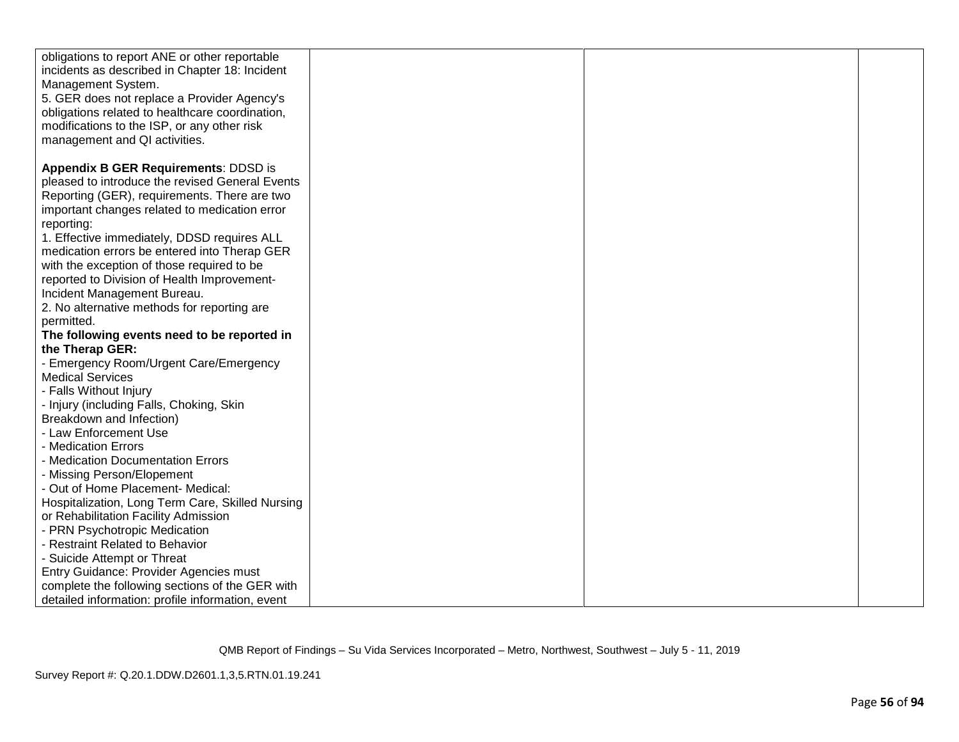| incidents as described in Chapter 18: Incident<br>Management System.<br>5. GER does not replace a Provider Agency's<br>obligations related to healthcare coordination,<br>modifications to the ISP, or any other risk<br>management and QI activities.<br>Appendix B GER Requirements: DDSD is<br>pleased to introduce the revised General Events<br>Reporting (GER), requirements. There are two<br>important changes related to medication error<br>reporting:<br>1. Effective immediately, DDSD requires ALL<br>medication errors be entered into Therap GER<br>with the exception of those required to be<br>reported to Division of Health Improvement-<br>Incident Management Bureau.<br>2. No alternative methods for reporting are<br>permitted.<br>The following events need to be reported in<br>the Therap GER:<br>- Emergency Room/Urgent Care/Emergency<br><b>Medical Services</b><br>- Falls Without Injury<br>- Injury (including Falls, Choking, Skin<br>Breakdown and Infection)<br>- Law Enforcement Use<br>- Medication Errors<br>- Medication Documentation Errors<br>- Missing Person/Elopement<br>- Out of Home Placement- Medical:<br>Hospitalization, Long Term Care, Skilled Nursing<br>or Rehabilitation Facility Admission<br>- PRN Psychotropic Medication<br>- Restraint Related to Behavior<br>- Suicide Attempt or Threat<br>Entry Guidance: Provider Agencies must<br>complete the following sections of the GER with | obligations to report ANE or other reportable    |  |  |
|-------------------------------------------------------------------------------------------------------------------------------------------------------------------------------------------------------------------------------------------------------------------------------------------------------------------------------------------------------------------------------------------------------------------------------------------------------------------------------------------------------------------------------------------------------------------------------------------------------------------------------------------------------------------------------------------------------------------------------------------------------------------------------------------------------------------------------------------------------------------------------------------------------------------------------------------------------------------------------------------------------------------------------------------------------------------------------------------------------------------------------------------------------------------------------------------------------------------------------------------------------------------------------------------------------------------------------------------------------------------------------------------------------------------------------------------------------|--------------------------------------------------|--|--|
|                                                                                                                                                                                                                                                                                                                                                                                                                                                                                                                                                                                                                                                                                                                                                                                                                                                                                                                                                                                                                                                                                                                                                                                                                                                                                                                                                                                                                                                       |                                                  |  |  |
|                                                                                                                                                                                                                                                                                                                                                                                                                                                                                                                                                                                                                                                                                                                                                                                                                                                                                                                                                                                                                                                                                                                                                                                                                                                                                                                                                                                                                                                       |                                                  |  |  |
|                                                                                                                                                                                                                                                                                                                                                                                                                                                                                                                                                                                                                                                                                                                                                                                                                                                                                                                                                                                                                                                                                                                                                                                                                                                                                                                                                                                                                                                       |                                                  |  |  |
|                                                                                                                                                                                                                                                                                                                                                                                                                                                                                                                                                                                                                                                                                                                                                                                                                                                                                                                                                                                                                                                                                                                                                                                                                                                                                                                                                                                                                                                       |                                                  |  |  |
|                                                                                                                                                                                                                                                                                                                                                                                                                                                                                                                                                                                                                                                                                                                                                                                                                                                                                                                                                                                                                                                                                                                                                                                                                                                                                                                                                                                                                                                       |                                                  |  |  |
|                                                                                                                                                                                                                                                                                                                                                                                                                                                                                                                                                                                                                                                                                                                                                                                                                                                                                                                                                                                                                                                                                                                                                                                                                                                                                                                                                                                                                                                       |                                                  |  |  |
|                                                                                                                                                                                                                                                                                                                                                                                                                                                                                                                                                                                                                                                                                                                                                                                                                                                                                                                                                                                                                                                                                                                                                                                                                                                                                                                                                                                                                                                       |                                                  |  |  |
|                                                                                                                                                                                                                                                                                                                                                                                                                                                                                                                                                                                                                                                                                                                                                                                                                                                                                                                                                                                                                                                                                                                                                                                                                                                                                                                                                                                                                                                       |                                                  |  |  |
|                                                                                                                                                                                                                                                                                                                                                                                                                                                                                                                                                                                                                                                                                                                                                                                                                                                                                                                                                                                                                                                                                                                                                                                                                                                                                                                                                                                                                                                       |                                                  |  |  |
|                                                                                                                                                                                                                                                                                                                                                                                                                                                                                                                                                                                                                                                                                                                                                                                                                                                                                                                                                                                                                                                                                                                                                                                                                                                                                                                                                                                                                                                       |                                                  |  |  |
|                                                                                                                                                                                                                                                                                                                                                                                                                                                                                                                                                                                                                                                                                                                                                                                                                                                                                                                                                                                                                                                                                                                                                                                                                                                                                                                                                                                                                                                       |                                                  |  |  |
|                                                                                                                                                                                                                                                                                                                                                                                                                                                                                                                                                                                                                                                                                                                                                                                                                                                                                                                                                                                                                                                                                                                                                                                                                                                                                                                                                                                                                                                       |                                                  |  |  |
|                                                                                                                                                                                                                                                                                                                                                                                                                                                                                                                                                                                                                                                                                                                                                                                                                                                                                                                                                                                                                                                                                                                                                                                                                                                                                                                                                                                                                                                       |                                                  |  |  |
|                                                                                                                                                                                                                                                                                                                                                                                                                                                                                                                                                                                                                                                                                                                                                                                                                                                                                                                                                                                                                                                                                                                                                                                                                                                                                                                                                                                                                                                       |                                                  |  |  |
|                                                                                                                                                                                                                                                                                                                                                                                                                                                                                                                                                                                                                                                                                                                                                                                                                                                                                                                                                                                                                                                                                                                                                                                                                                                                                                                                                                                                                                                       |                                                  |  |  |
|                                                                                                                                                                                                                                                                                                                                                                                                                                                                                                                                                                                                                                                                                                                                                                                                                                                                                                                                                                                                                                                                                                                                                                                                                                                                                                                                                                                                                                                       |                                                  |  |  |
|                                                                                                                                                                                                                                                                                                                                                                                                                                                                                                                                                                                                                                                                                                                                                                                                                                                                                                                                                                                                                                                                                                                                                                                                                                                                                                                                                                                                                                                       |                                                  |  |  |
|                                                                                                                                                                                                                                                                                                                                                                                                                                                                                                                                                                                                                                                                                                                                                                                                                                                                                                                                                                                                                                                                                                                                                                                                                                                                                                                                                                                                                                                       |                                                  |  |  |
|                                                                                                                                                                                                                                                                                                                                                                                                                                                                                                                                                                                                                                                                                                                                                                                                                                                                                                                                                                                                                                                                                                                                                                                                                                                                                                                                                                                                                                                       |                                                  |  |  |
|                                                                                                                                                                                                                                                                                                                                                                                                                                                                                                                                                                                                                                                                                                                                                                                                                                                                                                                                                                                                                                                                                                                                                                                                                                                                                                                                                                                                                                                       |                                                  |  |  |
|                                                                                                                                                                                                                                                                                                                                                                                                                                                                                                                                                                                                                                                                                                                                                                                                                                                                                                                                                                                                                                                                                                                                                                                                                                                                                                                                                                                                                                                       |                                                  |  |  |
|                                                                                                                                                                                                                                                                                                                                                                                                                                                                                                                                                                                                                                                                                                                                                                                                                                                                                                                                                                                                                                                                                                                                                                                                                                                                                                                                                                                                                                                       |                                                  |  |  |
|                                                                                                                                                                                                                                                                                                                                                                                                                                                                                                                                                                                                                                                                                                                                                                                                                                                                                                                                                                                                                                                                                                                                                                                                                                                                                                                                                                                                                                                       |                                                  |  |  |
|                                                                                                                                                                                                                                                                                                                                                                                                                                                                                                                                                                                                                                                                                                                                                                                                                                                                                                                                                                                                                                                                                                                                                                                                                                                                                                                                                                                                                                                       |                                                  |  |  |
|                                                                                                                                                                                                                                                                                                                                                                                                                                                                                                                                                                                                                                                                                                                                                                                                                                                                                                                                                                                                                                                                                                                                                                                                                                                                                                                                                                                                                                                       |                                                  |  |  |
|                                                                                                                                                                                                                                                                                                                                                                                                                                                                                                                                                                                                                                                                                                                                                                                                                                                                                                                                                                                                                                                                                                                                                                                                                                                                                                                                                                                                                                                       |                                                  |  |  |
|                                                                                                                                                                                                                                                                                                                                                                                                                                                                                                                                                                                                                                                                                                                                                                                                                                                                                                                                                                                                                                                                                                                                                                                                                                                                                                                                                                                                                                                       |                                                  |  |  |
|                                                                                                                                                                                                                                                                                                                                                                                                                                                                                                                                                                                                                                                                                                                                                                                                                                                                                                                                                                                                                                                                                                                                                                                                                                                                                                                                                                                                                                                       |                                                  |  |  |
|                                                                                                                                                                                                                                                                                                                                                                                                                                                                                                                                                                                                                                                                                                                                                                                                                                                                                                                                                                                                                                                                                                                                                                                                                                                                                                                                                                                                                                                       |                                                  |  |  |
|                                                                                                                                                                                                                                                                                                                                                                                                                                                                                                                                                                                                                                                                                                                                                                                                                                                                                                                                                                                                                                                                                                                                                                                                                                                                                                                                                                                                                                                       |                                                  |  |  |
|                                                                                                                                                                                                                                                                                                                                                                                                                                                                                                                                                                                                                                                                                                                                                                                                                                                                                                                                                                                                                                                                                                                                                                                                                                                                                                                                                                                                                                                       |                                                  |  |  |
|                                                                                                                                                                                                                                                                                                                                                                                                                                                                                                                                                                                                                                                                                                                                                                                                                                                                                                                                                                                                                                                                                                                                                                                                                                                                                                                                                                                                                                                       |                                                  |  |  |
|                                                                                                                                                                                                                                                                                                                                                                                                                                                                                                                                                                                                                                                                                                                                                                                                                                                                                                                                                                                                                                                                                                                                                                                                                                                                                                                                                                                                                                                       |                                                  |  |  |
|                                                                                                                                                                                                                                                                                                                                                                                                                                                                                                                                                                                                                                                                                                                                                                                                                                                                                                                                                                                                                                                                                                                                                                                                                                                                                                                                                                                                                                                       |                                                  |  |  |
|                                                                                                                                                                                                                                                                                                                                                                                                                                                                                                                                                                                                                                                                                                                                                                                                                                                                                                                                                                                                                                                                                                                                                                                                                                                                                                                                                                                                                                                       |                                                  |  |  |
|                                                                                                                                                                                                                                                                                                                                                                                                                                                                                                                                                                                                                                                                                                                                                                                                                                                                                                                                                                                                                                                                                                                                                                                                                                                                                                                                                                                                                                                       |                                                  |  |  |
|                                                                                                                                                                                                                                                                                                                                                                                                                                                                                                                                                                                                                                                                                                                                                                                                                                                                                                                                                                                                                                                                                                                                                                                                                                                                                                                                                                                                                                                       |                                                  |  |  |
|                                                                                                                                                                                                                                                                                                                                                                                                                                                                                                                                                                                                                                                                                                                                                                                                                                                                                                                                                                                                                                                                                                                                                                                                                                                                                                                                                                                                                                                       |                                                  |  |  |
|                                                                                                                                                                                                                                                                                                                                                                                                                                                                                                                                                                                                                                                                                                                                                                                                                                                                                                                                                                                                                                                                                                                                                                                                                                                                                                                                                                                                                                                       |                                                  |  |  |
|                                                                                                                                                                                                                                                                                                                                                                                                                                                                                                                                                                                                                                                                                                                                                                                                                                                                                                                                                                                                                                                                                                                                                                                                                                                                                                                                                                                                                                                       | detailed information: profile information, event |  |  |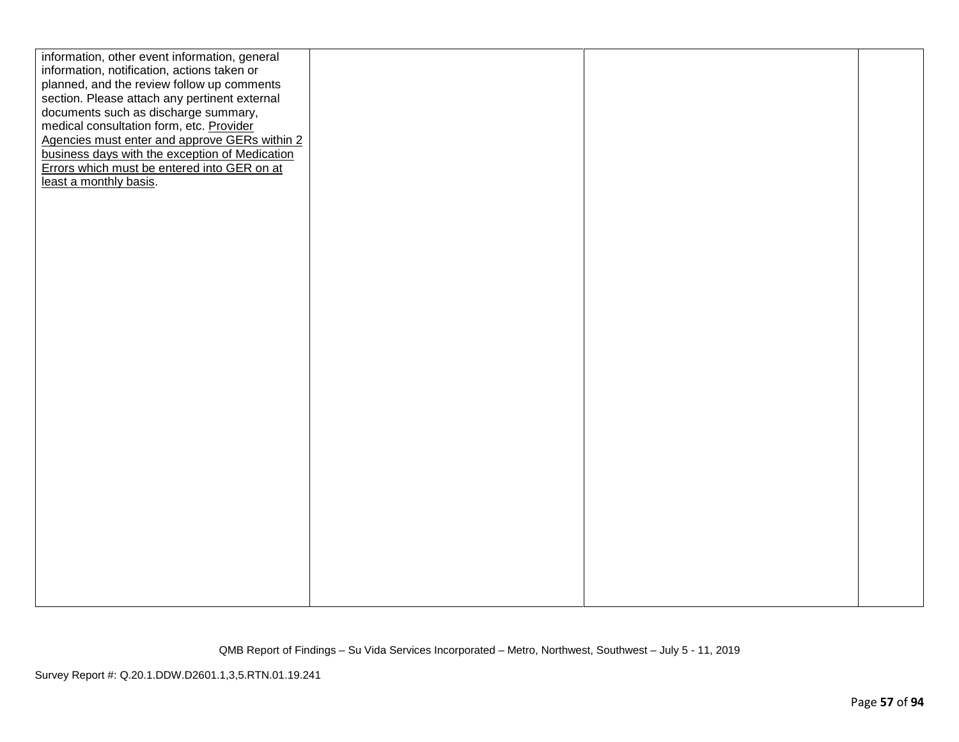| information, other event information, general  |  |  |
|------------------------------------------------|--|--|
| information, notification, actions taken or    |  |  |
| planned, and the review follow up comments     |  |  |
| section. Please attach any pertinent external  |  |  |
| documents such as discharge summary,           |  |  |
| medical consultation form, etc. Provider       |  |  |
| Agencies must enter and approve GERs within 2  |  |  |
| business days with the exception of Medication |  |  |
| Errors which must be entered into GER on at    |  |  |
| least a monthly basis.                         |  |  |
|                                                |  |  |
|                                                |  |  |
|                                                |  |  |
|                                                |  |  |
|                                                |  |  |
|                                                |  |  |
|                                                |  |  |
|                                                |  |  |
|                                                |  |  |
|                                                |  |  |
|                                                |  |  |
|                                                |  |  |
|                                                |  |  |
|                                                |  |  |
|                                                |  |  |
|                                                |  |  |
|                                                |  |  |
|                                                |  |  |
|                                                |  |  |
|                                                |  |  |
|                                                |  |  |
|                                                |  |  |
|                                                |  |  |
|                                                |  |  |
|                                                |  |  |
|                                                |  |  |
|                                                |  |  |
|                                                |  |  |
|                                                |  |  |
|                                                |  |  |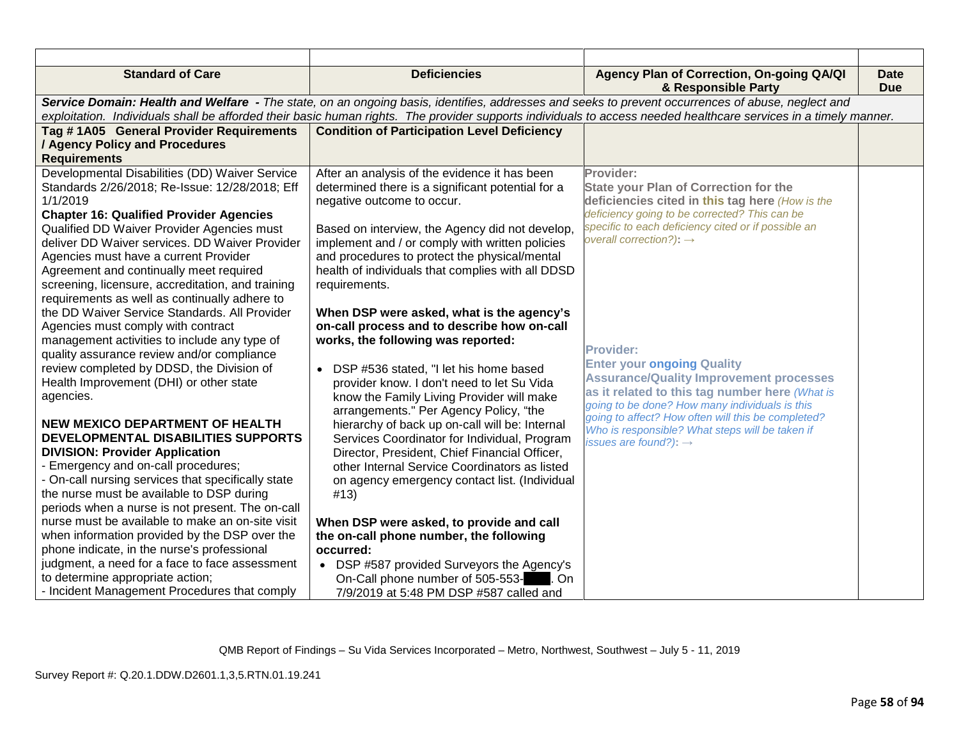| <b>Standard of Care</b>                                    | <b>Deficiencies</b>                                                                                                                               | Agency Plan of Correction, On-going QA/QI<br>& Responsible Party                                                                                                 | <b>Date</b><br><b>Due</b> |
|------------------------------------------------------------|---------------------------------------------------------------------------------------------------------------------------------------------------|------------------------------------------------------------------------------------------------------------------------------------------------------------------|---------------------------|
|                                                            | Service Domain: Health and Welfare - The state, on an ongoing basis, identifies, addresses and seeks to prevent occurrences of abuse, neglect and |                                                                                                                                                                  |                           |
|                                                            |                                                                                                                                                   | exploitation. Individuals shall be afforded their basic human rights. The provider supports individuals to access needed healthcare services in a timely manner. |                           |
| Tag #1A05 General Provider Requirements                    | <b>Condition of Participation Level Deficiency</b>                                                                                                |                                                                                                                                                                  |                           |
| <b>Agency Policy and Procedures</b><br><b>Requirements</b> |                                                                                                                                                   |                                                                                                                                                                  |                           |
| Developmental Disabilities (DD) Waiver Service             | After an analysis of the evidence it has been                                                                                                     | Provider:                                                                                                                                                        |                           |
| Standards 2/26/2018; Re-Issue: 12/28/2018; Eff             | determined there is a significant potential for a                                                                                                 | <b>State your Plan of Correction for the</b>                                                                                                                     |                           |
| 1/1/2019                                                   | negative outcome to occur.                                                                                                                        | deficiencies cited in this tag here (How is the                                                                                                                  |                           |
| <b>Chapter 16: Qualified Provider Agencies</b>             |                                                                                                                                                   | deficiency going to be corrected? This can be                                                                                                                    |                           |
| Qualified DD Waiver Provider Agencies must                 | Based on interview, the Agency did not develop,                                                                                                   | specific to each deficiency cited or if possible an                                                                                                              |                           |
| deliver DD Waiver services. DD Waiver Provider             | implement and / or comply with written policies                                                                                                   | overall correction?): $\rightarrow$                                                                                                                              |                           |
| Agencies must have a current Provider                      | and procedures to protect the physical/mental                                                                                                     |                                                                                                                                                                  |                           |
| Agreement and continually meet required                    | health of individuals that complies with all DDSD                                                                                                 |                                                                                                                                                                  |                           |
| screening, licensure, accreditation, and training          | requirements.                                                                                                                                     |                                                                                                                                                                  |                           |
| requirements as well as continually adhere to              |                                                                                                                                                   |                                                                                                                                                                  |                           |
| the DD Waiver Service Standards. All Provider              | When DSP were asked, what is the agency's                                                                                                         |                                                                                                                                                                  |                           |
| Agencies must comply with contract                         | on-call process and to describe how on-call                                                                                                       |                                                                                                                                                                  |                           |
| management activities to include any type of               | works, the following was reported:                                                                                                                | <b>Provider:</b>                                                                                                                                                 |                           |
| quality assurance review and/or compliance                 |                                                                                                                                                   | <b>Enter your ongoing Quality</b>                                                                                                                                |                           |
| review completed by DDSD, the Division of                  | • DSP #536 stated, "I let his home based                                                                                                          | <b>Assurance/Quality Improvement processes</b>                                                                                                                   |                           |
| Health Improvement (DHI) or other state<br>agencies.       | provider know. I don't need to let Su Vida                                                                                                        | as it related to this tag number here (What is                                                                                                                   |                           |
|                                                            | know the Family Living Provider will make<br>arrangements." Per Agency Policy, "the                                                               | going to be done? How many individuals is this                                                                                                                   |                           |
| <b>NEW MEXICO DEPARTMENT OF HEALTH</b>                     | hierarchy of back up on-call will be: Internal                                                                                                    | going to affect? How often will this be completed?                                                                                                               |                           |
| DEVELOPMENTAL DISABILITIES SUPPORTS                        | Services Coordinator for Individual, Program                                                                                                      | Who is responsible? What steps will be taken if                                                                                                                  |                           |
| <b>DIVISION: Provider Application</b>                      | Director, President, Chief Financial Officer,                                                                                                     | issues are found?): $\rightarrow$                                                                                                                                |                           |
| - Emergency and on-call procedures;                        | other Internal Service Coordinators as listed                                                                                                     |                                                                                                                                                                  |                           |
| - On-call nursing services that specifically state         | on agency emergency contact list. (Individual                                                                                                     |                                                                                                                                                                  |                           |
| the nurse must be available to DSP during                  | #13)                                                                                                                                              |                                                                                                                                                                  |                           |
| periods when a nurse is not present. The on-call           |                                                                                                                                                   |                                                                                                                                                                  |                           |
| nurse must be available to make an on-site visit           | When DSP were asked, to provide and call                                                                                                          |                                                                                                                                                                  |                           |
| when information provided by the DSP over the              | the on-call phone number, the following                                                                                                           |                                                                                                                                                                  |                           |
| phone indicate, in the nurse's professional                | occurred:                                                                                                                                         |                                                                                                                                                                  |                           |
| judgment, a need for a face to face assessment             | DSP #587 provided Surveyors the Agency's<br>$\bullet$                                                                                             |                                                                                                                                                                  |                           |
| to determine appropriate action;                           | On-Call phone number of 505-553-<br>l. On                                                                                                         |                                                                                                                                                                  |                           |
| - Incident Management Procedures that comply               | 7/9/2019 at 5:48 PM DSP #587 called and                                                                                                           |                                                                                                                                                                  |                           |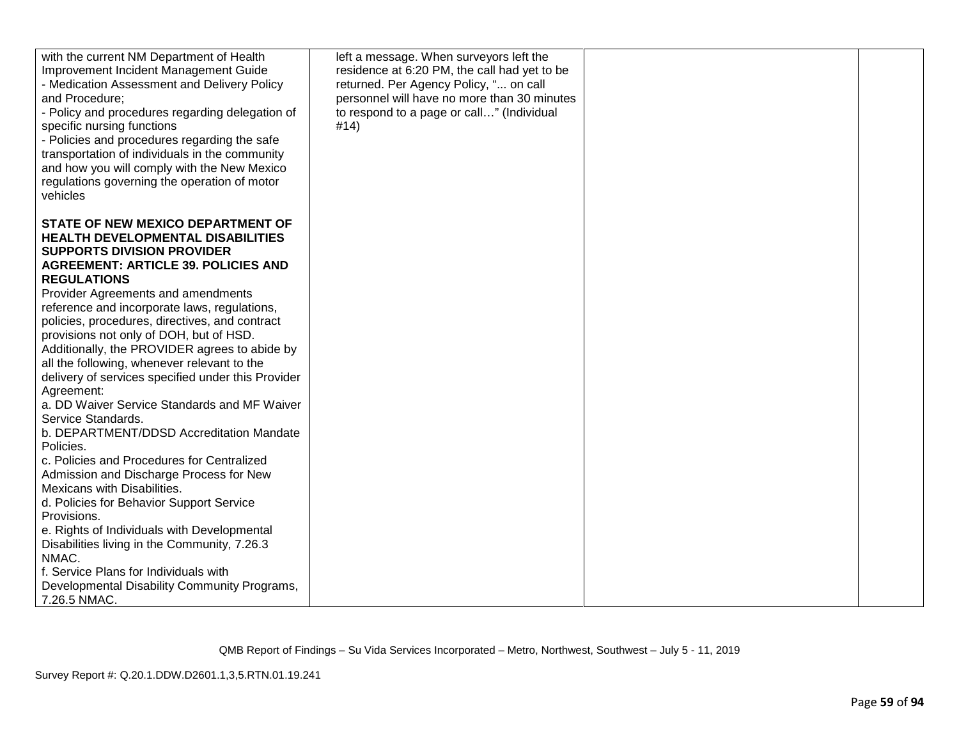| with the current NM Department of Health<br>Improvement Incident Management Guide<br>- Medication Assessment and Delivery Policy<br>and Procedure;<br>- Policy and procedures regarding delegation of<br>specific nursing functions<br>- Policies and procedures regarding the safe<br>transportation of individuals in the community<br>and how you will comply with the New Mexico<br>regulations governing the operation of motor<br>vehicles                                                                                                                                                                                                                                                                                                                                                                                                                                                                                                                                                                                                                                 | left a message. When surveyors left the<br>residence at 6:20 PM, the call had yet to be<br>returned. Per Agency Policy, " on call<br>personnel will have no more than 30 minutes<br>to respond to a page or call" (Individual<br>#14) |  |
|----------------------------------------------------------------------------------------------------------------------------------------------------------------------------------------------------------------------------------------------------------------------------------------------------------------------------------------------------------------------------------------------------------------------------------------------------------------------------------------------------------------------------------------------------------------------------------------------------------------------------------------------------------------------------------------------------------------------------------------------------------------------------------------------------------------------------------------------------------------------------------------------------------------------------------------------------------------------------------------------------------------------------------------------------------------------------------|---------------------------------------------------------------------------------------------------------------------------------------------------------------------------------------------------------------------------------------|--|
| STATE OF NEW MEXICO DEPARTMENT OF<br><b>HEALTH DEVELOPMENTAL DISABILITIES</b><br><b>SUPPORTS DIVISION PROVIDER</b><br><b>AGREEMENT: ARTICLE 39. POLICIES AND</b><br><b>REGULATIONS</b><br>Provider Agreements and amendments<br>reference and incorporate laws, regulations,<br>policies, procedures, directives, and contract<br>provisions not only of DOH, but of HSD.<br>Additionally, the PROVIDER agrees to abide by<br>all the following, whenever relevant to the<br>delivery of services specified under this Provider<br>Agreement:<br>a. DD Waiver Service Standards and MF Waiver<br>Service Standards.<br>b. DEPARTMENT/DDSD Accreditation Mandate<br>Policies.<br>c. Policies and Procedures for Centralized<br>Admission and Discharge Process for New<br>Mexicans with Disabilities.<br>d. Policies for Behavior Support Service<br>Provisions.<br>e. Rights of Individuals with Developmental<br>Disabilities living in the Community, 7.26.3<br>NMAC.<br>f. Service Plans for Individuals with<br>Developmental Disability Community Programs,<br>7.26.5 NMAC. |                                                                                                                                                                                                                                       |  |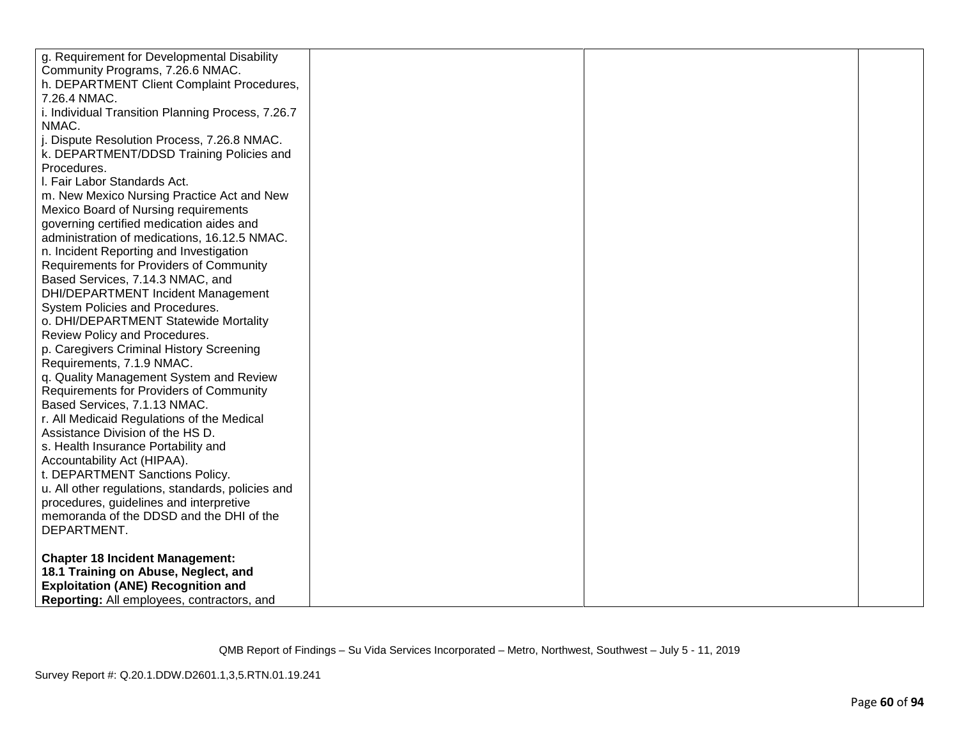| g. Requirement for Developmental Disability       |  |  |
|---------------------------------------------------|--|--|
| Community Programs, 7.26.6 NMAC.                  |  |  |
| h. DEPARTMENT Client Complaint Procedures,        |  |  |
| 7.26.4 NMAC.                                      |  |  |
| i. Individual Transition Planning Process, 7.26.7 |  |  |
| NMAC.                                             |  |  |
| Dispute Resolution Process, 7.26.8 NMAC.          |  |  |
| k. DEPARTMENT/DDSD Training Policies and          |  |  |
| Procedures.                                       |  |  |
| I. Fair Labor Standards Act.                      |  |  |
| m. New Mexico Nursing Practice Act and New        |  |  |
| Mexico Board of Nursing requirements              |  |  |
| governing certified medication aides and          |  |  |
| administration of medications, 16.12.5 NMAC.      |  |  |
| n. Incident Reporting and Investigation           |  |  |
| Requirements for Providers of Community           |  |  |
| Based Services, 7.14.3 NMAC, and                  |  |  |
| <b>DHI/DEPARTMENT Incident Management</b>         |  |  |
| System Policies and Procedures.                   |  |  |
| o. DHI/DEPARTMENT Statewide Mortality             |  |  |
| Review Policy and Procedures.                     |  |  |
| p. Caregivers Criminal History Screening          |  |  |
| Requirements, 7.1.9 NMAC.                         |  |  |
| q. Quality Management System and Review           |  |  |
| Requirements for Providers of Community           |  |  |
| Based Services, 7.1.13 NMAC.                      |  |  |
| r. All Medicaid Regulations of the Medical        |  |  |
| Assistance Division of the HS D.                  |  |  |
| s. Health Insurance Portability and               |  |  |
| Accountability Act (HIPAA).                       |  |  |
| t. DEPARTMENT Sanctions Policy.                   |  |  |
| u. All other regulations, standards, policies and |  |  |
| procedures, guidelines and interpretive           |  |  |
| memoranda of the DDSD and the DHI of the          |  |  |
| DEPARTMENT.                                       |  |  |
|                                                   |  |  |
| <b>Chapter 18 Incident Management:</b>            |  |  |
| 18.1 Training on Abuse, Neglect, and              |  |  |
| <b>Exploitation (ANE) Recognition and</b>         |  |  |
| Reporting: All employees, contractors, and        |  |  |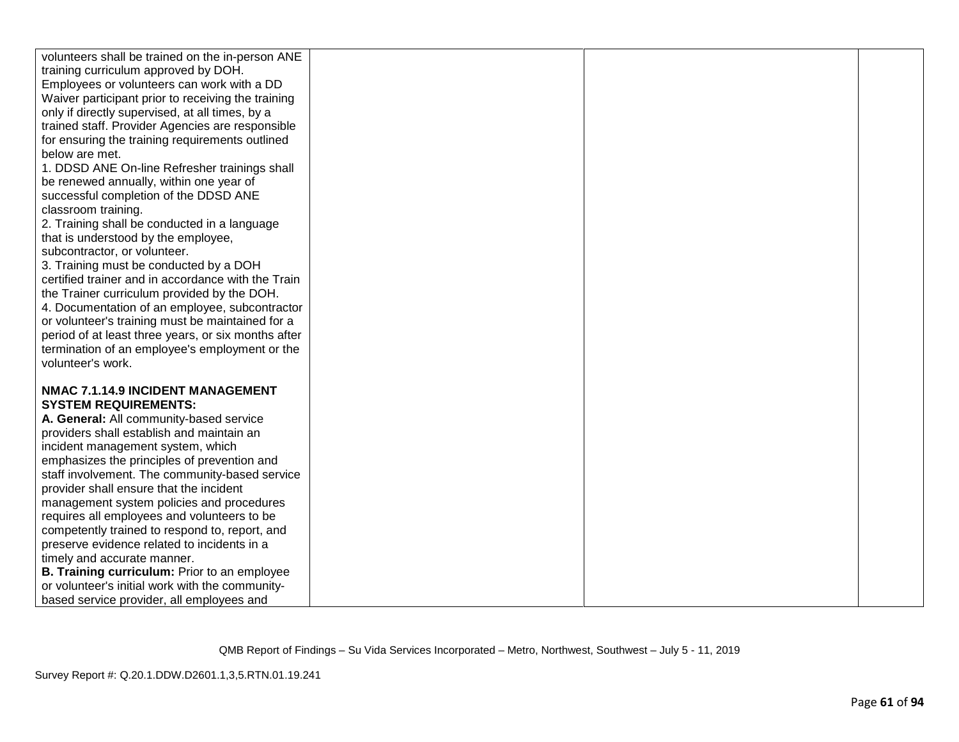| training curriculum approved by DOH.<br>Employees or volunteers can work with a DD<br>Waiver participant prior to receiving the training<br>only if directly supervised, at all times, by a<br>trained staff. Provider Agencies are responsible<br>for ensuring the training requirements outlined<br>below are met.<br>1. DDSD ANE On-line Refresher trainings shall<br>be renewed annually, within one year of<br>successful completion of the DDSD ANE<br>classroom training.<br>2. Training shall be conducted in a language<br>that is understood by the employee,<br>subcontractor, or volunteer.<br>3. Training must be conducted by a DOH<br>certified trainer and in accordance with the Train<br>the Trainer curriculum provided by the DOH.<br>4. Documentation of an employee, subcontractor<br>or volunteer's training must be maintained for a<br>period of at least three years, or six months after<br>termination of an employee's employment or the<br>volunteer's work.<br>NMAC 7.1.14.9 INCIDENT MANAGEMENT<br><b>SYSTEM REQUIREMENTS:</b><br>A. General: All community-based service<br>providers shall establish and maintain an<br>incident management system, which<br>emphasizes the principles of prevention and<br>staff involvement. The community-based service<br>provider shall ensure that the incident<br>management system policies and procedures<br>requires all employees and volunteers to be<br>competently trained to respond to, report, and<br>preserve evidence related to incidents in a<br>timely and accurate manner.<br>B. Training curriculum: Prior to an employee<br>or volunteer's initial work with the community- |                                                  |  |  |
|------------------------------------------------------------------------------------------------------------------------------------------------------------------------------------------------------------------------------------------------------------------------------------------------------------------------------------------------------------------------------------------------------------------------------------------------------------------------------------------------------------------------------------------------------------------------------------------------------------------------------------------------------------------------------------------------------------------------------------------------------------------------------------------------------------------------------------------------------------------------------------------------------------------------------------------------------------------------------------------------------------------------------------------------------------------------------------------------------------------------------------------------------------------------------------------------------------------------------------------------------------------------------------------------------------------------------------------------------------------------------------------------------------------------------------------------------------------------------------------------------------------------------------------------------------------------------------------------------------------------------------------------------------------------|--------------------------------------------------|--|--|
|                                                                                                                                                                                                                                                                                                                                                                                                                                                                                                                                                                                                                                                                                                                                                                                                                                                                                                                                                                                                                                                                                                                                                                                                                                                                                                                                                                                                                                                                                                                                                                                                                                                                        | volunteers shall be trained on the in-person ANE |  |  |
|                                                                                                                                                                                                                                                                                                                                                                                                                                                                                                                                                                                                                                                                                                                                                                                                                                                                                                                                                                                                                                                                                                                                                                                                                                                                                                                                                                                                                                                                                                                                                                                                                                                                        |                                                  |  |  |
|                                                                                                                                                                                                                                                                                                                                                                                                                                                                                                                                                                                                                                                                                                                                                                                                                                                                                                                                                                                                                                                                                                                                                                                                                                                                                                                                                                                                                                                                                                                                                                                                                                                                        |                                                  |  |  |
|                                                                                                                                                                                                                                                                                                                                                                                                                                                                                                                                                                                                                                                                                                                                                                                                                                                                                                                                                                                                                                                                                                                                                                                                                                                                                                                                                                                                                                                                                                                                                                                                                                                                        |                                                  |  |  |
|                                                                                                                                                                                                                                                                                                                                                                                                                                                                                                                                                                                                                                                                                                                                                                                                                                                                                                                                                                                                                                                                                                                                                                                                                                                                                                                                                                                                                                                                                                                                                                                                                                                                        |                                                  |  |  |
|                                                                                                                                                                                                                                                                                                                                                                                                                                                                                                                                                                                                                                                                                                                                                                                                                                                                                                                                                                                                                                                                                                                                                                                                                                                                                                                                                                                                                                                                                                                                                                                                                                                                        |                                                  |  |  |
|                                                                                                                                                                                                                                                                                                                                                                                                                                                                                                                                                                                                                                                                                                                                                                                                                                                                                                                                                                                                                                                                                                                                                                                                                                                                                                                                                                                                                                                                                                                                                                                                                                                                        |                                                  |  |  |
|                                                                                                                                                                                                                                                                                                                                                                                                                                                                                                                                                                                                                                                                                                                                                                                                                                                                                                                                                                                                                                                                                                                                                                                                                                                                                                                                                                                                                                                                                                                                                                                                                                                                        |                                                  |  |  |
|                                                                                                                                                                                                                                                                                                                                                                                                                                                                                                                                                                                                                                                                                                                                                                                                                                                                                                                                                                                                                                                                                                                                                                                                                                                                                                                                                                                                                                                                                                                                                                                                                                                                        |                                                  |  |  |
|                                                                                                                                                                                                                                                                                                                                                                                                                                                                                                                                                                                                                                                                                                                                                                                                                                                                                                                                                                                                                                                                                                                                                                                                                                                                                                                                                                                                                                                                                                                                                                                                                                                                        |                                                  |  |  |
|                                                                                                                                                                                                                                                                                                                                                                                                                                                                                                                                                                                                                                                                                                                                                                                                                                                                                                                                                                                                                                                                                                                                                                                                                                                                                                                                                                                                                                                                                                                                                                                                                                                                        |                                                  |  |  |
|                                                                                                                                                                                                                                                                                                                                                                                                                                                                                                                                                                                                                                                                                                                                                                                                                                                                                                                                                                                                                                                                                                                                                                                                                                                                                                                                                                                                                                                                                                                                                                                                                                                                        |                                                  |  |  |
|                                                                                                                                                                                                                                                                                                                                                                                                                                                                                                                                                                                                                                                                                                                                                                                                                                                                                                                                                                                                                                                                                                                                                                                                                                                                                                                                                                                                                                                                                                                                                                                                                                                                        |                                                  |  |  |
|                                                                                                                                                                                                                                                                                                                                                                                                                                                                                                                                                                                                                                                                                                                                                                                                                                                                                                                                                                                                                                                                                                                                                                                                                                                                                                                                                                                                                                                                                                                                                                                                                                                                        |                                                  |  |  |
|                                                                                                                                                                                                                                                                                                                                                                                                                                                                                                                                                                                                                                                                                                                                                                                                                                                                                                                                                                                                                                                                                                                                                                                                                                                                                                                                                                                                                                                                                                                                                                                                                                                                        |                                                  |  |  |
|                                                                                                                                                                                                                                                                                                                                                                                                                                                                                                                                                                                                                                                                                                                                                                                                                                                                                                                                                                                                                                                                                                                                                                                                                                                                                                                                                                                                                                                                                                                                                                                                                                                                        |                                                  |  |  |
|                                                                                                                                                                                                                                                                                                                                                                                                                                                                                                                                                                                                                                                                                                                                                                                                                                                                                                                                                                                                                                                                                                                                                                                                                                                                                                                                                                                                                                                                                                                                                                                                                                                                        |                                                  |  |  |
|                                                                                                                                                                                                                                                                                                                                                                                                                                                                                                                                                                                                                                                                                                                                                                                                                                                                                                                                                                                                                                                                                                                                                                                                                                                                                                                                                                                                                                                                                                                                                                                                                                                                        |                                                  |  |  |
|                                                                                                                                                                                                                                                                                                                                                                                                                                                                                                                                                                                                                                                                                                                                                                                                                                                                                                                                                                                                                                                                                                                                                                                                                                                                                                                                                                                                                                                                                                                                                                                                                                                                        |                                                  |  |  |
|                                                                                                                                                                                                                                                                                                                                                                                                                                                                                                                                                                                                                                                                                                                                                                                                                                                                                                                                                                                                                                                                                                                                                                                                                                                                                                                                                                                                                                                                                                                                                                                                                                                                        |                                                  |  |  |
|                                                                                                                                                                                                                                                                                                                                                                                                                                                                                                                                                                                                                                                                                                                                                                                                                                                                                                                                                                                                                                                                                                                                                                                                                                                                                                                                                                                                                                                                                                                                                                                                                                                                        |                                                  |  |  |
|                                                                                                                                                                                                                                                                                                                                                                                                                                                                                                                                                                                                                                                                                                                                                                                                                                                                                                                                                                                                                                                                                                                                                                                                                                                                                                                                                                                                                                                                                                                                                                                                                                                                        |                                                  |  |  |
|                                                                                                                                                                                                                                                                                                                                                                                                                                                                                                                                                                                                                                                                                                                                                                                                                                                                                                                                                                                                                                                                                                                                                                                                                                                                                                                                                                                                                                                                                                                                                                                                                                                                        |                                                  |  |  |
|                                                                                                                                                                                                                                                                                                                                                                                                                                                                                                                                                                                                                                                                                                                                                                                                                                                                                                                                                                                                                                                                                                                                                                                                                                                                                                                                                                                                                                                                                                                                                                                                                                                                        |                                                  |  |  |
|                                                                                                                                                                                                                                                                                                                                                                                                                                                                                                                                                                                                                                                                                                                                                                                                                                                                                                                                                                                                                                                                                                                                                                                                                                                                                                                                                                                                                                                                                                                                                                                                                                                                        |                                                  |  |  |
|                                                                                                                                                                                                                                                                                                                                                                                                                                                                                                                                                                                                                                                                                                                                                                                                                                                                                                                                                                                                                                                                                                                                                                                                                                                                                                                                                                                                                                                                                                                                                                                                                                                                        |                                                  |  |  |
|                                                                                                                                                                                                                                                                                                                                                                                                                                                                                                                                                                                                                                                                                                                                                                                                                                                                                                                                                                                                                                                                                                                                                                                                                                                                                                                                                                                                                                                                                                                                                                                                                                                                        |                                                  |  |  |
|                                                                                                                                                                                                                                                                                                                                                                                                                                                                                                                                                                                                                                                                                                                                                                                                                                                                                                                                                                                                                                                                                                                                                                                                                                                                                                                                                                                                                                                                                                                                                                                                                                                                        |                                                  |  |  |
|                                                                                                                                                                                                                                                                                                                                                                                                                                                                                                                                                                                                                                                                                                                                                                                                                                                                                                                                                                                                                                                                                                                                                                                                                                                                                                                                                                                                                                                                                                                                                                                                                                                                        |                                                  |  |  |
|                                                                                                                                                                                                                                                                                                                                                                                                                                                                                                                                                                                                                                                                                                                                                                                                                                                                                                                                                                                                                                                                                                                                                                                                                                                                                                                                                                                                                                                                                                                                                                                                                                                                        |                                                  |  |  |
|                                                                                                                                                                                                                                                                                                                                                                                                                                                                                                                                                                                                                                                                                                                                                                                                                                                                                                                                                                                                                                                                                                                                                                                                                                                                                                                                                                                                                                                                                                                                                                                                                                                                        |                                                  |  |  |
|                                                                                                                                                                                                                                                                                                                                                                                                                                                                                                                                                                                                                                                                                                                                                                                                                                                                                                                                                                                                                                                                                                                                                                                                                                                                                                                                                                                                                                                                                                                                                                                                                                                                        |                                                  |  |  |
|                                                                                                                                                                                                                                                                                                                                                                                                                                                                                                                                                                                                                                                                                                                                                                                                                                                                                                                                                                                                                                                                                                                                                                                                                                                                                                                                                                                                                                                                                                                                                                                                                                                                        |                                                  |  |  |
|                                                                                                                                                                                                                                                                                                                                                                                                                                                                                                                                                                                                                                                                                                                                                                                                                                                                                                                                                                                                                                                                                                                                                                                                                                                                                                                                                                                                                                                                                                                                                                                                                                                                        |                                                  |  |  |
|                                                                                                                                                                                                                                                                                                                                                                                                                                                                                                                                                                                                                                                                                                                                                                                                                                                                                                                                                                                                                                                                                                                                                                                                                                                                                                                                                                                                                                                                                                                                                                                                                                                                        |                                                  |  |  |
|                                                                                                                                                                                                                                                                                                                                                                                                                                                                                                                                                                                                                                                                                                                                                                                                                                                                                                                                                                                                                                                                                                                                                                                                                                                                                                                                                                                                                                                                                                                                                                                                                                                                        |                                                  |  |  |
|                                                                                                                                                                                                                                                                                                                                                                                                                                                                                                                                                                                                                                                                                                                                                                                                                                                                                                                                                                                                                                                                                                                                                                                                                                                                                                                                                                                                                                                                                                                                                                                                                                                                        |                                                  |  |  |
|                                                                                                                                                                                                                                                                                                                                                                                                                                                                                                                                                                                                                                                                                                                                                                                                                                                                                                                                                                                                                                                                                                                                                                                                                                                                                                                                                                                                                                                                                                                                                                                                                                                                        |                                                  |  |  |
|                                                                                                                                                                                                                                                                                                                                                                                                                                                                                                                                                                                                                                                                                                                                                                                                                                                                                                                                                                                                                                                                                                                                                                                                                                                                                                                                                                                                                                                                                                                                                                                                                                                                        |                                                  |  |  |
|                                                                                                                                                                                                                                                                                                                                                                                                                                                                                                                                                                                                                                                                                                                                                                                                                                                                                                                                                                                                                                                                                                                                                                                                                                                                                                                                                                                                                                                                                                                                                                                                                                                                        | based service provider, all employees and        |  |  |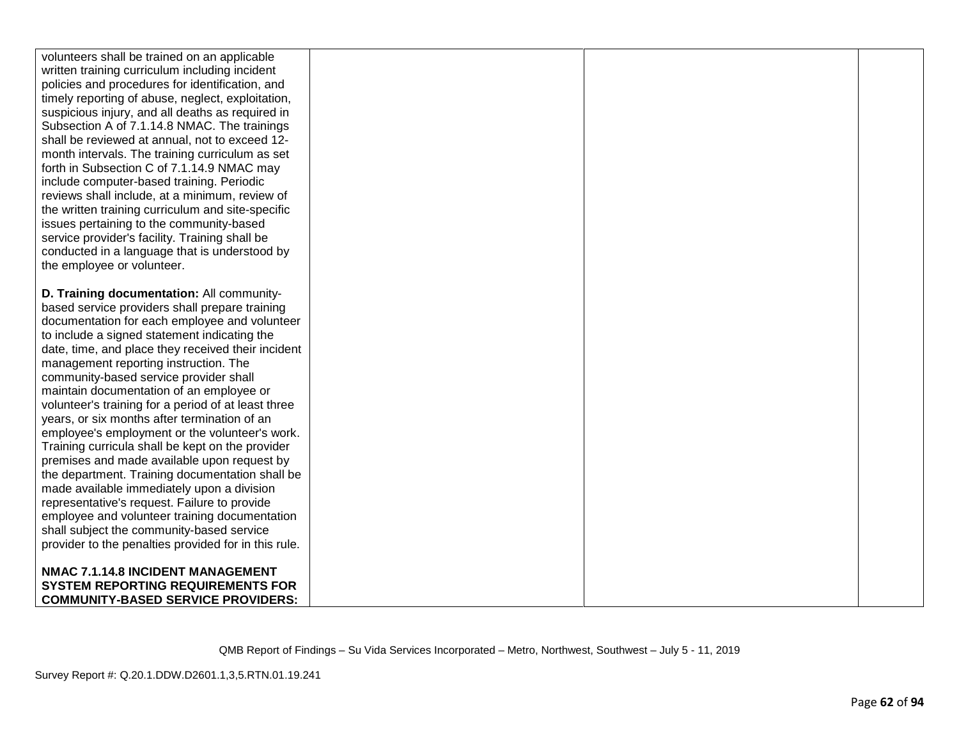| volunteers shall be trained on an applicable<br>written training curriculum including incident |
|------------------------------------------------------------------------------------------------|
| policies and procedures for identification, and                                                |
| timely reporting of abuse, neglect, exploitation,                                              |
| suspicious injury, and all deaths as required in                                               |
| Subsection A of 7.1.14.8 NMAC. The trainings                                                   |
| shall be reviewed at annual, not to exceed 12-                                                 |
| month intervals. The training curriculum as set                                                |
| forth in Subsection C of 7.1.14.9 NMAC may                                                     |
| include computer-based training. Periodic                                                      |
| reviews shall include, at a minimum, review of                                                 |
| the written training curriculum and site-specific                                              |
| issues pertaining to the community-based                                                       |
| service provider's facility. Training shall be                                                 |
| conducted in a language that is understood by                                                  |
| the employee or volunteer.                                                                     |
|                                                                                                |
| D. Training decumentation: All community                                                       |

**D. Training documentation:** All communitybased service providers shall prepare training documentation for each employee and volunteer to include a signed statement indicating the date, time, and place they received their incident management reporting instruction. The community-based service provider shall maintain documentation of an employee or volunteer's training for a period of at least three years, or six months after termination of an employee's employment or the volunteer's work. Training curricula shall be kept on the provider premises and made available upon request by the department. Training documentation shall be made available immediately upon a division representative's request. Failure to provide employee and volunteer training documentation shall subject the community-based service provider to the penalties provided for in this rule.

## **NMAC 7.1.14.8 INCIDENT MANAGEMENT SYSTEM REPORTING REQUIREMENTS FOR COMMUNITY-BASED SERVICE PROVIDERS:**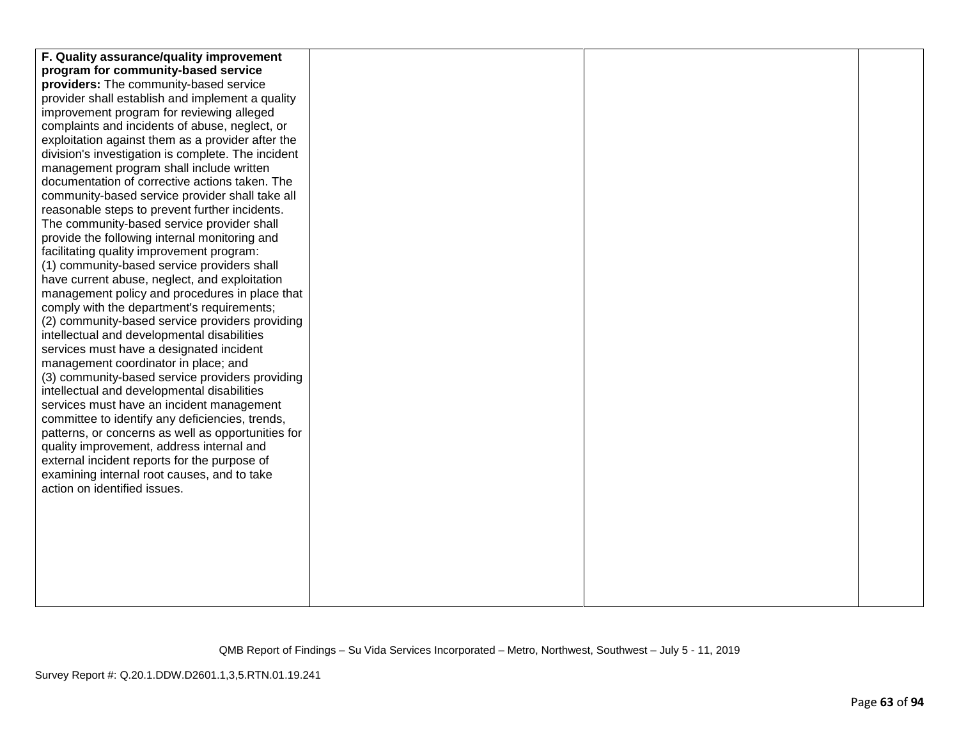| F. Quality assurance/quality improvement           |  |  |
|----------------------------------------------------|--|--|
| program for community-based service                |  |  |
| providers: The community-based service             |  |  |
| provider shall establish and implement a quality   |  |  |
| improvement program for reviewing alleged          |  |  |
| complaints and incidents of abuse, neglect, or     |  |  |
| exploitation against them as a provider after the  |  |  |
| division's investigation is complete. The incident |  |  |
| management program shall include written           |  |  |
| documentation of corrective actions taken. The     |  |  |
| community-based service provider shall take all    |  |  |
| reasonable steps to prevent further incidents.     |  |  |
| The community-based service provider shall         |  |  |
| provide the following internal monitoring and      |  |  |
| facilitating quality improvement program:          |  |  |
| (1) community-based service providers shall        |  |  |
| have current abuse, neglect, and exploitation      |  |  |
| management policy and procedures in place that     |  |  |
| comply with the department's requirements;         |  |  |
| (2) community-based service providers providing    |  |  |
| intellectual and developmental disabilities        |  |  |
| services must have a designated incident           |  |  |
| management coordinator in place; and               |  |  |
| (3) community-based service providers providing    |  |  |
| intellectual and developmental disabilities        |  |  |
| services must have an incident management          |  |  |
| committee to identify any deficiencies, trends,    |  |  |
| patterns, or concerns as well as opportunities for |  |  |
| quality improvement, address internal and          |  |  |
| external incident reports for the purpose of       |  |  |
| examining internal root causes, and to take        |  |  |
| action on identified issues.                       |  |  |
|                                                    |  |  |
|                                                    |  |  |
|                                                    |  |  |
|                                                    |  |  |
|                                                    |  |  |
|                                                    |  |  |
|                                                    |  |  |
|                                                    |  |  |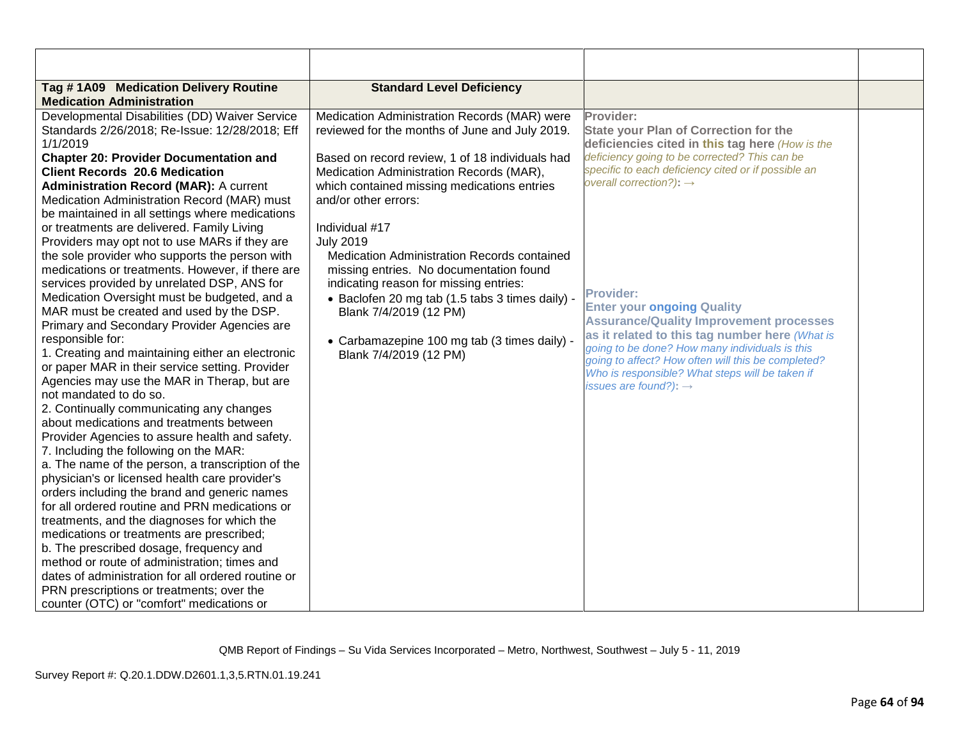| <b>Standard Level Deficiency</b><br>Tag #1A09 Medication Delivery Routine<br><b>Medication Administration</b><br>Developmental Disabilities (DD) Waiver Service<br>Medication Administration Records (MAR) were<br>Provider:<br>Standards 2/26/2018; Re-Issue: 12/28/2018; Eff<br>reviewed for the months of June and July 2019.<br><b>State your Plan of Correction for the</b><br>deficiencies cited in this tag here (How is the<br>1/1/2019<br>deficiency going to be corrected? This can be<br><b>Chapter 20: Provider Documentation and</b><br>Based on record review, 1 of 18 individuals had<br>specific to each deficiency cited or if possible an<br><b>Client Records 20.6 Medication</b><br>Medication Administration Records (MAR),<br>overall correction?): $\rightarrow$<br><b>Administration Record (MAR): A current</b><br>which contained missing medications entries<br>Medication Administration Record (MAR) must<br>and/or other errors:<br>be maintained in all settings where medications<br>or treatments are delivered. Family Living<br>Individual #17<br>Providers may opt not to use MARs if they are<br><b>July 2019</b><br>the sole provider who supports the person with<br>Medication Administration Records contained<br>medications or treatments. However, if there are<br>missing entries. No documentation found<br>services provided by unrelated DSP, ANS for<br>indicating reason for missing entries:<br>Provider:<br>Medication Oversight must be budgeted, and a<br>• Baclofen 20 mg tab (1.5 tabs 3 times daily) -<br><b>Enter your ongoing Quality</b><br>MAR must be created and used by the DSP.<br>Blank 7/4/2019 (12 PM)<br><b>Assurance/Quality Improvement processes</b><br>Primary and Secondary Provider Agencies are<br>as it related to this tag number here (What is<br>responsible for:<br>• Carbamazepine 100 mg tab (3 times daily) -<br>going to be done? How many individuals is this<br>1. Creating and maintaining either an electronic<br>Blank 7/4/2019 (12 PM)<br>going to affect? How often will this be completed?<br>or paper MAR in their service setting. Provider<br>Who is responsible? What steps will be taken if<br>Agencies may use the MAR in Therap, but are<br>issues are found?): $\rightarrow$<br>not mandated to do so.<br>2. Continually communicating any changes<br>about medications and treatments between<br>Provider Agencies to assure health and safety.<br>7. Including the following on the MAR:<br>a. The name of the person, a transcription of the<br>physician's or licensed health care provider's<br>orders including the brand and generic names<br>for all ordered routine and PRN medications or<br>treatments, and the diagnoses for which the<br>medications or treatments are prescribed;<br>b. The prescribed dosage, frequency and<br>method or route of administration; times and<br>dates of administration for all ordered routine or<br>PRN prescriptions or treatments; over the |                                           |  |  |
|----------------------------------------------------------------------------------------------------------------------------------------------------------------------------------------------------------------------------------------------------------------------------------------------------------------------------------------------------------------------------------------------------------------------------------------------------------------------------------------------------------------------------------------------------------------------------------------------------------------------------------------------------------------------------------------------------------------------------------------------------------------------------------------------------------------------------------------------------------------------------------------------------------------------------------------------------------------------------------------------------------------------------------------------------------------------------------------------------------------------------------------------------------------------------------------------------------------------------------------------------------------------------------------------------------------------------------------------------------------------------------------------------------------------------------------------------------------------------------------------------------------------------------------------------------------------------------------------------------------------------------------------------------------------------------------------------------------------------------------------------------------------------------------------------------------------------------------------------------------------------------------------------------------------------------------------------------------------------------------------------------------------------------------------------------------------------------------------------------------------------------------------------------------------------------------------------------------------------------------------------------------------------------------------------------------------------------------------------------------------------------------------------------------------------------------------------------------------------------------------------------------------------------------------------------------------------------------------------------------------------------------------------------------------------------------------------------------------------------------------------------------------------------------------------------------------------------------------------------------------------------------------------------------------------------------------------------------------------------------------------|-------------------------------------------|--|--|
|                                                                                                                                                                                                                                                                                                                                                                                                                                                                                                                                                                                                                                                                                                                                                                                                                                                                                                                                                                                                                                                                                                                                                                                                                                                                                                                                                                                                                                                                                                                                                                                                                                                                                                                                                                                                                                                                                                                                                                                                                                                                                                                                                                                                                                                                                                                                                                                                                                                                                                                                                                                                                                                                                                                                                                                                                                                                                                                                                                                                    |                                           |  |  |
|                                                                                                                                                                                                                                                                                                                                                                                                                                                                                                                                                                                                                                                                                                                                                                                                                                                                                                                                                                                                                                                                                                                                                                                                                                                                                                                                                                                                                                                                                                                                                                                                                                                                                                                                                                                                                                                                                                                                                                                                                                                                                                                                                                                                                                                                                                                                                                                                                                                                                                                                                                                                                                                                                                                                                                                                                                                                                                                                                                                                    |                                           |  |  |
|                                                                                                                                                                                                                                                                                                                                                                                                                                                                                                                                                                                                                                                                                                                                                                                                                                                                                                                                                                                                                                                                                                                                                                                                                                                                                                                                                                                                                                                                                                                                                                                                                                                                                                                                                                                                                                                                                                                                                                                                                                                                                                                                                                                                                                                                                                                                                                                                                                                                                                                                                                                                                                                                                                                                                                                                                                                                                                                                                                                                    |                                           |  |  |
|                                                                                                                                                                                                                                                                                                                                                                                                                                                                                                                                                                                                                                                                                                                                                                                                                                                                                                                                                                                                                                                                                                                                                                                                                                                                                                                                                                                                                                                                                                                                                                                                                                                                                                                                                                                                                                                                                                                                                                                                                                                                                                                                                                                                                                                                                                                                                                                                                                                                                                                                                                                                                                                                                                                                                                                                                                                                                                                                                                                                    |                                           |  |  |
|                                                                                                                                                                                                                                                                                                                                                                                                                                                                                                                                                                                                                                                                                                                                                                                                                                                                                                                                                                                                                                                                                                                                                                                                                                                                                                                                                                                                                                                                                                                                                                                                                                                                                                                                                                                                                                                                                                                                                                                                                                                                                                                                                                                                                                                                                                                                                                                                                                                                                                                                                                                                                                                                                                                                                                                                                                                                                                                                                                                                    |                                           |  |  |
|                                                                                                                                                                                                                                                                                                                                                                                                                                                                                                                                                                                                                                                                                                                                                                                                                                                                                                                                                                                                                                                                                                                                                                                                                                                                                                                                                                                                                                                                                                                                                                                                                                                                                                                                                                                                                                                                                                                                                                                                                                                                                                                                                                                                                                                                                                                                                                                                                                                                                                                                                                                                                                                                                                                                                                                                                                                                                                                                                                                                    |                                           |  |  |
|                                                                                                                                                                                                                                                                                                                                                                                                                                                                                                                                                                                                                                                                                                                                                                                                                                                                                                                                                                                                                                                                                                                                                                                                                                                                                                                                                                                                                                                                                                                                                                                                                                                                                                                                                                                                                                                                                                                                                                                                                                                                                                                                                                                                                                                                                                                                                                                                                                                                                                                                                                                                                                                                                                                                                                                                                                                                                                                                                                                                    |                                           |  |  |
|                                                                                                                                                                                                                                                                                                                                                                                                                                                                                                                                                                                                                                                                                                                                                                                                                                                                                                                                                                                                                                                                                                                                                                                                                                                                                                                                                                                                                                                                                                                                                                                                                                                                                                                                                                                                                                                                                                                                                                                                                                                                                                                                                                                                                                                                                                                                                                                                                                                                                                                                                                                                                                                                                                                                                                                                                                                                                                                                                                                                    |                                           |  |  |
|                                                                                                                                                                                                                                                                                                                                                                                                                                                                                                                                                                                                                                                                                                                                                                                                                                                                                                                                                                                                                                                                                                                                                                                                                                                                                                                                                                                                                                                                                                                                                                                                                                                                                                                                                                                                                                                                                                                                                                                                                                                                                                                                                                                                                                                                                                                                                                                                                                                                                                                                                                                                                                                                                                                                                                                                                                                                                                                                                                                                    |                                           |  |  |
|                                                                                                                                                                                                                                                                                                                                                                                                                                                                                                                                                                                                                                                                                                                                                                                                                                                                                                                                                                                                                                                                                                                                                                                                                                                                                                                                                                                                                                                                                                                                                                                                                                                                                                                                                                                                                                                                                                                                                                                                                                                                                                                                                                                                                                                                                                                                                                                                                                                                                                                                                                                                                                                                                                                                                                                                                                                                                                                                                                                                    |                                           |  |  |
|                                                                                                                                                                                                                                                                                                                                                                                                                                                                                                                                                                                                                                                                                                                                                                                                                                                                                                                                                                                                                                                                                                                                                                                                                                                                                                                                                                                                                                                                                                                                                                                                                                                                                                                                                                                                                                                                                                                                                                                                                                                                                                                                                                                                                                                                                                                                                                                                                                                                                                                                                                                                                                                                                                                                                                                                                                                                                                                                                                                                    |                                           |  |  |
|                                                                                                                                                                                                                                                                                                                                                                                                                                                                                                                                                                                                                                                                                                                                                                                                                                                                                                                                                                                                                                                                                                                                                                                                                                                                                                                                                                                                                                                                                                                                                                                                                                                                                                                                                                                                                                                                                                                                                                                                                                                                                                                                                                                                                                                                                                                                                                                                                                                                                                                                                                                                                                                                                                                                                                                                                                                                                                                                                                                                    |                                           |  |  |
|                                                                                                                                                                                                                                                                                                                                                                                                                                                                                                                                                                                                                                                                                                                                                                                                                                                                                                                                                                                                                                                                                                                                                                                                                                                                                                                                                                                                                                                                                                                                                                                                                                                                                                                                                                                                                                                                                                                                                                                                                                                                                                                                                                                                                                                                                                                                                                                                                                                                                                                                                                                                                                                                                                                                                                                                                                                                                                                                                                                                    |                                           |  |  |
|                                                                                                                                                                                                                                                                                                                                                                                                                                                                                                                                                                                                                                                                                                                                                                                                                                                                                                                                                                                                                                                                                                                                                                                                                                                                                                                                                                                                                                                                                                                                                                                                                                                                                                                                                                                                                                                                                                                                                                                                                                                                                                                                                                                                                                                                                                                                                                                                                                                                                                                                                                                                                                                                                                                                                                                                                                                                                                                                                                                                    |                                           |  |  |
|                                                                                                                                                                                                                                                                                                                                                                                                                                                                                                                                                                                                                                                                                                                                                                                                                                                                                                                                                                                                                                                                                                                                                                                                                                                                                                                                                                                                                                                                                                                                                                                                                                                                                                                                                                                                                                                                                                                                                                                                                                                                                                                                                                                                                                                                                                                                                                                                                                                                                                                                                                                                                                                                                                                                                                                                                                                                                                                                                                                                    |                                           |  |  |
|                                                                                                                                                                                                                                                                                                                                                                                                                                                                                                                                                                                                                                                                                                                                                                                                                                                                                                                                                                                                                                                                                                                                                                                                                                                                                                                                                                                                                                                                                                                                                                                                                                                                                                                                                                                                                                                                                                                                                                                                                                                                                                                                                                                                                                                                                                                                                                                                                                                                                                                                                                                                                                                                                                                                                                                                                                                                                                                                                                                                    |                                           |  |  |
|                                                                                                                                                                                                                                                                                                                                                                                                                                                                                                                                                                                                                                                                                                                                                                                                                                                                                                                                                                                                                                                                                                                                                                                                                                                                                                                                                                                                                                                                                                                                                                                                                                                                                                                                                                                                                                                                                                                                                                                                                                                                                                                                                                                                                                                                                                                                                                                                                                                                                                                                                                                                                                                                                                                                                                                                                                                                                                                                                                                                    |                                           |  |  |
|                                                                                                                                                                                                                                                                                                                                                                                                                                                                                                                                                                                                                                                                                                                                                                                                                                                                                                                                                                                                                                                                                                                                                                                                                                                                                                                                                                                                                                                                                                                                                                                                                                                                                                                                                                                                                                                                                                                                                                                                                                                                                                                                                                                                                                                                                                                                                                                                                                                                                                                                                                                                                                                                                                                                                                                                                                                                                                                                                                                                    |                                           |  |  |
|                                                                                                                                                                                                                                                                                                                                                                                                                                                                                                                                                                                                                                                                                                                                                                                                                                                                                                                                                                                                                                                                                                                                                                                                                                                                                                                                                                                                                                                                                                                                                                                                                                                                                                                                                                                                                                                                                                                                                                                                                                                                                                                                                                                                                                                                                                                                                                                                                                                                                                                                                                                                                                                                                                                                                                                                                                                                                                                                                                                                    |                                           |  |  |
|                                                                                                                                                                                                                                                                                                                                                                                                                                                                                                                                                                                                                                                                                                                                                                                                                                                                                                                                                                                                                                                                                                                                                                                                                                                                                                                                                                                                                                                                                                                                                                                                                                                                                                                                                                                                                                                                                                                                                                                                                                                                                                                                                                                                                                                                                                                                                                                                                                                                                                                                                                                                                                                                                                                                                                                                                                                                                                                                                                                                    |                                           |  |  |
|                                                                                                                                                                                                                                                                                                                                                                                                                                                                                                                                                                                                                                                                                                                                                                                                                                                                                                                                                                                                                                                                                                                                                                                                                                                                                                                                                                                                                                                                                                                                                                                                                                                                                                                                                                                                                                                                                                                                                                                                                                                                                                                                                                                                                                                                                                                                                                                                                                                                                                                                                                                                                                                                                                                                                                                                                                                                                                                                                                                                    |                                           |  |  |
|                                                                                                                                                                                                                                                                                                                                                                                                                                                                                                                                                                                                                                                                                                                                                                                                                                                                                                                                                                                                                                                                                                                                                                                                                                                                                                                                                                                                                                                                                                                                                                                                                                                                                                                                                                                                                                                                                                                                                                                                                                                                                                                                                                                                                                                                                                                                                                                                                                                                                                                                                                                                                                                                                                                                                                                                                                                                                                                                                                                                    |                                           |  |  |
|                                                                                                                                                                                                                                                                                                                                                                                                                                                                                                                                                                                                                                                                                                                                                                                                                                                                                                                                                                                                                                                                                                                                                                                                                                                                                                                                                                                                                                                                                                                                                                                                                                                                                                                                                                                                                                                                                                                                                                                                                                                                                                                                                                                                                                                                                                                                                                                                                                                                                                                                                                                                                                                                                                                                                                                                                                                                                                                                                                                                    |                                           |  |  |
|                                                                                                                                                                                                                                                                                                                                                                                                                                                                                                                                                                                                                                                                                                                                                                                                                                                                                                                                                                                                                                                                                                                                                                                                                                                                                                                                                                                                                                                                                                                                                                                                                                                                                                                                                                                                                                                                                                                                                                                                                                                                                                                                                                                                                                                                                                                                                                                                                                                                                                                                                                                                                                                                                                                                                                                                                                                                                                                                                                                                    |                                           |  |  |
|                                                                                                                                                                                                                                                                                                                                                                                                                                                                                                                                                                                                                                                                                                                                                                                                                                                                                                                                                                                                                                                                                                                                                                                                                                                                                                                                                                                                                                                                                                                                                                                                                                                                                                                                                                                                                                                                                                                                                                                                                                                                                                                                                                                                                                                                                                                                                                                                                                                                                                                                                                                                                                                                                                                                                                                                                                                                                                                                                                                                    |                                           |  |  |
|                                                                                                                                                                                                                                                                                                                                                                                                                                                                                                                                                                                                                                                                                                                                                                                                                                                                                                                                                                                                                                                                                                                                                                                                                                                                                                                                                                                                                                                                                                                                                                                                                                                                                                                                                                                                                                                                                                                                                                                                                                                                                                                                                                                                                                                                                                                                                                                                                                                                                                                                                                                                                                                                                                                                                                                                                                                                                                                                                                                                    |                                           |  |  |
|                                                                                                                                                                                                                                                                                                                                                                                                                                                                                                                                                                                                                                                                                                                                                                                                                                                                                                                                                                                                                                                                                                                                                                                                                                                                                                                                                                                                                                                                                                                                                                                                                                                                                                                                                                                                                                                                                                                                                                                                                                                                                                                                                                                                                                                                                                                                                                                                                                                                                                                                                                                                                                                                                                                                                                                                                                                                                                                                                                                                    |                                           |  |  |
|                                                                                                                                                                                                                                                                                                                                                                                                                                                                                                                                                                                                                                                                                                                                                                                                                                                                                                                                                                                                                                                                                                                                                                                                                                                                                                                                                                                                                                                                                                                                                                                                                                                                                                                                                                                                                                                                                                                                                                                                                                                                                                                                                                                                                                                                                                                                                                                                                                                                                                                                                                                                                                                                                                                                                                                                                                                                                                                                                                                                    |                                           |  |  |
|                                                                                                                                                                                                                                                                                                                                                                                                                                                                                                                                                                                                                                                                                                                                                                                                                                                                                                                                                                                                                                                                                                                                                                                                                                                                                                                                                                                                                                                                                                                                                                                                                                                                                                                                                                                                                                                                                                                                                                                                                                                                                                                                                                                                                                                                                                                                                                                                                                                                                                                                                                                                                                                                                                                                                                                                                                                                                                                                                                                                    |                                           |  |  |
|                                                                                                                                                                                                                                                                                                                                                                                                                                                                                                                                                                                                                                                                                                                                                                                                                                                                                                                                                                                                                                                                                                                                                                                                                                                                                                                                                                                                                                                                                                                                                                                                                                                                                                                                                                                                                                                                                                                                                                                                                                                                                                                                                                                                                                                                                                                                                                                                                                                                                                                                                                                                                                                                                                                                                                                                                                                                                                                                                                                                    |                                           |  |  |
|                                                                                                                                                                                                                                                                                                                                                                                                                                                                                                                                                                                                                                                                                                                                                                                                                                                                                                                                                                                                                                                                                                                                                                                                                                                                                                                                                                                                                                                                                                                                                                                                                                                                                                                                                                                                                                                                                                                                                                                                                                                                                                                                                                                                                                                                                                                                                                                                                                                                                                                                                                                                                                                                                                                                                                                                                                                                                                                                                                                                    | counter (OTC) or "comfort" medications or |  |  |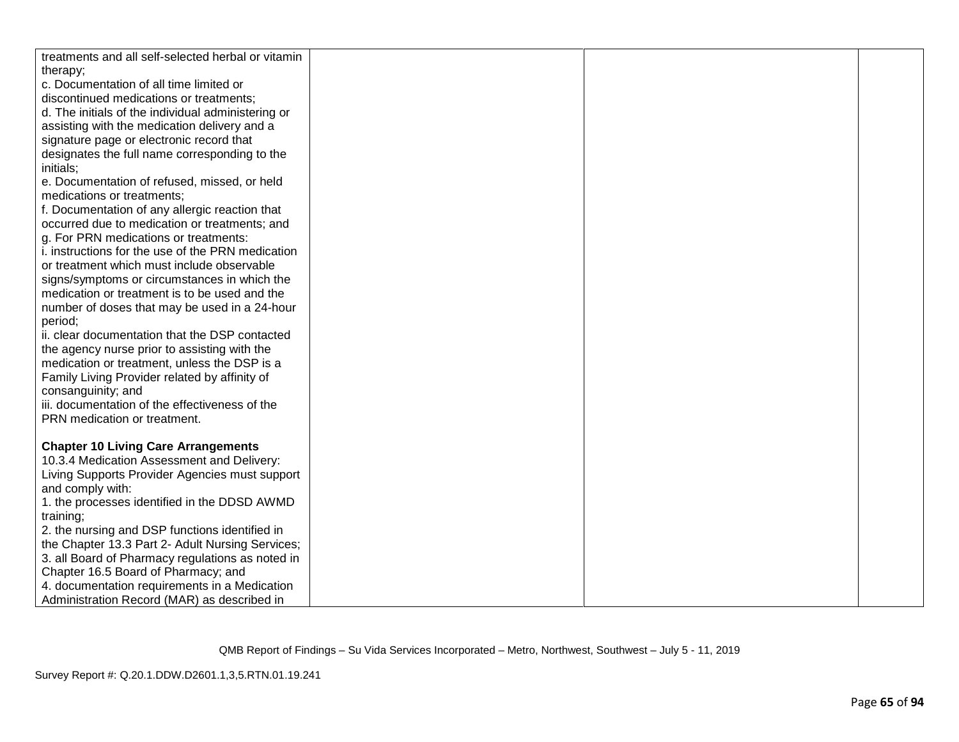| treatments and all self-selected herbal or vitamin<br>therapy;                               |  |  |
|----------------------------------------------------------------------------------------------|--|--|
| c. Documentation of all time limited or                                                      |  |  |
| discontinued medications or treatments;                                                      |  |  |
| d. The initials of the individual administering or                                           |  |  |
| assisting with the medication delivery and a                                                 |  |  |
| signature page or electronic record that                                                     |  |  |
| designates the full name corresponding to the                                                |  |  |
| initials;                                                                                    |  |  |
| e. Documentation of refused, missed, or held                                                 |  |  |
| medications or treatments;                                                                   |  |  |
| f. Documentation of any allergic reaction that                                               |  |  |
| occurred due to medication or treatments; and                                                |  |  |
| g. For PRN medications or treatments:                                                        |  |  |
| i. instructions for the use of the PRN medication                                            |  |  |
| or treatment which must include observable                                                   |  |  |
| signs/symptoms or circumstances in which the                                                 |  |  |
| medication or treatment is to be used and the                                                |  |  |
| number of doses that may be used in a 24-hour                                                |  |  |
| period;                                                                                      |  |  |
| ii. clear documentation that the DSP contacted                                               |  |  |
| the agency nurse prior to assisting with the<br>medication or treatment, unless the DSP is a |  |  |
| Family Living Provider related by affinity of                                                |  |  |
| consanguinity; and                                                                           |  |  |
| iii. documentation of the effectiveness of the                                               |  |  |
| PRN medication or treatment.                                                                 |  |  |
|                                                                                              |  |  |
| <b>Chapter 10 Living Care Arrangements</b>                                                   |  |  |
| 10.3.4 Medication Assessment and Delivery:                                                   |  |  |
| Living Supports Provider Agencies must support                                               |  |  |
| and comply with:                                                                             |  |  |
| 1. the processes identified in the DDSD AWMD                                                 |  |  |
| training;                                                                                    |  |  |
| 2. the nursing and DSP functions identified in                                               |  |  |
| the Chapter 13.3 Part 2- Adult Nursing Services;                                             |  |  |
| 3. all Board of Pharmacy regulations as noted in                                             |  |  |
| Chapter 16.5 Board of Pharmacy; and                                                          |  |  |
| 4. documentation requirements in a Medication                                                |  |  |
| Administration Record (MAR) as described in                                                  |  |  |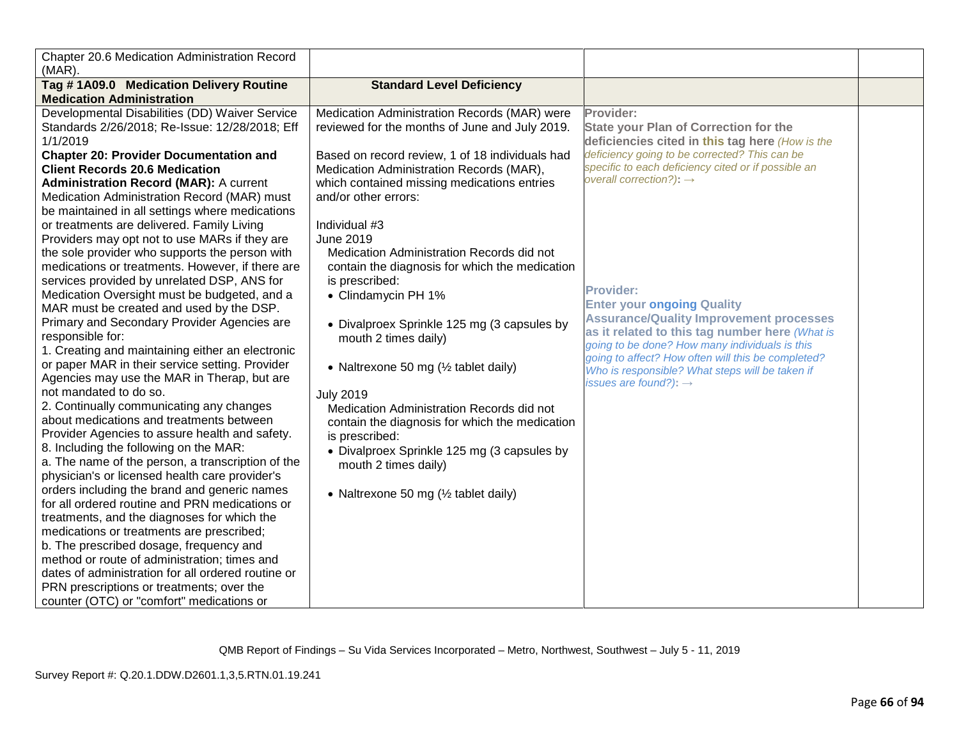| Chapter 20.6 Medication Administration Record<br>$(MAR)$ .                  |                                                  |                                                     |  |
|-----------------------------------------------------------------------------|--------------------------------------------------|-----------------------------------------------------|--|
| Tag #1A09.0 Medication Delivery Routine<br><b>Medication Administration</b> | <b>Standard Level Deficiency</b>                 |                                                     |  |
| Developmental Disabilities (DD) Waiver Service                              | Medication Administration Records (MAR) were     | Provider:                                           |  |
| Standards 2/26/2018; Re-Issue: 12/28/2018; Eff                              | reviewed for the months of June and July 2019.   | <b>State your Plan of Correction for the</b>        |  |
| 1/1/2019                                                                    |                                                  | deficiencies cited in this tag here (How is the     |  |
| <b>Chapter 20: Provider Documentation and</b>                               | Based on record review, 1 of 18 individuals had  | deficiency going to be corrected? This can be       |  |
| <b>Client Records 20.6 Medication</b>                                       | Medication Administration Records (MAR),         | specific to each deficiency cited or if possible an |  |
| <b>Administration Record (MAR): A current</b>                               | which contained missing medications entries      | overall correction?): $\rightarrow$                 |  |
| Medication Administration Record (MAR) must                                 | and/or other errors:                             |                                                     |  |
| be maintained in all settings where medications                             |                                                  |                                                     |  |
| or treatments are delivered. Family Living                                  | Individual #3                                    |                                                     |  |
| Providers may opt not to use MARs if they are                               | June 2019                                        |                                                     |  |
| the sole provider who supports the person with                              | Medication Administration Records did not        |                                                     |  |
| medications or treatments. However, if there are                            | contain the diagnosis for which the medication   |                                                     |  |
| services provided by unrelated DSP, ANS for                                 | is prescribed:                                   | <b>Provider:</b>                                    |  |
| Medication Oversight must be budgeted, and a                                | • Clindamycin PH 1%                              | <b>Enter your ongoing Quality</b>                   |  |
| MAR must be created and used by the DSP.                                    |                                                  | <b>Assurance/Quality Improvement processes</b>      |  |
| Primary and Secondary Provider Agencies are                                 | • Divalproex Sprinkle 125 mg (3 capsules by      | as it related to this tag number here (What is      |  |
| responsible for:                                                            | mouth 2 times daily)                             | going to be done? How many individuals is this      |  |
| 1. Creating and maintaining either an electronic                            |                                                  | going to affect? How often will this be completed?  |  |
| or paper MAR in their service setting. Provider                             | • Naltrexone 50 mg ( $\frac{1}{2}$ tablet daily) | Who is responsible? What steps will be taken if     |  |
| Agencies may use the MAR in Therap, but are<br>not mandated to do so.       |                                                  | issues are found?): $\rightarrow$                   |  |
| 2. Continually communicating any changes                                    | <b>July 2019</b>                                 |                                                     |  |
| about medications and treatments between                                    | Medication Administration Records did not        |                                                     |  |
| Provider Agencies to assure health and safety.                              | contain the diagnosis for which the medication   |                                                     |  |
| 8. Including the following on the MAR:                                      | is prescribed:                                   |                                                     |  |
| a. The name of the person, a transcription of the                           | • Divalproex Sprinkle 125 mg (3 capsules by      |                                                     |  |
| physician's or licensed health care provider's                              | mouth 2 times daily)                             |                                                     |  |
| orders including the brand and generic names                                | • Naltrexone 50 mg ( $\frac{1}{2}$ tablet daily) |                                                     |  |
| for all ordered routine and PRN medications or                              |                                                  |                                                     |  |
| treatments, and the diagnoses for which the                                 |                                                  |                                                     |  |
| medications or treatments are prescribed;                                   |                                                  |                                                     |  |
| b. The prescribed dosage, frequency and                                     |                                                  |                                                     |  |
| method or route of administration; times and                                |                                                  |                                                     |  |
| dates of administration for all ordered routine or                          |                                                  |                                                     |  |
| PRN prescriptions or treatments; over the                                   |                                                  |                                                     |  |
| counter (OTC) or "comfort" medications or                                   |                                                  |                                                     |  |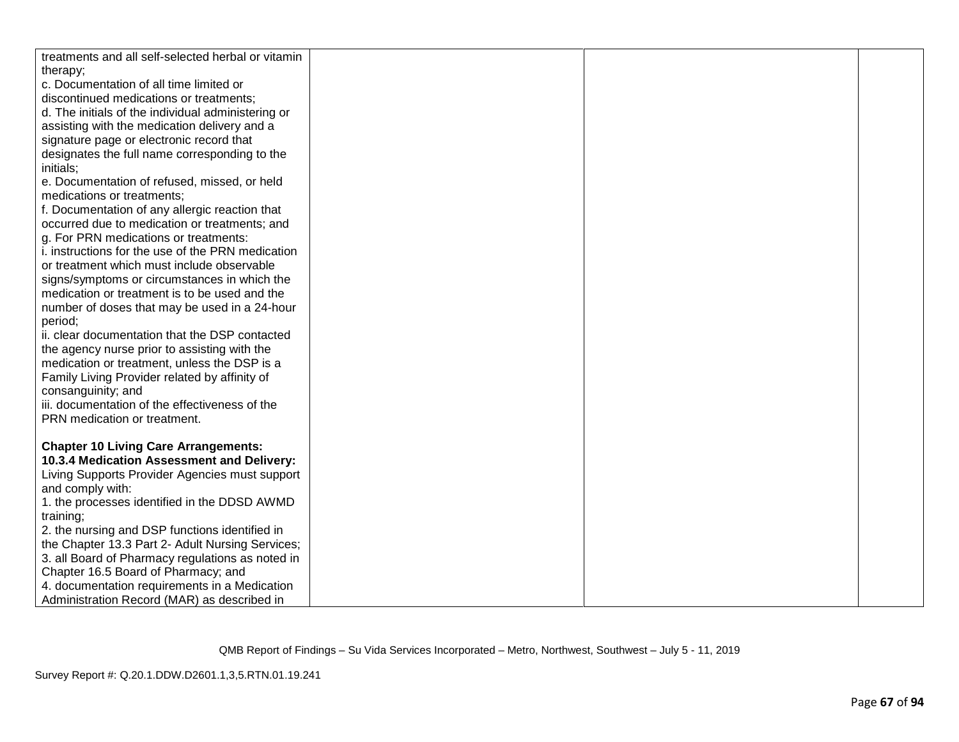| treatments and all self-selected herbal or vitamin<br>therapy; |  |  |
|----------------------------------------------------------------|--|--|
| c. Documentation of all time limited or                        |  |  |
| discontinued medications or treatments;                        |  |  |
| d. The initials of the individual administering or             |  |  |
| assisting with the medication delivery and a                   |  |  |
| signature page or electronic record that                       |  |  |
| designates the full name corresponding to the                  |  |  |
| initials;                                                      |  |  |
| e. Documentation of refused, missed, or held                   |  |  |
| medications or treatments;                                     |  |  |
| f. Documentation of any allergic reaction that                 |  |  |
| occurred due to medication or treatments; and                  |  |  |
| g. For PRN medications or treatments:                          |  |  |
| i. instructions for the use of the PRN medication              |  |  |
| or treatment which must include observable                     |  |  |
| signs/symptoms or circumstances in which the                   |  |  |
| medication or treatment is to be used and the                  |  |  |
| number of doses that may be used in a 24-hour                  |  |  |
| period;                                                        |  |  |
| ii. clear documentation that the DSP contacted                 |  |  |
| the agency nurse prior to assisting with the                   |  |  |
| medication or treatment, unless the DSP is a                   |  |  |
| Family Living Provider related by affinity of                  |  |  |
| consanguinity; and                                             |  |  |
| iii. documentation of the effectiveness of the                 |  |  |
| PRN medication or treatment.                                   |  |  |
| <b>Chapter 10 Living Care Arrangements:</b>                    |  |  |
| 10.3.4 Medication Assessment and Delivery:                     |  |  |
| Living Supports Provider Agencies must support                 |  |  |
| and comply with:                                               |  |  |
| 1. the processes identified in the DDSD AWMD                   |  |  |
| training;                                                      |  |  |
| 2. the nursing and DSP functions identified in                 |  |  |
| the Chapter 13.3 Part 2- Adult Nursing Services;               |  |  |
| 3. all Board of Pharmacy regulations as noted in               |  |  |
| Chapter 16.5 Board of Pharmacy; and                            |  |  |
| 4. documentation requirements in a Medication                  |  |  |
| Administration Record (MAR) as described in                    |  |  |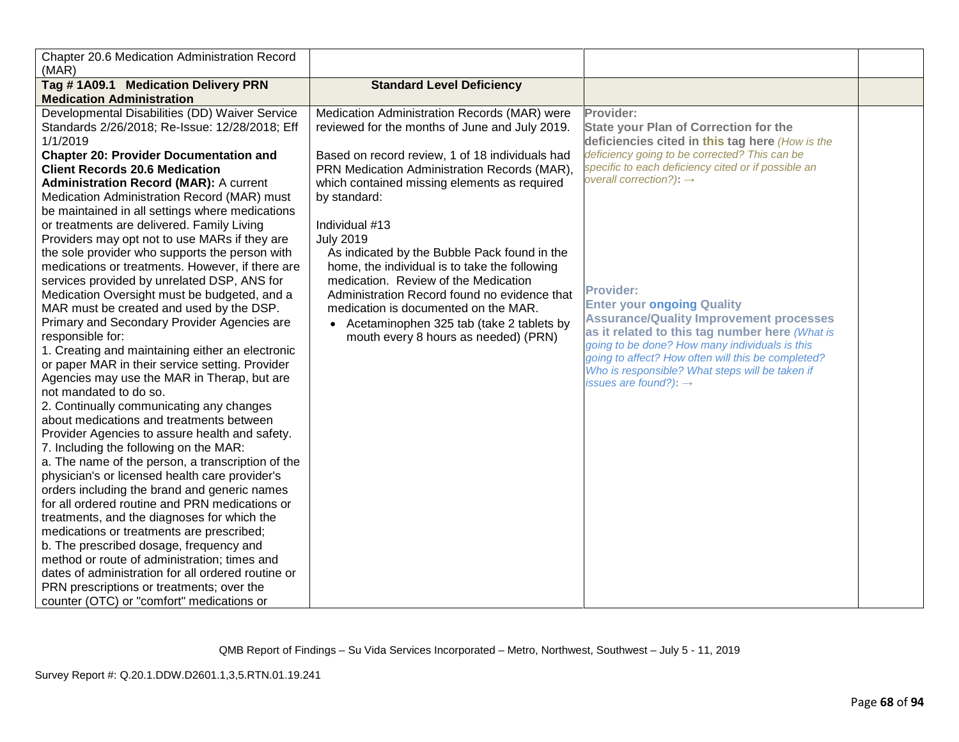| Chapter 20.6 Medication Administration Record<br>(MAR)                                                                                                                                                                                                                                                                                                                                                                                                                                                                                                                                                                                                                                                                                                                                                                                                                                                                                                                                                                                                                                                                                                                                  |                                                                                                                                                                                                                                                                                                                     |                                                                                                                                                                                                                                                                                                                                                           |  |
|-----------------------------------------------------------------------------------------------------------------------------------------------------------------------------------------------------------------------------------------------------------------------------------------------------------------------------------------------------------------------------------------------------------------------------------------------------------------------------------------------------------------------------------------------------------------------------------------------------------------------------------------------------------------------------------------------------------------------------------------------------------------------------------------------------------------------------------------------------------------------------------------------------------------------------------------------------------------------------------------------------------------------------------------------------------------------------------------------------------------------------------------------------------------------------------------|---------------------------------------------------------------------------------------------------------------------------------------------------------------------------------------------------------------------------------------------------------------------------------------------------------------------|-----------------------------------------------------------------------------------------------------------------------------------------------------------------------------------------------------------------------------------------------------------------------------------------------------------------------------------------------------------|--|
| Tag #1A09.1 Medication Delivery PRN<br><b>Medication Administration</b>                                                                                                                                                                                                                                                                                                                                                                                                                                                                                                                                                                                                                                                                                                                                                                                                                                                                                                                                                                                                                                                                                                                 | <b>Standard Level Deficiency</b>                                                                                                                                                                                                                                                                                    |                                                                                                                                                                                                                                                                                                                                                           |  |
| Developmental Disabilities (DD) Waiver Service<br>Standards 2/26/2018; Re-Issue: 12/28/2018; Eff<br>1/1/2019<br><b>Chapter 20: Provider Documentation and</b><br><b>Client Records 20.6 Medication</b><br><b>Administration Record (MAR): A current</b><br>Medication Administration Record (MAR) must<br>be maintained in all settings where medications<br>or treatments are delivered. Family Living<br>Providers may opt not to use MARs if they are                                                                                                                                                                                                                                                                                                                                                                                                                                                                                                                                                                                                                                                                                                                                | Medication Administration Records (MAR) were<br>reviewed for the months of June and July 2019.<br>Based on record review, 1 of 18 individuals had<br>PRN Medication Administration Records (MAR),<br>which contained missing elements as required<br>by standard:<br>Individual #13<br><b>July 2019</b>             | Provider:<br><b>State your Plan of Correction for the</b><br>deficiencies cited in this tag here (How is the<br>deficiency going to be corrected? This can be<br>specific to each deficiency cited or if possible an<br>overall correction?): $\rightarrow$                                                                                               |  |
| the sole provider who supports the person with<br>medications or treatments. However, if there are<br>services provided by unrelated DSP, ANS for<br>Medication Oversight must be budgeted, and a<br>MAR must be created and used by the DSP.<br>Primary and Secondary Provider Agencies are<br>responsible for:<br>1. Creating and maintaining either an electronic<br>or paper MAR in their service setting. Provider<br>Agencies may use the MAR in Therap, but are<br>not mandated to do so.<br>2. Continually communicating any changes<br>about medications and treatments between<br>Provider Agencies to assure health and safety.<br>7. Including the following on the MAR:<br>a. The name of the person, a transcription of the<br>physician's or licensed health care provider's<br>orders including the brand and generic names<br>for all ordered routine and PRN medications or<br>treatments, and the diagnoses for which the<br>medications or treatments are prescribed;<br>b. The prescribed dosage, frequency and<br>method or route of administration; times and<br>dates of administration for all ordered routine or<br>PRN prescriptions or treatments; over the | As indicated by the Bubble Pack found in the<br>home, the individual is to take the following<br>medication. Review of the Medication<br>Administration Record found no evidence that<br>medication is documented on the MAR.<br>• Acetaminophen 325 tab (take 2 tablets by<br>mouth every 8 hours as needed) (PRN) | <b>Provider:</b><br><b>Enter your ongoing Quality</b><br><b>Assurance/Quality Improvement processes</b><br>as it related to this tag number here (What is<br>going to be done? How many individuals is this<br>going to affect? How often will this be completed?<br>Who is responsible? What steps will be taken if<br>issues are found?): $\rightarrow$ |  |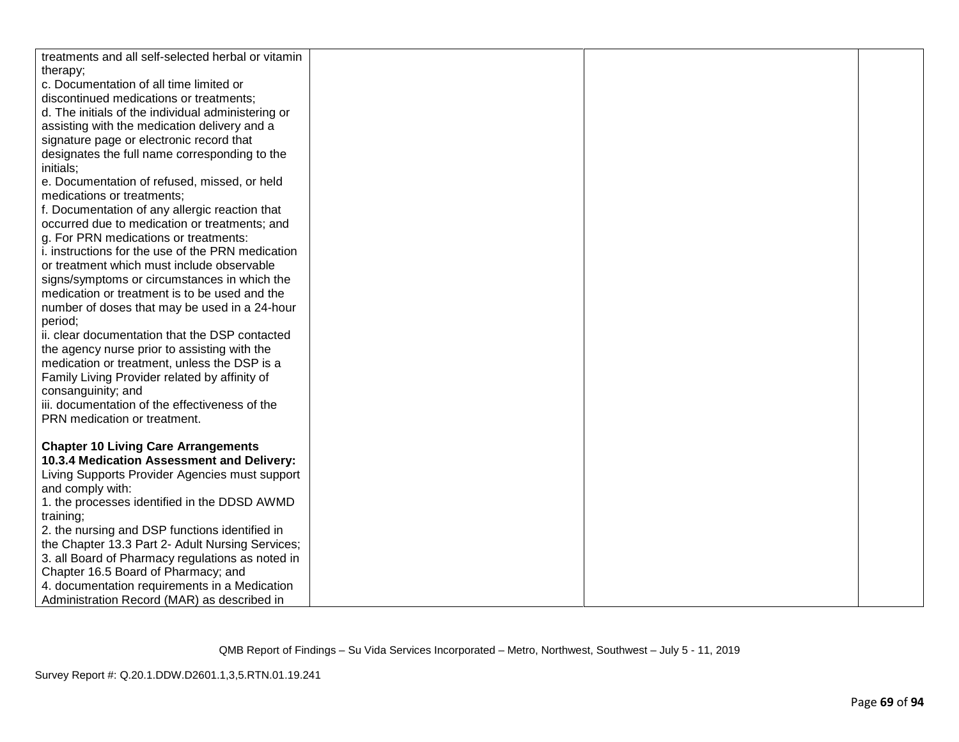| treatments and all self-selected herbal or vitamin<br>therapy; |  |  |
|----------------------------------------------------------------|--|--|
| c. Documentation of all time limited or                        |  |  |
| discontinued medications or treatments;                        |  |  |
| d. The initials of the individual administering or             |  |  |
| assisting with the medication delivery and a                   |  |  |
| signature page or electronic record that                       |  |  |
| designates the full name corresponding to the                  |  |  |
| initials;                                                      |  |  |
| e. Documentation of refused, missed, or held                   |  |  |
| medications or treatments;                                     |  |  |
| f. Documentation of any allergic reaction that                 |  |  |
| occurred due to medication or treatments; and                  |  |  |
| g. For PRN medications or treatments:                          |  |  |
| i. instructions for the use of the PRN medication              |  |  |
| or treatment which must include observable                     |  |  |
| signs/symptoms or circumstances in which the                   |  |  |
| medication or treatment is to be used and the                  |  |  |
| number of doses that may be used in a 24-hour                  |  |  |
| period;                                                        |  |  |
| ii. clear documentation that the DSP contacted                 |  |  |
| the agency nurse prior to assisting with the                   |  |  |
| medication or treatment, unless the DSP is a                   |  |  |
| Family Living Provider related by affinity of                  |  |  |
| consanguinity; and                                             |  |  |
| iii. documentation of the effectiveness of the                 |  |  |
| PRN medication or treatment.                                   |  |  |
| <b>Chapter 10 Living Care Arrangements</b>                     |  |  |
| 10.3.4 Medication Assessment and Delivery:                     |  |  |
| Living Supports Provider Agencies must support                 |  |  |
| and comply with:                                               |  |  |
| 1. the processes identified in the DDSD AWMD                   |  |  |
| training;                                                      |  |  |
| 2. the nursing and DSP functions identified in                 |  |  |
| the Chapter 13.3 Part 2- Adult Nursing Services;               |  |  |
| 3. all Board of Pharmacy regulations as noted in               |  |  |
| Chapter 16.5 Board of Pharmacy; and                            |  |  |
| 4. documentation requirements in a Medication                  |  |  |
| Administration Record (MAR) as described in                    |  |  |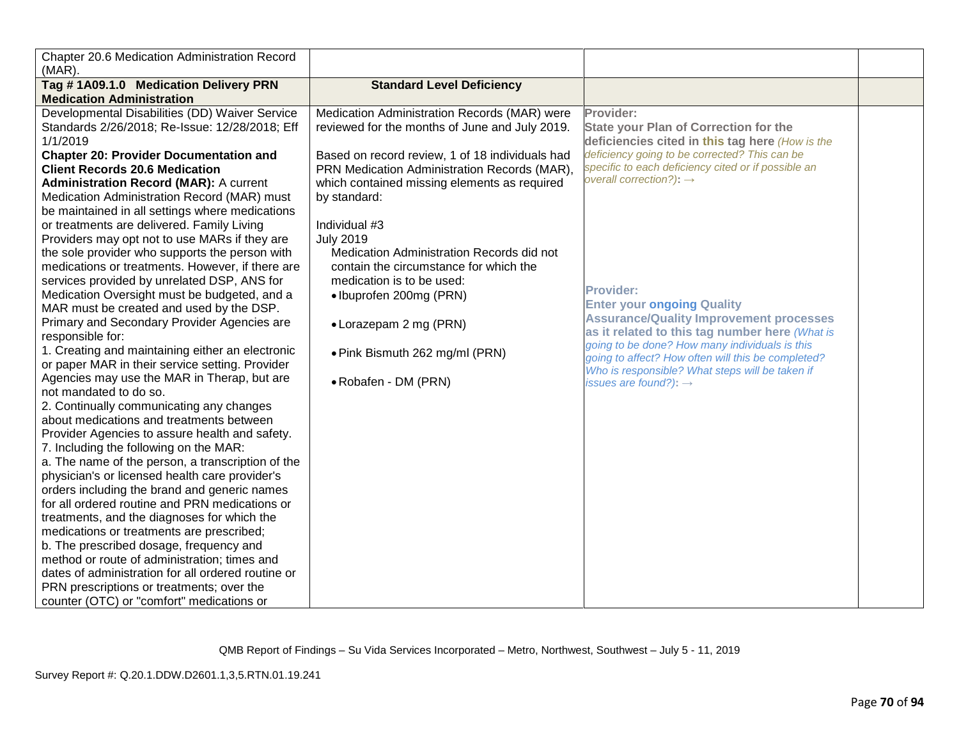| Chapter 20.6 Medication Administration Record<br>$(MAR)$ .                                                                                                                                                                                                                                                                                                                                                                                                                                                                                                                                                                                                                                                                                                                                                                                                                                                                                                                                                                                                                                                                                                                                                                                                                                                                                                                                    |                                                                                                                                                                                                                                                                                                                                                                                                                                                                                                                                           |                                                                                                                                                                                                                                                                                                                                                                                                                                                                                                                                                                                                                          |  |
|-----------------------------------------------------------------------------------------------------------------------------------------------------------------------------------------------------------------------------------------------------------------------------------------------------------------------------------------------------------------------------------------------------------------------------------------------------------------------------------------------------------------------------------------------------------------------------------------------------------------------------------------------------------------------------------------------------------------------------------------------------------------------------------------------------------------------------------------------------------------------------------------------------------------------------------------------------------------------------------------------------------------------------------------------------------------------------------------------------------------------------------------------------------------------------------------------------------------------------------------------------------------------------------------------------------------------------------------------------------------------------------------------|-------------------------------------------------------------------------------------------------------------------------------------------------------------------------------------------------------------------------------------------------------------------------------------------------------------------------------------------------------------------------------------------------------------------------------------------------------------------------------------------------------------------------------------------|--------------------------------------------------------------------------------------------------------------------------------------------------------------------------------------------------------------------------------------------------------------------------------------------------------------------------------------------------------------------------------------------------------------------------------------------------------------------------------------------------------------------------------------------------------------------------------------------------------------------------|--|
| Tag #1A09.1.0 Medication Delivery PRN                                                                                                                                                                                                                                                                                                                                                                                                                                                                                                                                                                                                                                                                                                                                                                                                                                                                                                                                                                                                                                                                                                                                                                                                                                                                                                                                                         | <b>Standard Level Deficiency</b>                                                                                                                                                                                                                                                                                                                                                                                                                                                                                                          |                                                                                                                                                                                                                                                                                                                                                                                                                                                                                                                                                                                                                          |  |
| <b>Medication Administration</b><br>Developmental Disabilities (DD) Waiver Service<br>Standards 2/26/2018; Re-Issue: 12/28/2018; Eff<br>1/1/2019<br><b>Chapter 20: Provider Documentation and</b><br><b>Client Records 20.6 Medication</b><br><b>Administration Record (MAR): A current</b><br>Medication Administration Record (MAR) must<br>be maintained in all settings where medications<br>or treatments are delivered. Family Living<br>Providers may opt not to use MARs if they are<br>the sole provider who supports the person with<br>medications or treatments. However, if there are<br>services provided by unrelated DSP, ANS for<br>Medication Oversight must be budgeted, and a<br>MAR must be created and used by the DSP.<br>Primary and Secondary Provider Agencies are<br>responsible for:<br>1. Creating and maintaining either an electronic<br>or paper MAR in their service setting. Provider<br>Agencies may use the MAR in Therap, but are<br>not mandated to do so.<br>2. Continually communicating any changes<br>about medications and treatments between<br>Provider Agencies to assure health and safety.<br>7. Including the following on the MAR:<br>a. The name of the person, a transcription of the<br>physician's or licensed health care provider's<br>orders including the brand and generic names<br>for all ordered routine and PRN medications or | Medication Administration Records (MAR) were<br>reviewed for the months of June and July 2019.<br>Based on record review, 1 of 18 individuals had<br>PRN Medication Administration Records (MAR),<br>which contained missing elements as required<br>by standard:<br>Individual #3<br><b>July 2019</b><br>Medication Administration Records did not<br>contain the circumstance for which the<br>medication is to be used:<br>• Ibuprofen 200mg (PRN)<br>• Lorazepam 2 mg (PRN)<br>. Pink Bismuth 262 mg/ml (PRN)<br>• Robafen - DM (PRN) | Provider:<br><b>State your Plan of Correction for the</b><br>deficiencies cited in this tag here (How is the<br>deficiency going to be corrected? This can be<br>specific to each deficiency cited or if possible an<br>overall correction?): $\rightarrow$<br><b>Provider:</b><br><b>Enter your ongoing Quality</b><br><b>Assurance/Quality Improvement processes</b><br>as it related to this tag number here (What is<br>going to be done? How many individuals is this<br>going to affect? How often will this be completed?<br>Who is responsible? What steps will be taken if<br>issues are found?): $\rightarrow$ |  |
| treatments, and the diagnoses for which the<br>medications or treatments are prescribed;                                                                                                                                                                                                                                                                                                                                                                                                                                                                                                                                                                                                                                                                                                                                                                                                                                                                                                                                                                                                                                                                                                                                                                                                                                                                                                      |                                                                                                                                                                                                                                                                                                                                                                                                                                                                                                                                           |                                                                                                                                                                                                                                                                                                                                                                                                                                                                                                                                                                                                                          |  |
| b. The prescribed dosage, frequency and<br>method or route of administration; times and<br>dates of administration for all ordered routine or                                                                                                                                                                                                                                                                                                                                                                                                                                                                                                                                                                                                                                                                                                                                                                                                                                                                                                                                                                                                                                                                                                                                                                                                                                                 |                                                                                                                                                                                                                                                                                                                                                                                                                                                                                                                                           |                                                                                                                                                                                                                                                                                                                                                                                                                                                                                                                                                                                                                          |  |
| PRN prescriptions or treatments; over the<br>counter (OTC) or "comfort" medications or                                                                                                                                                                                                                                                                                                                                                                                                                                                                                                                                                                                                                                                                                                                                                                                                                                                                                                                                                                                                                                                                                                                                                                                                                                                                                                        |                                                                                                                                                                                                                                                                                                                                                                                                                                                                                                                                           |                                                                                                                                                                                                                                                                                                                                                                                                                                                                                                                                                                                                                          |  |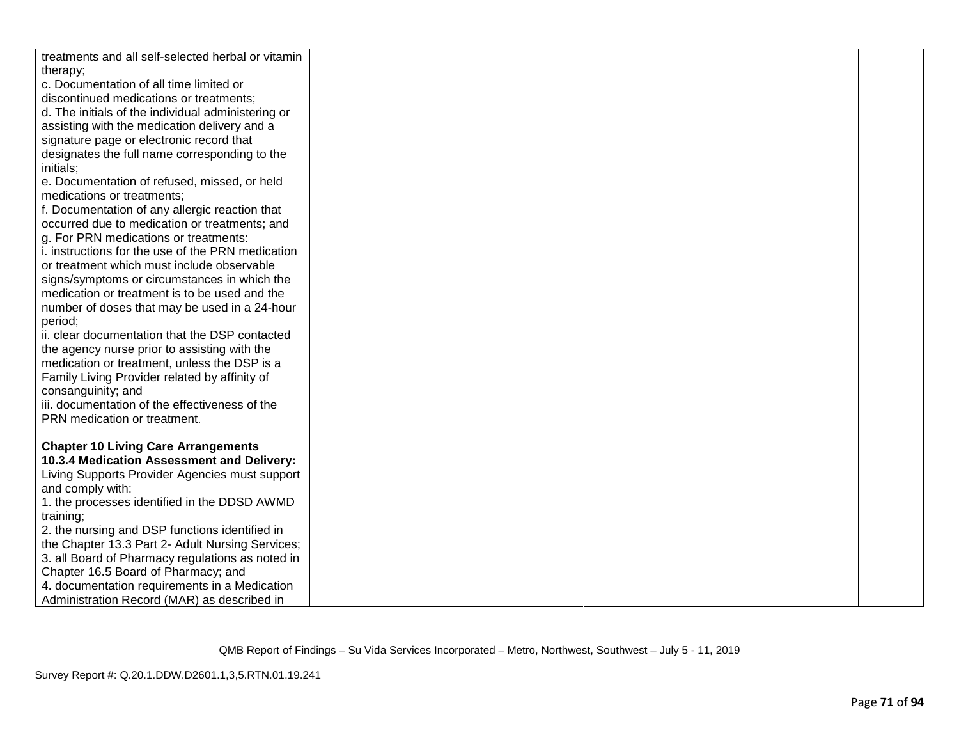| treatments and all self-selected herbal or vitamin<br>therapy;                           |  |  |
|------------------------------------------------------------------------------------------|--|--|
| c. Documentation of all time limited or                                                  |  |  |
| discontinued medications or treatments;                                                  |  |  |
| d. The initials of the individual administering or                                       |  |  |
| assisting with the medication delivery and a                                             |  |  |
| signature page or electronic record that                                                 |  |  |
| designates the full name corresponding to the                                            |  |  |
| initials;                                                                                |  |  |
| e. Documentation of refused, missed, or held                                             |  |  |
| medications or treatments;                                                               |  |  |
| f. Documentation of any allergic reaction that                                           |  |  |
| occurred due to medication or treatments; and                                            |  |  |
| g. For PRN medications or treatments:                                                    |  |  |
| i. instructions for the use of the PRN medication                                        |  |  |
| or treatment which must include observable                                               |  |  |
| signs/symptoms or circumstances in which the                                             |  |  |
| medication or treatment is to be used and the                                            |  |  |
| number of doses that may be used in a 24-hour                                            |  |  |
| period;                                                                                  |  |  |
| ii. clear documentation that the DSP contacted                                           |  |  |
| the agency nurse prior to assisting with the                                             |  |  |
| medication or treatment, unless the DSP is a                                             |  |  |
| Family Living Provider related by affinity of                                            |  |  |
| consanguinity; and                                                                       |  |  |
| iii. documentation of the effectiveness of the                                           |  |  |
| PRN medication or treatment.                                                             |  |  |
|                                                                                          |  |  |
| <b>Chapter 10 Living Care Arrangements</b><br>10.3.4 Medication Assessment and Delivery: |  |  |
| Living Supports Provider Agencies must support                                           |  |  |
| and comply with:                                                                         |  |  |
| 1. the processes identified in the DDSD AWMD                                             |  |  |
| training;                                                                                |  |  |
| 2. the nursing and DSP functions identified in                                           |  |  |
| the Chapter 13.3 Part 2- Adult Nursing Services;                                         |  |  |
| 3. all Board of Pharmacy regulations as noted in                                         |  |  |
| Chapter 16.5 Board of Pharmacy; and                                                      |  |  |
| 4. documentation requirements in a Medication                                            |  |  |
| Administration Record (MAR) as described in                                              |  |  |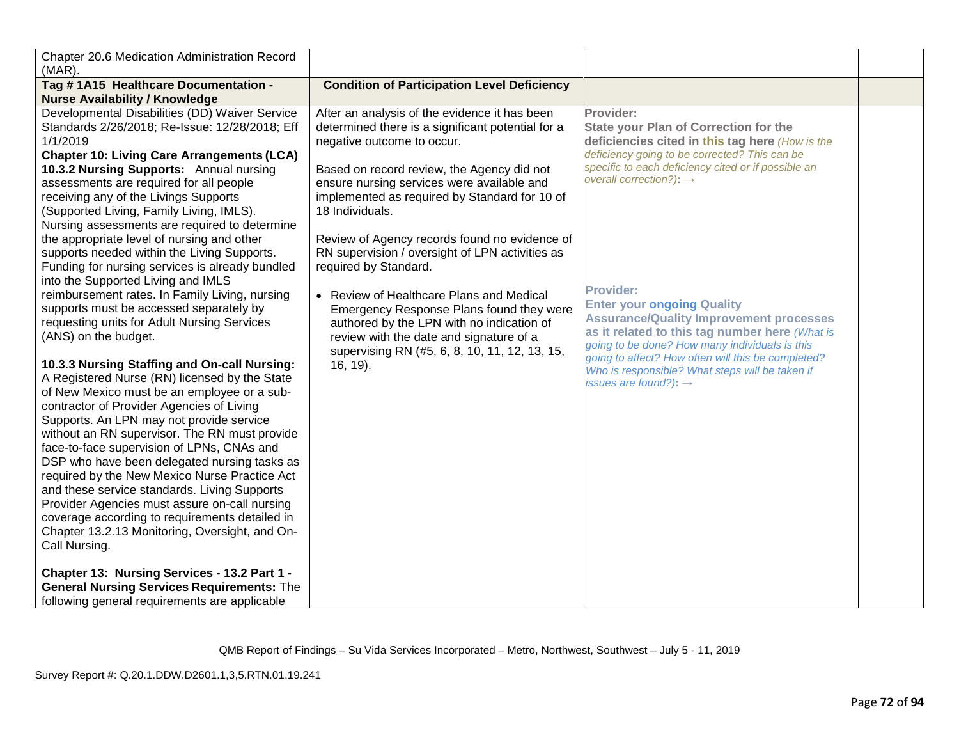| Chapter 20.6 Medication Administration Record<br>$(MAR)$ .                                                                                                                                                                                                                                                                                                                                                                                                                                                                                                                                                                                                                                                                                                                                                                                                                                                                                                                                                                                                                                                                                                                                                                                                                                                                                          |                                                                                                                                                                                                                                                                                                                                                                                                                                                                                                                                                                                                                                                                               |                                                                                                                                                                                                                                                                                                                                                                                                                                                                                                                                                                                                                          |  |
|-----------------------------------------------------------------------------------------------------------------------------------------------------------------------------------------------------------------------------------------------------------------------------------------------------------------------------------------------------------------------------------------------------------------------------------------------------------------------------------------------------------------------------------------------------------------------------------------------------------------------------------------------------------------------------------------------------------------------------------------------------------------------------------------------------------------------------------------------------------------------------------------------------------------------------------------------------------------------------------------------------------------------------------------------------------------------------------------------------------------------------------------------------------------------------------------------------------------------------------------------------------------------------------------------------------------------------------------------------|-------------------------------------------------------------------------------------------------------------------------------------------------------------------------------------------------------------------------------------------------------------------------------------------------------------------------------------------------------------------------------------------------------------------------------------------------------------------------------------------------------------------------------------------------------------------------------------------------------------------------------------------------------------------------------|--------------------------------------------------------------------------------------------------------------------------------------------------------------------------------------------------------------------------------------------------------------------------------------------------------------------------------------------------------------------------------------------------------------------------------------------------------------------------------------------------------------------------------------------------------------------------------------------------------------------------|--|
| Tag #1A15 Healthcare Documentation -<br><b>Nurse Availability / Knowledge</b>                                                                                                                                                                                                                                                                                                                                                                                                                                                                                                                                                                                                                                                                                                                                                                                                                                                                                                                                                                                                                                                                                                                                                                                                                                                                       | <b>Condition of Participation Level Deficiency</b>                                                                                                                                                                                                                                                                                                                                                                                                                                                                                                                                                                                                                            |                                                                                                                                                                                                                                                                                                                                                                                                                                                                                                                                                                                                                          |  |
| Developmental Disabilities (DD) Waiver Service<br>Standards 2/26/2018; Re-Issue: 12/28/2018; Eff<br>1/1/2019<br><b>Chapter 10: Living Care Arrangements (LCA)</b><br>10.3.2 Nursing Supports: Annual nursing<br>assessments are required for all people<br>receiving any of the Livings Supports<br>(Supported Living, Family Living, IMLS).<br>Nursing assessments are required to determine<br>the appropriate level of nursing and other<br>supports needed within the Living Supports.<br>Funding for nursing services is already bundled<br>into the Supported Living and IMLS<br>reimbursement rates. In Family Living, nursing<br>supports must be accessed separately by<br>requesting units for Adult Nursing Services<br>(ANS) on the budget.<br>10.3.3 Nursing Staffing and On-call Nursing:<br>A Registered Nurse (RN) licensed by the State<br>of New Mexico must be an employee or a sub-<br>contractor of Provider Agencies of Living<br>Supports. An LPN may not provide service<br>without an RN supervisor. The RN must provide<br>face-to-face supervision of LPNs, CNAs and<br>DSP who have been delegated nursing tasks as<br>required by the New Mexico Nurse Practice Act<br>and these service standards. Living Supports<br>Provider Agencies must assure on-call nursing<br>coverage according to requirements detailed in | After an analysis of the evidence it has been<br>determined there is a significant potential for a<br>negative outcome to occur.<br>Based on record review, the Agency did not<br>ensure nursing services were available and<br>implemented as required by Standard for 10 of<br>18 Individuals.<br>Review of Agency records found no evidence of<br>RN supervision / oversight of LPN activities as<br>required by Standard.<br>• Review of Healthcare Plans and Medical<br>Emergency Response Plans found they were<br>authored by the LPN with no indication of<br>review with the date and signature of a<br>supervising RN (#5, 6, 8, 10, 11, 12, 13, 15,<br>$16, 19$ ). | Provider:<br><b>State your Plan of Correction for the</b><br>deficiencies cited in this tag here (How is the<br>deficiency going to be corrected? This can be<br>specific to each deficiency cited or if possible an<br>overall correction?): $\rightarrow$<br><b>Provider:</b><br><b>Enter your ongoing Quality</b><br><b>Assurance/Quality Improvement processes</b><br>as it related to this tag number here (What is<br>going to be done? How many individuals is this<br>going to affect? How often will this be completed?<br>Who is responsible? What steps will be taken if<br>issues are found?): $\rightarrow$ |  |
| Chapter 13.2.13 Monitoring, Oversight, and On-<br>Call Nursing.<br>Chapter 13: Nursing Services - 13.2 Part 1 -<br><b>General Nursing Services Requirements: The</b>                                                                                                                                                                                                                                                                                                                                                                                                                                                                                                                                                                                                                                                                                                                                                                                                                                                                                                                                                                                                                                                                                                                                                                                |                                                                                                                                                                                                                                                                                                                                                                                                                                                                                                                                                                                                                                                                               |                                                                                                                                                                                                                                                                                                                                                                                                                                                                                                                                                                                                                          |  |
| following general requirements are applicable                                                                                                                                                                                                                                                                                                                                                                                                                                                                                                                                                                                                                                                                                                                                                                                                                                                                                                                                                                                                                                                                                                                                                                                                                                                                                                       |                                                                                                                                                                                                                                                                                                                                                                                                                                                                                                                                                                                                                                                                               |                                                                                                                                                                                                                                                                                                                                                                                                                                                                                                                                                                                                                          |  |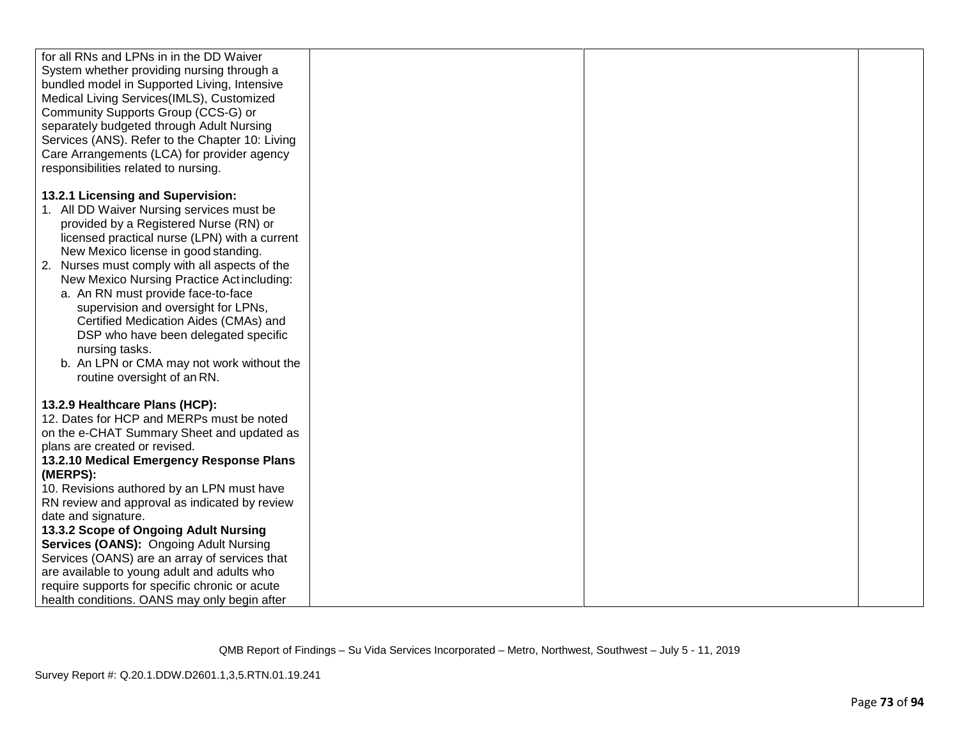| for all RNs and LPNs in in the DD Waiver        |  |  |
|-------------------------------------------------|--|--|
|                                                 |  |  |
| System whether providing nursing through a      |  |  |
| bundled model in Supported Living, Intensive    |  |  |
| Medical Living Services(IMLS), Customized       |  |  |
| Community Supports Group (CCS-G) or             |  |  |
| separately budgeted through Adult Nursing       |  |  |
| Services (ANS). Refer to the Chapter 10: Living |  |  |
| Care Arrangements (LCA) for provider agency     |  |  |
| responsibilities related to nursing.            |  |  |
|                                                 |  |  |
| 13.2.1 Licensing and Supervision:               |  |  |
| 1. All DD Waiver Nursing services must be       |  |  |
| provided by a Registered Nurse (RN) or          |  |  |
|                                                 |  |  |
| licensed practical nurse (LPN) with a current   |  |  |
| New Mexico license in good standing.            |  |  |
| 2. Nurses must comply with all aspects of the   |  |  |
| New Mexico Nursing Practice Actincluding:       |  |  |
| a. An RN must provide face-to-face              |  |  |
| supervision and oversight for LPNs,             |  |  |
| Certified Medication Aides (CMAs) and           |  |  |
| DSP who have been delegated specific            |  |  |
| nursing tasks.                                  |  |  |
| b. An LPN or CMA may not work without the       |  |  |
| routine oversight of an RN.                     |  |  |
|                                                 |  |  |
| 13.2.9 Healthcare Plans (HCP):                  |  |  |
| 12. Dates for HCP and MERPs must be noted       |  |  |
| on the e-CHAT Summary Sheet and updated as      |  |  |
| plans are created or revised.                   |  |  |
| 13.2.10 Medical Emergency Response Plans        |  |  |
| (MERPS):                                        |  |  |
| 10. Revisions authored by an LPN must have      |  |  |
| RN review and approval as indicated by review   |  |  |
| date and signature.                             |  |  |
| 13.3.2 Scope of Ongoing Adult Nursing           |  |  |
|                                                 |  |  |
| Services (OANS): Ongoing Adult Nursing          |  |  |
| Services (OANS) are an array of services that   |  |  |
| are available to young adult and adults who     |  |  |
| require supports for specific chronic or acute  |  |  |
| health conditions. OANS may only begin after    |  |  |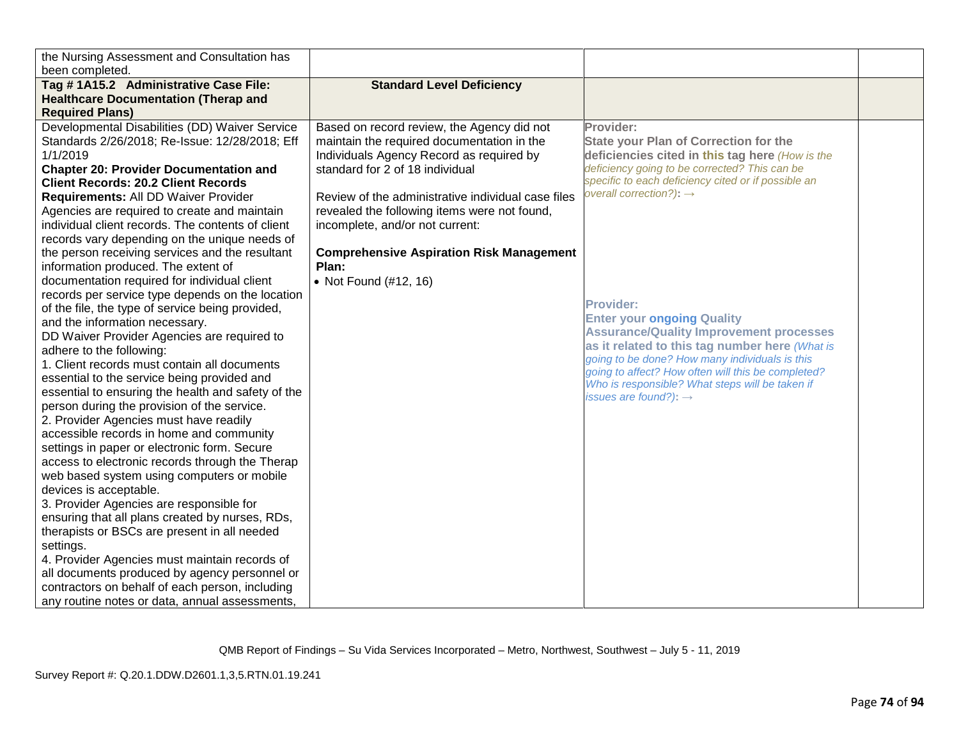| the Nursing Assessment and Consultation has<br>been completed.                                                                                                                                                                                                                                                                                                                                                                                                                                                                                                                                                                                                                                                                                                                                                                                                                                                                                                                                                                                                                                                                                                                                                                                                                                                                                                                                                                                                                                                                                                 |                                                                                                                                                                                                                                                                                                                                                                                                       |                                                                                                                                                                                                                                                                                                                                                                                                                                                                                                                                                                                                                          |  |
|----------------------------------------------------------------------------------------------------------------------------------------------------------------------------------------------------------------------------------------------------------------------------------------------------------------------------------------------------------------------------------------------------------------------------------------------------------------------------------------------------------------------------------------------------------------------------------------------------------------------------------------------------------------------------------------------------------------------------------------------------------------------------------------------------------------------------------------------------------------------------------------------------------------------------------------------------------------------------------------------------------------------------------------------------------------------------------------------------------------------------------------------------------------------------------------------------------------------------------------------------------------------------------------------------------------------------------------------------------------------------------------------------------------------------------------------------------------------------------------------------------------------------------------------------------------|-------------------------------------------------------------------------------------------------------------------------------------------------------------------------------------------------------------------------------------------------------------------------------------------------------------------------------------------------------------------------------------------------------|--------------------------------------------------------------------------------------------------------------------------------------------------------------------------------------------------------------------------------------------------------------------------------------------------------------------------------------------------------------------------------------------------------------------------------------------------------------------------------------------------------------------------------------------------------------------------------------------------------------------------|--|
| Tag #1A15.2 Administrative Case File:<br><b>Healthcare Documentation (Therap and</b><br><b>Required Plans)</b>                                                                                                                                                                                                                                                                                                                                                                                                                                                                                                                                                                                                                                                                                                                                                                                                                                                                                                                                                                                                                                                                                                                                                                                                                                                                                                                                                                                                                                                 | <b>Standard Level Deficiency</b>                                                                                                                                                                                                                                                                                                                                                                      |                                                                                                                                                                                                                                                                                                                                                                                                                                                                                                                                                                                                                          |  |
| Developmental Disabilities (DD) Waiver Service<br>Standards 2/26/2018; Re-Issue: 12/28/2018; Eff<br>1/1/2019<br><b>Chapter 20: Provider Documentation and</b><br><b>Client Records: 20.2 Client Records</b><br>Requirements: All DD Waiver Provider<br>Agencies are required to create and maintain<br>individual client records. The contents of client<br>records vary depending on the unique needs of<br>the person receiving services and the resultant<br>information produced. The extent of<br>documentation required for individual client<br>records per service type depends on the location<br>of the file, the type of service being provided,<br>and the information necessary.<br>DD Waiver Provider Agencies are required to<br>adhere to the following:<br>1. Client records must contain all documents<br>essential to the service being provided and<br>essential to ensuring the health and safety of the<br>person during the provision of the service.<br>2. Provider Agencies must have readily<br>accessible records in home and community<br>settings in paper or electronic form. Secure<br>access to electronic records through the Therap<br>web based system using computers or mobile<br>devices is acceptable.<br>3. Provider Agencies are responsible for<br>ensuring that all plans created by nurses, RDs,<br>therapists or BSCs are present in all needed<br>settings.<br>4. Provider Agencies must maintain records of<br>all documents produced by agency personnel or<br>contractors on behalf of each person, including | Based on record review, the Agency did not<br>maintain the required documentation in the<br>Individuals Agency Record as required by<br>standard for 2 of 18 individual<br>Review of the administrative individual case files<br>revealed the following items were not found,<br>incomplete, and/or not current:<br><b>Comprehensive Aspiration Risk Management</b><br>Plan:<br>• Not Found (#12, 16) | Provider:<br><b>State your Plan of Correction for the</b><br>deficiencies cited in this tag here (How is the<br>deficiency going to be corrected? This can be<br>specific to each deficiency cited or if possible an<br>overall correction?): $\rightarrow$<br><b>Provider:</b><br><b>Enter your ongoing Quality</b><br><b>Assurance/Quality Improvement processes</b><br>as it related to this tag number here (What is<br>going to be done? How many individuals is this<br>going to affect? How often will this be completed?<br>Who is responsible? What steps will be taken if<br>issues are found?): $\rightarrow$ |  |
| any routine notes or data, annual assessments,                                                                                                                                                                                                                                                                                                                                                                                                                                                                                                                                                                                                                                                                                                                                                                                                                                                                                                                                                                                                                                                                                                                                                                                                                                                                                                                                                                                                                                                                                                                 |                                                                                                                                                                                                                                                                                                                                                                                                       |                                                                                                                                                                                                                                                                                                                                                                                                                                                                                                                                                                                                                          |  |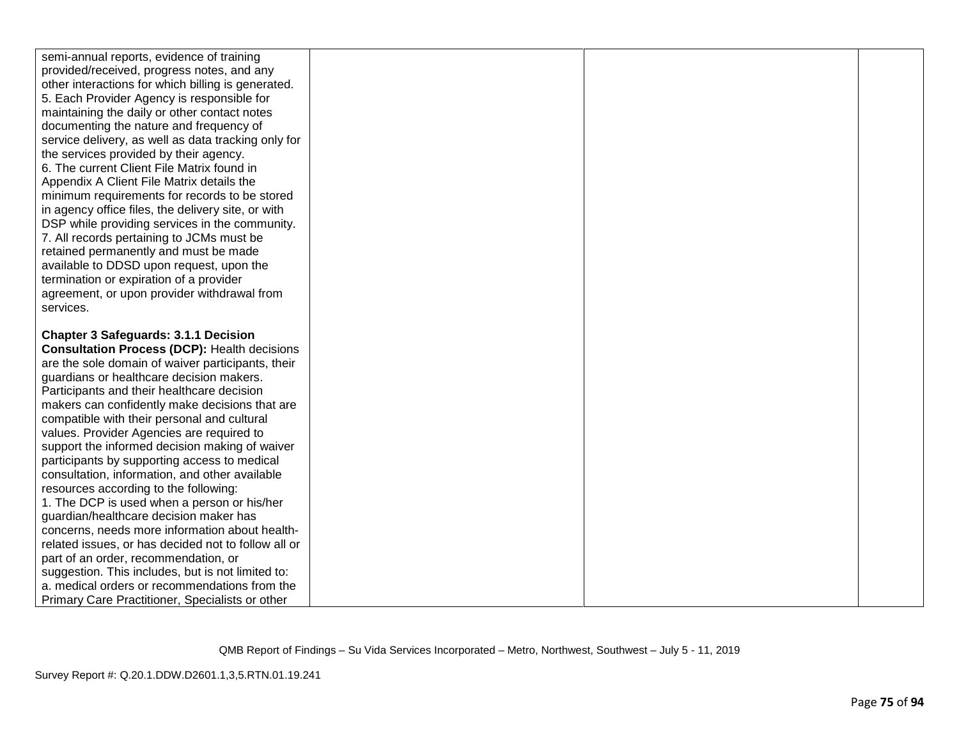| semi-annual reports, evidence of training           |  |  |
|-----------------------------------------------------|--|--|
| provided/received, progress notes, and any          |  |  |
|                                                     |  |  |
| other interactions for which billing is generated.  |  |  |
| 5. Each Provider Agency is responsible for          |  |  |
| maintaining the daily or other contact notes        |  |  |
| documenting the nature and frequency of             |  |  |
| service delivery, as well as data tracking only for |  |  |
| the services provided by their agency.              |  |  |
| 6. The current Client File Matrix found in          |  |  |
| Appendix A Client File Matrix details the           |  |  |
| minimum requirements for records to be stored       |  |  |
| in agency office files, the delivery site, or with  |  |  |
| DSP while providing services in the community.      |  |  |
| 7. All records pertaining to JCMs must be           |  |  |
| retained permanently and must be made               |  |  |
| available to DDSD upon request, upon the            |  |  |
| termination or expiration of a provider             |  |  |
| agreement, or upon provider withdrawal from         |  |  |
| services.                                           |  |  |
|                                                     |  |  |
| <b>Chapter 3 Safeguards: 3.1.1 Decision</b>         |  |  |
| <b>Consultation Process (DCP): Health decisions</b> |  |  |
| are the sole domain of waiver participants, their   |  |  |
| guardians or healthcare decision makers.            |  |  |
| Participants and their healthcare decision          |  |  |
| makers can confidently make decisions that are      |  |  |
| compatible with their personal and cultural         |  |  |
| values. Provider Agencies are required to           |  |  |
| support the informed decision making of waiver      |  |  |
| participants by supporting access to medical        |  |  |
| consultation, information, and other available      |  |  |
| resources according to the following:               |  |  |
| 1. The DCP is used when a person or his/her         |  |  |
| guardian/healthcare decision maker has              |  |  |
| concerns, needs more information about health-      |  |  |
| related issues, or has decided not to follow all or |  |  |
| part of an order, recommendation, or                |  |  |
| suggestion. This includes, but is not limited to:   |  |  |
| a. medical orders or recommendations from the       |  |  |
|                                                     |  |  |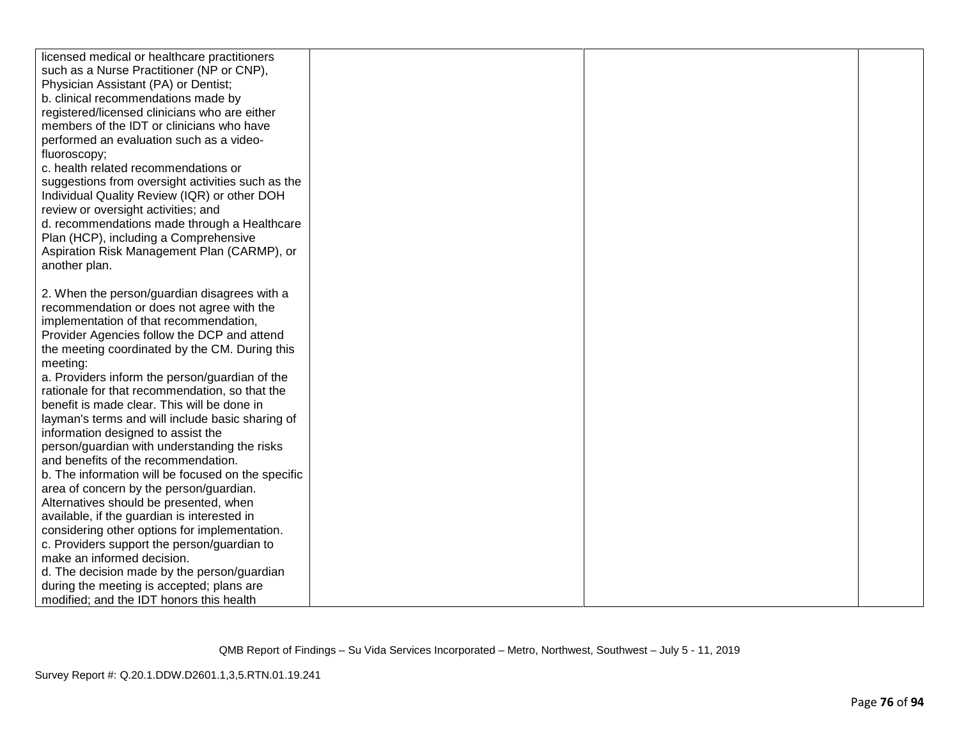| licensed medical or healthcare practitioners       |  |  |
|----------------------------------------------------|--|--|
| such as a Nurse Practitioner (NP or CNP),          |  |  |
| Physician Assistant (PA) or Dentist;               |  |  |
| b. clinical recommendations made by                |  |  |
| registered/licensed clinicians who are either      |  |  |
| members of the IDT or clinicians who have          |  |  |
| performed an evaluation such as a video-           |  |  |
| fluoroscopy;                                       |  |  |
| c. health related recommendations or               |  |  |
| suggestions from oversight activities such as the  |  |  |
| Individual Quality Review (IQR) or other DOH       |  |  |
| review or oversight activities; and                |  |  |
| d. recommendations made through a Healthcare       |  |  |
| Plan (HCP), including a Comprehensive              |  |  |
| Aspiration Risk Management Plan (CARMP), or        |  |  |
| another plan.                                      |  |  |
|                                                    |  |  |
| 2. When the person/guardian disagrees with a       |  |  |
| recommendation or does not agree with the          |  |  |
| implementation of that recommendation,             |  |  |
| Provider Agencies follow the DCP and attend        |  |  |
| the meeting coordinated by the CM. During this     |  |  |
| meeting:                                           |  |  |
| a. Providers inform the person/guardian of the     |  |  |
| rationale for that recommendation, so that the     |  |  |
| benefit is made clear. This will be done in        |  |  |
| layman's terms and will include basic sharing of   |  |  |
| information designed to assist the                 |  |  |
| person/guardian with understanding the risks       |  |  |
| and benefits of the recommendation.                |  |  |
| b. The information will be focused on the specific |  |  |
| area of concern by the person/guardian.            |  |  |
| Alternatives should be presented, when             |  |  |
| available, if the guardian is interested in        |  |  |
| considering other options for implementation.      |  |  |
| c. Providers support the person/guardian to        |  |  |
| make an informed decision.                         |  |  |
| d. The decision made by the person/guardian        |  |  |
| during the meeting is accepted; plans are          |  |  |
| modified; and the IDT honors this health           |  |  |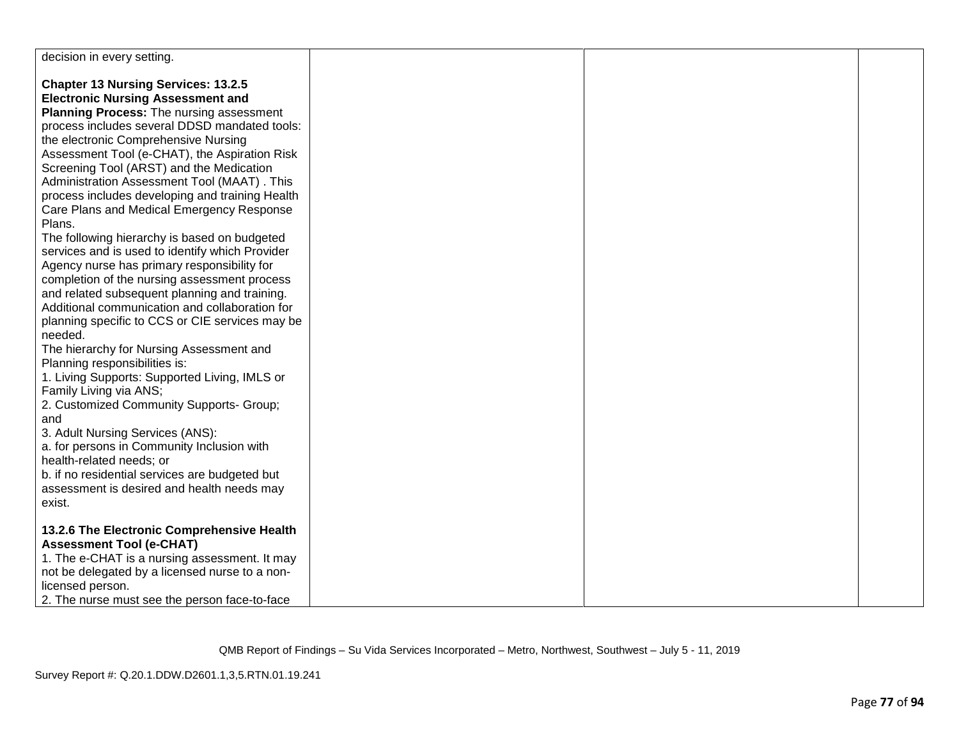| decision in every setting.                      |  |  |
|-------------------------------------------------|--|--|
|                                                 |  |  |
| <b>Chapter 13 Nursing Services: 13.2.5</b>      |  |  |
| <b>Electronic Nursing Assessment and</b>        |  |  |
| <b>Planning Process:</b> The nursing assessment |  |  |
| process includes several DDSD mandated tools:   |  |  |
| the electronic Comprehensive Nursing            |  |  |
| Assessment Tool (e-CHAT), the Aspiration Risk   |  |  |
| Screening Tool (ARST) and the Medication        |  |  |
| Administration Assessment Tool (MAAT). This     |  |  |
| process includes developing and training Health |  |  |
| Care Plans and Medical Emergency Response       |  |  |
| Plans.                                          |  |  |
| The following hierarchy is based on budgeted    |  |  |
| services and is used to identify which Provider |  |  |
| Agency nurse has primary responsibility for     |  |  |
| completion of the nursing assessment process    |  |  |
| and related subsequent planning and training.   |  |  |
| Additional communication and collaboration for  |  |  |
| planning specific to CCS or CIE services may be |  |  |
| needed.                                         |  |  |
| The hierarchy for Nursing Assessment and        |  |  |
| Planning responsibilities is:                   |  |  |
| 1. Living Supports: Supported Living, IMLS or   |  |  |
| Family Living via ANS;                          |  |  |
| 2. Customized Community Supports- Group;        |  |  |
| and                                             |  |  |
| 3. Adult Nursing Services (ANS):                |  |  |
| a. for persons in Community Inclusion with      |  |  |
| health-related needs; or                        |  |  |
| b. if no residential services are budgeted but  |  |  |
| assessment is desired and health needs may      |  |  |
| exist.                                          |  |  |
|                                                 |  |  |
| 13.2.6 The Electronic Comprehensive Health      |  |  |
| <b>Assessment Tool (e-CHAT)</b>                 |  |  |
| 1. The e-CHAT is a nursing assessment. It may   |  |  |
| not be delegated by a licensed nurse to a non-  |  |  |
| licensed person.                                |  |  |
| 2. The nurse must see the person face-to-face   |  |  |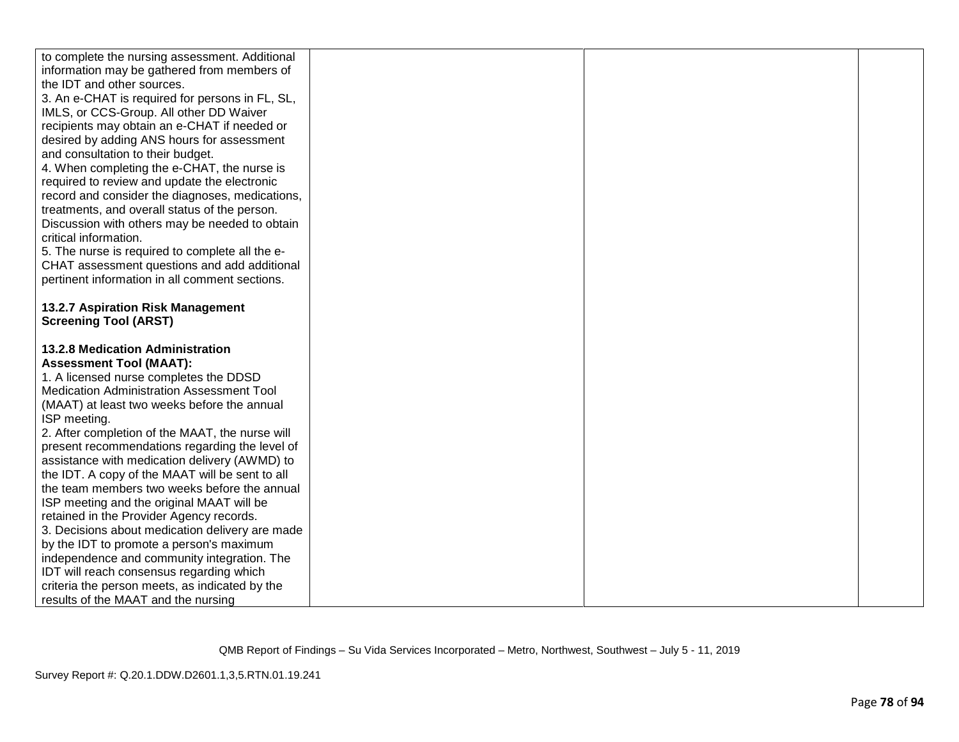| to complete the nursing assessment. Additional   |  |  |
|--------------------------------------------------|--|--|
| information may be gathered from members of      |  |  |
| the IDT and other sources.                       |  |  |
| 3. An e-CHAT is required for persons in FL, SL,  |  |  |
| IMLS, or CCS-Group. All other DD Waiver          |  |  |
| recipients may obtain an e-CHAT if needed or     |  |  |
| desired by adding ANS hours for assessment       |  |  |
| and consultation to their budget.                |  |  |
| 4. When completing the e-CHAT, the nurse is      |  |  |
| required to review and update the electronic     |  |  |
| record and consider the diagnoses, medications,  |  |  |
| treatments, and overall status of the person.    |  |  |
| Discussion with others may be needed to obtain   |  |  |
| critical information.                            |  |  |
| 5. The nurse is required to complete all the e-  |  |  |
| CHAT assessment questions and add additional     |  |  |
| pertinent information in all comment sections.   |  |  |
|                                                  |  |  |
| 13.2.7 Aspiration Risk Management                |  |  |
| <b>Screening Tool (ARST)</b>                     |  |  |
|                                                  |  |  |
| <b>13.2.8 Medication Administration</b>          |  |  |
| <b>Assessment Tool (MAAT):</b>                   |  |  |
| 1. A licensed nurse completes the DDSD           |  |  |
| <b>Medication Administration Assessment Tool</b> |  |  |
| (MAAT) at least two weeks before the annual      |  |  |
| ISP meeting.                                     |  |  |
| 2. After completion of the MAAT, the nurse will  |  |  |
| present recommendations regarding the level of   |  |  |
| assistance with medication delivery (AWMD) to    |  |  |
| the IDT. A copy of the MAAT will be sent to all  |  |  |
| the team members two weeks before the annual     |  |  |
| ISP meeting and the original MAAT will be        |  |  |
| retained in the Provider Agency records.         |  |  |
| 3. Decisions about medication delivery are made  |  |  |
| by the IDT to promote a person's maximum         |  |  |
| independence and community integration. The      |  |  |
| IDT will reach consensus regarding which         |  |  |
| criteria the person meets, as indicated by the   |  |  |
| results of the MAAT and the nursing              |  |  |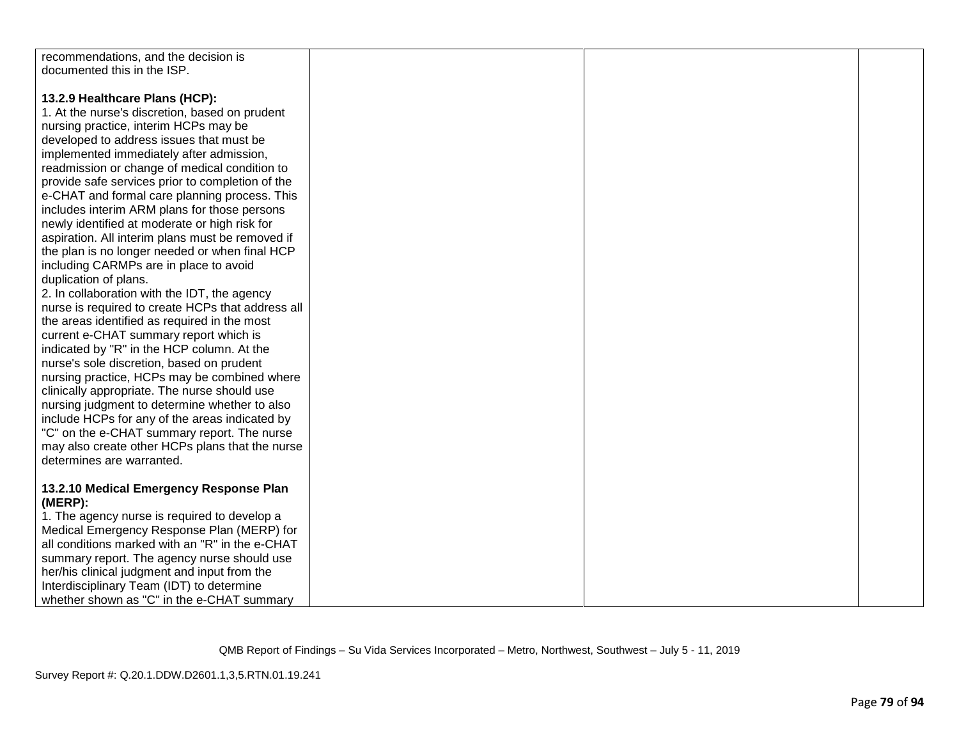| recommendations, and the decision is                                                      |  |  |
|-------------------------------------------------------------------------------------------|--|--|
| documented this in the ISP.                                                               |  |  |
| 13.2.9 Healthcare Plans (HCP):                                                            |  |  |
| 1. At the nurse's discretion, based on prudent                                            |  |  |
| nursing practice, interim HCPs may be                                                     |  |  |
| developed to address issues that must be                                                  |  |  |
| implemented immediately after admission,                                                  |  |  |
| readmission or change of medical condition to                                             |  |  |
| provide safe services prior to completion of the                                          |  |  |
| e-CHAT and formal care planning process. This                                             |  |  |
| includes interim ARM plans for those persons                                              |  |  |
| newly identified at moderate or high risk for                                             |  |  |
| aspiration. All interim plans must be removed if                                          |  |  |
| the plan is no longer needed or when final HCP                                            |  |  |
| including CARMPs are in place to avoid                                                    |  |  |
| duplication of plans.                                                                     |  |  |
| 2. In collaboration with the IDT, the agency                                              |  |  |
| nurse is required to create HCPs that address all                                         |  |  |
| the areas identified as required in the most                                              |  |  |
| current e-CHAT summary report which is                                                    |  |  |
| indicated by "R" in the HCP column. At the                                                |  |  |
| nurse's sole discretion, based on prudent<br>nursing practice, HCPs may be combined where |  |  |
| clinically appropriate. The nurse should use                                              |  |  |
| nursing judgment to determine whether to also                                             |  |  |
| include HCPs for any of the areas indicated by                                            |  |  |
| "C" on the e-CHAT summary report. The nurse                                               |  |  |
| may also create other HCPs plans that the nurse                                           |  |  |
| determines are warranted.                                                                 |  |  |
|                                                                                           |  |  |
| 13.2.10 Medical Emergency Response Plan                                                   |  |  |
| (MERP):                                                                                   |  |  |
| 1. The agency nurse is required to develop a                                              |  |  |
| Medical Emergency Response Plan (MERP) for                                                |  |  |
| all conditions marked with an "R" in the e-CHAT                                           |  |  |
| summary report. The agency nurse should use                                               |  |  |
| her/his clinical judgment and input from the                                              |  |  |
| Interdisciplinary Team (IDT) to determine                                                 |  |  |
| whether shown as "C" in the e-CHAT summary                                                |  |  |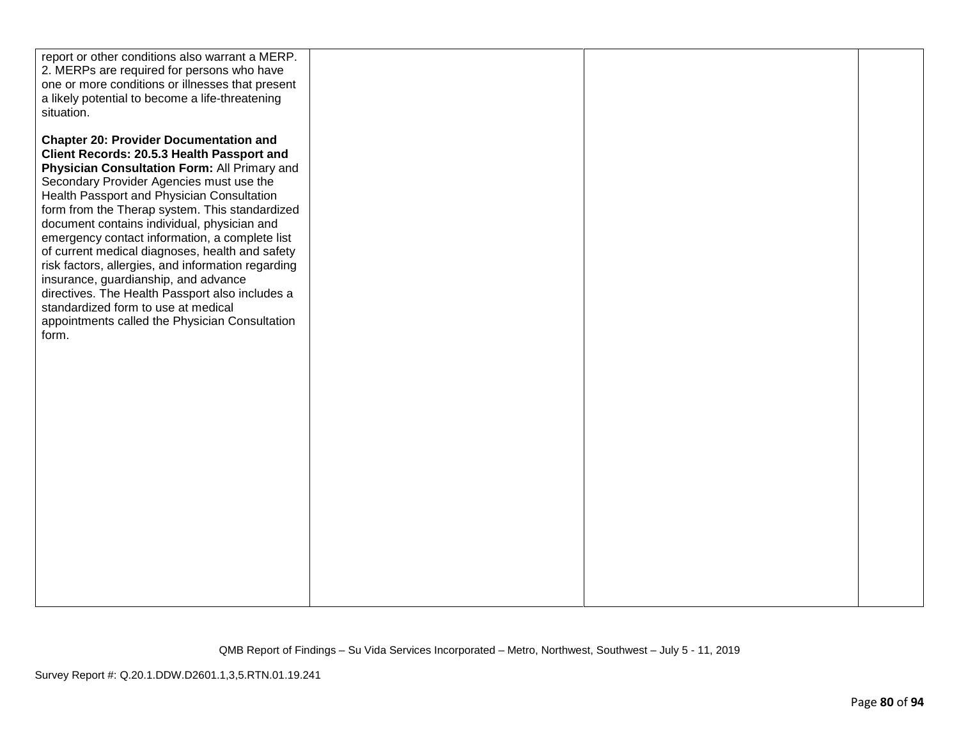| report or other conditions also warrant a MERP.<br>2. MERPs are required for persons who have<br>one or more conditions or illnesses that present<br>a likely potential to become a life-threatening<br>situation.                                                                                                                                                                                                                                                                                                                                                                                                                                                                             |  |  |
|------------------------------------------------------------------------------------------------------------------------------------------------------------------------------------------------------------------------------------------------------------------------------------------------------------------------------------------------------------------------------------------------------------------------------------------------------------------------------------------------------------------------------------------------------------------------------------------------------------------------------------------------------------------------------------------------|--|--|
| <b>Chapter 20: Provider Documentation and</b><br>Client Records: 20.5.3 Health Passport and<br>Physician Consultation Form: All Primary and<br>Secondary Provider Agencies must use the<br>Health Passport and Physician Consultation<br>form from the Therap system. This standardized<br>document contains individual, physician and<br>emergency contact information, a complete list<br>of current medical diagnoses, health and safety<br>risk factors, allergies, and information regarding<br>insurance, guardianship, and advance<br>directives. The Health Passport also includes a<br>standardized form to use at medical<br>appointments called the Physician Consultation<br>form. |  |  |
|                                                                                                                                                                                                                                                                                                                                                                                                                                                                                                                                                                                                                                                                                                |  |  |
|                                                                                                                                                                                                                                                                                                                                                                                                                                                                                                                                                                                                                                                                                                |  |  |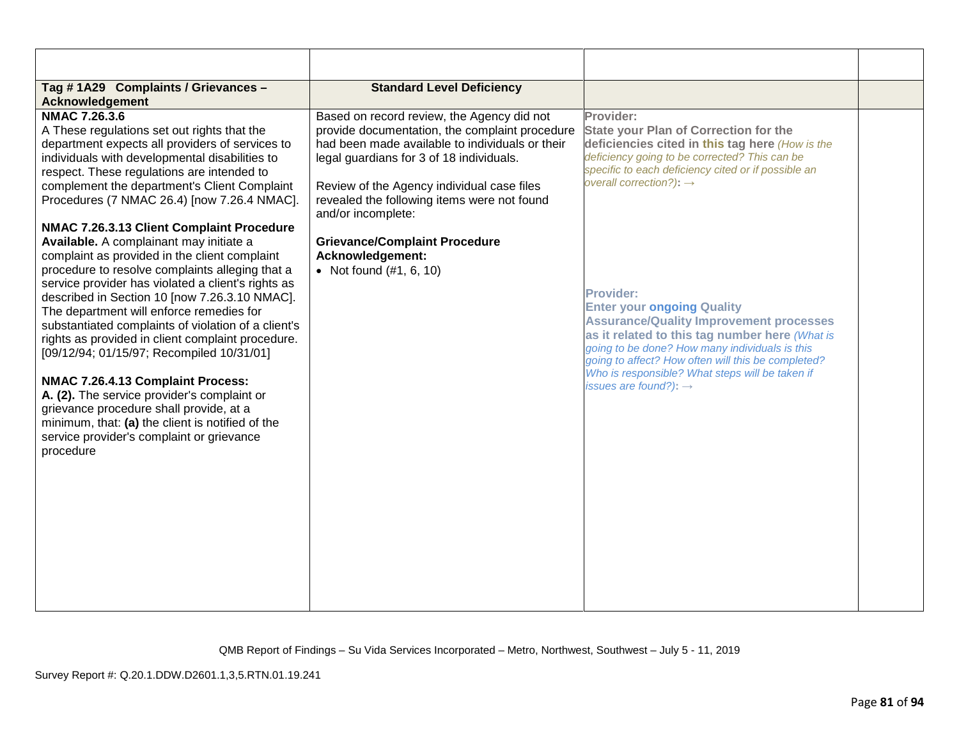| Tag # 1A29 Complaints / Grievances -<br><b>Acknowledgement</b>                                                                                                                                                                                                                                                                                                                                                                                                                                                                                                                                                                                                                                                                                                                                                                                                                                                                                                                                                                                                      | <b>Standard Level Deficiency</b>                                                                                                                                                                                                                                                                                                                                                                         |                                                                                                                                                                                                                                                                                                                                                                                                                                                                                                                                                                                                                          |  |
|---------------------------------------------------------------------------------------------------------------------------------------------------------------------------------------------------------------------------------------------------------------------------------------------------------------------------------------------------------------------------------------------------------------------------------------------------------------------------------------------------------------------------------------------------------------------------------------------------------------------------------------------------------------------------------------------------------------------------------------------------------------------------------------------------------------------------------------------------------------------------------------------------------------------------------------------------------------------------------------------------------------------------------------------------------------------|----------------------------------------------------------------------------------------------------------------------------------------------------------------------------------------------------------------------------------------------------------------------------------------------------------------------------------------------------------------------------------------------------------|--------------------------------------------------------------------------------------------------------------------------------------------------------------------------------------------------------------------------------------------------------------------------------------------------------------------------------------------------------------------------------------------------------------------------------------------------------------------------------------------------------------------------------------------------------------------------------------------------------------------------|--|
| NMAC 7.26.3.6<br>A These regulations set out rights that the<br>department expects all providers of services to<br>individuals with developmental disabilities to<br>respect. These regulations are intended to<br>complement the department's Client Complaint<br>Procedures (7 NMAC 26.4) [now 7.26.4 NMAC].<br>NMAC 7.26.3.13 Client Complaint Procedure<br>Available. A complainant may initiate a<br>complaint as provided in the client complaint<br>procedure to resolve complaints alleging that a<br>service provider has violated a client's rights as<br>described in Section 10 [now 7.26.3.10 NMAC].<br>The department will enforce remedies for<br>substantiated complaints of violation of a client's<br>rights as provided in client complaint procedure.<br>[09/12/94; 01/15/97; Recompiled 10/31/01]<br>NMAC 7.26.4.13 Complaint Process:<br>A. (2). The service provider's complaint or<br>grievance procedure shall provide, at a<br>minimum, that: (a) the client is notified of the<br>service provider's complaint or grievance<br>procedure | Based on record review, the Agency did not<br>provide documentation, the complaint procedure<br>had been made available to individuals or their<br>legal guardians for 3 of 18 individuals.<br>Review of the Agency individual case files<br>revealed the following items were not found<br>and/or incomplete:<br><b>Grievance/Complaint Procedure</b><br>Acknowledgement:<br>• Not found $(\#1, 6, 10)$ | Provider:<br><b>State your Plan of Correction for the</b><br>deficiencies cited in this tag here (How is the<br>deficiency going to be corrected? This can be<br>specific to each deficiency cited or if possible an<br>overall correction?): $\rightarrow$<br><b>Provider:</b><br><b>Enter your ongoing Quality</b><br><b>Assurance/Quality Improvement processes</b><br>as it related to this tag number here (What is<br>going to be done? How many individuals is this<br>going to affect? How often will this be completed?<br>Who is responsible? What steps will be taken if<br>issues are found?): $\rightarrow$ |  |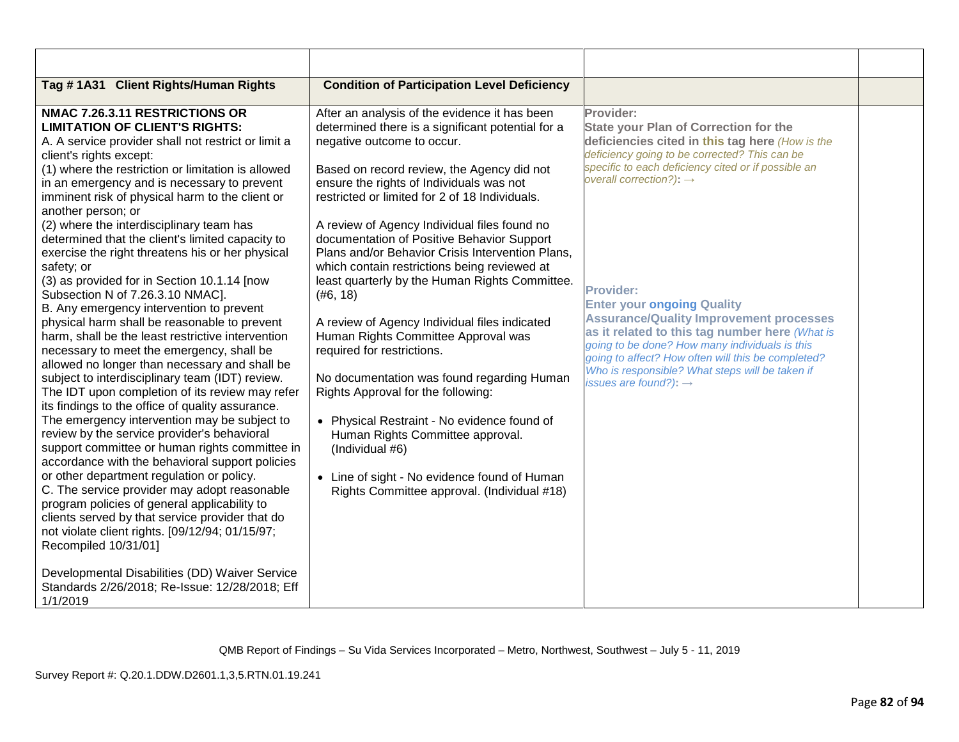| Tag #1A31 Client Rights/Human Rights                                                                                                                                                                                                                                                                                                                                                                                                                                                                                                                                                                                                                                                                                                                                                                                                                                                                                                                                                                                                                                                                                                      | <b>Condition of Participation Level Deficiency</b>                                                                                                                                                                                                                                                                                                                                                                                                                                                                                                                                                                                                                          |                                                                                                                                                                                                                                                                                                                                                    |  |
|-------------------------------------------------------------------------------------------------------------------------------------------------------------------------------------------------------------------------------------------------------------------------------------------------------------------------------------------------------------------------------------------------------------------------------------------------------------------------------------------------------------------------------------------------------------------------------------------------------------------------------------------------------------------------------------------------------------------------------------------------------------------------------------------------------------------------------------------------------------------------------------------------------------------------------------------------------------------------------------------------------------------------------------------------------------------------------------------------------------------------------------------|-----------------------------------------------------------------------------------------------------------------------------------------------------------------------------------------------------------------------------------------------------------------------------------------------------------------------------------------------------------------------------------------------------------------------------------------------------------------------------------------------------------------------------------------------------------------------------------------------------------------------------------------------------------------------------|----------------------------------------------------------------------------------------------------------------------------------------------------------------------------------------------------------------------------------------------------------------------------------------------------------------------------------------------------|--|
| NMAC 7.26.3.11 RESTRICTIONS OR<br><b>LIMITATION OF CLIENT'S RIGHTS:</b><br>A. A service provider shall not restrict or limit a<br>client's rights except:<br>(1) where the restriction or limitation is allowed<br>in an emergency and is necessary to prevent<br>imminent risk of physical harm to the client or<br>another person; or                                                                                                                                                                                                                                                                                                                                                                                                                                                                                                                                                                                                                                                                                                                                                                                                   | After an analysis of the evidence it has been<br>determined there is a significant potential for a<br>negative outcome to occur.<br>Based on record review, the Agency did not<br>ensure the rights of Individuals was not<br>restricted or limited for 2 of 18 Individuals.                                                                                                                                                                                                                                                                                                                                                                                                | Provider:<br><b>State your Plan of Correction for the</b><br>deficiencies cited in this tag here (How is the<br>deficiency going to be corrected? This can be<br>specific to each deficiency cited or if possible an<br>overall correction?): $\rightarrow$                                                                                        |  |
| (2) where the interdisciplinary team has<br>determined that the client's limited capacity to<br>exercise the right threatens his or her physical<br>safety; or<br>(3) as provided for in Section 10.1.14 [now<br>Subsection N of 7.26.3.10 NMAC].<br>B. Any emergency intervention to prevent<br>physical harm shall be reasonable to prevent<br>harm, shall be the least restrictive intervention<br>necessary to meet the emergency, shall be<br>allowed no longer than necessary and shall be<br>subject to interdisciplinary team (IDT) review.<br>The IDT upon completion of its review may refer<br>its findings to the office of quality assurance.<br>The emergency intervention may be subject to<br>review by the service provider's behavioral<br>support committee or human rights committee in<br>accordance with the behavioral support policies<br>or other department regulation or policy.<br>C. The service provider may adopt reasonable<br>program policies of general applicability to<br>clients served by that service provider that do<br>not violate client rights. [09/12/94; 01/15/97;<br>Recompiled 10/31/01] | A review of Agency Individual files found no<br>documentation of Positive Behavior Support<br>Plans and/or Behavior Crisis Intervention Plans,<br>which contain restrictions being reviewed at<br>least quarterly by the Human Rights Committee.<br>(#6, 18)<br>A review of Agency Individual files indicated<br>Human Rights Committee Approval was<br>required for restrictions.<br>No documentation was found regarding Human<br>Rights Approval for the following:<br>• Physical Restraint - No evidence found of<br>Human Rights Committee approval.<br>(Individual #6)<br>• Line of sight - No evidence found of Human<br>Rights Committee approval. (Individual #18) | Provider:<br><b>Enter your ongoing Quality</b><br><b>Assurance/Quality Improvement processes</b><br>as it related to this tag number here (What is<br>going to be done? How many individuals is this<br>going to affect? How often will this be completed?<br>Who is responsible? What steps will be taken if<br>issues are found?): $\rightarrow$ |  |
| Developmental Disabilities (DD) Waiver Service<br>Standards 2/26/2018; Re-Issue: 12/28/2018; Eff<br>1/1/2019                                                                                                                                                                                                                                                                                                                                                                                                                                                                                                                                                                                                                                                                                                                                                                                                                                                                                                                                                                                                                              |                                                                                                                                                                                                                                                                                                                                                                                                                                                                                                                                                                                                                                                                             |                                                                                                                                                                                                                                                                                                                                                    |  |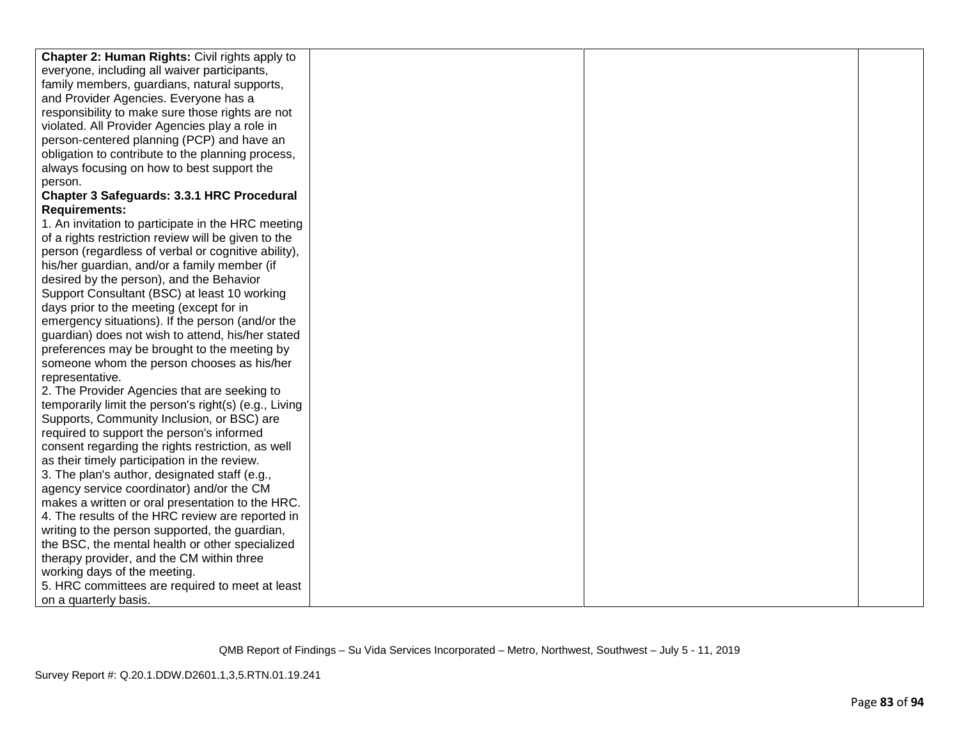| Chapter 2: Human Rights: Civil rights apply to                                                        |  |  |
|-------------------------------------------------------------------------------------------------------|--|--|
| everyone, including all waiver participants,                                                          |  |  |
| family members, guardians, natural supports,                                                          |  |  |
| and Provider Agencies. Everyone has a                                                                 |  |  |
| responsibility to make sure those rights are not                                                      |  |  |
| violated. All Provider Agencies play a role in                                                        |  |  |
| person-centered planning (PCP) and have an                                                            |  |  |
| obligation to contribute to the planning process,                                                     |  |  |
| always focusing on how to best support the                                                            |  |  |
| person.                                                                                               |  |  |
| Chapter 3 Safeguards: 3.3.1 HRC Procedural                                                            |  |  |
| <b>Requirements:</b>                                                                                  |  |  |
| 1. An invitation to participate in the HRC meeting                                                    |  |  |
| of a rights restriction review will be given to the                                                   |  |  |
| person (regardless of verbal or cognitive ability),                                                   |  |  |
| his/her guardian, and/or a family member (if                                                          |  |  |
| desired by the person), and the Behavior                                                              |  |  |
| Support Consultant (BSC) at least 10 working                                                          |  |  |
| days prior to the meeting (except for in                                                              |  |  |
| emergency situations). If the person (and/or the                                                      |  |  |
| guardian) does not wish to attend, his/her stated                                                     |  |  |
| preferences may be brought to the meeting by                                                          |  |  |
|                                                                                                       |  |  |
| someone whom the person chooses as his/her                                                            |  |  |
| representative.                                                                                       |  |  |
| 2. The Provider Agencies that are seeking to<br>temporarily limit the person's right(s) (e.g., Living |  |  |
| Supports, Community Inclusion, or BSC) are                                                            |  |  |
| required to support the person's informed                                                             |  |  |
| consent regarding the rights restriction, as well                                                     |  |  |
| as their timely participation in the review.                                                          |  |  |
| 3. The plan's author, designated staff (e.g.,                                                         |  |  |
| agency service coordinator) and/or the CM                                                             |  |  |
| makes a written or oral presentation to the HRC.                                                      |  |  |
| 4. The results of the HRC review are reported in                                                      |  |  |
| writing to the person supported, the guardian,                                                        |  |  |
| the BSC, the mental health or other specialized                                                       |  |  |
| therapy provider, and the CM within three                                                             |  |  |
| working days of the meeting.                                                                          |  |  |
| 5. HRC committees are required to meet at least                                                       |  |  |
| on a quarterly basis.                                                                                 |  |  |
|                                                                                                       |  |  |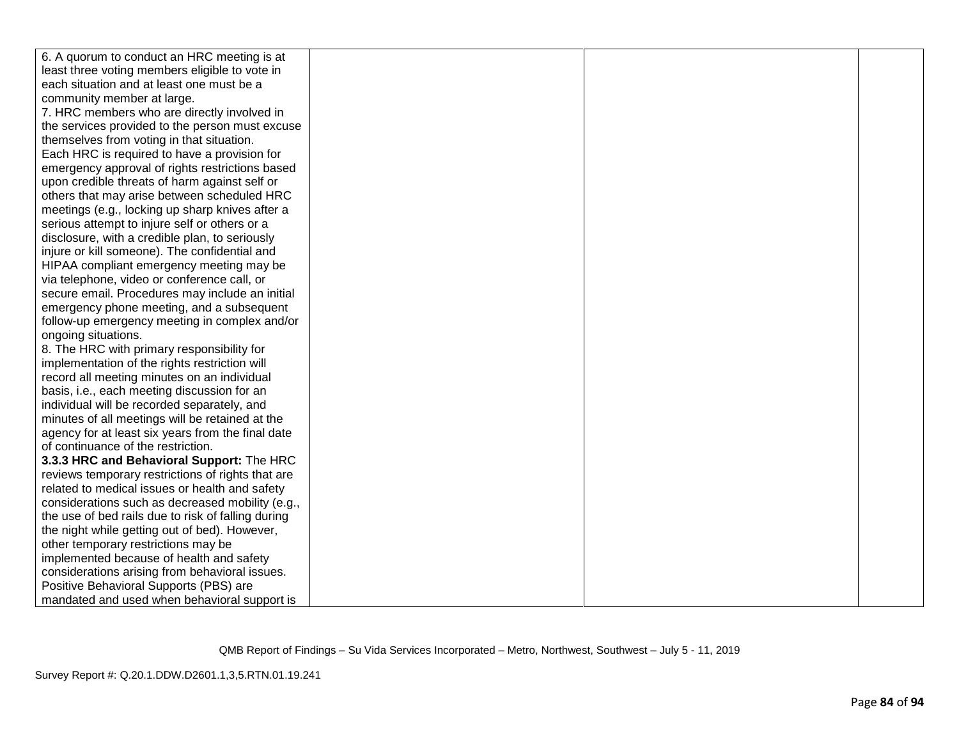| 6. A quorum to conduct an HRC meeting is at        |  |  |
|----------------------------------------------------|--|--|
| least three voting members eligible to vote in     |  |  |
| each situation and at least one must be a          |  |  |
| community member at large.                         |  |  |
| 7. HRC members who are directly involved in        |  |  |
| the services provided to the person must excuse    |  |  |
| themselves from voting in that situation.          |  |  |
| Each HRC is required to have a provision for       |  |  |
| emergency approval of rights restrictions based    |  |  |
| upon credible threats of harm against self or      |  |  |
| others that may arise between scheduled HRC        |  |  |
| meetings (e.g., locking up sharp knives after a    |  |  |
| serious attempt to injure self or others or a      |  |  |
| disclosure, with a credible plan, to seriously     |  |  |
| injure or kill someone). The confidential and      |  |  |
| HIPAA compliant emergency meeting may be           |  |  |
| via telephone, video or conference call, or        |  |  |
| secure email. Procedures may include an initial    |  |  |
| emergency phone meeting, and a subsequent          |  |  |
| follow-up emergency meeting in complex and/or      |  |  |
| ongoing situations.                                |  |  |
| 8. The HRC with primary responsibility for         |  |  |
| implementation of the rights restriction will      |  |  |
| record all meeting minutes on an individual        |  |  |
| basis, i.e., each meeting discussion for an        |  |  |
| individual will be recorded separately, and        |  |  |
| minutes of all meetings will be retained at the    |  |  |
| agency for at least six years from the final date  |  |  |
| of continuance of the restriction.                 |  |  |
| 3.3.3 HRC and Behavioral Support: The HRC          |  |  |
| reviews temporary restrictions of rights that are  |  |  |
| related to medical issues or health and safety     |  |  |
| considerations such as decreased mobility (e.g.,   |  |  |
| the use of bed rails due to risk of falling during |  |  |
| the night while getting out of bed). However,      |  |  |
| other temporary restrictions may be                |  |  |
| implemented because of health and safety           |  |  |
| considerations arising from behavioral issues.     |  |  |
| Positive Behavioral Supports (PBS) are             |  |  |
| mandated and used when behavioral support is       |  |  |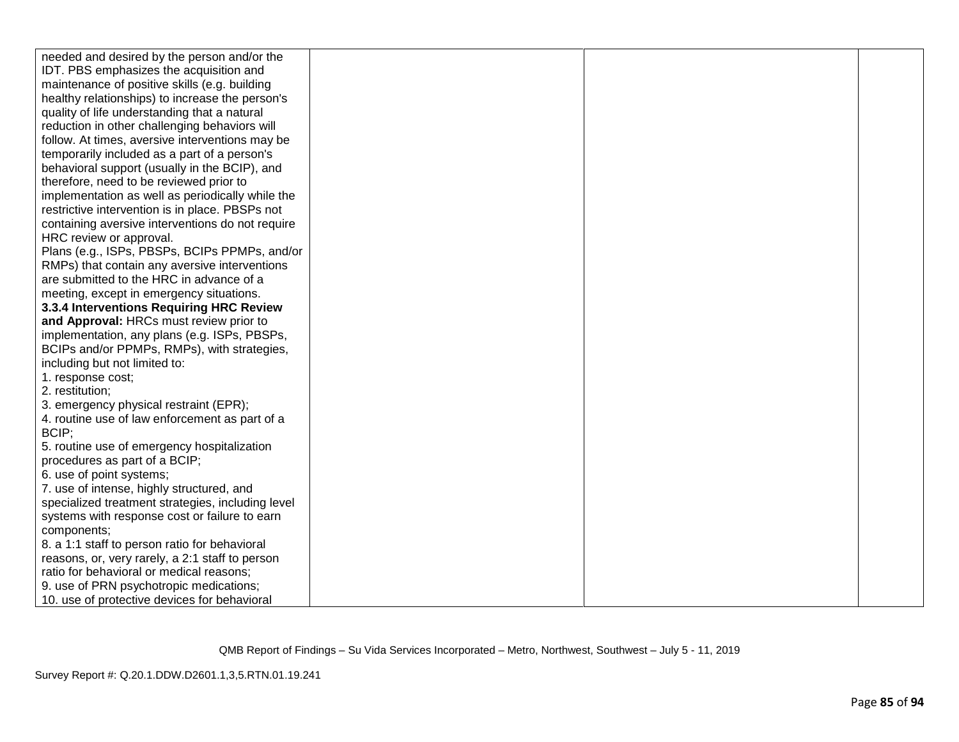| needed and desired by the person and/or the       |  |  |
|---------------------------------------------------|--|--|
| IDT. PBS emphasizes the acquisition and           |  |  |
| maintenance of positive skills (e.g. building     |  |  |
| healthy relationships) to increase the person's   |  |  |
| quality of life understanding that a natural      |  |  |
| reduction in other challenging behaviors will     |  |  |
| follow. At times, aversive interventions may be   |  |  |
| temporarily included as a part of a person's      |  |  |
| behavioral support (usually in the BCIP), and     |  |  |
| therefore, need to be reviewed prior to           |  |  |
| implementation as well as periodically while the  |  |  |
| restrictive intervention is in place. PBSPs not   |  |  |
| containing aversive interventions do not require  |  |  |
| HRC review or approval.                           |  |  |
| Plans (e.g., ISPs, PBSPs, BCIPs PPMPs, and/or     |  |  |
| RMPs) that contain any aversive interventions     |  |  |
| are submitted to the HRC in advance of a          |  |  |
| meeting, except in emergency situations.          |  |  |
| 3.3.4 Interventions Requiring HRC Review          |  |  |
| and Approval: HRCs must review prior to           |  |  |
| implementation, any plans (e.g. ISPs, PBSPs,      |  |  |
| BCIPs and/or PPMPs, RMPs), with strategies,       |  |  |
| including but not limited to:                     |  |  |
| 1. response cost;                                 |  |  |
| 2. restitution;                                   |  |  |
| 3. emergency physical restraint (EPR);            |  |  |
| 4. routine use of law enforcement as part of a    |  |  |
| BCIP;                                             |  |  |
| 5. routine use of emergency hospitalization       |  |  |
| procedures as part of a BCIP;                     |  |  |
| 6. use of point systems;                          |  |  |
| 7. use of intense, highly structured, and         |  |  |
| specialized treatment strategies, including level |  |  |
| systems with response cost or failure to earn     |  |  |
| components;                                       |  |  |
| 8. a 1:1 staff to person ratio for behavioral     |  |  |
| reasons, or, very rarely, a 2:1 staff to person   |  |  |
| ratio for behavioral or medical reasons;          |  |  |
| 9. use of PRN psychotropic medications;           |  |  |
| 10. use of protective devices for behavioral      |  |  |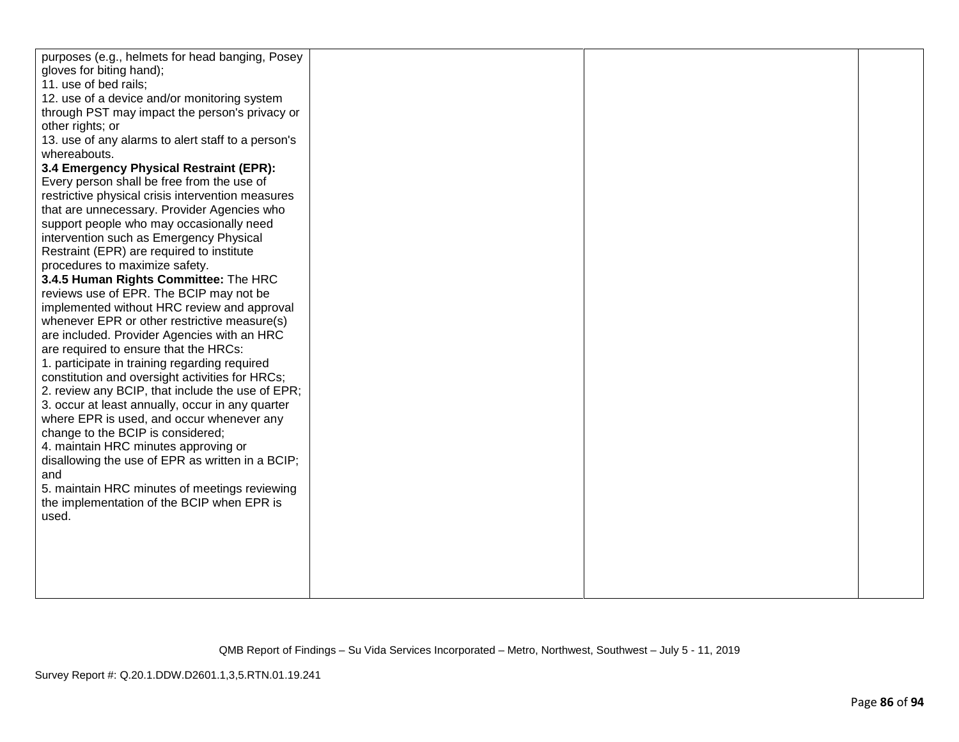| purposes (e.g., helmets for head banging, Posey    |  |  |
|----------------------------------------------------|--|--|
| gloves for biting hand);                           |  |  |
| 11. use of bed rails;                              |  |  |
| 12. use of a device and/or monitoring system       |  |  |
| through PST may impact the person's privacy or     |  |  |
| other rights; or                                   |  |  |
| 13. use of any alarms to alert staff to a person's |  |  |
| whereabouts.                                       |  |  |
| 3.4 Emergency Physical Restraint (EPR):            |  |  |
| Every person shall be free from the use of         |  |  |
| restrictive physical crisis intervention measures  |  |  |
| that are unnecessary. Provider Agencies who        |  |  |
| support people who may occasionally need           |  |  |
| intervention such as Emergency Physical            |  |  |
| Restraint (EPR) are required to institute          |  |  |
| procedures to maximize safety.                     |  |  |
| 3.4.5 Human Rights Committee: The HRC              |  |  |
| reviews use of EPR. The BCIP may not be            |  |  |
| implemented without HRC review and approval        |  |  |
| whenever EPR or other restrictive measure(s)       |  |  |
| are included. Provider Agencies with an HRC        |  |  |
| are required to ensure that the HRCs:              |  |  |
| 1. participate in training regarding required      |  |  |
| constitution and oversight activities for HRCs;    |  |  |
| 2. review any BCIP, that include the use of EPR;   |  |  |
| 3. occur at least annually, occur in any quarter   |  |  |
| where EPR is used, and occur whenever any          |  |  |
| change to the BCIP is considered;                  |  |  |
| 4. maintain HRC minutes approving or               |  |  |
| disallowing the use of EPR as written in a BCIP;   |  |  |
| and                                                |  |  |
| 5. maintain HRC minutes of meetings reviewing      |  |  |
| the implementation of the BCIP when EPR is         |  |  |
| used.                                              |  |  |
|                                                    |  |  |
|                                                    |  |  |
|                                                    |  |  |
|                                                    |  |  |
|                                                    |  |  |
|                                                    |  |  |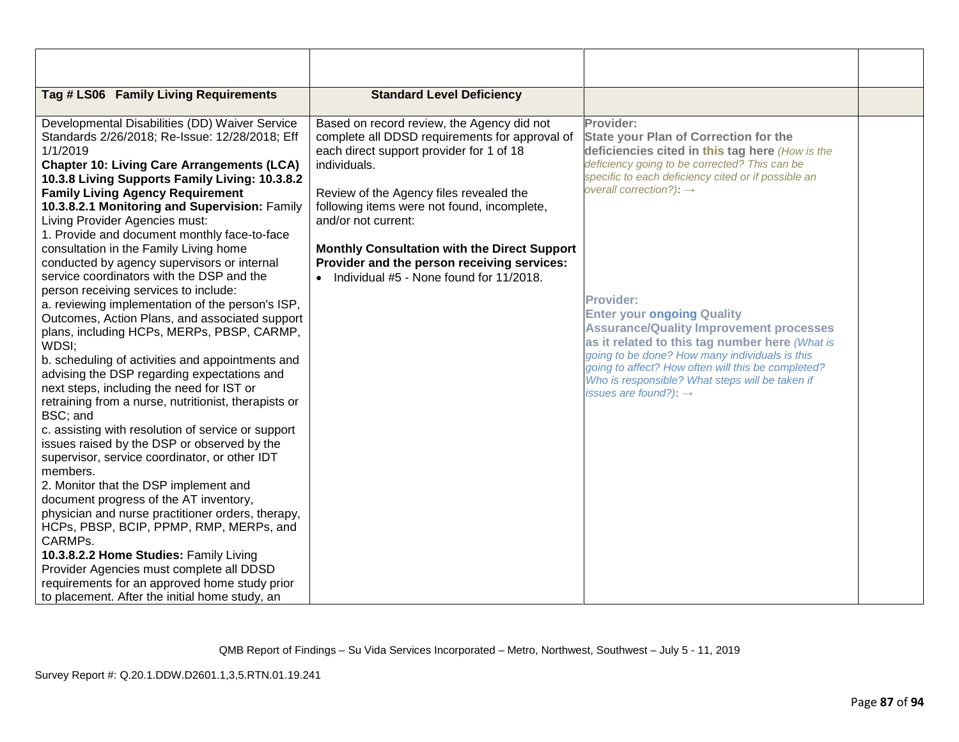| Tag # LS06 Family Living Requirements                                                                                                                                                                                                                                                                                                                                                                                                                                                                                                                                                                                                                                                                                                                                                                                                                                                                                                                                                                                                                                                                                                                                                                                                                                                                                                                                                                                                                                                                                      | <b>Standard Level Deficiency</b>                                                                                                                                                                                                                                                                                                                                                                                               |                                                                                                                                                                                                                                                                                                                                                                                                                                                                                                                                                                                                                          |  |
|----------------------------------------------------------------------------------------------------------------------------------------------------------------------------------------------------------------------------------------------------------------------------------------------------------------------------------------------------------------------------------------------------------------------------------------------------------------------------------------------------------------------------------------------------------------------------------------------------------------------------------------------------------------------------------------------------------------------------------------------------------------------------------------------------------------------------------------------------------------------------------------------------------------------------------------------------------------------------------------------------------------------------------------------------------------------------------------------------------------------------------------------------------------------------------------------------------------------------------------------------------------------------------------------------------------------------------------------------------------------------------------------------------------------------------------------------------------------------------------------------------------------------|--------------------------------------------------------------------------------------------------------------------------------------------------------------------------------------------------------------------------------------------------------------------------------------------------------------------------------------------------------------------------------------------------------------------------------|--------------------------------------------------------------------------------------------------------------------------------------------------------------------------------------------------------------------------------------------------------------------------------------------------------------------------------------------------------------------------------------------------------------------------------------------------------------------------------------------------------------------------------------------------------------------------------------------------------------------------|--|
| Developmental Disabilities (DD) Waiver Service<br>Standards 2/26/2018; Re-Issue: 12/28/2018; Eff<br>1/1/2019<br><b>Chapter 10: Living Care Arrangements (LCA)</b><br>10.3.8 Living Supports Family Living: 10.3.8.2<br><b>Family Living Agency Requirement</b><br>10.3.8.2.1 Monitoring and Supervision: Family<br>Living Provider Agencies must:<br>1. Provide and document monthly face-to-face<br>consultation in the Family Living home<br>conducted by agency supervisors or internal<br>service coordinators with the DSP and the<br>person receiving services to include:<br>a. reviewing implementation of the person's ISP,<br>Outcomes, Action Plans, and associated support<br>plans, including HCPs, MERPs, PBSP, CARMP,<br>WDSI;<br>b. scheduling of activities and appointments and<br>advising the DSP regarding expectations and<br>next steps, including the need for IST or<br>retraining from a nurse, nutritionist, therapists or<br>BSC; and<br>c. assisting with resolution of service or support<br>issues raised by the DSP or observed by the<br>supervisor, service coordinator, or other IDT<br>members.<br>2. Monitor that the DSP implement and<br>document progress of the AT inventory,<br>physician and nurse practitioner orders, therapy,<br>HCPs, PBSP, BCIP, PPMP, RMP, MERPs, and<br>CARMPs.<br>10.3.8.2.2 Home Studies: Family Living<br>Provider Agencies must complete all DDSD<br>requirements for an approved home study prior<br>to placement. After the initial home study, an | Based on record review, the Agency did not<br>complete all DDSD requirements for approval of<br>each direct support provider for 1 of 18<br>individuals.<br>Review of the Agency files revealed the<br>following items were not found, incomplete,<br>and/or not current:<br><b>Monthly Consultation with the Direct Support</b><br>Provider and the person receiving services:<br>• Individual $#5$ - None found for 11/2018. | Provider:<br><b>State your Plan of Correction for the</b><br>deficiencies cited in this tag here (How is the<br>deficiency going to be corrected? This can be<br>specific to each deficiency cited or if possible an<br>overall correction?): $\rightarrow$<br><b>Provider:</b><br><b>Enter your ongoing Quality</b><br><b>Assurance/Quality Improvement processes</b><br>as it related to this tag number here (What is<br>going to be done? How many individuals is this<br>going to affect? How often will this be completed?<br>Who is responsible? What steps will be taken if<br>issues are found?): $\rightarrow$ |  |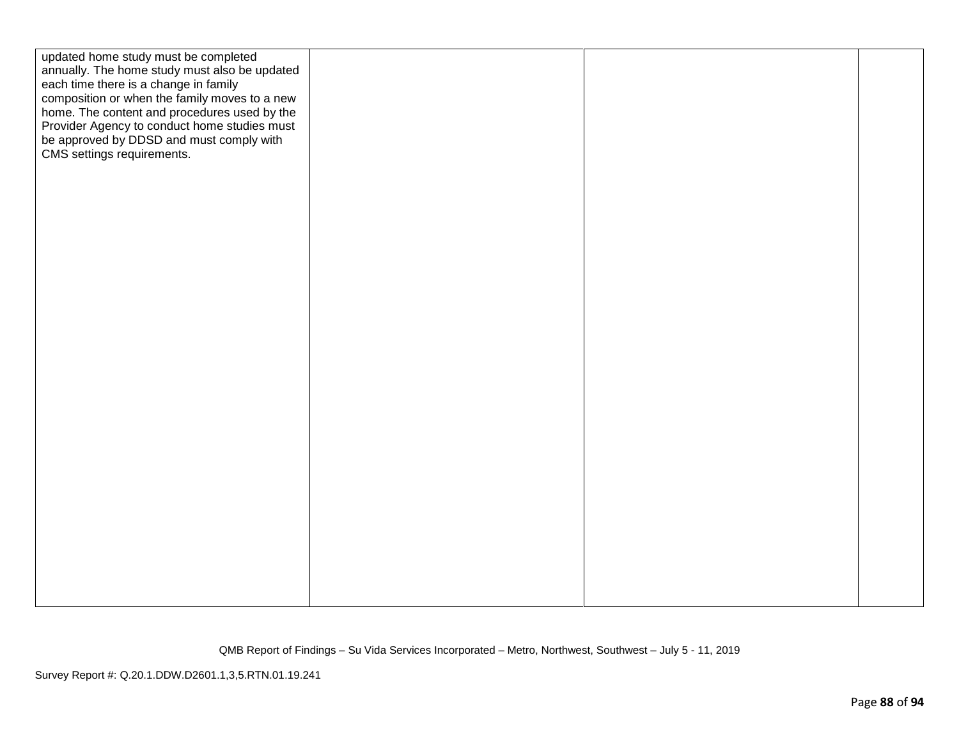| updated home study must be completed          |  |  |
|-----------------------------------------------|--|--|
| annually. The home study must also be updated |  |  |
| each time there is a change in family         |  |  |
| composition or when the family moves to a new |  |  |
| home. The content and procedures used by the  |  |  |
| Provider Agency to conduct home studies must  |  |  |
| be approved by DDSD and must comply with      |  |  |
|                                               |  |  |
| CMS settings requirements.                    |  |  |
|                                               |  |  |
|                                               |  |  |
|                                               |  |  |
|                                               |  |  |
|                                               |  |  |
|                                               |  |  |
|                                               |  |  |
|                                               |  |  |
|                                               |  |  |
|                                               |  |  |
|                                               |  |  |
|                                               |  |  |
|                                               |  |  |
|                                               |  |  |
|                                               |  |  |
|                                               |  |  |
|                                               |  |  |
|                                               |  |  |
|                                               |  |  |
|                                               |  |  |
|                                               |  |  |
|                                               |  |  |
|                                               |  |  |
|                                               |  |  |
|                                               |  |  |
|                                               |  |  |
|                                               |  |  |
|                                               |  |  |
|                                               |  |  |
|                                               |  |  |
|                                               |  |  |
|                                               |  |  |
|                                               |  |  |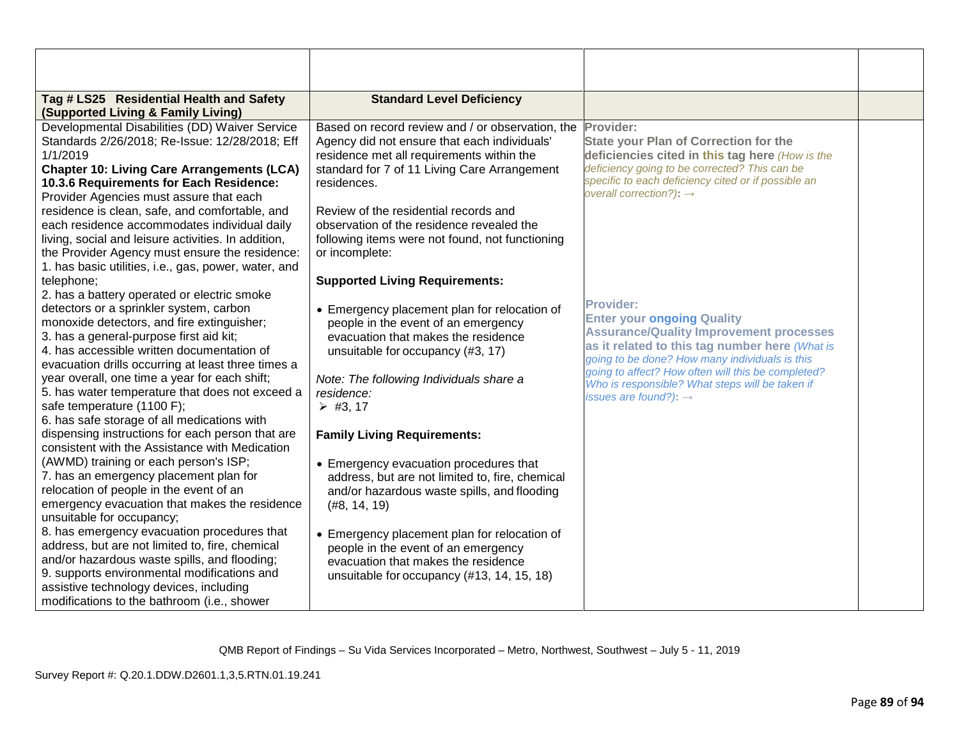| Tag # LS25 Residential Health and Safety                                                                                                                                                                                                                                                                                                                                                                                                                                                                                                                                                                                                                                                                                                                                                                                                                                                                                                 | <b>Standard Level Deficiency</b>                                                                                                                                                                                                                                                                                                                                                                                                                                                                                                                                                    |                                                                                                                                                                                                                                                                                                                                                           |  |
|------------------------------------------------------------------------------------------------------------------------------------------------------------------------------------------------------------------------------------------------------------------------------------------------------------------------------------------------------------------------------------------------------------------------------------------------------------------------------------------------------------------------------------------------------------------------------------------------------------------------------------------------------------------------------------------------------------------------------------------------------------------------------------------------------------------------------------------------------------------------------------------------------------------------------------------|-------------------------------------------------------------------------------------------------------------------------------------------------------------------------------------------------------------------------------------------------------------------------------------------------------------------------------------------------------------------------------------------------------------------------------------------------------------------------------------------------------------------------------------------------------------------------------------|-----------------------------------------------------------------------------------------------------------------------------------------------------------------------------------------------------------------------------------------------------------------------------------------------------------------------------------------------------------|--|
| (Supported Living & Family Living)                                                                                                                                                                                                                                                                                                                                                                                                                                                                                                                                                                                                                                                                                                                                                                                                                                                                                                       |                                                                                                                                                                                                                                                                                                                                                                                                                                                                                                                                                                                     |                                                                                                                                                                                                                                                                                                                                                           |  |
| Developmental Disabilities (DD) Waiver Service<br>Standards 2/26/2018; Re-Issue: 12/28/2018; Eff<br>1/1/2019<br><b>Chapter 10: Living Care Arrangements (LCA)</b><br>10.3.6 Requirements for Each Residence:<br>Provider Agencies must assure that each<br>residence is clean, safe, and comfortable, and<br>each residence accommodates individual daily<br>living, social and leisure activities. In addition,<br>the Provider Agency must ensure the residence:<br>1. has basic utilities, i.e., gas, power, water, and                                                                                                                                                                                                                                                                                                                                                                                                               | Based on record review and / or observation, the<br>Agency did not ensure that each individuals'<br>residence met all requirements within the<br>standard for 7 of 11 Living Care Arrangement<br>residences.<br>Review of the residential records and<br>observation of the residence revealed the<br>following items were not found, not functioning<br>or incomplete:                                                                                                                                                                                                             | Provider:<br><b>State your Plan of Correction for the</b><br>deficiencies cited in this tag here (How is the<br>deficiency going to be corrected? This can be<br>specific to each deficiency cited or if possible an<br>overall correction?): $\rightarrow$                                                                                               |  |
| telephone;                                                                                                                                                                                                                                                                                                                                                                                                                                                                                                                                                                                                                                                                                                                                                                                                                                                                                                                               | <b>Supported Living Requirements:</b>                                                                                                                                                                                                                                                                                                                                                                                                                                                                                                                                               |                                                                                                                                                                                                                                                                                                                                                           |  |
| 2. has a battery operated or electric smoke<br>detectors or a sprinkler system, carbon<br>monoxide detectors, and fire extinguisher;<br>3. has a general-purpose first aid kit;<br>4. has accessible written documentation of<br>evacuation drills occurring at least three times a<br>year overall, one time a year for each shift;<br>5. has water temperature that does not exceed a<br>safe temperature (1100 F);<br>6. has safe storage of all medications with<br>dispensing instructions for each person that are<br>consistent with the Assistance with Medication<br>(AWMD) training or each person's ISP;<br>7. has an emergency placement plan for<br>relocation of people in the event of an<br>emergency evacuation that makes the residence<br>unsuitable for occupancy;<br>8. has emergency evacuation procedures that<br>address, but are not limited to, fire, chemical<br>and/or hazardous waste spills, and flooding; | • Emergency placement plan for relocation of<br>people in the event of an emergency<br>evacuation that makes the residence<br>unsuitable for occupancy (#3, 17)<br>Note: The following Individuals share a<br>residence:<br>$\triangleright$ #3, 17<br><b>Family Living Requirements:</b><br>• Emergency evacuation procedures that<br>address, but are not limited to, fire, chemical<br>and/or hazardous waste spills, and flooding<br>(#8, 14, 19)<br>• Emergency placement plan for relocation of<br>people in the event of an emergency<br>evacuation that makes the residence | <b>Provider:</b><br><b>Enter your ongoing Quality</b><br><b>Assurance/Quality Improvement processes</b><br>as it related to this tag number here (What is<br>going to be done? How many individuals is this<br>going to affect? How often will this be completed?<br>Who is responsible? What steps will be taken if<br>issues are found?): $\rightarrow$ |  |
| 9. supports environmental modifications and<br>assistive technology devices, including<br>modifications to the bathroom (i.e., shower                                                                                                                                                                                                                                                                                                                                                                                                                                                                                                                                                                                                                                                                                                                                                                                                    | unsuitable for occupancy (#13, 14, 15, 18)                                                                                                                                                                                                                                                                                                                                                                                                                                                                                                                                          |                                                                                                                                                                                                                                                                                                                                                           |  |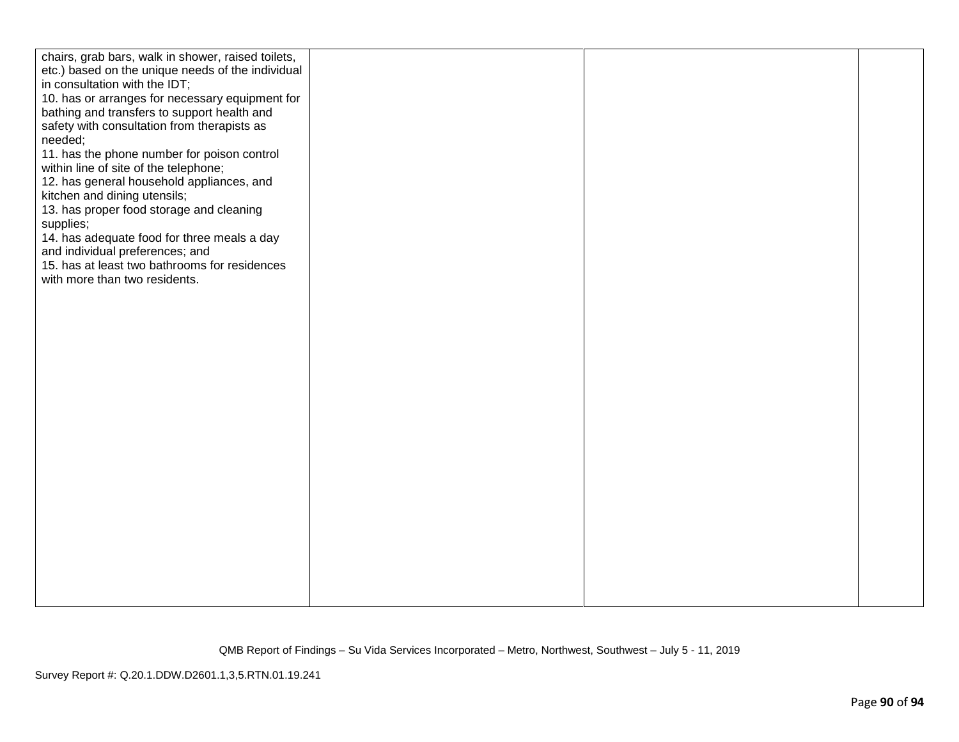| chairs, grab bars, walk in shower, raised toilets, |  |  |
|----------------------------------------------------|--|--|
| etc.) based on the unique needs of the individual  |  |  |
| in consultation with the IDT;                      |  |  |
| 10. has or arranges for necessary equipment for    |  |  |
| bathing and transfers to support health and        |  |  |
| safety with consultation from therapists as        |  |  |
| needed;                                            |  |  |
| 11. has the phone number for poison control        |  |  |
| within line of site of the telephone;              |  |  |
| 12. has general household appliances, and          |  |  |
| kitchen and dining utensils;                       |  |  |
| 13. has proper food storage and cleaning           |  |  |
| supplies;                                          |  |  |
| 14. has adequate food for three meals a day        |  |  |
| and individual preferences; and                    |  |  |
| 15. has at least two bathrooms for residences      |  |  |
| with more than two residents.                      |  |  |
|                                                    |  |  |
|                                                    |  |  |
|                                                    |  |  |
|                                                    |  |  |
|                                                    |  |  |
|                                                    |  |  |
|                                                    |  |  |
|                                                    |  |  |
|                                                    |  |  |
|                                                    |  |  |
|                                                    |  |  |
|                                                    |  |  |
|                                                    |  |  |
|                                                    |  |  |
|                                                    |  |  |
|                                                    |  |  |
|                                                    |  |  |
|                                                    |  |  |
|                                                    |  |  |
|                                                    |  |  |
|                                                    |  |  |
|                                                    |  |  |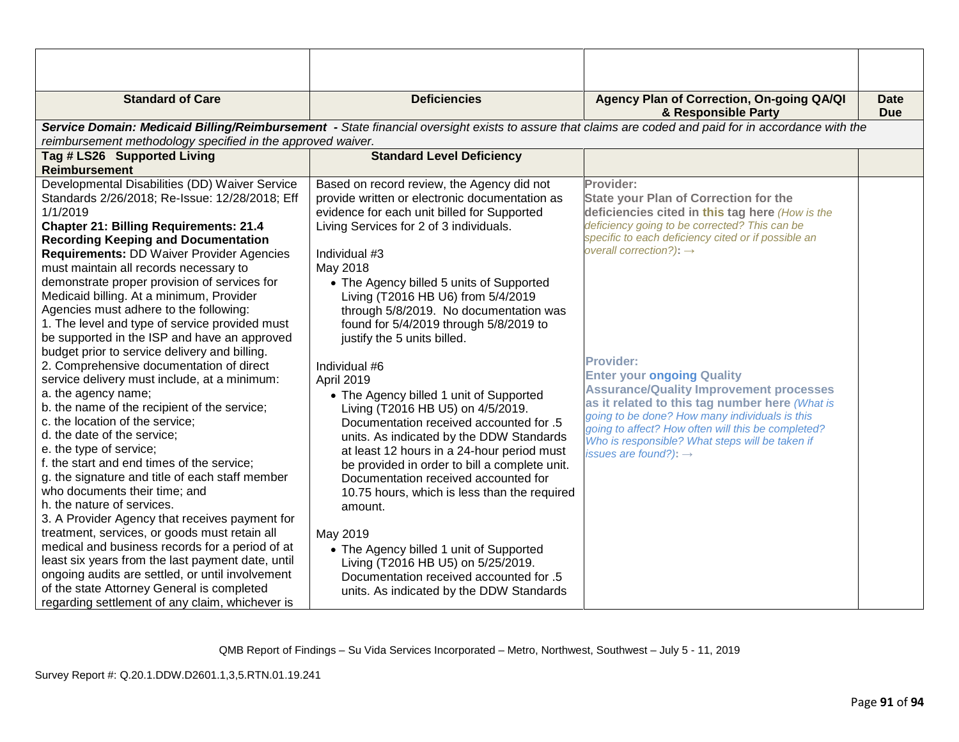| <b>Standard of Care</b>                                                                          | <b>Deficiencies</b>                                                                                                                         | Agency Plan of Correction, On-going QA/QI<br>& Responsible Party                                                                                      | <b>Date</b><br><b>Due</b> |
|--------------------------------------------------------------------------------------------------|---------------------------------------------------------------------------------------------------------------------------------------------|-------------------------------------------------------------------------------------------------------------------------------------------------------|---------------------------|
|                                                                                                  |                                                                                                                                             | Service Domain: Medicaid Billing/Reimbursement - State financial oversight exists to assure that claims are coded and paid for in accordance with the |                           |
| reimbursement methodology specified in the approved waiver.                                      |                                                                                                                                             |                                                                                                                                                       |                           |
| Tag # LS26 Supported Living<br><b>Reimbursement</b>                                              | <b>Standard Level Deficiency</b>                                                                                                            |                                                                                                                                                       |                           |
| Developmental Disabilities (DD) Waiver Service                                                   |                                                                                                                                             | Provider:                                                                                                                                             |                           |
| Standards 2/26/2018; Re-Issue: 12/28/2018; Eff<br>1/1/2019                                       | Based on record review, the Agency did not<br>provide written or electronic documentation as<br>evidence for each unit billed for Supported | <b>State your Plan of Correction for the</b><br>deficiencies cited in this tag here (How is the                                                       |                           |
| <b>Chapter 21: Billing Requirements: 21.4</b>                                                    | Living Services for 2 of 3 individuals.                                                                                                     | deficiency going to be corrected? This can be                                                                                                         |                           |
| <b>Recording Keeping and Documentation</b>                                                       |                                                                                                                                             | specific to each deficiency cited or if possible an<br>overall correction?): $\rightarrow$                                                            |                           |
| <b>Requirements: DD Waiver Provider Agencies</b>                                                 | Individual #3                                                                                                                               |                                                                                                                                                       |                           |
| must maintain all records necessary to                                                           | May 2018                                                                                                                                    |                                                                                                                                                       |                           |
| demonstrate proper provision of services for                                                     | • The Agency billed 5 units of Supported                                                                                                    |                                                                                                                                                       |                           |
| Medicaid billing. At a minimum, Provider                                                         | Living (T2016 HB U6) from 5/4/2019                                                                                                          |                                                                                                                                                       |                           |
| Agencies must adhere to the following:                                                           | through 5/8/2019. No documentation was                                                                                                      |                                                                                                                                                       |                           |
| 1. The level and type of service provided must                                                   | found for 5/4/2019 through 5/8/2019 to                                                                                                      |                                                                                                                                                       |                           |
| be supported in the ISP and have an approved                                                     | justify the 5 units billed.                                                                                                                 |                                                                                                                                                       |                           |
| budget prior to service delivery and billing.                                                    |                                                                                                                                             | <b>Provider:</b>                                                                                                                                      |                           |
| 2. Comprehensive documentation of direct                                                         | Individual #6                                                                                                                               | <b>Enter your ongoing Quality</b>                                                                                                                     |                           |
| service delivery must include, at a minimum:                                                     | April 2019                                                                                                                                  | <b>Assurance/Quality Improvement processes</b>                                                                                                        |                           |
| a. the agency name;                                                                              | • The Agency billed 1 unit of Supported                                                                                                     | as it related to this tag number here (What is                                                                                                        |                           |
| b. the name of the recipient of the service;                                                     | Living (T2016 HB U5) on 4/5/2019.                                                                                                           | going to be done? How many individuals is this                                                                                                        |                           |
| c. the location of the service;                                                                  | Documentation received accounted for .5                                                                                                     | going to affect? How often will this be completed?                                                                                                    |                           |
| d. the date of the service;                                                                      | units. As indicated by the DDW Standards                                                                                                    | Who is responsible? What steps will be taken if                                                                                                       |                           |
| e. the type of service;                                                                          | at least 12 hours in a 24-hour period must                                                                                                  | issues are found?): $\rightarrow$                                                                                                                     |                           |
| f. the start and end times of the service;                                                       | be provided in order to bill a complete unit.                                                                                               |                                                                                                                                                       |                           |
| g. the signature and title of each staff member<br>who documents their time; and                 | Documentation received accounted for                                                                                                        |                                                                                                                                                       |                           |
|                                                                                                  | 10.75 hours, which is less than the required                                                                                                |                                                                                                                                                       |                           |
| h. the nature of services.                                                                       | amount.                                                                                                                                     |                                                                                                                                                       |                           |
| 3. A Provider Agency that receives payment for                                                   |                                                                                                                                             |                                                                                                                                                       |                           |
| treatment, services, or goods must retain all<br>medical and business records for a period of at | May 2019                                                                                                                                    |                                                                                                                                                       |                           |
|                                                                                                  | • The Agency billed 1 unit of Supported                                                                                                     |                                                                                                                                                       |                           |
| least six years from the last payment date, until                                                | Living (T2016 HB U5) on 5/25/2019.                                                                                                          |                                                                                                                                                       |                           |
| ongoing audits are settled, or until involvement                                                 | Documentation received accounted for .5                                                                                                     |                                                                                                                                                       |                           |
| of the state Attorney General is completed                                                       | units. As indicated by the DDW Standards                                                                                                    |                                                                                                                                                       |                           |
| regarding settlement of any claim, whichever is                                                  |                                                                                                                                             |                                                                                                                                                       |                           |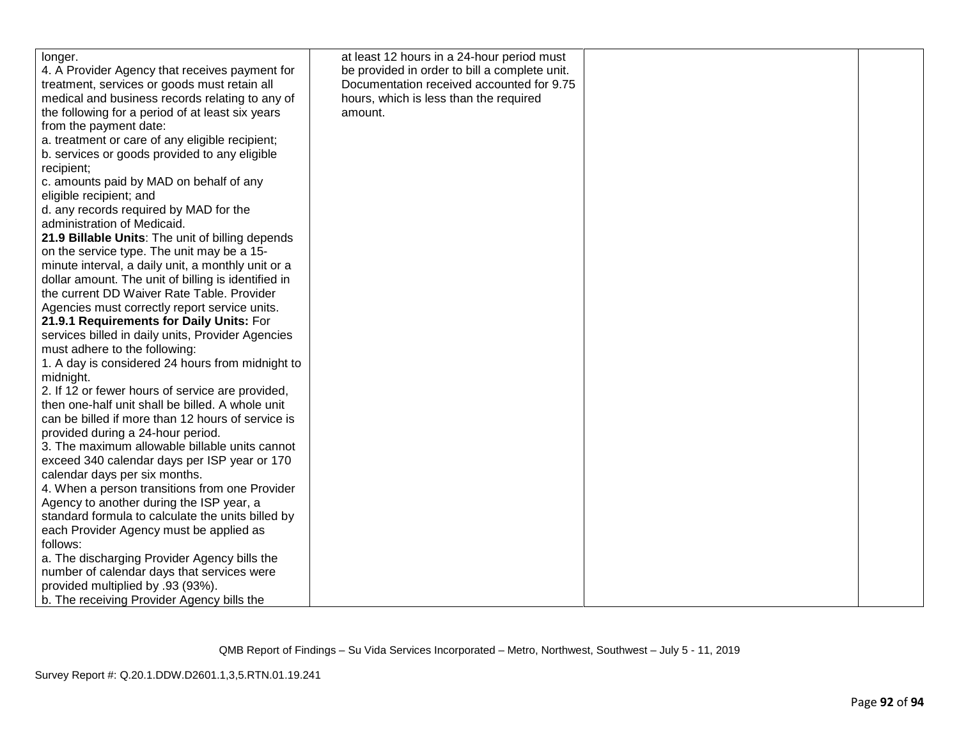| longer.                                             | at least 12 hours in a 24-hour period must    |  |
|-----------------------------------------------------|-----------------------------------------------|--|
| 4. A Provider Agency that receives payment for      | be provided in order to bill a complete unit. |  |
| treatment, services or goods must retain all        | Documentation received accounted for 9.75     |  |
| medical and business records relating to any of     | hours, which is less than the required        |  |
| the following for a period of at least six years    | amount.                                       |  |
| from the payment date:                              |                                               |  |
| a. treatment or care of any eligible recipient;     |                                               |  |
| b. services or goods provided to any eligible       |                                               |  |
| recipient;                                          |                                               |  |
| c. amounts paid by MAD on behalf of any             |                                               |  |
| eligible recipient; and                             |                                               |  |
| d. any records required by MAD for the              |                                               |  |
| administration of Medicaid.                         |                                               |  |
| 21.9 Billable Units: The unit of billing depends    |                                               |  |
| on the service type. The unit may be a 15-          |                                               |  |
| minute interval, a daily unit, a monthly unit or a  |                                               |  |
| dollar amount. The unit of billing is identified in |                                               |  |
| the current DD Waiver Rate Table. Provider          |                                               |  |
| Agencies must correctly report service units.       |                                               |  |
| 21.9.1 Requirements for Daily Units: For            |                                               |  |
| services billed in daily units, Provider Agencies   |                                               |  |
| must adhere to the following:                       |                                               |  |
| 1. A day is considered 24 hours from midnight to    |                                               |  |
| midnight.                                           |                                               |  |
| 2. If 12 or fewer hours of service are provided,    |                                               |  |
| then one-half unit shall be billed. A whole unit    |                                               |  |
| can be billed if more than 12 hours of service is   |                                               |  |
| provided during a 24-hour period.                   |                                               |  |
| 3. The maximum allowable billable units cannot      |                                               |  |
| exceed 340 calendar days per ISP year or 170        |                                               |  |
| calendar days per six months.                       |                                               |  |
| 4. When a person transitions from one Provider      |                                               |  |
| Agency to another during the ISP year, a            |                                               |  |
| standard formula to calculate the units billed by   |                                               |  |
| each Provider Agency must be applied as             |                                               |  |
| follows:                                            |                                               |  |
| a. The discharging Provider Agency bills the        |                                               |  |
| number of calendar days that services were          |                                               |  |
| provided multiplied by .93 (93%).                   |                                               |  |
| b. The receiving Provider Agency bills the          |                                               |  |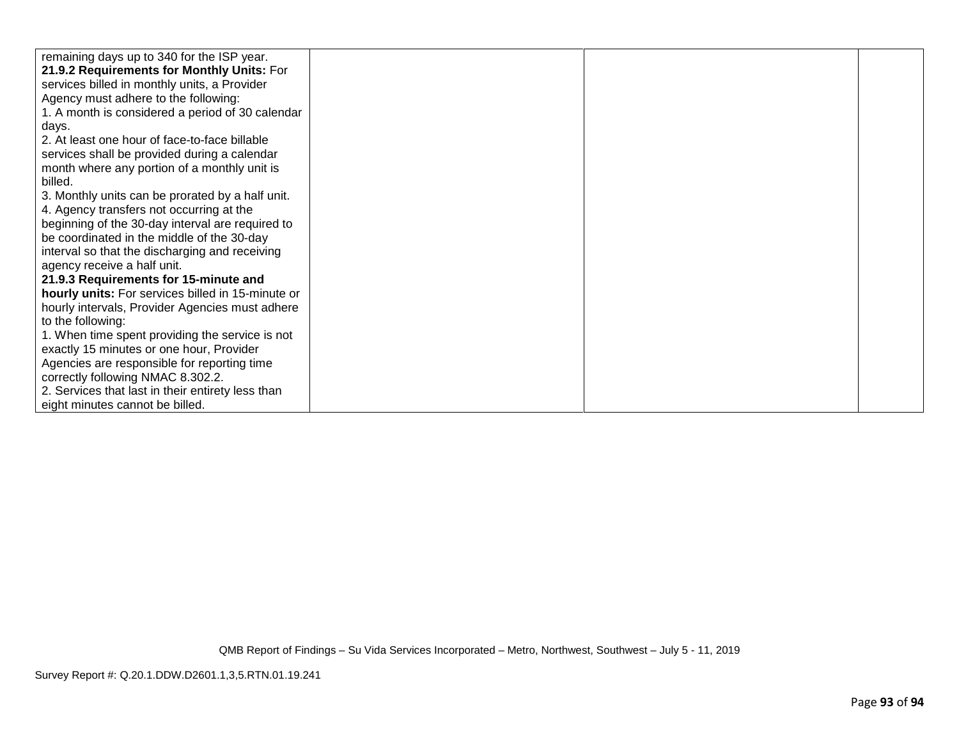| remaining days up to 340 for the ISP year.        |  |  |
|---------------------------------------------------|--|--|
| 21.9.2 Requirements for Monthly Units: For        |  |  |
| services billed in monthly units, a Provider      |  |  |
| Agency must adhere to the following:              |  |  |
| 1. A month is considered a period of 30 calendar  |  |  |
| days.                                             |  |  |
| 2. At least one hour of face-to-face billable     |  |  |
| services shall be provided during a calendar      |  |  |
| month where any portion of a monthly unit is      |  |  |
| billed.                                           |  |  |
| 3. Monthly units can be prorated by a half unit.  |  |  |
| 4. Agency transfers not occurring at the          |  |  |
| beginning of the 30-day interval are required to  |  |  |
| be coordinated in the middle of the 30-day        |  |  |
| interval so that the discharging and receiving    |  |  |
| agency receive a half unit.                       |  |  |
| 21.9.3 Requirements for 15-minute and             |  |  |
| hourly units: For services billed in 15-minute or |  |  |
| hourly intervals, Provider Agencies must adhere   |  |  |
| to the following:                                 |  |  |
| 1. When time spent providing the service is not   |  |  |
| exactly 15 minutes or one hour, Provider          |  |  |
| Agencies are responsible for reporting time       |  |  |
| correctly following NMAC 8.302.2.                 |  |  |
| 2. Services that last in their entirety less than |  |  |
| eight minutes cannot be billed.                   |  |  |